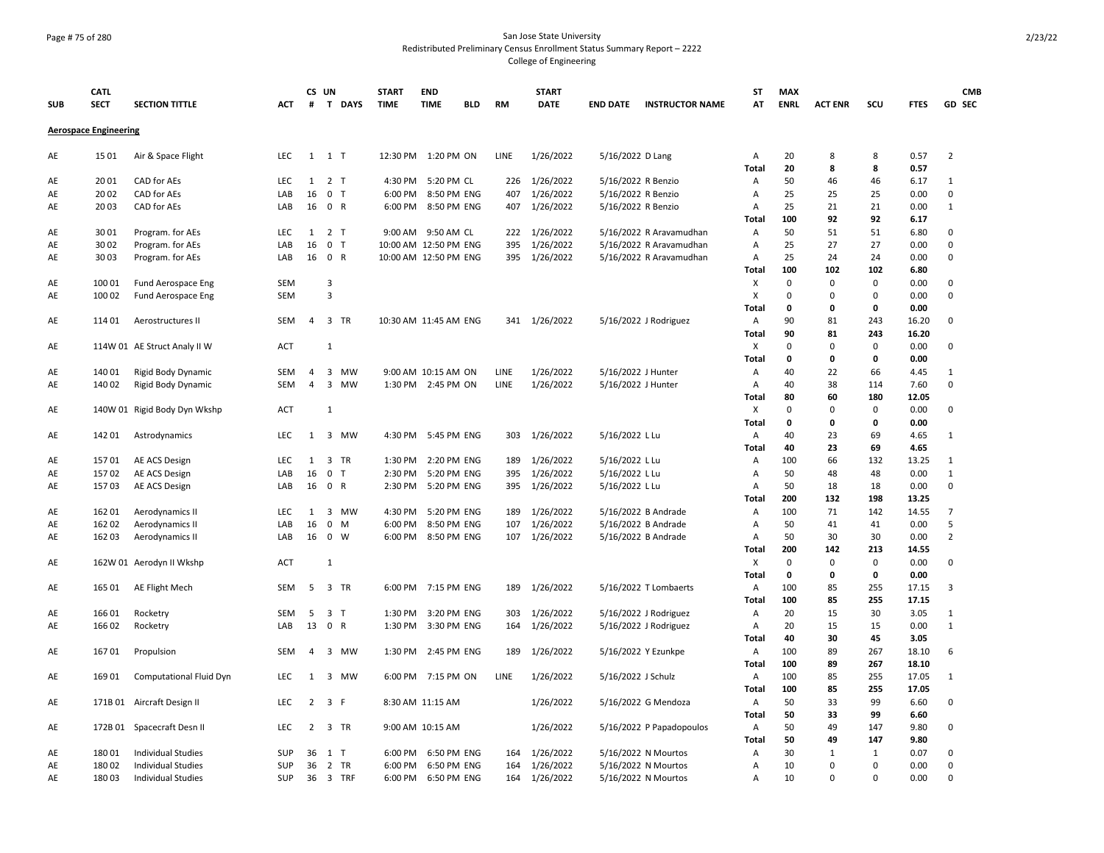## Page # 75 of 280 San Jose State University Redistributed Preliminary Census Enrollment Status Summary Report – 2222 College of Engineering

|            | <b>CATL</b>                  |                              |                   |                | CS UN               |           | <b>START</b>          | <b>END</b>          |            |             | <b>START</b>  |                    |                          | ST             | <b>MAX</b>   |                          |                          |              | <b>CMB</b>       |
|------------|------------------------------|------------------------------|-------------------|----------------|---------------------|-----------|-----------------------|---------------------|------------|-------------|---------------|--------------------|--------------------------|----------------|--------------|--------------------------|--------------------------|--------------|------------------|
| <b>SUB</b> | <b>SECT</b>                  | <b>SECTION TITTLE</b>        | ACT               | #              |                     | T DAYS    | <b>TIME</b>           | <b>TIME</b>         | <b>BLD</b> | RM          | <b>DATE</b>   | <b>END DATE</b>    | <b>INSTRUCTOR NAME</b>   | AT             | <b>ENRL</b>  | <b>ACT ENR</b>           | scu                      | <b>FTES</b>  | GD SEC           |
|            | <b>Aerospace Engineering</b> |                              |                   |                |                     |           |                       |                     |            |             |               |                    |                          |                |              |                          |                          |              |                  |
| AE         | 15 01                        | Air & Space Flight           | LEC               |                | $1 \quad 1 \quad T$ |           | 12:30 PM              | 1:20 PM ON          |            | LINE        | 1/26/2022     | 5/16/2022 D Lang   |                          | Α              | 20           | 8                        | 8                        | 0.57         | $\overline{2}$   |
|            |                              |                              |                   |                |                     |           |                       |                     |            |             |               |                    |                          | Total          | 20           | 8                        | 8                        | 0.57         |                  |
| AE         | 2001                         | CAD for AEs                  | LEC               | $\mathbf{1}$   | 2 <sub>T</sub>      |           | 4:30 PM               | 5:20 PM CL          |            | 226         | 1/26/2022     | 5/16/2022 R Benzio |                          | Α              | 50           | 46                       | 46                       | 6.17         | 1                |
| AE         | 2002                         | CAD for AEs                  | LAB               | 16             | 0 <sub>T</sub>      |           | 6:00 PM               | 8:50 PM ENG         |            | 407         | 1/26/2022     | 5/16/2022 R Benzio |                          | $\overline{A}$ | 25           | 25                       | 25                       | 0.00         | 0                |
| AE         | 2003                         | CAD for AEs                  | LAB               |                | 16 0 R              |           |                       | 6:00 PM 8:50 PM ENG |            | 407         | 1/26/2022     | 5/16/2022 R Benzio |                          | Α              | 25           | 21                       | 21                       | 0.00         | 1                |
|            |                              |                              |                   |                |                     |           |                       |                     |            |             |               |                    |                          | Total          | 100          | 92                       | 92                       | 6.17         |                  |
| AE         | 3001                         | Program. for AEs             | <b>LEC</b>        | 1              | 2 <sub>T</sub>      |           |                       | 9:00 AM 9:50 AM CL  |            | 222         | 1/26/2022     |                    | 5/16/2022 R Aravamudhan  | Α              | 50           | 51                       | 51                       | 6.80         | $\mathbf 0$      |
| AE         | 3002                         | Program. for AEs             | LAB               | 16             | 0 <sub>T</sub>      |           | 10:00 AM 12:50 PM ENG |                     |            | 395         | 1/26/2022     |                    | 5/16/2022 R Aravamudhan  | Α              | 25           | 27                       | 27                       | 0.00         | $\mathbf 0$      |
| AE         | 3003                         | Program. for AEs             | LAB               | 16             | 0 R                 |           | 10:00 AM 12:50 PM ENG |                     |            | 395         | 1/26/2022     |                    | 5/16/2022 R Aravamudhan  | Α              | 25           | 24                       | 24                       | 0.00         | $\mathbf 0$      |
|            |                              |                              |                   |                |                     |           |                       |                     |            |             |               |                    |                          | Total          | 100          | 102                      | 102                      | 6.80         |                  |
| AE         | 100 01                       | Fund Aerospace Eng           | <b>SEM</b>        |                | 3                   |           |                       |                     |            |             |               |                    |                          | X              | $\mathbf 0$  | 0                        | $\mathbf 0$              | 0.00         | $\mathbf 0$      |
| AE         | 100 02                       | Fund Aerospace Eng           | <b>SEM</b>        |                | 3                   |           |                       |                     |            |             |               |                    |                          | X              | $\Omega$     | 0                        | $\mathbf 0$              | 0.00         | $\mathbf 0$      |
|            |                              |                              |                   |                |                     |           |                       |                     |            |             |               |                    |                          | Total          | 0            | 0                        | 0                        | 0.00         |                  |
| AE         | 114 01                       | Aerostructures II            | SEM               | $\overline{4}$ | 3 TR                |           | 10:30 AM 11:45 AM ENG |                     |            |             | 341 1/26/2022 |                    | 5/16/2022 J Rodriguez    | Α              | 90           | 81                       | 243                      | 16.20        | $\mathbf 0$      |
|            |                              |                              |                   |                |                     |           |                       |                     |            |             |               |                    |                          | Total          | 90           | 81                       | 243                      | 16.20        |                  |
| AE         |                              | 114W 01 AE Struct Analy II W | <b>ACT</b>        |                | $\,1\,$             |           |                       |                     |            |             |               |                    |                          | X              | 0            | 0                        | $\mathbf 0$              | 0.00         | $\mathbf 0$      |
|            |                              |                              |                   |                |                     |           |                       |                     |            |             |               |                    |                          | <b>Total</b>   | $\mathbf{0}$ | 0                        | 0                        | 0.00         |                  |
| AE         | 140 01                       | Rigid Body Dynamic           | <b>SEM</b>        | 4              | 3                   | <b>MW</b> |                       | 9:00 AM 10:15 AM ON |            | <b>LINE</b> | 1/26/2022     | 5/16/2022 J Hunter |                          | $\overline{A}$ | 40           | 22                       | 66                       | 4.45         | 1                |
| AE         | 140 02                       | Rigid Body Dynamic           | <b>SEM</b>        | $\overline{4}$ |                     | 3 MW      |                       | 1:30 PM 2:45 PM ON  |            | LINE        | 1/26/2022     | 5/16/2022 J Hunter |                          | Α              | 40           | 38                       | 114                      | 7.60         | $\mathbf 0$      |
|            |                              |                              |                   |                |                     |           |                       |                     |            |             |               |                    |                          | Total          | 80           | 60                       | 180                      | 12.05        |                  |
| AE         |                              | 140W 01 Rigid Body Dyn Wkshp | <b>ACT</b>        |                | $\mathbf{1}$        |           |                       |                     |            |             |               |                    |                          | Х              | 0            | 0                        | 0                        | 0.00         | $\mathbf 0$      |
|            |                              |                              |                   |                |                     |           |                       |                     |            |             |               |                    |                          | <b>Total</b>   | 0            | 0                        | 0                        | 0.00         |                  |
| AE         | 142 01                       | Astrodynamics                | <b>LEC</b>        | 1              |                     | 3 MW      |                       | 4:30 PM 5:45 PM ENG |            | 303         | 1/26/2022     | 5/16/2022 L Lu     |                          | A              | 40           | 23                       | 69                       | 4.65         | 1                |
|            |                              |                              |                   |                |                     |           |                       |                     |            |             |               |                    |                          | Total          | 40           | 23                       | 69                       | 4.65         |                  |
| AE         | 15701                        | AE ACS Design                | LEC               | $\mathbf{1}$   |                     | 3 TR      | 1:30 PM               | 2:20 PM ENG         |            | 189         | 1/26/2022     | 5/16/2022 L Lu     |                          | Α              | 100          | 66                       | 132                      | 13.25        | 1                |
| AE         | 15702                        | AE ACS Design                | LAB               | 16             | 0 <sub>T</sub>      |           | 2:30 PM               | 5:20 PM ENG         |            | 395         | 1/26/2022     | 5/16/2022 L Lu     |                          | Α              | 50           | 48                       | 48                       | 0.00         | 1                |
| AE         | 15703                        | AE ACS Design                | LAB               |                | 16 0 R              |           | 2:30 PM               | 5:20 PM ENG         |            | 395         | 1/26/2022     | 5/16/2022 L Lu     |                          | A              | 50           | 18                       | 18                       | 0.00         | $\mathbf 0$      |
|            |                              |                              |                   |                |                     |           |                       |                     |            |             |               |                    |                          | Total          | 200          | 132                      | 198                      | 13.25        |                  |
| AE         | 162 01                       | Aerodynamics II              | LEC               | 1              | 3                   | MW        | 4:30 PM               | 5:20 PM ENG         |            | 189         | 1/26/2022     |                    | 5/16/2022 B Andrade      | A              | 100          | 71                       | 142                      | 14.55        | $\overline{7}$   |
| AE         | 162 02                       | Aerodynamics II              | LAB               | 16             | $\mathsf{O}$        | M         | 6:00 PM               | 8:50 PM ENG         |            | 107         | 1/26/2022     |                    | 5/16/2022 B Andrade      | Α              | 50           | 41                       | 41                       | 0.00         | 5                |
| AE         | 162 03                       | Aerodynamics II              | LAB               | 16             | 0 W                 |           | 6:00 PM               | 8:50 PM ENG         |            | 107         | 1/26/2022     |                    | 5/16/2022 B Andrade      | Α              | 50           | 30                       | 30                       | 0.00         | $\overline{2}$   |
|            |                              |                              |                   |                |                     |           |                       |                     |            |             |               |                    |                          | Total          | 200          | 142                      | 213                      | 14.55        |                  |
| AE         |                              | 162W 01 Aerodyn II Wkshp     | <b>ACT</b>        |                | $\mathbf{1}$        |           |                       |                     |            |             |               |                    |                          | X              | $\Omega$     | 0                        | 0                        | 0.00         | $\mathbf 0$      |
|            |                              |                              |                   |                |                     |           |                       |                     |            |             |               |                    |                          | Total          | 0            | 0                        | 0                        | 0.00         |                  |
| AE         | 165 01                       | <b>AE Flight Mech</b>        | <b>SEM</b>        | 5              |                     | 3 TR      |                       | 6:00 PM 7:15 PM ENG |            | 189         | 1/26/2022     |                    | 5/16/2022 T Lombaerts    | Α              | 100          | 85                       | 255                      | 17.15        | $\overline{3}$   |
|            |                              |                              |                   |                |                     |           |                       |                     |            |             |               |                    |                          | Total          | 100          | 85                       | 255                      | 17.15        |                  |
| AE         | 166 01                       | Rocketry                     | <b>SEM</b>        | 5              | 3 <sub>1</sub>      |           | 1:30 PM               | 3:20 PM ENG         |            | 303         | 1/26/2022     |                    | 5/16/2022 J Rodriguez    | Α              | 20           | 15                       | 30                       | 3.05         | 1                |
| AE         | 166 02                       | Rocketry                     | LAB               | 13             | 0 R                 |           | 1:30 PM               | 3:30 PM ENG         |            | 164         | 1/26/2022     |                    | 5/16/2022 J Rodriguez    | Α              | 20           | 15                       | 15                       | 0.00         | $\mathbf{1}$     |
|            |                              |                              |                   |                |                     |           |                       |                     |            |             |               |                    |                          | <b>Total</b>   | 40           | 30                       | 45                       | 3.05         |                  |
| AE         | 16701                        | Propulsion                   | SEM               | $\overline{4}$ |                     | 3 MW      |                       | 1:30 PM 2:45 PM ENG |            | 189         | 1/26/2022     |                    | 5/16/2022 Y Ezunkpe      | Α              | 100          | 89                       | 267                      | 18.10        | 6                |
|            |                              |                              |                   |                |                     |           |                       |                     |            |             |               |                    |                          | Total          | 100          | 89                       | 267                      | 18.10        |                  |
| AE         | 16901                        | Computational Fluid Dyn      | <b>LEC</b>        | 1              |                     | 3 MW      |                       | 6:00 PM 7:15 PM ON  |            | LINE        | 1/26/2022     | 5/16/2022 J Schulz |                          | Α              | 100          | 85                       | 255                      | 17.05        | 1                |
|            |                              |                              |                   |                |                     |           |                       |                     |            |             |               |                    |                          | Total          | 100          | 85                       | 255                      | 17.05        |                  |
| AE         |                              | 171B 01 Aircraft Design II   | <b>LEC</b>        | 2              | 3 F                 |           |                       | 8:30 AM 11:15 AM    |            |             | 1/26/2022     |                    | 5/16/2022 G Mendoza      | Α              | 50           | 33                       | 99                       | 6.60         | 0                |
|            |                              |                              |                   |                |                     |           |                       |                     |            |             |               |                    |                          | Total          | 50           | 33                       | 99                       | 6.60         |                  |
| AE         |                              | 172B 01 Spacecraft Desn II   | <b>LEC</b>        | $\overline{2}$ |                     | 3 TR      |                       | 9:00 AM 10:15 AM    |            |             | 1/26/2022     |                    | 5/16/2022 P Papadopoulos | A              | 50           | 49                       | 147                      | 9.80         | 0                |
|            |                              |                              |                   |                |                     |           |                       |                     |            |             |               |                    |                          | Total          | 50           | 49                       | 147                      | 9.80         |                  |
| AE         | 18001                        | <b>Individual Studies</b>    | <b>SUP</b>        |                | 36 1 T<br>36 2 TR   |           | 6:00 PM               | 6:50 PM ENG         |            | 164         | 1/26/2022     |                    | 5/16/2022 N Mourtos      | Α              | 30<br>10     | $\mathbf{1}$<br>$\Omega$ | $\mathbf{1}$<br>$\Omega$ | 0.07         | 0<br>$\mathbf 0$ |
| AE         | 18002                        | <b>Individual Studies</b>    | <b>SUP</b><br>SUP |                |                     |           | 6:00 PM               | 6:50 PM ENG         |            | 164         | 1/26/2022     |                    | 5/16/2022 N Mourtos      | Α              | 10           | $\Omega$                 | $\Omega$                 | 0.00<br>0.00 | $\Omega$         |
| AE         | 18003                        | <b>Individual Studies</b>    |                   |                |                     | 36 3 TRF  | 6:00 PM               | 6:50 PM ENG         |            |             | 164 1/26/2022 |                    | 5/16/2022 N Mourtos      | A              |              |                          |                          |              |                  |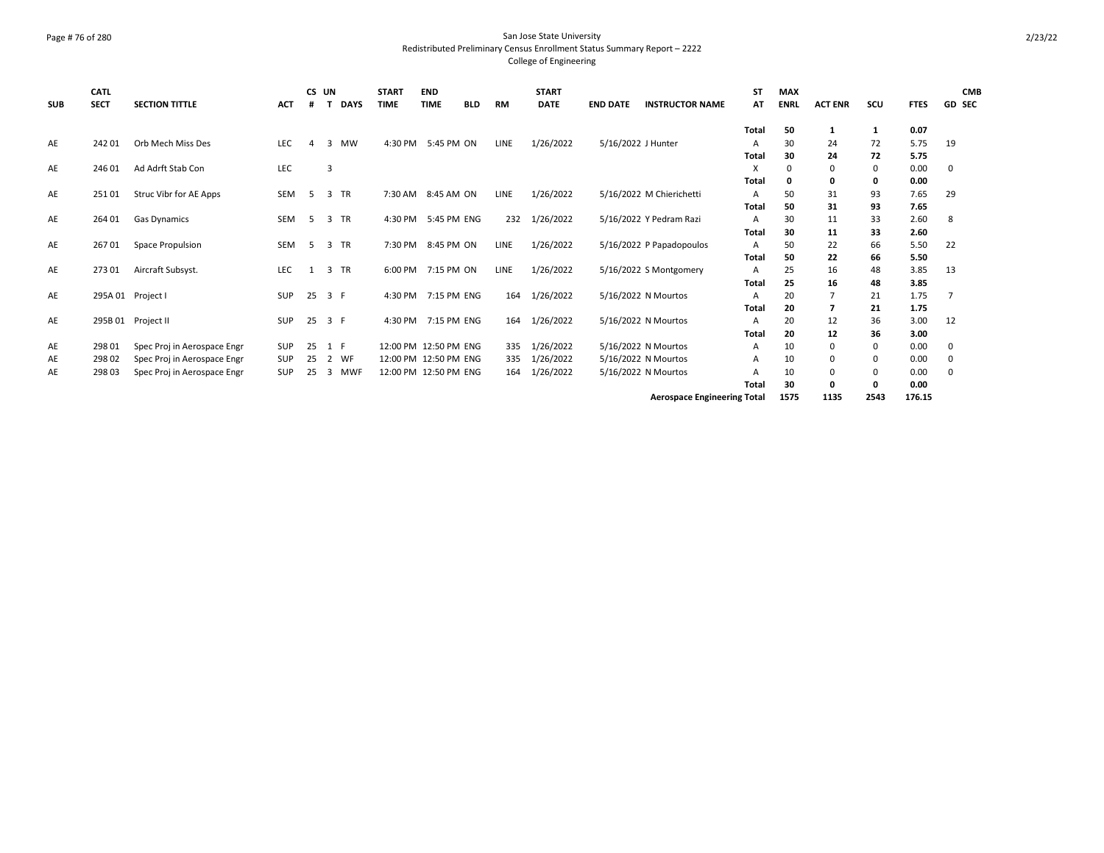## Page # 76 of 280 San Jose State University Redistributed Preliminary Census Enrollment Status Summary Report – 2222 College of Engineering

| <b>SUB</b> | <b>CATL</b><br><b>SECT</b> | <b>SECTION TITTLE</b>       | <b>ACT</b> | #  | CS UN | <b>DAYS</b> | <b>START</b><br><b>TIME</b> | <b>END</b><br><b>TIME</b> | <b>BLD</b> | RM          | <b>START</b><br><b>DATE</b> | <b>END DATE</b> | <b>INSTRUCTOR NAME</b>             | <b>ST</b><br>AT | <b>MAX</b><br><b>ENRL</b> | <b>ACT ENR</b> | scu      | <b>FTES</b>  | <b>CMB</b><br><b>GD SEC</b> |
|------------|----------------------------|-----------------------------|------------|----|-------|-------------|-----------------------------|---------------------------|------------|-------------|-----------------------------|-----------------|------------------------------------|-----------------|---------------------------|----------------|----------|--------------|-----------------------------|
|            |                            |                             |            |    |       |             |                             |                           |            |             |                             |                 |                                    | Total           | 50                        | 1              | 1        | 0.07         |                             |
| AE         | 24201                      | Orb Mech Miss Des           | LEC        | Δ  | 3     | <b>MW</b>   | 4:30 PM                     | 5:45 PM ON                |            | LINE        | 1/26/2022                   |                 | 5/16/2022 J Hunter                 | A               | 30                        | 24             | 72       | 5.75         | 19                          |
|            |                            |                             |            |    |       |             |                             |                           |            |             |                             |                 |                                    | Total           | 30                        | 24             | 72       | 5.75         |                             |
| AE         | 24601                      | Ad Adrft Stab Con           | LEC        |    | 3     |             |                             |                           |            |             |                             |                 |                                    | X               | $\Omega$<br>O             | 0              | 0        | 0.00         | 0                           |
| AE         | 25101                      | Struc Vibr for AE Apps      | <b>SEM</b> | -5 | 3     | TR          | 7:30 AM 8:45 AM ON          |                           |            | <b>LINE</b> | 1/26/2022                   |                 | 5/16/2022 M Chierichetti           | Total<br>A      | 50                        | 0<br>31        | 0<br>93  | 0.00<br>7.65 | 29                          |
|            |                            |                             |            |    |       |             |                             |                           |            |             |                             |                 |                                    | Total           | 50                        | 31             | 93       | 7.65         |                             |
| AE         | 264 01                     | Gas Dynamics                | <b>SEM</b> | 5  | 3     | <b>TR</b>   |                             | 4:30 PM 5:45 PM ENG       |            | 232         | 1/26/2022                   |                 | 5/16/2022 Y Pedram Razi            | A               | 30                        | 11             | 33       | 2.60         | 8                           |
|            |                            |                             |            |    |       |             |                             |                           |            |             |                             |                 |                                    | Total           | 30                        | 11             | 33       | 2.60         |                             |
| AE         | 26701                      | Space Propulsion            | <b>SEM</b> | -5 | 3     | <b>TR</b>   |                             | 7:30 PM 8:45 PM ON        |            | <b>LINE</b> | 1/26/2022                   |                 | 5/16/2022 P Papadopoulos           | A               | 50                        | 22             | 66       | 5.50         | 22                          |
|            |                            |                             |            |    |       |             |                             |                           |            |             |                             |                 |                                    | Total           | 50                        | 22             | 66       | 5.50         |                             |
| AE         | 27301                      | Aircraft Subsyst.           | LEC        | 1  |       | 3 TR        | 6:00 PM 7:15 PM ON          |                           |            | LINE        | 1/26/2022                   |                 | 5/16/2022 S Montgomery             | A               | 25                        | 16             | 48       | 3.85         | 13                          |
|            |                            |                             |            |    |       |             |                             |                           |            |             |                             |                 |                                    | Total           | 25                        | 16             | 48       | 3.85         |                             |
| AE         |                            | 295A 01 Project I           | <b>SUP</b> | 25 | 3 F   |             | 4:30 PM 7:15 PM ENG         |                           |            | 164         | 1/26/2022                   |                 | 5/16/2022 N Mourtos                | A               | 20                        |                | 21       | 1.75         |                             |
|            |                            |                             |            |    |       |             |                             |                           |            |             |                             |                 |                                    | Total           | 20                        | 7              | 21       | 1.75         |                             |
| AE         |                            | 295B 01 Project II          | <b>SUP</b> | 25 | 3 F   |             |                             | 4:30 PM 7:15 PM ENG       |            | 164         | 1/26/2022                   |                 | 5/16/2022 N Mourtos                | A<br>Total      | 20<br>20                  | 12<br>12       | 36<br>36 | 3.00<br>3.00 | 12                          |
| AE         | 298 01                     | Spec Proj in Aerospace Engr | SUP        | 25 |       | 1 F         | 12:00 PM 12:50 PM ENG       |                           |            | 335         | 1/26/2022                   |                 | 5/16/2022 N Mourtos                | A               | 10                        | 0              | 0        | 0.00         | 0                           |
| AE         | 29802                      | Spec Proj in Aerospace Engr | <b>SUP</b> | 25 | 2     | WF          | 12:00 PM 12:50 PM ENG       |                           |            | 335         | 1/26/2022                   |                 | 5/16/2022 N Mourtos                | A               | 10                        | 0              | 0        | 0.00         | 0                           |
| AE         | 298 03                     | Spec Proj in Aerospace Engr | <b>SUP</b> | 25 | 3     | <b>MWF</b>  | 12:00 PM 12:50 PM ENG       |                           |            | 164         | 1/26/2022                   |                 | 5/16/2022 N Mourtos                | А               | 10                        | 0              | 0        | 0.00         | 0                           |
|            |                            |                             |            |    |       |             |                             |                           |            |             |                             |                 |                                    | Total           | 30                        | 0              | 0        | 0.00         |                             |
|            |                            |                             |            |    |       |             |                             |                           |            |             |                             |                 | <b>Aerospace Engineering Total</b> |                 | 1575                      | 1135           | 2543     | 176.15       |                             |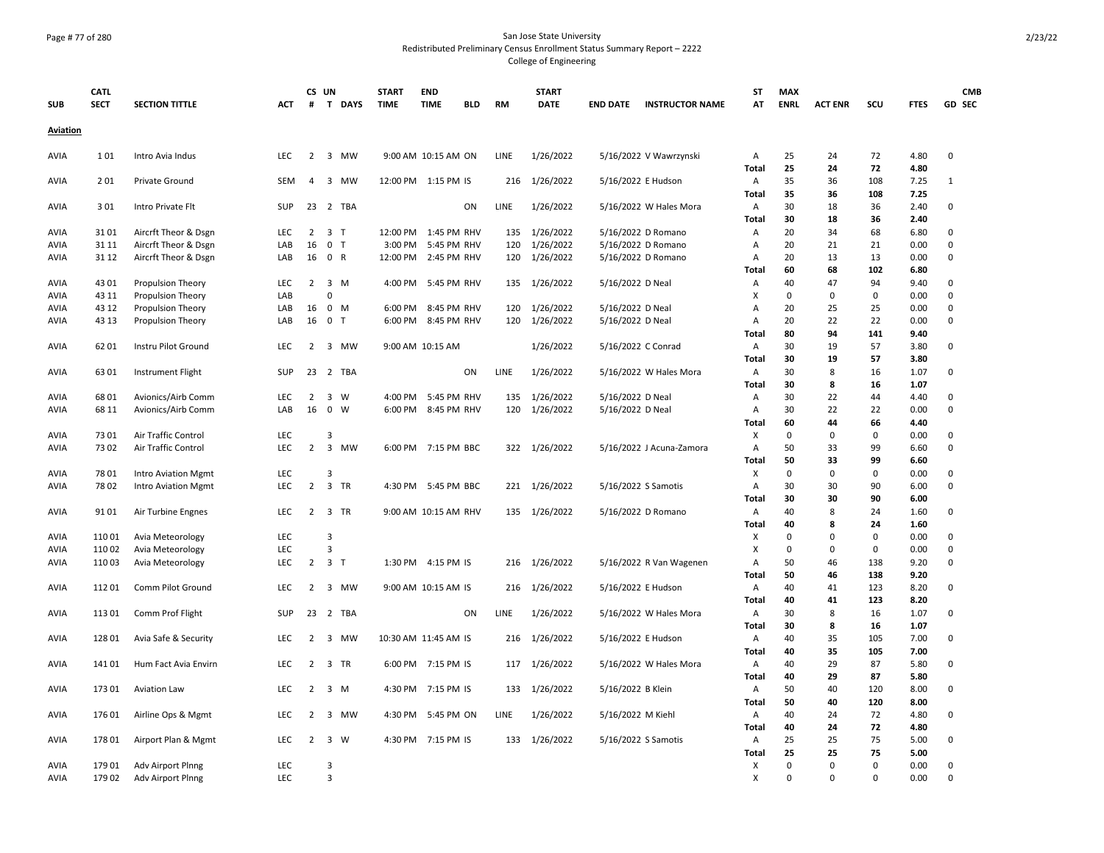# Page # 77 of 280 San Jose State University Redistributed Preliminary Census Enrollment Status Summary Report – 2222 College of Engineering

| <b>SUB</b>  | <b>CATL</b><br><b>SECT</b> | <b>SECTION TITTLE</b>      | ACT        | #              | CS UN<br>T              | <b>DAYS</b> | <b>START</b><br><b>TIME</b> | <b>END</b><br><b>TIME</b> | <b>BLD</b> | <b>RM</b> | <b>START</b><br><b>DATE</b> | <b>END DATE</b>     | <b>INSTRUCTOR NAME</b>   | <b>ST</b><br>AT   | <b>MAX</b><br><b>ENRL</b> | <b>ACT ENR</b>             | SCU                        | <b>FTES</b>  | <b>CMB</b><br>GD SEC       |
|-------------|----------------------------|----------------------------|------------|----------------|-------------------------|-------------|-----------------------------|---------------------------|------------|-----------|-----------------------------|---------------------|--------------------------|-------------------|---------------------------|----------------------------|----------------------------|--------------|----------------------------|
| Aviation    |                            |                            |            |                |                         |             |                             |                           |            |           |                             |                     |                          |                   |                           |                            |                            |              |                            |
| AVIA        | 101                        | Intro Avia Indus           | LEC        | $\overline{2}$ |                         | 3 MW        |                             | 9:00 AM 10:15 AM ON       |            | LINE      | 1/26/2022                   |                     | 5/16/2022 V Wawrzynski   | Α                 | 25                        | 24                         | 72                         | 4.80         | $\mathbf 0$                |
|             |                            |                            |            |                |                         |             |                             |                           |            |           |                             |                     |                          | Total             | 25                        | 24                         | 72                         | 4.80         |                            |
| AVIA        | 201                        | <b>Private Ground</b>      | <b>SEM</b> | $\overline{4}$ |                         | 3 MW        |                             | 12:00 PM 1:15 PM IS       |            | 216       | 1/26/2022                   | 5/16/2022 E Hudson  |                          | Α<br>Total        | 35<br>35                  | 36<br>36                   | 108<br>108                 | 7.25<br>7.25 | 1                          |
| AVIA        | 301                        | Intro Private Flt          | <b>SUP</b> |                |                         | 23 2 TBA    |                             |                           | ON         | LINE      | 1/26/2022                   |                     | 5/16/2022 W Hales Mora   | Α                 | 30                        | 18                         | 36                         | 2.40         | 0                          |
|             |                            |                            |            |                |                         |             |                             |                           |            |           |                             |                     |                          | Total             | 30                        | 18                         | 36                         | 2.40         |                            |
| AVIA        | 3101                       | Aircrft Theor & Dsgn       | LEC        | 2              | 3 <sub>T</sub>          |             | 12:00 PM                    | 1:45 PM RHV               |            | 135       | 1/26/2022                   |                     | 5/16/2022 D Romano       | Α                 | 20                        | 34                         | 68                         | 6.80         | 0                          |
| AVIA        | 31 11                      | Aircrft Theor & Dsgn       | LAB        | 16             | 0 <sub>T</sub>          |             | 3:00 PM                     | 5:45 PM RHV               |            | 120       | 1/26/2022                   |                     | 5/16/2022 D Romano       | A                 | 20                        | 21                         | 21                         | 0.00         | 0                          |
| AVIA        | 31 12                      | Aircrft Theor & Dsgn       | LAB        | 16             | 0 R                     |             | 12:00 PM                    | 2:45 PM RHV               |            | 120       | 1/26/2022                   |                     | 5/16/2022 D Romano       | Α                 | 20                        | 13                         | 13                         | 0.00         | $\mathbf 0$                |
|             |                            |                            |            |                |                         |             |                             |                           |            |           |                             |                     |                          | Total             | 60                        | 68                         | 102                        | 6.80         |                            |
| AVIA        | 43 01                      | Propulsion Theory          | LEC        | $\overline{2}$ | 3 M                     |             |                             | 4:00 PM 5:45 PM RHV       |            | 135       | 1/26/2022                   | 5/16/2022 D Neal    |                          | Α                 | 40                        | 47                         | 94                         | 9.40         | 0                          |
| AVIA        | 43 11                      | <b>Propulsion Theory</b>   | LAB        |                | $\mathbf 0$             |             |                             |                           |            |           |                             |                     |                          | X                 | $\Omega$                  | 0                          | $\mathbf 0$                | 0.00         | $\mathbf 0$                |
| AVIA        | 43 12                      | <b>Propulsion Theory</b>   | LAB        | 16             | $0$ M                   |             | 6:00 PM                     | 8:45 PM RHV               |            | 120       | 1/26/2022                   | 5/16/2022 D Neal    |                          | A                 | 20                        | 25                         | 25                         | 0.00         | 0                          |
| AVIA        | 43 13                      | Propulsion Theory          | LAB        | 16             | 0 <sub>T</sub>          |             |                             | 6:00 PM 8:45 PM RHV       |            | 120       | 1/26/2022                   | 5/16/2022 D Neal    |                          | Α                 | 20                        | 22                         | 22                         | 0.00         | $\mathbf 0$                |
|             |                            |                            |            |                |                         |             |                             |                           |            |           |                             |                     |                          | Total             | 80                        | 94                         | 141                        | 9.40         |                            |
| AVIA        | 6201                       | Instru Pilot Ground        | LEC        | $\overline{2}$ |                         | 3 MW        |                             | 9:00 AM 10:15 AM          |            |           | 1/26/2022                   | 5/16/2022 C Conrad  |                          | Α                 | 30<br>30                  | 19<br>19                   | 57<br>57                   | 3.80         | $\mathbf 0$                |
|             | 6301                       |                            | <b>SUP</b> |                |                         | 23 2 TBA    |                             |                           | ON         | LINE      |                             |                     |                          | Total             | 30                        | 8                          | 16                         | 3.80<br>1.07 | 0                          |
| AVIA        |                            | Instrument Flight          |            |                |                         |             |                             |                           |            |           | 1/26/2022                   |                     | 5/16/2022 W Hales Mora   | Α<br><b>Total</b> | 30                        | 8                          | 16                         | 1.07         |                            |
| AVIA        | 6801                       | Avionics/Airb Comm         | LEC        | $\overline{2}$ | 3 W                     |             | 4:00 PM                     | 5:45 PM RHV               |            | 135       | 1/26/2022                   | 5/16/2022 D Neal    |                          | Α                 | 30                        | 22                         | 44                         | 4.40         | 0                          |
| AVIA        | 68 11                      | Avionics/Airb Comm         | LAB        | 16             | $\overline{0}$          | W           |                             | 6:00 PM 8:45 PM RHV       |            | 120       | 1/26/2022                   | 5/16/2022 D Neal    |                          | A                 | 30                        | 22                         | 22                         | 0.00         | $\mathbf 0$                |
|             |                            |                            |            |                |                         |             |                             |                           |            |           |                             |                     |                          | Total             | 60                        | 44                         | 66                         | 4.40         |                            |
| AVIA        | 7301                       | Air Traffic Control        | LEC        |                | $\overline{3}$          |             |                             |                           |            |           |                             |                     |                          | X                 | $\Omega$                  | $\mathbf 0$                | $\mathbf 0$                | 0.00         | $\mathbf 0$                |
| AVIA        | 7302                       | Air Traffic Control        | LEC        | $\overline{2}$ |                         | 3 MW        |                             | 6:00 PM 7:15 PM BBC       |            | 322       | 1/26/2022                   |                     | 5/16/2022 J Acuna-Zamora | A                 | 50                        | 33                         | 99                         | 6.60         | 0                          |
|             |                            |                            |            |                |                         |             |                             |                           |            |           |                             |                     |                          | Total             | 50                        | 33                         | 99                         | 6.60         |                            |
| AVIA        | 7801                       | <b>Intro Aviation Mgmt</b> | LEC        |                | 3                       |             |                             |                           |            |           |                             |                     |                          | X                 | $\mathbf 0$               | 0                          | $\mathbf 0$                | 0.00         | $\mathbf 0$                |
| AVIA        | 7802                       | <b>Intro Aviation Mgmt</b> | LEC        | $\overline{2}$ | 3 TR                    |             |                             | 4:30 PM 5:45 PM BBC       |            | 221       | 1/26/2022                   | 5/16/2022 S Samotis |                          | A                 | 30                        | 30                         | 90                         | 6.00         | $\mathbf 0$                |
|             |                            |                            |            |                |                         |             |                             |                           |            |           |                             |                     |                          | Total             | 30                        | 30                         | 90                         | 6.00         |                            |
| AVIA        | 9101                       | Air Turbine Engnes         | LEC        | 2              |                         | 3 TR        |                             | 9:00 AM 10:15 AM RHV      |            | 135       | 1/26/2022                   |                     | 5/16/2022 D Romano       | A                 | 40                        | 8                          | 24                         | 1.60         | 0                          |
|             |                            |                            |            |                |                         |             |                             |                           |            |           |                             |                     |                          | Total             | 40                        | 8                          | 24                         | 1.60         |                            |
| AVIA        | 11001                      | Avia Meteorology           | LEC        |                | 3                       |             |                             |                           |            |           |                             |                     |                          | X                 | 0                         | 0                          | $\mathbf 0$                | 0.00         | 0                          |
| AVIA        | 11002                      | Avia Meteorology           | <b>LEC</b> |                | 3                       |             |                             |                           |            |           |                             |                     |                          | X                 | 0                         | 0                          | $\mathbf 0$                | 0.00         | $\mathbf 0$                |
| AVIA        | 11003                      | Avia Meteorology           | <b>LEC</b> |                | $2 \quad 3 \quad T$     |             |                             | 1:30 PM 4:15 PM IS        |            | 216       | 1/26/2022                   |                     | 5/16/2022 R Van Wagenen  | $\overline{A}$    | 50                        | 46                         | 138                        | 9.20         | $\mathbf 0$                |
| AVIA        | 11201                      | Comm Pilot Ground          | LEC        | 2              | $\overline{\mathbf{3}}$ | MW          |                             | 9:00 AM 10:15 AM IS       |            | 216       | 1/26/2022                   | 5/16/2022 E Hudson  |                          | Total<br>Α        | 50<br>40                  | 46<br>41                   | 138<br>123                 | 9.20<br>8.20 | 0                          |
|             |                            |                            |            |                |                         |             |                             |                           |            |           |                             |                     |                          | <b>Total</b>      | 40                        | 41                         | 123                        | 8.20         |                            |
| AVIA        | 11301                      | Comm Prof Flight           | <b>SUP</b> |                |                         | 23 2 TBA    |                             |                           | ON         | LINE      | 1/26/2022                   |                     | 5/16/2022 W Hales Mora   | A                 | 30                        | 8                          | 16                         | 1.07         | 0                          |
|             |                            |                            |            |                |                         |             |                             |                           |            |           |                             |                     |                          | Total             | 30                        | 8                          | 16                         | 1.07         |                            |
| <b>AVIA</b> | 12801                      | Avia Safe & Security       | LEC        | $\overline{2}$ |                         | 3 MW        | 10:30 AM 11:45 AM IS        |                           |            | 216       | 1/26/2022                   | 5/16/2022 E Hudson  |                          | Α                 | 40                        | 35                         | 105                        | 7.00         | 0                          |
|             |                            |                            |            |                |                         |             |                             |                           |            |           |                             |                     |                          | <b>Total</b>      | 40                        | 35                         | 105                        | 7.00         |                            |
| AVIA        | 14101                      | Hum Fact Avia Envirn       | <b>LEC</b> | $\overline{2}$ | 3 TR                    |             |                             | 6:00 PM 7:15 PM IS        |            | 117       | 1/26/2022                   |                     | 5/16/2022 W Hales Mora   | Α                 | 40                        | 29                         | 87                         | 5.80         | $\mathbf 0$                |
|             |                            |                            |            |                |                         |             |                             |                           |            |           |                             |                     |                          | Total             | 40                        | 29                         | 87                         | 5.80         |                            |
| AVIA        | 17301                      | <b>Aviation Law</b>        | LEC        | 2              | 3 M                     |             |                             | 4:30 PM 7:15 PM IS        |            | 133       | 1/26/2022                   | 5/16/2022 B Klein   |                          | Α                 | 50                        | 40                         | 120                        | 8.00         | 0                          |
|             |                            |                            |            |                |                         |             |                             |                           |            |           |                             |                     |                          | Total             | 50                        | 40                         | 120                        | 8.00         |                            |
| AVIA        | 17601                      | Airline Ops & Mgmt         | <b>LEC</b> | $\overline{2}$ |                         | 3 MW        |                             | 4:30 PM 5:45 PM ON        |            | LINE      | 1/26/2022                   | 5/16/2022 M Kiehl   |                          | A                 | 40                        | 24                         | 72                         | 4.80         | 0                          |
|             |                            |                            |            |                |                         |             |                             |                           |            |           |                             |                     |                          | <b>Total</b>      | 40                        | 24                         | 72                         | 4.80         |                            |
| AVIA        | 17801                      | Airport Plan & Mgmt        | LEC        | $\overline{2}$ | 3 W                     |             | 4:30 PM                     | 7:15 PM IS                |            | 133       | 1/26/2022                   |                     | 5/16/2022 S Samotis      | Α                 | 25                        | 25                         | 75                         | 5.00         | 0                          |
|             |                            |                            |            |                |                         |             |                             |                           |            |           |                             |                     |                          | Total             | 25                        | 25                         | 75                         | 5.00         |                            |
| AVIA        | 17901                      | Adv Airport Plnng          | LEC        |                | 3<br>3                  |             |                             |                           |            |           |                             |                     |                          | X                 | $\Omega$<br>$\Omega$      | $\mathbf 0$<br>$\mathbf 0$ | $\mathbf 0$<br>$\mathbf 0$ | 0.00         | $\mathbf 0$<br>$\mathbf 0$ |
| <b>AVIA</b> | 17902                      | Adv Airport Plnng          | LEC        |                |                         |             |                             |                           |            |           |                             |                     |                          | X                 |                           |                            |                            | 0.00         |                            |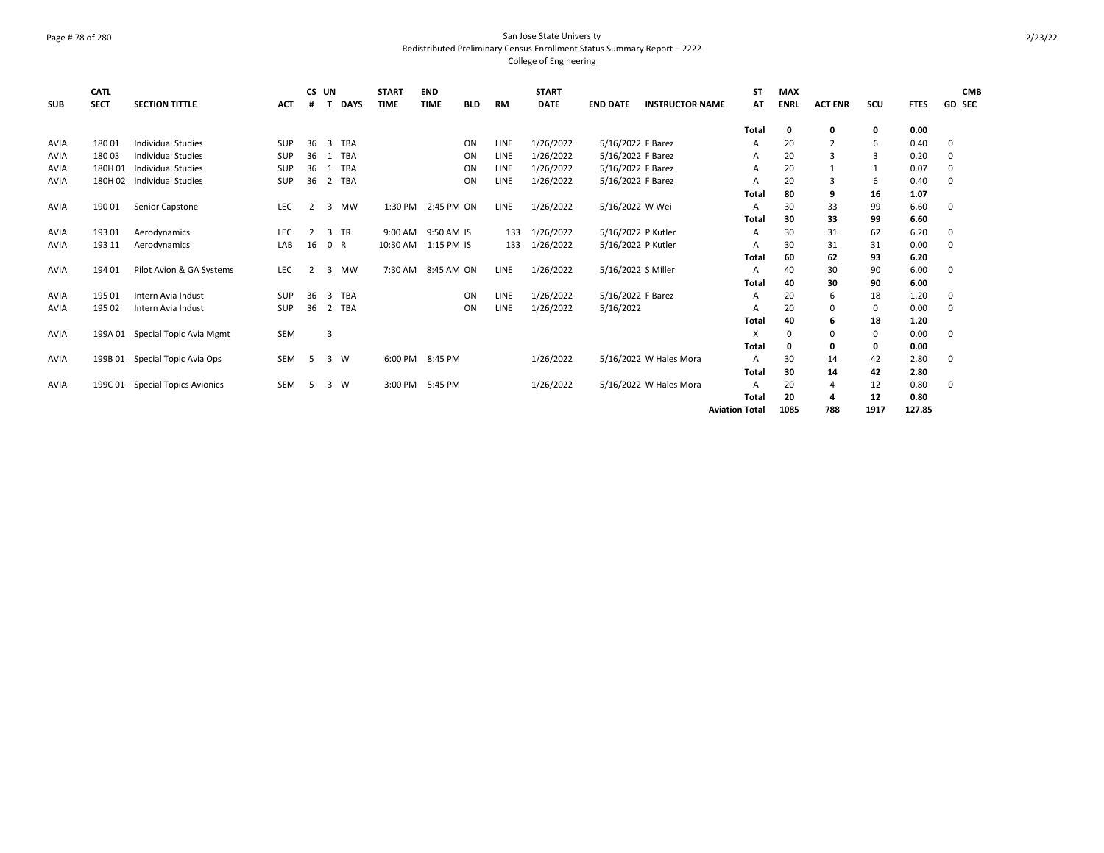## Page # 78 of 280 San Jose State University Redistributed Preliminary Census Enrollment Status Summary Report – 2222 College of Engineering

| <b>SUB</b>  | <b>CATL</b><br><b>SECT</b> | <b>SECTION TITTLE</b>          | <b>ACT</b> | CS UN<br>#     |              | <b>DAYS</b> | <b>START</b><br><b>TIME</b> | <b>END</b><br><b>TIME</b> | <b>BLD</b> | RM          | <b>START</b><br><b>DATE</b> | <b>END DATE</b>    | <b>INSTRUCTOR NAME</b> | ST<br>AT              | <b>MAX</b><br><b>ENRL</b> | <b>ACT ENR</b> | SCU         | <b>FTES</b> | <b>CMB</b><br>GD SEC |
|-------------|----------------------------|--------------------------------|------------|----------------|--------------|-------------|-----------------------------|---------------------------|------------|-------------|-----------------------------|--------------------|------------------------|-----------------------|---------------------------|----------------|-------------|-------------|----------------------|
|             |                            |                                |            |                |              |             |                             |                           |            |             |                             |                    |                        | Total                 | 0                         | 0              | 0           | 0.00        |                      |
| AVIA        | 18001                      | <b>Individual Studies</b>      | <b>SUP</b> | 36             | 3            | <b>TBA</b>  |                             |                           | ON         | LINE        | 1/26/2022                   | 5/16/2022 F Barez  |                        | A                     | 20                        | 2              | 6           | 0.40        | 0                    |
| AVIA        | 18003                      | <b>Individual Studies</b>      | <b>SUP</b> | 36             | $\mathbf{1}$ | <b>TBA</b>  |                             |                           | ON         | <b>LINE</b> | 1/26/2022                   | 5/16/2022 F Barez  |                        | A                     | 20                        | 3              | 3           | 0.20        | 0                    |
| <b>AVIA</b> | 180H 01                    | <b>Individual Studies</b>      | <b>SUP</b> | 36             | 1            | TBA         |                             |                           | ON         | LINE        | 1/26/2022                   | 5/16/2022 F Barez  |                        | A                     | 20                        | $\mathbf{1}$   |             | 0.07        | 0                    |
| AVIA        | 180H 02                    | <b>Individual Studies</b>      | <b>SUP</b> | 36             |              | 2 TBA       |                             |                           | ON         | LINE        | 1/26/2022                   | 5/16/2022 F Barez  |                        | A                     | 20                        | 3              | 6           | 0.40        | 0                    |
|             |                            |                                |            |                |              |             |                             |                           |            |             |                             |                    |                        | Total                 | 80                        | 9              | 16          | 1.07        |                      |
| AVIA        | 19001                      | Senior Capstone                | LEC        | $\mathcal{P}$  | 3            | <b>MW</b>   | 1:30 PM                     | 2:45 PM ON                |            | LINE        | 1/26/2022                   | 5/16/2022 W Wei    |                        | A                     | 30                        | 33             | 99          | 6.60        | 0                    |
|             |                            |                                |            |                |              |             |                             |                           |            |             |                             |                    |                        | Total                 | 30                        | 33             | 99          | 6.60        |                      |
| AVIA        | 19301                      | Aerodynamics                   | <b>LEC</b> | $\overline{2}$ |              | 3 TR        | 9:00 AM                     | 9:50 AM IS                |            | 133         | 1/26/2022                   | 5/16/2022 P Kutler |                        | A                     | 30                        | 31             | 62          | 6.20        | 0                    |
| AVIA        | 193 11                     | Aerodynamics                   | LAB        | 16             |              | 0 R         | 10:30 AM                    | 1:15 PM IS                |            | 133         | 1/26/2022                   | 5/16/2022 P Kutler |                        | A                     | 30                        | 31             | 31          | 0.00        | 0                    |
|             |                            |                                |            |                |              |             |                             |                           |            |             |                             |                    |                        | Total                 | 60                        | 62             | 93          | 6.20        |                      |
| <b>AVIA</b> | 19401                      | Pilot Avion & GA Systems       | <b>LEC</b> | 2              | 3            | <b>MW</b>   | 7:30 AM                     | 8:45 AM ON                |            | LINE        | 1/26/2022                   | 5/16/2022 S Miller |                        | $\overline{A}$        | 40                        | 30             | 90          | 6.00        | 0                    |
|             |                            |                                |            |                |              |             |                             |                           |            |             |                             |                    |                        | Total                 | 40                        | 30             | 90          | 6.00        |                      |
| <b>AVIA</b> | 195 01                     | Intern Avia Indust             | <b>SUP</b> | 36             | 3            | <b>TBA</b>  |                             |                           | ON         | LINE        | 1/26/2022                   | 5/16/2022 F Barez  |                        | A                     | 20                        | 6              | 18          | 1.20        | 0                    |
| AVIA        | 195 02                     | Intern Avia Indust             | SUP        | 36             |              | 2 TBA       |                             |                           | ON         | LINE        | 1/26/2022                   | 5/16/2022          |                        | A                     | 20                        | 0              | 0           | 0.00        | $\mathbf 0$          |
|             |                            |                                |            |                |              |             |                             |                           |            |             |                             |                    |                        | Total                 | 40                        | 6              | 18          | 1.20        |                      |
| <b>AVIA</b> | 199A 01                    | Special Topic Avia Mgmt        | <b>SEM</b> |                | 3            |             |                             |                           |            |             |                             |                    |                        | X                     | $\Omega$                  | 0              | $\mathbf 0$ | 0.00        | 0                    |
|             |                            |                                |            |                |              |             |                             |                           |            |             |                             |                    |                        | Total                 | O                         | 0              | 0           | 0.00        |                      |
| AVIA        | 199B 01                    | Special Topic Avia Ops         | <b>SEM</b> | -5             |              | 3 W         | 6:00 PM                     | 8:45 PM                   |            |             | 1/26/2022                   |                    | 5/16/2022 W Hales Mora | $\overline{A}$        | 30                        | 14             | 42          | 2.80        | 0                    |
|             |                            |                                |            |                |              |             |                             |                           |            |             |                             |                    |                        | Total                 | 30                        | 14             | 42          | 2.80        |                      |
| AVIA        | 199C 01                    | <b>Special Topics Avionics</b> | <b>SEM</b> | -5             |              | 3 W         | 3:00 PM                     | 5:45 PM                   |            |             | 1/26/2022                   |                    | 5/16/2022 W Hales Mora | $\overline{A}$        | 20                        | 4              | 12          | 0.80        | 0                    |
|             |                            |                                |            |                |              |             |                             |                           |            |             |                             |                    |                        | Total                 | 20                        | 4              | 12          | 0.80        |                      |
|             |                            |                                |            |                |              |             |                             |                           |            |             |                             |                    |                        | <b>Aviation Total</b> | 1085                      | 788            | 1917        | 127.85      |                      |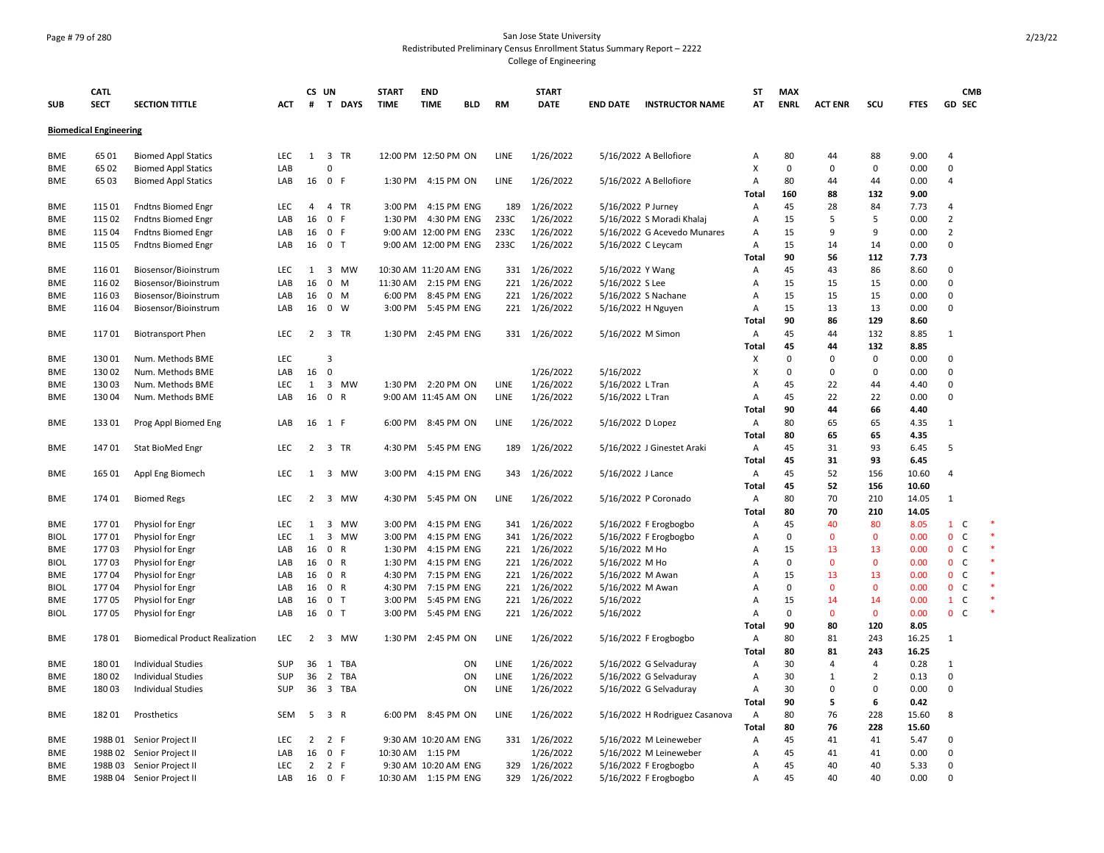## Page # 79 of 280 San Jose State University Redistributed Preliminary Census Enrollment Status Summary Report – 2222 College of Engineering

| <b>CATL</b><br>CS UN<br><b>START</b><br><b>END</b><br><b>START</b><br><b>ST</b><br><b>MAX</b><br><b>SECT</b><br><b>ENRL</b><br><b>SECTION TITTLE</b><br># T DAYS<br><b>TIME</b><br><b>TIME</b><br><b>RM</b><br><b>DATE</b><br><b>INSTRUCTOR NAME</b><br>AT<br><b>ACT ENR</b><br>SCU<br><b>SUB</b><br>ACT<br><b>BLD</b><br><b>END DATE</b><br><b>Biomedical Engineering</b><br><b>Biomed Appl Statics</b><br>1 3 TR<br>12:00 PM 12:50 PM ON<br>1/26/2022<br><b>BME</b><br>65 01<br>LEC<br>LINE<br>5/16/2022 A Bellofiore<br>80<br>44<br>88<br>Α<br>X<br>65 02<br><b>Biomed Appl Statics</b><br>LAB<br>0<br>$\Omega$<br>0<br>BME<br>n<br>65 03<br>16 0 F<br>1:30 PM 4:15 PM ON<br>LINE<br>1/26/2022<br>5/16/2022 A Bellofiore<br>$\overline{A}$<br>80<br>44<br><b>BME</b><br><b>Biomed Appl Statics</b><br>LAB<br>44<br>160<br>88<br>132<br>Total<br>115 01<br><b>LEC</b><br>$\overline{4}$<br>4 TR<br>4:15 PM ENG<br>1/26/2022<br>5/16/2022 P Jurney<br>45<br>28<br>84<br><b>BME</b><br><b>Fndtns Biomed Engr</b><br>3:00 PM<br>189<br>Α<br>115 02<br>LAB<br>16<br>$\mathbf 0$<br>F.<br>4:30 PM ENG<br>233C<br>1/26/2022<br>5/16/2022 S Moradi Khalaj<br>15<br>5<br>5<br><b>Fndtns Biomed Engr</b><br>1:30 PM<br>$\overline{A}$<br>BME<br>1/26/2022<br>115 04<br>LAB<br>16<br>$\mathbf{0}$<br>-F<br>9:00 AM 12:00 PM ENG<br>233C<br>5/16/2022 G Acevedo Munares<br>A<br>15<br>9<br>9<br><b>BME</b><br><b>Fndtns Biomed Engr</b><br>115 05<br>16 0 T<br>9:00 AM 12:00 PM ENG<br>233C<br>1/26/2022<br>5/16/2022 C Leycam<br>A<br>15<br>14<br>14<br>BME<br><b>Fndtns Biomed Engr</b><br>LAB<br>90<br>56<br>Total<br>112<br>11601<br>Biosensor/Bioinstrum<br><b>LEC</b><br>3<br><b>MW</b><br>10:30 AM 11:20 AM ENG<br>331 1/26/2022<br>5/16/2022 Y Wang<br>45<br>43<br>86<br><b>BME</b><br>1<br>Α<br>16<br>221 1/26/2022<br>116 02<br>Biosensor/Bioinstrum<br>LAB<br>$\mathbf 0$<br>M<br>11:30 AM 2:15 PM ENG<br>5/16/2022 S Lee<br>A<br>15<br>15<br>15<br><b>BME</b><br>221 1/26/2022<br>15<br>15<br><b>BME</b><br>11603<br>Biosensor/Bioinstrum<br>LAB<br>16<br>$0$ M<br>6:00 PM<br>8:45 PM ENG<br>5/16/2022 S Nachane<br>$\overline{A}$<br>15<br>221 1/26/2022<br>15<br>13<br>116 04<br>16<br>0<br>W<br>3:00 PM<br>5:45 PM ENG<br>5/16/2022 H Nguyen<br>$\overline{A}$<br>13<br>BME<br>Biosensor/Bioinstrum<br>LAB<br>90<br>86<br>Total<br>129<br>11701<br>LEC<br>3 TR<br>45<br>44<br><b>BME</b><br><b>Biotransport Phen</b><br>$\overline{2}$<br>1:30 PM 2:45 PM ENG<br>331 1/26/2022<br>5/16/2022 M Simon<br>Α<br>132<br>45<br>44<br>132<br>Total<br>13001<br>LEC<br>$\Omega$<br><b>BME</b><br>Num. Methods BME<br>3<br>X<br>0<br>0<br>16<br>1/26/2022<br>5/16/2022<br>X<br>13002<br>Num. Methods BME<br>LAB<br>0<br>$\Omega$<br>$\Omega$<br>0<br>BME<br>13003<br>LEC<br>1<br>3<br>MW<br>1:30 PM 2:20 PM ON<br><b>LINE</b><br>1/26/2022<br>5/16/2022 L Tran<br>45<br>22<br>BME<br>Num. Methods BME<br>A<br>44<br>13004<br>16<br>$\mathbf 0$<br>$\mathsf{R}$<br>LINE<br>1/26/2022<br>5/16/2022 L Tran<br>45<br>22<br>22<br><b>BME</b><br>Num. Methods BME<br>LAB<br>9:00 AM 11:45 AM ON<br>Α<br><b>Total</b><br>90<br>44<br>66<br>13301<br>16 1 F<br>8:45 PM ON<br>LINE<br>1/26/2022<br>5/16/2022 D Lopez<br>80<br>65<br>65<br>BME<br>Prog Appl Biomed Eng<br>LAB<br>6:00 PM<br>Α<br>80<br>65<br>65<br>Total<br><b>BME</b><br>14701<br><b>LEC</b><br>$\overline{2}$<br>3 TR<br>4:30 PM<br>5:45 PM ENG<br>189<br>1/26/2022<br>5/16/2022 J Ginestet Araki<br>Α<br>45<br>31<br>93<br>Stat BioMed Engr<br>45<br>31<br>93<br>Total<br>45<br>52<br>165 01<br>Appl Eng Biomech<br>LEC<br>3 MW<br>3:00 PM<br>4:15 PM ENG<br>343<br>1/26/2022<br>5/16/2022 J Lance<br>Α<br>156<br>BME<br>1<br>52<br>45<br>156<br>Total<br>1/26/2022<br>80<br>70<br><b>BME</b><br>174 01<br><b>Biomed Regs</b><br>LEC<br>$\overline{2}$<br>3 MW<br>4:30 PM<br>5:45 PM ON<br>LINE<br>5/16/2022 P Coronado<br>Α<br>210<br>80<br>70<br><b>Total</b><br>210<br>4:15 PM ENG<br>341 1/26/2022<br>5/16/2022 F Erogbogbo<br>45<br>40<br>BME<br>17701<br>Physiol for Engr<br>LEC<br>1<br>3<br>MW<br>3:00 PM<br>Α<br>80<br>LEC<br>$\mathbf{1}$<br>3<br><b>MW</b><br>4:15 PM ENG<br>341 1/26/2022<br>5/16/2022 F Erogbogbo<br>$\Omega$<br><b>BIOL</b><br>17701<br>Physiol for Engr<br>3:00 PM<br>$\overline{A}$<br>0<br>$\mathbf 0$<br>221 1/26/2022<br>5/16/2022 M Ho<br>17703<br>Physiol for Engr<br>LAB<br>16<br>$\mathbf 0$<br>R<br>1:30 PM<br>4:15 PM ENG<br>$\overline{A}$<br>15<br>13<br>13<br>BME | <b>CMB</b><br>GD SEC<br><b>FTES</b><br>9.00<br>$\overline{4}$<br>0.00<br>$\Omega$<br>0.00<br>$\overline{4}$<br>9.00<br>7.73<br>4<br>0.00<br>$\overline{2}$<br>$\overline{2}$<br>0.00<br>0.00<br>$\Omega$ |
|---------------------------------------------------------------------------------------------------------------------------------------------------------------------------------------------------------------------------------------------------------------------------------------------------------------------------------------------------------------------------------------------------------------------------------------------------------------------------------------------------------------------------------------------------------------------------------------------------------------------------------------------------------------------------------------------------------------------------------------------------------------------------------------------------------------------------------------------------------------------------------------------------------------------------------------------------------------------------------------------------------------------------------------------------------------------------------------------------------------------------------------------------------------------------------------------------------------------------------------------------------------------------------------------------------------------------------------------------------------------------------------------------------------------------------------------------------------------------------------------------------------------------------------------------------------------------------------------------------------------------------------------------------------------------------------------------------------------------------------------------------------------------------------------------------------------------------------------------------------------------------------------------------------------------------------------------------------------------------------------------------------------------------------------------------------------------------------------------------------------------------------------------------------------------------------------------------------------------------------------------------------------------------------------------------------------------------------------------------------------------------------------------------------------------------------------------------------------------------------------------------------------------------------------------------------------------------------------------------------------------------------------------------------------------------------------------------------------------------------------------------------------------------------------------------------------------------------------------------------------------------------------------------------------------------------------------------------------------------------------------------------------------------------------------------------------------------------------------------------------------------------------------------------------------------------------------------------------------------------------------------------------------------------------------------------------------------------------------------------------------------------------------------------------------------------------------------------------------------------------------------------------------------------------------------------------------------------------------------------------------------------------------------------------------------------------------------------------------------------------------------------------------------------------------------------------------------------------------------------------------------------------------------------------------------------------------------------------------------------------------------------------------------------------------------------------------------------------------------------------------------------------------------------------------------------------------------------------------------------------------------------------------------------------------------------------------------------------------------------------------------------------------------------------------------------------------------------------|----------------------------------------------------------------------------------------------------------------------------------------------------------------------------------------------------------|
|                                                                                                                                                                                                                                                                                                                                                                                                                                                                                                                                                                                                                                                                                                                                                                                                                                                                                                                                                                                                                                                                                                                                                                                                                                                                                                                                                                                                                                                                                                                                                                                                                                                                                                                                                                                                                                                                                                                                                                                                                                                                                                                                                                                                                                                                                                                                                                                                                                                                                                                                                                                                                                                                                                                                                                                                                                                                                                                                                                                                                                                                                                                                                                                                                                                                                                                                                                                                                                                                                                                                                                                                                                                                                                                                                                                                                                                                                                                                                                                                                                                                                                                                                                                                                                                                                                                                                                                                                                                                     |                                                                                                                                                                                                          |
|                                                                                                                                                                                                                                                                                                                                                                                                                                                                                                                                                                                                                                                                                                                                                                                                                                                                                                                                                                                                                                                                                                                                                                                                                                                                                                                                                                                                                                                                                                                                                                                                                                                                                                                                                                                                                                                                                                                                                                                                                                                                                                                                                                                                                                                                                                                                                                                                                                                                                                                                                                                                                                                                                                                                                                                                                                                                                                                                                                                                                                                                                                                                                                                                                                                                                                                                                                                                                                                                                                                                                                                                                                                                                                                                                                                                                                                                                                                                                                                                                                                                                                                                                                                                                                                                                                                                                                                                                                                                     |                                                                                                                                                                                                          |
|                                                                                                                                                                                                                                                                                                                                                                                                                                                                                                                                                                                                                                                                                                                                                                                                                                                                                                                                                                                                                                                                                                                                                                                                                                                                                                                                                                                                                                                                                                                                                                                                                                                                                                                                                                                                                                                                                                                                                                                                                                                                                                                                                                                                                                                                                                                                                                                                                                                                                                                                                                                                                                                                                                                                                                                                                                                                                                                                                                                                                                                                                                                                                                                                                                                                                                                                                                                                                                                                                                                                                                                                                                                                                                                                                                                                                                                                                                                                                                                                                                                                                                                                                                                                                                                                                                                                                                                                                                                                     |                                                                                                                                                                                                          |
|                                                                                                                                                                                                                                                                                                                                                                                                                                                                                                                                                                                                                                                                                                                                                                                                                                                                                                                                                                                                                                                                                                                                                                                                                                                                                                                                                                                                                                                                                                                                                                                                                                                                                                                                                                                                                                                                                                                                                                                                                                                                                                                                                                                                                                                                                                                                                                                                                                                                                                                                                                                                                                                                                                                                                                                                                                                                                                                                                                                                                                                                                                                                                                                                                                                                                                                                                                                                                                                                                                                                                                                                                                                                                                                                                                                                                                                                                                                                                                                                                                                                                                                                                                                                                                                                                                                                                                                                                                                                     |                                                                                                                                                                                                          |
|                                                                                                                                                                                                                                                                                                                                                                                                                                                                                                                                                                                                                                                                                                                                                                                                                                                                                                                                                                                                                                                                                                                                                                                                                                                                                                                                                                                                                                                                                                                                                                                                                                                                                                                                                                                                                                                                                                                                                                                                                                                                                                                                                                                                                                                                                                                                                                                                                                                                                                                                                                                                                                                                                                                                                                                                                                                                                                                                                                                                                                                                                                                                                                                                                                                                                                                                                                                                                                                                                                                                                                                                                                                                                                                                                                                                                                                                                                                                                                                                                                                                                                                                                                                                                                                                                                                                                                                                                                                                     |                                                                                                                                                                                                          |
|                                                                                                                                                                                                                                                                                                                                                                                                                                                                                                                                                                                                                                                                                                                                                                                                                                                                                                                                                                                                                                                                                                                                                                                                                                                                                                                                                                                                                                                                                                                                                                                                                                                                                                                                                                                                                                                                                                                                                                                                                                                                                                                                                                                                                                                                                                                                                                                                                                                                                                                                                                                                                                                                                                                                                                                                                                                                                                                                                                                                                                                                                                                                                                                                                                                                                                                                                                                                                                                                                                                                                                                                                                                                                                                                                                                                                                                                                                                                                                                                                                                                                                                                                                                                                                                                                                                                                                                                                                                                     |                                                                                                                                                                                                          |
|                                                                                                                                                                                                                                                                                                                                                                                                                                                                                                                                                                                                                                                                                                                                                                                                                                                                                                                                                                                                                                                                                                                                                                                                                                                                                                                                                                                                                                                                                                                                                                                                                                                                                                                                                                                                                                                                                                                                                                                                                                                                                                                                                                                                                                                                                                                                                                                                                                                                                                                                                                                                                                                                                                                                                                                                                                                                                                                                                                                                                                                                                                                                                                                                                                                                                                                                                                                                                                                                                                                                                                                                                                                                                                                                                                                                                                                                                                                                                                                                                                                                                                                                                                                                                                                                                                                                                                                                                                                                     |                                                                                                                                                                                                          |
|                                                                                                                                                                                                                                                                                                                                                                                                                                                                                                                                                                                                                                                                                                                                                                                                                                                                                                                                                                                                                                                                                                                                                                                                                                                                                                                                                                                                                                                                                                                                                                                                                                                                                                                                                                                                                                                                                                                                                                                                                                                                                                                                                                                                                                                                                                                                                                                                                                                                                                                                                                                                                                                                                                                                                                                                                                                                                                                                                                                                                                                                                                                                                                                                                                                                                                                                                                                                                                                                                                                                                                                                                                                                                                                                                                                                                                                                                                                                                                                                                                                                                                                                                                                                                                                                                                                                                                                                                                                                     |                                                                                                                                                                                                          |
|                                                                                                                                                                                                                                                                                                                                                                                                                                                                                                                                                                                                                                                                                                                                                                                                                                                                                                                                                                                                                                                                                                                                                                                                                                                                                                                                                                                                                                                                                                                                                                                                                                                                                                                                                                                                                                                                                                                                                                                                                                                                                                                                                                                                                                                                                                                                                                                                                                                                                                                                                                                                                                                                                                                                                                                                                                                                                                                                                                                                                                                                                                                                                                                                                                                                                                                                                                                                                                                                                                                                                                                                                                                                                                                                                                                                                                                                                                                                                                                                                                                                                                                                                                                                                                                                                                                                                                                                                                                                     |                                                                                                                                                                                                          |
|                                                                                                                                                                                                                                                                                                                                                                                                                                                                                                                                                                                                                                                                                                                                                                                                                                                                                                                                                                                                                                                                                                                                                                                                                                                                                                                                                                                                                                                                                                                                                                                                                                                                                                                                                                                                                                                                                                                                                                                                                                                                                                                                                                                                                                                                                                                                                                                                                                                                                                                                                                                                                                                                                                                                                                                                                                                                                                                                                                                                                                                                                                                                                                                                                                                                                                                                                                                                                                                                                                                                                                                                                                                                                                                                                                                                                                                                                                                                                                                                                                                                                                                                                                                                                                                                                                                                                                                                                                                                     |                                                                                                                                                                                                          |
|                                                                                                                                                                                                                                                                                                                                                                                                                                                                                                                                                                                                                                                                                                                                                                                                                                                                                                                                                                                                                                                                                                                                                                                                                                                                                                                                                                                                                                                                                                                                                                                                                                                                                                                                                                                                                                                                                                                                                                                                                                                                                                                                                                                                                                                                                                                                                                                                                                                                                                                                                                                                                                                                                                                                                                                                                                                                                                                                                                                                                                                                                                                                                                                                                                                                                                                                                                                                                                                                                                                                                                                                                                                                                                                                                                                                                                                                                                                                                                                                                                                                                                                                                                                                                                                                                                                                                                                                                                                                     | 7.73                                                                                                                                                                                                     |
|                                                                                                                                                                                                                                                                                                                                                                                                                                                                                                                                                                                                                                                                                                                                                                                                                                                                                                                                                                                                                                                                                                                                                                                                                                                                                                                                                                                                                                                                                                                                                                                                                                                                                                                                                                                                                                                                                                                                                                                                                                                                                                                                                                                                                                                                                                                                                                                                                                                                                                                                                                                                                                                                                                                                                                                                                                                                                                                                                                                                                                                                                                                                                                                                                                                                                                                                                                                                                                                                                                                                                                                                                                                                                                                                                                                                                                                                                                                                                                                                                                                                                                                                                                                                                                                                                                                                                                                                                                                                     | 8.60<br>$\Omega$                                                                                                                                                                                         |
|                                                                                                                                                                                                                                                                                                                                                                                                                                                                                                                                                                                                                                                                                                                                                                                                                                                                                                                                                                                                                                                                                                                                                                                                                                                                                                                                                                                                                                                                                                                                                                                                                                                                                                                                                                                                                                                                                                                                                                                                                                                                                                                                                                                                                                                                                                                                                                                                                                                                                                                                                                                                                                                                                                                                                                                                                                                                                                                                                                                                                                                                                                                                                                                                                                                                                                                                                                                                                                                                                                                                                                                                                                                                                                                                                                                                                                                                                                                                                                                                                                                                                                                                                                                                                                                                                                                                                                                                                                                                     | 0.00<br>$\Omega$                                                                                                                                                                                         |
|                                                                                                                                                                                                                                                                                                                                                                                                                                                                                                                                                                                                                                                                                                                                                                                                                                                                                                                                                                                                                                                                                                                                                                                                                                                                                                                                                                                                                                                                                                                                                                                                                                                                                                                                                                                                                                                                                                                                                                                                                                                                                                                                                                                                                                                                                                                                                                                                                                                                                                                                                                                                                                                                                                                                                                                                                                                                                                                                                                                                                                                                                                                                                                                                                                                                                                                                                                                                                                                                                                                                                                                                                                                                                                                                                                                                                                                                                                                                                                                                                                                                                                                                                                                                                                                                                                                                                                                                                                                                     | 0.00<br>$\Omega$                                                                                                                                                                                         |
|                                                                                                                                                                                                                                                                                                                                                                                                                                                                                                                                                                                                                                                                                                                                                                                                                                                                                                                                                                                                                                                                                                                                                                                                                                                                                                                                                                                                                                                                                                                                                                                                                                                                                                                                                                                                                                                                                                                                                                                                                                                                                                                                                                                                                                                                                                                                                                                                                                                                                                                                                                                                                                                                                                                                                                                                                                                                                                                                                                                                                                                                                                                                                                                                                                                                                                                                                                                                                                                                                                                                                                                                                                                                                                                                                                                                                                                                                                                                                                                                                                                                                                                                                                                                                                                                                                                                                                                                                                                                     | 0.00<br>$\mathbf 0$                                                                                                                                                                                      |
|                                                                                                                                                                                                                                                                                                                                                                                                                                                                                                                                                                                                                                                                                                                                                                                                                                                                                                                                                                                                                                                                                                                                                                                                                                                                                                                                                                                                                                                                                                                                                                                                                                                                                                                                                                                                                                                                                                                                                                                                                                                                                                                                                                                                                                                                                                                                                                                                                                                                                                                                                                                                                                                                                                                                                                                                                                                                                                                                                                                                                                                                                                                                                                                                                                                                                                                                                                                                                                                                                                                                                                                                                                                                                                                                                                                                                                                                                                                                                                                                                                                                                                                                                                                                                                                                                                                                                                                                                                                                     | 8.60                                                                                                                                                                                                     |
|                                                                                                                                                                                                                                                                                                                                                                                                                                                                                                                                                                                                                                                                                                                                                                                                                                                                                                                                                                                                                                                                                                                                                                                                                                                                                                                                                                                                                                                                                                                                                                                                                                                                                                                                                                                                                                                                                                                                                                                                                                                                                                                                                                                                                                                                                                                                                                                                                                                                                                                                                                                                                                                                                                                                                                                                                                                                                                                                                                                                                                                                                                                                                                                                                                                                                                                                                                                                                                                                                                                                                                                                                                                                                                                                                                                                                                                                                                                                                                                                                                                                                                                                                                                                                                                                                                                                                                                                                                                                     | 8.85<br>$\mathbf{1}$                                                                                                                                                                                     |
|                                                                                                                                                                                                                                                                                                                                                                                                                                                                                                                                                                                                                                                                                                                                                                                                                                                                                                                                                                                                                                                                                                                                                                                                                                                                                                                                                                                                                                                                                                                                                                                                                                                                                                                                                                                                                                                                                                                                                                                                                                                                                                                                                                                                                                                                                                                                                                                                                                                                                                                                                                                                                                                                                                                                                                                                                                                                                                                                                                                                                                                                                                                                                                                                                                                                                                                                                                                                                                                                                                                                                                                                                                                                                                                                                                                                                                                                                                                                                                                                                                                                                                                                                                                                                                                                                                                                                                                                                                                                     | 8.85                                                                                                                                                                                                     |
|                                                                                                                                                                                                                                                                                                                                                                                                                                                                                                                                                                                                                                                                                                                                                                                                                                                                                                                                                                                                                                                                                                                                                                                                                                                                                                                                                                                                                                                                                                                                                                                                                                                                                                                                                                                                                                                                                                                                                                                                                                                                                                                                                                                                                                                                                                                                                                                                                                                                                                                                                                                                                                                                                                                                                                                                                                                                                                                                                                                                                                                                                                                                                                                                                                                                                                                                                                                                                                                                                                                                                                                                                                                                                                                                                                                                                                                                                                                                                                                                                                                                                                                                                                                                                                                                                                                                                                                                                                                                     | 0.00<br>$\Omega$                                                                                                                                                                                         |
|                                                                                                                                                                                                                                                                                                                                                                                                                                                                                                                                                                                                                                                                                                                                                                                                                                                                                                                                                                                                                                                                                                                                                                                                                                                                                                                                                                                                                                                                                                                                                                                                                                                                                                                                                                                                                                                                                                                                                                                                                                                                                                                                                                                                                                                                                                                                                                                                                                                                                                                                                                                                                                                                                                                                                                                                                                                                                                                                                                                                                                                                                                                                                                                                                                                                                                                                                                                                                                                                                                                                                                                                                                                                                                                                                                                                                                                                                                                                                                                                                                                                                                                                                                                                                                                                                                                                                                                                                                                                     | 0.00<br>$\Omega$                                                                                                                                                                                         |
|                                                                                                                                                                                                                                                                                                                                                                                                                                                                                                                                                                                                                                                                                                                                                                                                                                                                                                                                                                                                                                                                                                                                                                                                                                                                                                                                                                                                                                                                                                                                                                                                                                                                                                                                                                                                                                                                                                                                                                                                                                                                                                                                                                                                                                                                                                                                                                                                                                                                                                                                                                                                                                                                                                                                                                                                                                                                                                                                                                                                                                                                                                                                                                                                                                                                                                                                                                                                                                                                                                                                                                                                                                                                                                                                                                                                                                                                                                                                                                                                                                                                                                                                                                                                                                                                                                                                                                                                                                                                     | 4.40<br>$\Omega$                                                                                                                                                                                         |
|                                                                                                                                                                                                                                                                                                                                                                                                                                                                                                                                                                                                                                                                                                                                                                                                                                                                                                                                                                                                                                                                                                                                                                                                                                                                                                                                                                                                                                                                                                                                                                                                                                                                                                                                                                                                                                                                                                                                                                                                                                                                                                                                                                                                                                                                                                                                                                                                                                                                                                                                                                                                                                                                                                                                                                                                                                                                                                                                                                                                                                                                                                                                                                                                                                                                                                                                                                                                                                                                                                                                                                                                                                                                                                                                                                                                                                                                                                                                                                                                                                                                                                                                                                                                                                                                                                                                                                                                                                                                     | 0.00<br>$\Omega$                                                                                                                                                                                         |
|                                                                                                                                                                                                                                                                                                                                                                                                                                                                                                                                                                                                                                                                                                                                                                                                                                                                                                                                                                                                                                                                                                                                                                                                                                                                                                                                                                                                                                                                                                                                                                                                                                                                                                                                                                                                                                                                                                                                                                                                                                                                                                                                                                                                                                                                                                                                                                                                                                                                                                                                                                                                                                                                                                                                                                                                                                                                                                                                                                                                                                                                                                                                                                                                                                                                                                                                                                                                                                                                                                                                                                                                                                                                                                                                                                                                                                                                                                                                                                                                                                                                                                                                                                                                                                                                                                                                                                                                                                                                     | 4.40                                                                                                                                                                                                     |
|                                                                                                                                                                                                                                                                                                                                                                                                                                                                                                                                                                                                                                                                                                                                                                                                                                                                                                                                                                                                                                                                                                                                                                                                                                                                                                                                                                                                                                                                                                                                                                                                                                                                                                                                                                                                                                                                                                                                                                                                                                                                                                                                                                                                                                                                                                                                                                                                                                                                                                                                                                                                                                                                                                                                                                                                                                                                                                                                                                                                                                                                                                                                                                                                                                                                                                                                                                                                                                                                                                                                                                                                                                                                                                                                                                                                                                                                                                                                                                                                                                                                                                                                                                                                                                                                                                                                                                                                                                                                     | 4.35<br>$\mathbf{1}$                                                                                                                                                                                     |
|                                                                                                                                                                                                                                                                                                                                                                                                                                                                                                                                                                                                                                                                                                                                                                                                                                                                                                                                                                                                                                                                                                                                                                                                                                                                                                                                                                                                                                                                                                                                                                                                                                                                                                                                                                                                                                                                                                                                                                                                                                                                                                                                                                                                                                                                                                                                                                                                                                                                                                                                                                                                                                                                                                                                                                                                                                                                                                                                                                                                                                                                                                                                                                                                                                                                                                                                                                                                                                                                                                                                                                                                                                                                                                                                                                                                                                                                                                                                                                                                                                                                                                                                                                                                                                                                                                                                                                                                                                                                     | 4.35                                                                                                                                                                                                     |
|                                                                                                                                                                                                                                                                                                                                                                                                                                                                                                                                                                                                                                                                                                                                                                                                                                                                                                                                                                                                                                                                                                                                                                                                                                                                                                                                                                                                                                                                                                                                                                                                                                                                                                                                                                                                                                                                                                                                                                                                                                                                                                                                                                                                                                                                                                                                                                                                                                                                                                                                                                                                                                                                                                                                                                                                                                                                                                                                                                                                                                                                                                                                                                                                                                                                                                                                                                                                                                                                                                                                                                                                                                                                                                                                                                                                                                                                                                                                                                                                                                                                                                                                                                                                                                                                                                                                                                                                                                                                     | 6.45<br>5                                                                                                                                                                                                |
|                                                                                                                                                                                                                                                                                                                                                                                                                                                                                                                                                                                                                                                                                                                                                                                                                                                                                                                                                                                                                                                                                                                                                                                                                                                                                                                                                                                                                                                                                                                                                                                                                                                                                                                                                                                                                                                                                                                                                                                                                                                                                                                                                                                                                                                                                                                                                                                                                                                                                                                                                                                                                                                                                                                                                                                                                                                                                                                                                                                                                                                                                                                                                                                                                                                                                                                                                                                                                                                                                                                                                                                                                                                                                                                                                                                                                                                                                                                                                                                                                                                                                                                                                                                                                                                                                                                                                                                                                                                                     | 6.45                                                                                                                                                                                                     |
|                                                                                                                                                                                                                                                                                                                                                                                                                                                                                                                                                                                                                                                                                                                                                                                                                                                                                                                                                                                                                                                                                                                                                                                                                                                                                                                                                                                                                                                                                                                                                                                                                                                                                                                                                                                                                                                                                                                                                                                                                                                                                                                                                                                                                                                                                                                                                                                                                                                                                                                                                                                                                                                                                                                                                                                                                                                                                                                                                                                                                                                                                                                                                                                                                                                                                                                                                                                                                                                                                                                                                                                                                                                                                                                                                                                                                                                                                                                                                                                                                                                                                                                                                                                                                                                                                                                                                                                                                                                                     | 10.60<br>4                                                                                                                                                                                               |
|                                                                                                                                                                                                                                                                                                                                                                                                                                                                                                                                                                                                                                                                                                                                                                                                                                                                                                                                                                                                                                                                                                                                                                                                                                                                                                                                                                                                                                                                                                                                                                                                                                                                                                                                                                                                                                                                                                                                                                                                                                                                                                                                                                                                                                                                                                                                                                                                                                                                                                                                                                                                                                                                                                                                                                                                                                                                                                                                                                                                                                                                                                                                                                                                                                                                                                                                                                                                                                                                                                                                                                                                                                                                                                                                                                                                                                                                                                                                                                                                                                                                                                                                                                                                                                                                                                                                                                                                                                                                     | 10.60                                                                                                                                                                                                    |
|                                                                                                                                                                                                                                                                                                                                                                                                                                                                                                                                                                                                                                                                                                                                                                                                                                                                                                                                                                                                                                                                                                                                                                                                                                                                                                                                                                                                                                                                                                                                                                                                                                                                                                                                                                                                                                                                                                                                                                                                                                                                                                                                                                                                                                                                                                                                                                                                                                                                                                                                                                                                                                                                                                                                                                                                                                                                                                                                                                                                                                                                                                                                                                                                                                                                                                                                                                                                                                                                                                                                                                                                                                                                                                                                                                                                                                                                                                                                                                                                                                                                                                                                                                                                                                                                                                                                                                                                                                                                     | 14.05<br>$\mathbf{1}$                                                                                                                                                                                    |
|                                                                                                                                                                                                                                                                                                                                                                                                                                                                                                                                                                                                                                                                                                                                                                                                                                                                                                                                                                                                                                                                                                                                                                                                                                                                                                                                                                                                                                                                                                                                                                                                                                                                                                                                                                                                                                                                                                                                                                                                                                                                                                                                                                                                                                                                                                                                                                                                                                                                                                                                                                                                                                                                                                                                                                                                                                                                                                                                                                                                                                                                                                                                                                                                                                                                                                                                                                                                                                                                                                                                                                                                                                                                                                                                                                                                                                                                                                                                                                                                                                                                                                                                                                                                                                                                                                                                                                                                                                                                     | 14.05                                                                                                                                                                                                    |
|                                                                                                                                                                                                                                                                                                                                                                                                                                                                                                                                                                                                                                                                                                                                                                                                                                                                                                                                                                                                                                                                                                                                                                                                                                                                                                                                                                                                                                                                                                                                                                                                                                                                                                                                                                                                                                                                                                                                                                                                                                                                                                                                                                                                                                                                                                                                                                                                                                                                                                                                                                                                                                                                                                                                                                                                                                                                                                                                                                                                                                                                                                                                                                                                                                                                                                                                                                                                                                                                                                                                                                                                                                                                                                                                                                                                                                                                                                                                                                                                                                                                                                                                                                                                                                                                                                                                                                                                                                                                     | 8.05<br>$1\quad C$<br>$\mathbf{0}$<br>C <sub>1</sub>                                                                                                                                                     |
|                                                                                                                                                                                                                                                                                                                                                                                                                                                                                                                                                                                                                                                                                                                                                                                                                                                                                                                                                                                                                                                                                                                                                                                                                                                                                                                                                                                                                                                                                                                                                                                                                                                                                                                                                                                                                                                                                                                                                                                                                                                                                                                                                                                                                                                                                                                                                                                                                                                                                                                                                                                                                                                                                                                                                                                                                                                                                                                                                                                                                                                                                                                                                                                                                                                                                                                                                                                                                                                                                                                                                                                                                                                                                                                                                                                                                                                                                                                                                                                                                                                                                                                                                                                                                                                                                                                                                                                                                                                                     | 0.00<br>0.00<br>$\mathbf{0}$<br>C                                                                                                                                                                        |
| $\mathsf{R}$<br>1:30 PM<br>0<br>$\Omega$<br>0<br>A                                                                                                                                                                                                                                                                                                                                                                                                                                                                                                                                                                                                                                                                                                                                                                                                                                                                                                                                                                                                                                                                                                                                                                                                                                                                                                                                                                                                                                                                                                                                                                                                                                                                                                                                                                                                                                                                                                                                                                                                                                                                                                                                                                                                                                                                                                                                                                                                                                                                                                                                                                                                                                                                                                                                                                                                                                                                                                                                                                                                                                                                                                                                                                                                                                                                                                                                                                                                                                                                                                                                                                                                                                                                                                                                                                                                                                                                                                                                                                                                                                                                                                                                                                                                                                                                                                                                                                                                                  | 0 <sup>o</sup>                                                                                                                                                                                           |
| 17703<br>Physiol for Engr<br>16 0<br>4:15 PM ENG<br>221 1/26/2022<br>5/16/2022 M Ho<br><b>BIOL</b><br>LAB<br>17704<br>16 0 R<br>4:30 PM<br>7:15 PM ENG<br>221 1/26/2022<br>15<br>13<br>13<br><b>BME</b><br>LAB<br>5/16/2022 M Awan<br>$\overline{A}$                                                                                                                                                                                                                                                                                                                                                                                                                                                                                                                                                                                                                                                                                                                                                                                                                                                                                                                                                                                                                                                                                                                                                                                                                                                                                                                                                                                                                                                                                                                                                                                                                                                                                                                                                                                                                                                                                                                                                                                                                                                                                                                                                                                                                                                                                                                                                                                                                                                                                                                                                                                                                                                                                                                                                                                                                                                                                                                                                                                                                                                                                                                                                                                                                                                                                                                                                                                                                                                                                                                                                                                                                                                                                                                                                                                                                                                                                                                                                                                                                                                                                                                                                                                                                | 0.00<br>0 <sup>o</sup><br>0.00                                                                                                                                                                           |
| Physiol for Engr<br>221 1/26/2022<br>$\Omega$<br>17704<br>16<br>4:30 PM<br>7:15 PM ENG<br>5/16/2022 M Awan<br>0<br>0<br><b>BIOL</b><br>Physiol for Engr<br>LAB<br>0 R<br>A                                                                                                                                                                                                                                                                                                                                                                                                                                                                                                                                                                                                                                                                                                                                                                                                                                                                                                                                                                                                                                                                                                                                                                                                                                                                                                                                                                                                                                                                                                                                                                                                                                                                                                                                                                                                                                                                                                                                                                                                                                                                                                                                                                                                                                                                                                                                                                                                                                                                                                                                                                                                                                                                                                                                                                                                                                                                                                                                                                                                                                                                                                                                                                                                                                                                                                                                                                                                                                                                                                                                                                                                                                                                                                                                                                                                                                                                                                                                                                                                                                                                                                                                                                                                                                                                                          | $\mathbf{0}$<br>C<br>0.00                                                                                                                                                                                |
| 17705<br>16<br>0 <sub>T</sub><br>3:00 PM<br>5:45 PM ENG<br>221 1/26/2022<br>5/16/2022<br>15<br>14<br>14<br>BME<br>Physiol for Engr<br>LAB<br>A                                                                                                                                                                                                                                                                                                                                                                                                                                                                                                                                                                                                                                                                                                                                                                                                                                                                                                                                                                                                                                                                                                                                                                                                                                                                                                                                                                                                                                                                                                                                                                                                                                                                                                                                                                                                                                                                                                                                                                                                                                                                                                                                                                                                                                                                                                                                                                                                                                                                                                                                                                                                                                                                                                                                                                                                                                                                                                                                                                                                                                                                                                                                                                                                                                                                                                                                                                                                                                                                                                                                                                                                                                                                                                                                                                                                                                                                                                                                                                                                                                                                                                                                                                                                                                                                                                                      | 0.00<br>$1\quad C$                                                                                                                                                                                       |
| 221 1/26/2022<br>0<br>$\Omega$<br>17705<br>16<br>0 <sub>T</sub><br>3:00 PM<br>5:45 PM ENG<br>5/16/2022<br>$\mathbf 0$<br><b>BIOL</b><br>Physiol for Engr<br>LAB<br>A                                                                                                                                                                                                                                                                                                                                                                                                                                                                                                                                                                                                                                                                                                                                                                                                                                                                                                                                                                                                                                                                                                                                                                                                                                                                                                                                                                                                                                                                                                                                                                                                                                                                                                                                                                                                                                                                                                                                                                                                                                                                                                                                                                                                                                                                                                                                                                                                                                                                                                                                                                                                                                                                                                                                                                                                                                                                                                                                                                                                                                                                                                                                                                                                                                                                                                                                                                                                                                                                                                                                                                                                                                                                                                                                                                                                                                                                                                                                                                                                                                                                                                                                                                                                                                                                                                | 0 <sup>o</sup><br>0.00                                                                                                                                                                                   |
| <b>Total</b><br>90<br>80<br>120                                                                                                                                                                                                                                                                                                                                                                                                                                                                                                                                                                                                                                                                                                                                                                                                                                                                                                                                                                                                                                                                                                                                                                                                                                                                                                                                                                                                                                                                                                                                                                                                                                                                                                                                                                                                                                                                                                                                                                                                                                                                                                                                                                                                                                                                                                                                                                                                                                                                                                                                                                                                                                                                                                                                                                                                                                                                                                                                                                                                                                                                                                                                                                                                                                                                                                                                                                                                                                                                                                                                                                                                                                                                                                                                                                                                                                                                                                                                                                                                                                                                                                                                                                                                                                                                                                                                                                                                                                     | 8.05                                                                                                                                                                                                     |
| 17801<br>LEC<br>2 3 MW<br>1:30 PM 2:45 PM ON<br>LINE<br>1/26/2022<br>80<br>81<br>243<br><b>BME</b><br><b>Biomedical Product Realization</b><br>5/16/2022 F Erogbogbo<br>Α                                                                                                                                                                                                                                                                                                                                                                                                                                                                                                                                                                                                                                                                                                                                                                                                                                                                                                                                                                                                                                                                                                                                                                                                                                                                                                                                                                                                                                                                                                                                                                                                                                                                                                                                                                                                                                                                                                                                                                                                                                                                                                                                                                                                                                                                                                                                                                                                                                                                                                                                                                                                                                                                                                                                                                                                                                                                                                                                                                                                                                                                                                                                                                                                                                                                                                                                                                                                                                                                                                                                                                                                                                                                                                                                                                                                                                                                                                                                                                                                                                                                                                                                                                                                                                                                                           | 16.25<br>1                                                                                                                                                                                               |
| 81<br>Total<br>80<br>243                                                                                                                                                                                                                                                                                                                                                                                                                                                                                                                                                                                                                                                                                                                                                                                                                                                                                                                                                                                                                                                                                                                                                                                                                                                                                                                                                                                                                                                                                                                                                                                                                                                                                                                                                                                                                                                                                                                                                                                                                                                                                                                                                                                                                                                                                                                                                                                                                                                                                                                                                                                                                                                                                                                                                                                                                                                                                                                                                                                                                                                                                                                                                                                                                                                                                                                                                                                                                                                                                                                                                                                                                                                                                                                                                                                                                                                                                                                                                                                                                                                                                                                                                                                                                                                                                                                                                                                                                                            | 16.25                                                                                                                                                                                                    |
| 18001<br><b>Individual Studies</b><br><b>SUP</b><br>36 1 TBA<br>ON<br>LINE<br>1/26/2022<br>5/16/2022 G Selvaduray<br>30<br>$\overline{4}$<br>4<br>BME<br>Α                                                                                                                                                                                                                                                                                                                                                                                                                                                                                                                                                                                                                                                                                                                                                                                                                                                                                                                                                                                                                                                                                                                                                                                                                                                                                                                                                                                                                                                                                                                                                                                                                                                                                                                                                                                                                                                                                                                                                                                                                                                                                                                                                                                                                                                                                                                                                                                                                                                                                                                                                                                                                                                                                                                                                                                                                                                                                                                                                                                                                                                                                                                                                                                                                                                                                                                                                                                                                                                                                                                                                                                                                                                                                                                                                                                                                                                                                                                                                                                                                                                                                                                                                                                                                                                                                                          | 0.28<br>$\mathbf{1}$                                                                                                                                                                                     |
| $\overline{2}$<br>36<br>$\overline{2}$<br>1/26/2022<br><b>BME</b><br>18002<br><b>Individual Studies</b><br><b>SUP</b><br>TBA<br>ON<br>LINE<br>5/16/2022 G Selvaduray<br>Α<br>30<br>$\mathbf{1}$                                                                                                                                                                                                                                                                                                                                                                                                                                                                                                                                                                                                                                                                                                                                                                                                                                                                                                                                                                                                                                                                                                                                                                                                                                                                                                                                                                                                                                                                                                                                                                                                                                                                                                                                                                                                                                                                                                                                                                                                                                                                                                                                                                                                                                                                                                                                                                                                                                                                                                                                                                                                                                                                                                                                                                                                                                                                                                                                                                                                                                                                                                                                                                                                                                                                                                                                                                                                                                                                                                                                                                                                                                                                                                                                                                                                                                                                                                                                                                                                                                                                                                                                                                                                                                                                     | $\Omega$<br>0.13                                                                                                                                                                                         |
| 36 3 TBA<br>18003<br><b>Individual Studies</b><br><b>SUP</b><br>ON<br><b>LINE</b><br>1/26/2022<br>5/16/2022 G Selvaduray<br>Α<br>30<br>$\Omega$<br>$\Omega$<br>BME                                                                                                                                                                                                                                                                                                                                                                                                                                                                                                                                                                                                                                                                                                                                                                                                                                                                                                                                                                                                                                                                                                                                                                                                                                                                                                                                                                                                                                                                                                                                                                                                                                                                                                                                                                                                                                                                                                                                                                                                                                                                                                                                                                                                                                                                                                                                                                                                                                                                                                                                                                                                                                                                                                                                                                                                                                                                                                                                                                                                                                                                                                                                                                                                                                                                                                                                                                                                                                                                                                                                                                                                                                                                                                                                                                                                                                                                                                                                                                                                                                                                                                                                                                                                                                                                                                  | 0.00<br>$\Omega$                                                                                                                                                                                         |
| 5<br>6<br>90<br>Total                                                                                                                                                                                                                                                                                                                                                                                                                                                                                                                                                                                                                                                                                                                                                                                                                                                                                                                                                                                                                                                                                                                                                                                                                                                                                                                                                                                                                                                                                                                                                                                                                                                                                                                                                                                                                                                                                                                                                                                                                                                                                                                                                                                                                                                                                                                                                                                                                                                                                                                                                                                                                                                                                                                                                                                                                                                                                                                                                                                                                                                                                                                                                                                                                                                                                                                                                                                                                                                                                                                                                                                                                                                                                                                                                                                                                                                                                                                                                                                                                                                                                                                                                                                                                                                                                                                                                                                                                                               | 0.42                                                                                                                                                                                                     |
| 5 3 R<br>6:00 PM 8:45 PM ON<br>1/26/2022<br>80<br>76<br>228<br><b>BME</b><br>18201<br>Prosthetics<br>SEM<br>LINE<br>5/16/2022 H Rodriguez Casanova<br>A                                                                                                                                                                                                                                                                                                                                                                                                                                                                                                                                                                                                                                                                                                                                                                                                                                                                                                                                                                                                                                                                                                                                                                                                                                                                                                                                                                                                                                                                                                                                                                                                                                                                                                                                                                                                                                                                                                                                                                                                                                                                                                                                                                                                                                                                                                                                                                                                                                                                                                                                                                                                                                                                                                                                                                                                                                                                                                                                                                                                                                                                                                                                                                                                                                                                                                                                                                                                                                                                                                                                                                                                                                                                                                                                                                                                                                                                                                                                                                                                                                                                                                                                                                                                                                                                                                             | 15.60<br>8                                                                                                                                                                                               |
| 76<br>80<br>228<br>Total                                                                                                                                                                                                                                                                                                                                                                                                                                                                                                                                                                                                                                                                                                                                                                                                                                                                                                                                                                                                                                                                                                                                                                                                                                                                                                                                                                                                                                                                                                                                                                                                                                                                                                                                                                                                                                                                                                                                                                                                                                                                                                                                                                                                                                                                                                                                                                                                                                                                                                                                                                                                                                                                                                                                                                                                                                                                                                                                                                                                                                                                                                                                                                                                                                                                                                                                                                                                                                                                                                                                                                                                                                                                                                                                                                                                                                                                                                                                                                                                                                                                                                                                                                                                                                                                                                                                                                                                                                            | 15.60                                                                                                                                                                                                    |
| 41<br>BME<br>198B 01 Senior Project II<br>LEC<br>$\overline{2}$<br>2 F<br>9:30 AM 10:20 AM ENG<br>331 1/26/2022<br>5/16/2022 M Leineweber<br>Α<br>45<br>41                                                                                                                                                                                                                                                                                                                                                                                                                                                                                                                                                                                                                                                                                                                                                                                                                                                                                                                                                                                                                                                                                                                                                                                                                                                                                                                                                                                                                                                                                                                                                                                                                                                                                                                                                                                                                                                                                                                                                                                                                                                                                                                                                                                                                                                                                                                                                                                                                                                                                                                                                                                                                                                                                                                                                                                                                                                                                                                                                                                                                                                                                                                                                                                                                                                                                                                                                                                                                                                                                                                                                                                                                                                                                                                                                                                                                                                                                                                                                                                                                                                                                                                                                                                                                                                                                                          | 5.47<br>$\Omega$                                                                                                                                                                                         |
| 16 0 F<br>10:30 AM 1:15 PM<br>1/26/2022<br>5/16/2022 M Leineweber<br>41<br><b>BME</b><br>198B 02 Senior Project II<br>LAB<br>$\overline{A}$<br>45<br>41                                                                                                                                                                                                                                                                                                                                                                                                                                                                                                                                                                                                                                                                                                                                                                                                                                                                                                                                                                                                                                                                                                                                                                                                                                                                                                                                                                                                                                                                                                                                                                                                                                                                                                                                                                                                                                                                                                                                                                                                                                                                                                                                                                                                                                                                                                                                                                                                                                                                                                                                                                                                                                                                                                                                                                                                                                                                                                                                                                                                                                                                                                                                                                                                                                                                                                                                                                                                                                                                                                                                                                                                                                                                                                                                                                                                                                                                                                                                                                                                                                                                                                                                                                                                                                                                                                             | 0.00<br>$\Omega$                                                                                                                                                                                         |
| LEC<br>2 F<br>9:30 AM 10:20 AM ENG<br>1/26/2022<br>5/16/2022 F Erogbogbo<br>45<br>40<br>40<br>BME<br>198B 03 Senior Project II<br>$\overline{2}$<br>329<br>Α                                                                                                                                                                                                                                                                                                                                                                                                                                                                                                                                                                                                                                                                                                                                                                                                                                                                                                                                                                                                                                                                                                                                                                                                                                                                                                                                                                                                                                                                                                                                                                                                                                                                                                                                                                                                                                                                                                                                                                                                                                                                                                                                                                                                                                                                                                                                                                                                                                                                                                                                                                                                                                                                                                                                                                                                                                                                                                                                                                                                                                                                                                                                                                                                                                                                                                                                                                                                                                                                                                                                                                                                                                                                                                                                                                                                                                                                                                                                                                                                                                                                                                                                                                                                                                                                                                        | $\Omega$<br>5.33                                                                                                                                                                                         |
| 16 0 F<br>329<br>1/26/2022<br>5/16/2022 F Erogbogbo<br>45<br>40<br>40<br><b>BME</b><br>198B 04 Senior Project II<br>LAB<br>10:30 AM  1:15 PM ENG<br>A                                                                                                                                                                                                                                                                                                                                                                                                                                                                                                                                                                                                                                                                                                                                                                                                                                                                                                                                                                                                                                                                                                                                                                                                                                                                                                                                                                                                                                                                                                                                                                                                                                                                                                                                                                                                                                                                                                                                                                                                                                                                                                                                                                                                                                                                                                                                                                                                                                                                                                                                                                                                                                                                                                                                                                                                                                                                                                                                                                                                                                                                                                                                                                                                                                                                                                                                                                                                                                                                                                                                                                                                                                                                                                                                                                                                                                                                                                                                                                                                                                                                                                                                                                                                                                                                                                               |                                                                                                                                                                                                          |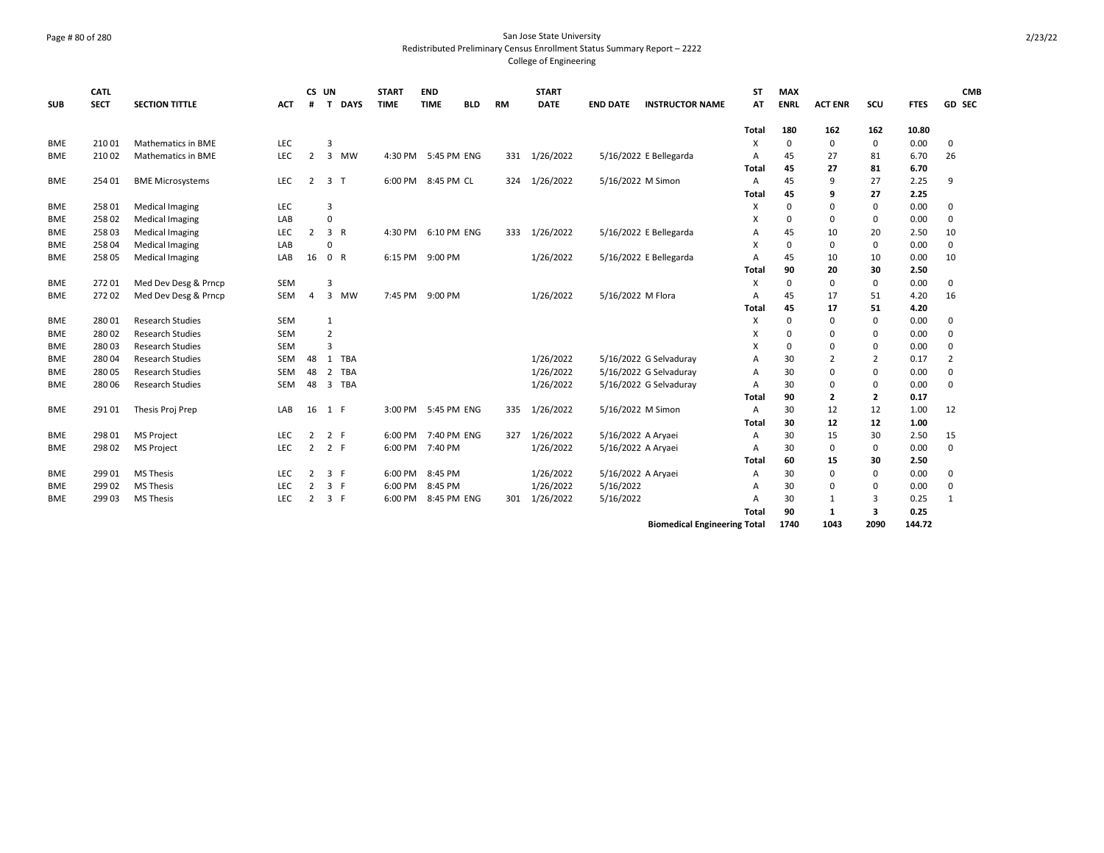## Page # 80 of 280 San Jose State University Redistributed Preliminary Census Enrollment Status Summary Report – 2222 College of Engineering

| <b>SUB</b> | <b>CATL</b><br><b>SECT</b> | <b>SECTION TITTLE</b>     | <b>ACT</b> | #              | CS UN<br>T     | <b>DAYS</b> | <b>START</b><br><b>TIME</b> | <b>END</b><br><b>TIME</b> | <b>BLD</b> | <b>RM</b> | <b>START</b><br><b>DATE</b> | <b>END DATE</b>    | <b>INSTRUCTOR NAME</b>              | <b>ST</b><br>AT | <b>MAX</b><br><b>ENRL</b> | <b>ACT ENR</b> | SCU            | <b>FTES</b> | <b>CMB</b><br>GD SEC |
|------------|----------------------------|---------------------------|------------|----------------|----------------|-------------|-----------------------------|---------------------------|------------|-----------|-----------------------------|--------------------|-------------------------------------|-----------------|---------------------------|----------------|----------------|-------------|----------------------|
|            |                            |                           |            |                |                |             |                             |                           |            |           |                             |                    |                                     | <b>Total</b>    | 180                       | 162            | 162            | 10.80       |                      |
| <b>BME</b> | 21001                      | <b>Mathematics in BME</b> | <b>LEC</b> |                | 3              |             |                             |                           |            |           |                             |                    |                                     | X               | $\mathbf 0$               | 0              | $\mathbf 0$    | 0.00        | 0                    |
| BME        | 210 02                     | Mathematics in BME        | LEC        | $\overline{2}$ | 3              | MW          | 4:30 PM                     | 5:45 PM ENG               |            | 331       | 1/26/2022                   |                    | 5/16/2022 E Bellegarda              | Α               | 45                        | 27             | 81             | 6.70        | 26                   |
|            |                            |                           |            |                |                |             |                             |                           |            |           |                             |                    |                                     | Total           | 45                        | 27             | 81             | 6.70        |                      |
| <b>BME</b> | 254 01                     | <b>BME Microsystems</b>   | <b>LEC</b> | $\overline{2}$ | 3 <sub>1</sub> |             | 6:00 PM                     | 8:45 PM CL                |            | 324       | 1/26/2022                   | 5/16/2022 M Simon  |                                     | $\overline{A}$  | 45                        | 9              | 27             | 2.25        | 9                    |
|            |                            |                           |            |                |                |             |                             |                           |            |           |                             |                    |                                     | Total           | 45                        | 9              | 27             | 2.25        |                      |
| <b>BME</b> | 25801                      | <b>Medical Imaging</b>    | <b>LEC</b> |                | $\overline{3}$ |             |                             |                           |            |           |                             |                    |                                     | X               | $\Omega$                  | 0              | $\mathbf 0$    | 0.00        | 0                    |
| <b>BME</b> | 258 02                     | <b>Medical Imaging</b>    | LAB        |                | 0              |             |                             |                           |            |           |                             |                    |                                     | X               | $\Omega$                  | 0              | 0              | 0.00        | 0                    |
| <b>BME</b> | 25803                      | <b>Medical Imaging</b>    | <b>LEC</b> | $\overline{2}$ | 3 R            |             | 4:30 PM                     | 6:10 PM ENG               |            | 333       | 1/26/2022                   |                    | 5/16/2022 E Bellegarda              | A               | 45                        | 10             | 20             | 2.50        | 10                   |
| <b>BME</b> | 258 04                     | <b>Medical Imaging</b>    | LAB        |                | 0              |             |                             |                           |            |           |                             |                    |                                     | x               | $\Omega$                  | 0              | $\mathbf 0$    | 0.00        | $\mathbf 0$          |
| <b>BME</b> | 258 05                     | <b>Medical Imaging</b>    | LAB        | 16             | 0 R            |             | 6:15 PM                     | 9:00 PM                   |            |           | 1/26/2022                   |                    | 5/16/2022 E Bellegarda              | A               | 45                        | 10             | 10             | 0.00        | 10                   |
|            |                            |                           |            |                |                |             |                             |                           |            |           |                             |                    |                                     | Total           | 90                        | 20             | 30             | 2.50        |                      |
| <b>BME</b> | 27201                      | Med Dev Desg & Prncp      | <b>SEM</b> |                | $\overline{3}$ |             |                             |                           |            |           |                             |                    |                                     | $\times$        | $\mathbf 0$               | $\mathbf 0$    | $\mathbf 0$    | 0.00        | $\mathsf 0$          |
| <b>BME</b> | 27202                      | Med Dev Desg & Prncp      | <b>SEM</b> | $\overline{4}$ |                | 3 MW        | 7:45 PM                     | 9:00 PM                   |            |           | 1/26/2022                   | 5/16/2022 M Flora  |                                     | $\overline{A}$  | 45                        | 17             | 51             | 4.20        | 16                   |
|            |                            |                           |            |                |                |             |                             |                           |            |           |                             |                    |                                     | Total           | 45                        | 17             | 51             | 4.20        |                      |
| <b>BME</b> | 28001                      | <b>Research Studies</b>   | <b>SEM</b> |                | 1              |             |                             |                           |            |           |                             |                    |                                     | X               | $\mathbf 0$               | 0              | $\mathbf 0$    | 0.00        | 0                    |
| <b>BME</b> | 28002                      | <b>Research Studies</b>   | <b>SEM</b> |                | $\overline{2}$ |             |                             |                           |            |           |                             |                    |                                     | X               | $\Omega$                  | 0              | 0              | 0.00        | 0                    |
| <b>BME</b> | 28003                      | <b>Research Studies</b>   | <b>SEM</b> |                | $\overline{3}$ |             |                             |                           |            |           |                             |                    |                                     | X               | $\Omega$                  | $\Omega$       | $\Omega$       | 0.00        | 0                    |
| <b>BME</b> | 28004                      | <b>Research Studies</b>   | <b>SEM</b> | 48             | 1              | <b>TBA</b>  |                             |                           |            |           | 1/26/2022                   |                    | 5/16/2022 G Selvaduray              | A               | 30                        | $\overline{2}$ | $\overline{2}$ | 0.17        | $\overline{2}$       |
| <b>BME</b> | 28005                      | <b>Research Studies</b>   | <b>SEM</b> | 48             | 2              | <b>TBA</b>  |                             |                           |            |           | 1/26/2022                   |                    | 5/16/2022 G Selvaduray              | A               | 30                        | 0              | 0              | 0.00        | 0                    |
| <b>BME</b> | 28006                      | <b>Research Studies</b>   | <b>SEM</b> | 48             | 3              | <b>TBA</b>  |                             |                           |            |           | 1/26/2022                   |                    | 5/16/2022 G Selvaduray              | $\overline{A}$  | 30                        | 0              | $\mathbf 0$    | 0.00        | $\mathbf 0$          |
|            |                            |                           |            |                |                |             |                             |                           |            |           |                             |                    |                                     | Total           | 90                        | 2              | $\overline{2}$ | 0.17        |                      |
| <b>BME</b> | 29101                      | Thesis Proj Prep          | LAB        | 16             | 1 F            |             |                             | 3:00 PM 5:45 PM ENG       |            | 335       | 1/26/2022                   | 5/16/2022 M Simon  |                                     | $\overline{A}$  | 30                        | 12             | 12             | 1.00        | 12                   |
|            |                            |                           |            |                |                |             |                             |                           |            |           |                             |                    |                                     | Total           | 30                        | 12             | 12             | 1.00        |                      |
| <b>BME</b> | 298 01                     | <b>MS Project</b>         | <b>LEC</b> | 2              | 2 F            |             | 6:00 PM                     | 7:40 PM ENG               |            | 327       | 1/26/2022                   | 5/16/2022 A Aryaei |                                     | A               | 30                        | 15             | 30             | 2.50        | 15                   |
| <b>BME</b> | 298 02                     | <b>MS Project</b>         | <b>LEC</b> | $\overline{2}$ | 2 F            |             |                             | 6:00 PM 7:40 PM           |            |           | 1/26/2022                   | 5/16/2022 A Aryaei |                                     | $\overline{A}$  | 30                        | 0              | $\mathbf 0$    | 0.00        | $\mathbf 0$          |
|            |                            |                           |            |                |                |             |                             |                           |            |           |                             |                    |                                     | Total           | 60                        | 15             | 30             | 2.50        |                      |
| <b>BME</b> | 299 01                     | <b>MS Thesis</b>          | <b>LEC</b> | 2              | 3 F            |             | 6:00 PM                     | 8:45 PM                   |            |           | 1/26/2022                   | 5/16/2022 A Aryaei |                                     | $\overline{A}$  | 30                        | 0              | $\mathbf 0$    | 0.00        | 0                    |
| <b>BME</b> | 299 02                     | <b>MS Thesis</b>          | <b>LEC</b> | 2              | 3 F            |             | 6:00 PM                     | 8:45 PM                   |            |           | 1/26/2022                   | 5/16/2022          |                                     | $\overline{A}$  | 30                        | 0              | 0              | 0.00        | 0                    |
| <b>BME</b> | 299 03                     | <b>MS Thesis</b>          | <b>LEC</b> | 2              | 3 F            |             | 6:00 PM                     | 8:45 PM ENG               |            | 301       | 1/26/2022                   | 5/16/2022          |                                     | A               | 30                        | 1              | 3              | 0.25        | 1                    |
|            |                            |                           |            |                |                |             |                             |                           |            |           |                             |                    |                                     | Total           | 90                        | $\mathbf{1}$   | 3              | 0.25        |                      |
|            |                            |                           |            |                |                |             |                             |                           |            |           |                             |                    | <b>Biomedical Engineering Total</b> |                 | 1740                      | 1043           | 2090           | 144.72      |                      |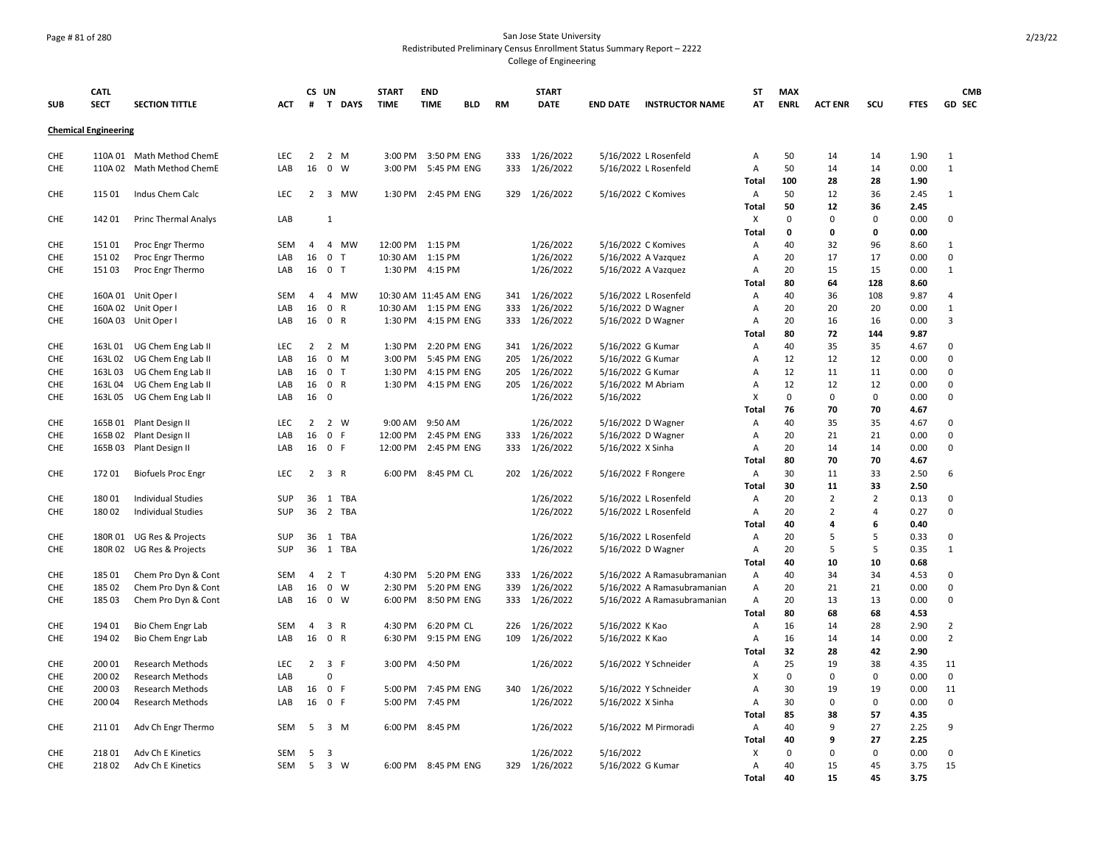## Page # 81 of 280 San Jose State University Redistributed Preliminary Census Enrollment Status Summary Report – 2222 College of Engineering

|            | <b>CATL</b>                 |                                                        |            | CS UN          |                |                | <b>START</b>          | <b>END</b>          |            |           | <b>START</b>  |                     |                             | ST           | <b>MAX</b>  |                                  |                                  |              | CMB                     |
|------------|-----------------------------|--------------------------------------------------------|------------|----------------|----------------|----------------|-----------------------|---------------------|------------|-----------|---------------|---------------------|-----------------------------|--------------|-------------|----------------------------------|----------------------------------|--------------|-------------------------|
| <b>SUB</b> | <b>SECT</b>                 | <b>SECTION TITTLE</b>                                  | ACT        | #              |                | T DAYS         | <b>TIME</b>           | <b>TIME</b>         | <b>BLD</b> | <b>RM</b> | <b>DATE</b>   | <b>END DATE</b>     | <b>INSTRUCTOR NAME</b>      | AT           | <b>ENRL</b> | <b>ACT ENR</b>                   | scu                              | <b>FTES</b>  | GD SEC                  |
|            |                             |                                                        |            |                |                |                |                       |                     |            |           |               |                     |                             |              |             |                                  |                                  |              |                         |
|            | <b>Chemical Engineering</b> |                                                        |            |                |                |                |                       |                     |            |           |               |                     |                             |              |             |                                  |                                  |              |                         |
| <b>CHE</b> |                             | 110A 01 Math Method ChemE                              | LEC        | 2              | 2 M            |                | 3:00 PM               | 3:50 PM ENG         |            | 333       | 1/26/2022     |                     | 5/16/2022 L Rosenfeld       | Α            | 50          | 14                               | 14                               | 1.90         | 1                       |
| <b>CHE</b> |                             | 110A 02 Math Method ChemE                              | LAB        | 16             | $0 \quad W$    |                | 3:00 PM               | 5:45 PM ENG         |            | 333       | 1/26/2022     |                     | 5/16/2022 L Rosenfeld       | Α            | 50          | 14                               | 14                               | 0.00         | $\mathbf{1}$            |
|            |                             |                                                        |            |                |                |                |                       |                     |            |           |               |                     |                             | Total        | 100         | 28                               | 28                               | 1.90         |                         |
| CHE        | 115 01                      | Indus Chem Calc                                        | LEC        | 2              | 3              | <b>MW</b>      | 1:30 PM               | 2:45 PM ENG         |            | 329       | 1/26/2022     | 5/16/2022 C Komives |                             | Α            | 50          | 12                               | 36                               | 2.45         | 1                       |
|            |                             |                                                        |            |                |                |                |                       |                     |            |           |               |                     |                             | <b>Total</b> | 50          | 12                               | 36                               | 2.45         |                         |
| CHE        | 14201                       | <b>Princ Thermal Analys</b>                            | LAB        |                | $\mathbf{1}$   |                |                       |                     |            |           |               |                     |                             | Х            | 0           | 0                                | $\Omega$                         | 0.00         | 0                       |
|            |                             |                                                        |            |                |                |                |                       |                     |            |           |               |                     |                             | Total        | 0           | $\mathbf 0$                      | 0                                | 0.00         |                         |
| <b>CHE</b> | 15101                       | Proc Engr Thermo                                       | SEM        | 4              |                | 4 MW           | 12:00 PM              | 1:15 PM             |            |           | 1/26/2022     | 5/16/2022 C Komives |                             | Α            | 40          | 32                               | 96                               | 8.60         | $\mathbf{1}$            |
| CHE        | 15102                       | Proc Engr Thermo                                       | LAB        | 16             | $\mathbf 0$    | $\mathsf{T}$   | 10:30 AM              | 1:15 PM             |            |           | 1/26/2022     | 5/16/2022 A Vazquez |                             | Α            | 20          | 17                               | 17                               | 0.00         | $\mathbf 0$             |
| CHE        | 15103                       | Proc Engr Thermo                                       | LAB        | 16             | 0 <sub>T</sub> |                | 1:30 PM               | 4:15 PM             |            |           | 1/26/2022     | 5/16/2022 A Vazquez |                             | Α            | 20          | 15                               | 15                               | 0.00         | $\mathbf{1}$            |
|            |                             |                                                        |            |                |                |                |                       |                     |            |           |               |                     |                             | Total        | 80          | 64                               | 128                              | 8.60         |                         |
| <b>CHE</b> |                             | 160A 01 Unit Oper I                                    | <b>SEM</b> | 4              |                | 4 MW           | 10:30 AM 11:45 AM ENG |                     |            | 341       | 1/26/2022     |                     | 5/16/2022 L Rosenfeld       | Α            | 40          | 36                               | 108                              | 9.87         | 4                       |
| <b>CHE</b> |                             | 160A 02 Unit Oper I                                    | LAB        | 16             | 0 R            |                | 10:30 AM              | 1:15 PM ENG         |            | 333       | 1/26/2022     | 5/16/2022 D Wagner  |                             | Α            | 20          | 20                               | 20                               | 0.00         | $\mathbf{1}$            |
| CHE        |                             | 160A 03 Unit Oper I                                    | LAB        | 16             | 0 R            |                | 1:30 PM               | 4:15 PM ENG         |            | 333       | 1/26/2022     | 5/16/2022 D Wagner  |                             | Α            | 20          | 16                               | 16                               | 0.00         | 3                       |
|            |                             |                                                        |            |                |                |                |                       |                     |            |           |               |                     |                             | Total        | 80          | 72                               | 144                              | 9.87         |                         |
| CHE        | 163L 01                     | UG Chem Eng Lab II                                     | LEC        | $\overline{2}$ | $2 \mathsf{M}$ |                | 1:30 PM               | 2:20 PM ENG         |            | 341       | 1/26/2022     | 5/16/2022 G Kumar   |                             | A            | 40          | 35                               | 35                               | 4.67         | $\mathbf 0$             |
| CHE        | 163L02                      | UG Chem Eng Lab II                                     | LAB        | 16             | $0 \t M$       |                | 3:00 PM               | 5:45 PM ENG         |            | 205       | 1/26/2022     | 5/16/2022 G Kumar   |                             | Α            | 12          | 12                               | 12                               | 0.00         | $\mathbf 0$             |
| <b>CHE</b> | 163L03                      | UG Chem Eng Lab II                                     | LAB        | 16             | 0 <sub>T</sub> |                | 1:30 PM               | 4:15 PM ENG         |            | 205       | 1/26/2022     | 5/16/2022 G Kumar   |                             | Α            | 12          | 11                               | 11                               | 0.00         | $\Omega$                |
| <b>CHE</b> | 163L04                      | UG Chem Eng Lab II                                     | LAB        | 16             | 0 R            |                | 1:30 PM               | 4:15 PM ENG         |            | 205       | 1/26/2022     | 5/16/2022 M Abriam  |                             | Α            | 12          | 12                               | 12                               | 0.00         | 0                       |
| <b>CHE</b> | 163L05                      | UG Chem Eng Lab II                                     | LAB        | 16             | $\mathbf 0$    |                |                       |                     |            |           | 1/26/2022     | 5/16/2022           |                             | X            | 0           | 0                                | 0                                | 0.00         | 0                       |
|            |                             |                                                        |            |                |                |                |                       |                     |            |           |               |                     |                             | Total        | 76          | 70                               | 70                               | 4.67         |                         |
| <b>CHE</b> |                             | 165B 01 Plant Design II                                | <b>LEC</b> | 2              | 2 W            |                | $9:00$ AM             | 9:50 AM             |            |           | 1/26/2022     | 5/16/2022 D Wagner  |                             | Α            | 40          | 35                               | 35                               | 4.67         | 0                       |
| CHE        | 165B 02                     | Plant Design II                                        | LAB        | 16             | 0 F            |                | 12:00 PM              | 2:45 PM ENG         |            | 333       | 1/26/2022     | 5/16/2022 D Wagner  |                             | Α            | 20          | 21                               | 21                               | 0.00         | $\mathbf 0$             |
| CHE        |                             | 165B 03 Plant Design II                                | LAB        | 16             | 0 F            |                | 12:00 PM              | 2:45 PM ENG         |            | 333       | 1/26/2022     | 5/16/2022 X Sinha   |                             | Α            | 20          | 14                               | 14                               | 0.00         | $\Omega$                |
|            |                             |                                                        |            |                |                |                |                       |                     |            |           |               |                     |                             | Total        | 80          | 70                               | 70                               | 4.67         |                         |
| CHE        | 17201                       | <b>Biofuels Proc Engr</b>                              | LEC        | 2              | 3 R            |                | 6:00 PM               | 8:45 PM CL          |            | 202       | 1/26/2022     | 5/16/2022 F Rongere |                             | Α            | 30          | 11                               | 33                               | 2.50         | 6                       |
|            |                             |                                                        |            |                |                |                |                       |                     |            |           |               |                     |                             | Total        | 30          | 11                               | 33                               | 2.50         |                         |
| <b>CHE</b> | 18001<br>18002              | <b>Individual Studies</b><br><b>Individual Studies</b> | SUP<br>SUP | 36<br>36       |                | 1 TBA<br>2 TBA |                       |                     |            |           | 1/26/2022     |                     | 5/16/2022 L Rosenfeld       | Α            | 20<br>20    | $\overline{2}$<br>$\overline{2}$ | $\overline{2}$<br>$\overline{a}$ | 0.13<br>0.27 | $\mathbf 0$<br>$\Omega$ |
| <b>CHE</b> |                             |                                                        |            |                |                |                |                       |                     |            |           | 1/26/2022     |                     | 5/16/2022 L Rosenfeld       | Α            | 40          | 4                                | 6                                | 0.40         |                         |
| <b>CHE</b> |                             | 180R 01 UG Res & Projects                              | <b>SUP</b> | 36             |                | 1 TBA          |                       |                     |            |           | 1/26/2022     |                     | 5/16/2022 L Rosenfeld       | Total<br>Α   | 20          | 5                                | 5                                | 0.33         | 0                       |
| CHE        | 180R02                      | UG Res & Projects                                      | <b>SUP</b> | 36             | 1              | TBA            |                       |                     |            |           | 1/26/2022     | 5/16/2022 D Wagner  |                             | Α            | 20          | 5                                | 5                                | 0.35         | $\mathbf{1}$            |
|            |                             |                                                        |            |                |                |                |                       |                     |            |           |               |                     |                             | <b>Total</b> | 40          | 10                               | 10                               | 0.68         |                         |
| <b>CHE</b> | 185 01                      | Chem Pro Dyn & Cont                                    | <b>SEM</b> | $\overline{4}$ | 2 <sub>T</sub> |                | 4:30 PM               | 5:20 PM ENG         |            | 333       | 1/26/2022     |                     | 5/16/2022 A Ramasubramanian | Α            | 40          | 34                               | 34                               | 4.53         | 0                       |
| <b>CHE</b> | 185 02                      | Chem Pro Dyn & Cont                                    | LAB        | 16             | $0 \quad W$    |                | 2:30 PM               | 5:20 PM ENG         |            | 339       | 1/26/2022     |                     | 5/16/2022 A Ramasubramanian | A            | 20          | 21                               | 21                               | 0.00         | $\mathbf 0$             |
| CHE        | 18503                       | Chem Pro Dyn & Cont                                    | LAB        | 16             | 0 W            |                | 6:00 PM               | 8:50 PM ENG         |            | 333       | 1/26/2022     |                     | 5/16/2022 A Ramasubramanian | Α            | 20          | 13                               | 13                               | 0.00         | $\Omega$                |
|            |                             |                                                        |            |                |                |                |                       |                     |            |           |               |                     |                             | Total        | 80          | 68                               | 68                               | 4.53         |                         |
| <b>CHE</b> | 194 01                      | Bio Chem Engr Lab                                      | <b>SEM</b> | $\overline{4}$ | 3 R            |                | 4:30 PM               | 6:20 PM CL          |            | 226       | 1/26/2022     | 5/16/2022 K Kao     |                             | Α            | 16          | 14                               | 28                               | 2.90         | 2                       |
| <b>CHE</b> | 194 02                      | Bio Chem Engr Lab                                      | LAB        | 16             | 0 R            |                | 6:30 PM               | 9:15 PM ENG         |            | 109       | 1/26/2022     | 5/16/2022 K Kao     |                             | Α            | 16          | 14                               | 14                               | 0.00         | $\overline{2}$          |
|            |                             |                                                        |            |                |                |                |                       |                     |            |           |               |                     |                             | Total        | 32          | 28                               | 42                               | 2.90         |                         |
| <b>CHE</b> | 200 01                      | <b>Research Methods</b>                                | <b>LEC</b> | $\overline{2}$ | 3 F            |                | 3:00 PM               | 4:50 PM             |            |           | 1/26/2022     |                     | 5/16/2022 Y Schneider       | Α            | 25          | 19                               | 38                               | 4.35         | 11                      |
| <b>CHE</b> | 200 02                      | <b>Research Methods</b>                                | LAB        |                | $\Omega$       |                |                       |                     |            |           |               |                     |                             | X            | 0           | $\mathbf 0$                      | $\Omega$                         | 0.00         | $\mathbf 0$             |
| CHE        | 200 03                      | Research Methods                                       | LAB        | 16             | 0 F            |                | 5:00 PM               | 7:45 PM ENG         |            | 340       | 1/26/2022     |                     | 5/16/2022 Y Schneider       | A            | 30          | 19                               | 19                               | 0.00         | 11                      |
| CHE        | 200 04                      | Research Methods                                       | LAB        | 16             | 0 F            |                | 5:00 PM               | 7:45 PM             |            |           | 1/26/2022     | 5/16/2022 X Sinha   |                             | Α            | 30          | $\mathbf 0$                      | $\mathbf 0$                      | 0.00         | $\mathsf 0$             |
|            |                             |                                                        |            |                |                |                |                       |                     |            |           |               |                     |                             | Total        | 85          | 38                               | 57                               | 4.35         |                         |
| <b>CHE</b> | 21101                       | Adv Ch Engr Thermo                                     | <b>SEM</b> | 5              | 3 M            |                | 6:00 PM               | 8:45 PM             |            |           | 1/26/2022     |                     | 5/16/2022 M Pirmoradi       | Α            | 40          | 9                                | 27                               | 2.25         | 9                       |
|            |                             |                                                        |            |                |                |                |                       |                     |            |           |               |                     |                             | <b>Total</b> | 40          | 9                                | 27                               | 2.25         |                         |
| <b>CHE</b> | 21801                       | Adv Ch E Kinetics                                      | <b>SEM</b> | 5              | 3              |                |                       |                     |            |           | 1/26/2022     | 5/16/2022           |                             | X            | 0           | 0                                | $\Omega$                         | 0.00         | $\mathbf 0$             |
| <b>CHE</b> | 21802                       | Adv Ch E Kinetics                                      | <b>SEM</b> | 5              | 3 W            |                |                       | 6:00 PM 8:45 PM ENG |            |           | 329 1/26/2022 | 5/16/2022 G Kumar   |                             | Α            | 40          | 15                               | 45                               | 3.75         | 15                      |
|            |                             |                                                        |            |                |                |                |                       |                     |            |           |               |                     |                             | Total        | 40          | 15                               | 45                               | 3.75         |                         |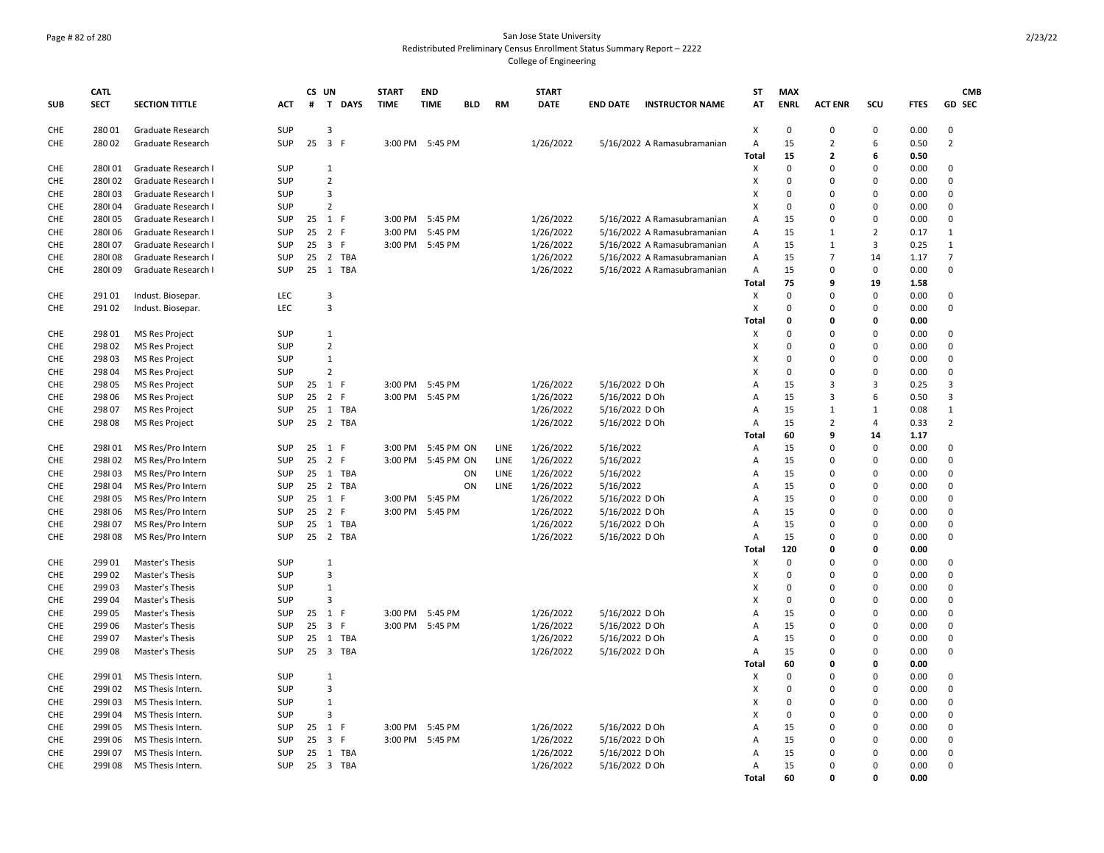## Page # 82 of 280 San Jose State University Redistributed Preliminary Census Enrollment Status Summary Report – 2222 College of Engineering

|            | <b>CATL</b> |                       |            | CS UN        |                         |             | <b>START</b> | <b>END</b>      |            |             | <b>START</b> |                 |                             | ST    | <b>MAX</b>  |                |                |             | <b>CMB</b>     |
|------------|-------------|-----------------------|------------|--------------|-------------------------|-------------|--------------|-----------------|------------|-------------|--------------|-----------------|-----------------------------|-------|-------------|----------------|----------------|-------------|----------------|
| <b>SUB</b> | <b>SECT</b> | <b>SECTION TITTLE</b> | <b>ACT</b> | #            | $\mathbf{T}$            | <b>DAYS</b> | <b>TIME</b>  | <b>TIME</b>     | <b>BLD</b> | <b>RM</b>   | <b>DATE</b>  | <b>END DATE</b> | <b>INSTRUCTOR NAME</b>      | AT    | <b>ENRL</b> | <b>ACT ENR</b> | SCU            | <b>FTES</b> | <b>GD SEC</b>  |
| CHE        | 28001       | Graduate Research     | SUP        |              | 3                       |             |              |                 |            |             |              |                 |                             | X     | $\Omega$    | 0              | $\Omega$       | 0.00        | $\Omega$       |
| <b>CHE</b> | 28002       | Graduate Research     | SUP        | $25 \quad 3$ |                         | F           | 3:00 PM      | 5:45 PM         |            |             | 1/26/2022    |                 | 5/16/2022 A Ramasubramanian | Α     | 15          | $\overline{2}$ | 6              | 0.50        | $\overline{2}$ |
|            |             |                       |            |              |                         |             |              |                 |            |             |              |                 |                             | Total | 15          | $\overline{2}$ | 6              | 0.50        |                |
| CHE        | 280101      | Graduate Research I   | SUP        |              | $1\,$                   |             |              |                 |            |             |              |                 |                             | X     | 0           | $\mathbf 0$    | $\Omega$       | 0.00        | $\mathbf 0$    |
| <b>CHE</b> | 280102      | Graduate Research I   | <b>SUP</b> |              | $\overline{2}$          |             |              |                 |            |             |              |                 |                             | X     | 0           | $\Omega$       | $\Omega$       | 0.00        | 0              |
| <b>CHE</b> | 280103      | Graduate Research I   | SUP        |              | 3                       |             |              |                 |            |             |              |                 |                             | X     | 0           | $\mathbf 0$    | $\Omega$       | 0.00        | $\mathbf 0$    |
| <b>CHE</b> | 280104      | Graduate Research I   | <b>SUP</b> |              | $\overline{2}$          |             |              |                 |            |             |              |                 |                             | X     | 0           | $\mathbf 0$    | $\Omega$       | 0.00        | $\mathbf 0$    |
| <b>CHE</b> | 280105      | Graduate Research I   | <b>SUP</b> | 25           | 1 F                     |             | 3:00 PM      | 5:45 PM         |            |             | 1/26/2022    |                 | 5/16/2022 A Ramasubramanian | Α     | 15          | 0              | $\Omega$       | 0.00        | 0              |
| <b>CHE</b> | 280106      | Graduate Research I   | SUP        | 25           | $\overline{2}$          | F           | 3:00 PM      | 5:45 PM         |            |             | 1/26/2022    |                 | 5/16/2022 A Ramasubramanian | Α     | 15          | $\mathbf{1}$   | $\overline{2}$ | 0.17        | $\mathbf{1}$   |
| <b>CHE</b> | 280107      | Graduate Research I   | <b>SUP</b> | 25           | $\overline{3}$          | - F         | 3:00 PM      | 5:45 PM         |            |             | 1/26/2022    |                 | 5/16/2022 A Ramasubramanian | A     | 15          | $\mathbf{1}$   | 3              | 0.25        | $\mathbf{1}$   |
| <b>CHE</b> | 280108      | Graduate Research I   | <b>SUP</b> | 25           |                         | 2 TBA       |              |                 |            |             | 1/26/2022    |                 | 5/16/2022 A Ramasubramanian | Α     | 15          | $\overline{7}$ | 14             | 1.17        | $\overline{7}$ |
| <b>CHE</b> | 280109      | Graduate Research I   | <b>SUP</b> | 25           |                         | 1 TBA       |              |                 |            |             | 1/26/2022    |                 | 5/16/2022 A Ramasubramanian | Α     | 15          | 0              | 0              | 0.00        | $\mathbf 0$    |
|            |             |                       |            |              |                         |             |              |                 |            |             |              |                 |                             | Total | 75          | 9              | 19             | 1.58        |                |
| CHE        | 29101       | Indust. Biosepar.     | LEC        |              | 3                       |             |              |                 |            |             |              |                 |                             | X     | 0           | $\Omega$       | $\Omega$       | 0.00        | $\mathbf 0$    |
| CHE        | 291 02      | Indust. Biosepar.     | LEC        |              | 3                       |             |              |                 |            |             |              |                 |                             | X     | $\Omega$    | $\Omega$       | $\Omega$       | 0.00        | $\Omega$       |
|            |             |                       |            |              |                         |             |              |                 |            |             |              |                 |                             | Total | 0           | 0              | $\mathbf 0$    | 0.00        |                |
| CHE        | 298 01      | MS Res Project        | SUP        |              | $\mathbf{1}$            |             |              |                 |            |             |              |                 |                             | Х     | $\Omega$    | $\Omega$       | $\Omega$       | 0.00        | $\mathbf 0$    |
| CHE        | 298 02      | MS Res Project        | SUP        |              | $\overline{2}$          |             |              |                 |            |             |              |                 |                             | X     | 0           | $\mathbf 0$    | $\Omega$       | 0.00        | $\mathbf 0$    |
| CHE        | 298 03      | <b>MS Res Project</b> | <b>SUP</b> |              | $\mathbf 1$             |             |              |                 |            |             |              |                 |                             | X     | 0           | $\Omega$       | $\Omega$       | 0.00        | $\mathbf 0$    |
| <b>CHE</b> | 298 04      | MS Res Project        | SUP        |              | $\overline{2}$          |             |              |                 |            |             |              |                 |                             | X     | 0           | $\mathbf 0$    | $\Omega$       | 0.00        | $\mathbf 0$    |
| CHE        | 298 05      | <b>MS Res Project</b> | SUP        | 25           | 1 F                     |             | 3:00 PM      | 5:45 PM         |            |             | 1/26/2022    | 5/16/2022 D Oh  |                             | A     | 15          | $\overline{3}$ | 3              | 0.25        | 3              |
| <b>CHE</b> | 298 06      | MS Res Project        | SUP        | 25           | 2 F                     |             | 3:00 PM      | 5:45 PM         |            |             | 1/26/2022    | 5/16/2022 D Oh  |                             | A     | 15          | 3              | 6              | 0.50        | 3              |
| <b>CHE</b> | 298 07      | MS Res Project        | <b>SUP</b> | 25           |                         | 1 TBA       |              |                 |            |             | 1/26/2022    | 5/16/2022 D Oh  |                             | А     | 15          | $\mathbf{1}$   | $\mathbf{1}$   | 0.08        | $\mathbf{1}$   |
| <b>CHE</b> | 298 08      | MS Res Project        | <b>SUP</b> | 25           |                         | 2 TBA       |              |                 |            |             | 1/26/2022    | 5/16/2022 D Oh  |                             | A     | 15          | $\overline{2}$ | $\overline{4}$ | 0.33        | $\overline{2}$ |
|            |             |                       |            |              |                         |             |              |                 |            |             |              |                 |                             | Total | 60          | 9              | 14             | 1.17        |                |
| CHE        | 298101      | MS Res/Pro Intern     | <b>SUP</b> | 25           | 1 F                     |             | 3:00 PM      | 5:45 PM ON      |            | LINE        | 1/26/2022    | 5/16/2022       |                             | Α     | 15          | $\mathbf 0$    | $\mathbf 0$    | 0.00        | 0              |
| CHE        | 298102      | MS Res/Pro Intern     | <b>SUP</b> | 25           | $\overline{2}$          | F           | 3:00 PM      | 5:45 PM ON      |            | <b>LINE</b> | 1/26/2022    | 5/16/2022       |                             | А     | 15          | 0              | $\Omega$       | 0.00        | 0              |
| CHE        | 298103      | MS Res/Pro Intern     | SUP        | 25           |                         | 1 TBA       |              |                 | ON         | LINE        | 1/26/2022    | 5/16/2022       |                             | Α     | 15          | 0              | $\mathbf 0$    | 0.00        | 0              |
| CHE        | 298104      | MS Res/Pro Intern     | <b>SUP</b> | 25           |                         | 2 TBA       |              |                 | ON         | LINE        | 1/26/2022    | 5/16/2022       |                             | A     | 15          | 0              | $\Omega$       | 0.00        | 0              |
| <b>CHE</b> | 298105      | MS Res/Pro Intern     | <b>SUP</b> | 25           | 1                       | F           | 3:00 PM      | 5:45 PM         |            |             | 1/26/2022    | 5/16/2022 D Oh  |                             | A     | 15          | 0              | $\Omega$       | 0.00        | $\mathbf 0$    |
| <b>CHE</b> | 298106      | MS Res/Pro Intern     | <b>SUP</b> | 25           | $\overline{2}$          | F           | 3:00 PM      | 5:45 PM         |            |             | 1/26/2022    | 5/16/2022 D Oh  |                             | Α     | 15          | 0              | 0              | 0.00        | 0              |
| <b>CHE</b> | 298107      | MS Res/Pro Intern     | SUP        | 25           |                         | 1 TBA       |              |                 |            |             | 1/26/2022    | 5/16/2022 D Oh  |                             | A     | 15          | $\mathbf 0$    | $\Omega$       | 0.00        | $\mathbf 0$    |
| CHE        | 298108      | MS Res/Pro Intern     | SUP        | 25           |                         | 2 TBA       |              |                 |            |             | 1/26/2022    | 5/16/2022 D Oh  |                             | Α     | 15          | 0              | $\Omega$       | 0.00        | 0              |
|            |             |                       |            |              |                         |             |              |                 |            |             |              |                 |                             | Total | 120         | 0              | $\Omega$       | 0.00        |                |
| <b>CHE</b> | 29901       | Master's Thesis       | SUP        |              | $\mathbf{1}$            |             |              |                 |            |             |              |                 |                             | X     | 0           | $\mathbf 0$    | $\Omega$       | 0.00        | 0              |
| <b>CHE</b> | 299 02      | Master's Thesis       | SUP        |              | 3                       |             |              |                 |            |             |              |                 |                             | X     | 0           | $\Omega$       | $\Omega$       | 0.00        | $\Omega$       |
| <b>CHE</b> | 299 03      | Master's Thesis       | SUP        |              | $1\,$                   |             |              |                 |            |             |              |                 |                             | X     | $\Omega$    | $\Omega$       | $\Omega$       | 0.00        | $\Omega$       |
| <b>CHE</b> | 299 04      | Master's Thesis       | <b>SUP</b> |              | 3                       |             |              |                 |            |             |              |                 |                             | x     | 0           | $\Omega$       | $\Omega$       | 0.00        | 0              |
| CHE        | 299 05      | Master's Thesis       | SUP        | 25           | 1 F                     |             | 3:00 PM      | 5:45 PM         |            |             | 1/26/2022    | 5/16/2022 D Oh  |                             | A     | 15          | $\mathbf 0$    | $\Omega$       | 0.00        | 0              |
| CHE        | 299 06      | Master's Thesis       | <b>SUP</b> | 25           | $\overline{\mathbf{3}}$ | F           | 3:00 PM      | 5:45 PM         |            |             | 1/26/2022    | 5/16/2022 D Oh  |                             | Α     | 15          | 0              | $\Omega$       | 0.00        | 0              |
| <b>CHE</b> | 299 07      | Master's Thesis       | <b>SUP</b> | 25           |                         | 1 TBA       |              |                 |            |             | 1/26/2022    | 5/16/2022 D Oh  |                             | A     | 15          | 0              | $\Omega$       | 0.00        | $\mathbf 0$    |
| CHE        | 299 08      | Master's Thesis       | SUP        | 25           |                         | 3 TBA       |              |                 |            |             | 1/26/2022    | 5/16/2022 D Oh  |                             | Α     | 15          | $\mathbf 0$    | $\mathbf 0$    | 0.00        | 0              |
|            |             |                       |            |              |                         |             |              |                 |            |             |              |                 |                             | Total | 60          | 0              | 0              | 0.00        |                |
| CHE        | 299101      | MS Thesis Intern.     | SUP        |              | $\mathbf{1}$            |             |              |                 |            |             |              |                 |                             | Х     | 0           | 0              | $\Omega$       | 0.00        | 0              |
| <b>CHE</b> | 299102      | MS Thesis Intern.     | <b>SUP</b> |              | 3                       |             |              |                 |            |             |              |                 |                             | X     | 0           | $\mathbf 0$    | $\Omega$       | 0.00        | 0              |
| CHE        | 299103      | MS Thesis Intern.     | <b>SUP</b> |              | $\mathbf{1}$            |             |              |                 |            |             |              |                 |                             | X     | 0           | 0              | $\Omega$       | 0.00        | 0              |
| <b>CHE</b> | 299104      | MS Thesis Intern.     | <b>SUP</b> |              | 3                       |             |              |                 |            |             |              |                 |                             | x     | 0           | 0              | $\Omega$       | 0.00        | $\mathbf 0$    |
| CHE        | 299105      | MS Thesis Intern.     | <b>SUP</b> | 25           | 1 F                     |             | 3:00 PM      | 5:45 PM         |            |             | 1/26/2022    | 5/16/2022 D Oh  |                             | Α     | 15          | 0              | $\Omega$       | 0.00        | $\mathbf 0$    |
| CHE        | 299106      | MS Thesis Intern.     | <b>SUP</b> | 25           | $\overline{\mathbf{3}}$ | F           |              | 3:00 PM 5:45 PM |            |             | 1/26/2022    | 5/16/2022 D Oh  |                             | A     | 15          | 0              | $\Omega$       | 0.00        | 0              |
| <b>CHE</b> | 299107      | MS Thesis Intern.     | SUP        | 25           |                         | 1 TBA       |              |                 |            |             | 1/26/2022    | 5/16/2022 D Oh  |                             | A     | 15          | $\Omega$       | $\Omega$       | 0.00        | $\Omega$       |
| CHE        | 299108      | MS Thesis Intern.     | SUP        | 25           |                         | 3 TBA       |              |                 |            |             | 1/26/2022    | 5/16/2022 D Oh  |                             | Α     | 15          | $\Omega$       | $\Omega$       | 0.00        | $\Omega$       |
|            |             |                       |            |              |                         |             |              |                 |            |             |              |                 |                             | Total | 60          | $\Omega$       | $\Omega$       | 0.00        |                |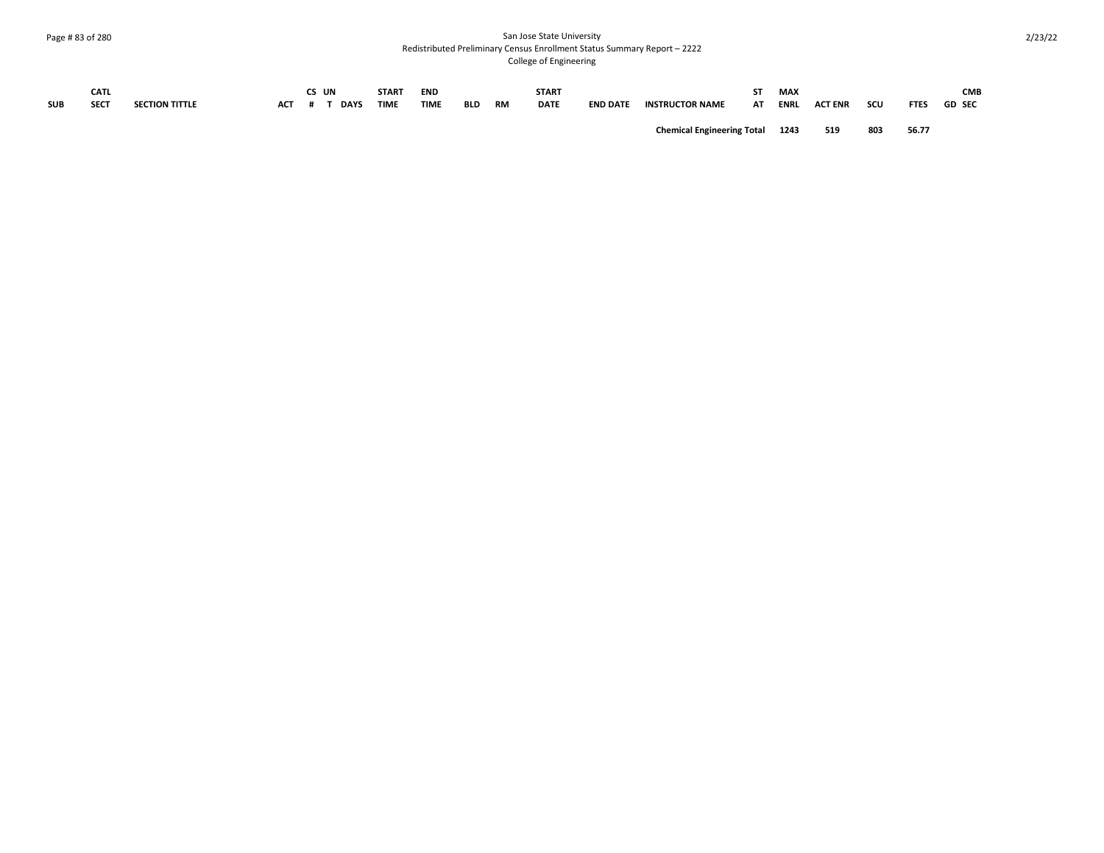## Page # 83 of 280 San Jose State University Redistributed Preliminary Census Enrollment Status Summary Report – 2222 College of Engineering

|            | <b>CATL</b> |                       |     | CS UN       | <b>START</b> | <b>END</b>  |            |           | <b>START</b> |                 |                                        |    | MAX         |                |     |             | <b>CMB</b>    |
|------------|-------------|-----------------------|-----|-------------|--------------|-------------|------------|-----------|--------------|-----------------|----------------------------------------|----|-------------|----------------|-----|-------------|---------------|
| <b>SUB</b> | <b>SECT</b> | <b>SECTION TITTLE</b> | АСТ | <b>DAYS</b> | <b>TIME</b>  | <b>TIME</b> | <b>BLD</b> | <b>RM</b> | <b>DATE</b>  | <b>END DATE</b> | <b>INSTRUCTOR NAME</b>                 | AT | <b>ENRI</b> | <b>ACT ENR</b> | scu | <b>FTES</b> | <b>GD SEC</b> |
|            |             |                       |     |             |              |             |            |           |              |                 | <b>Chemical Engineering Total 1243</b> |    |             | 519            | 803 | 56.77       |               |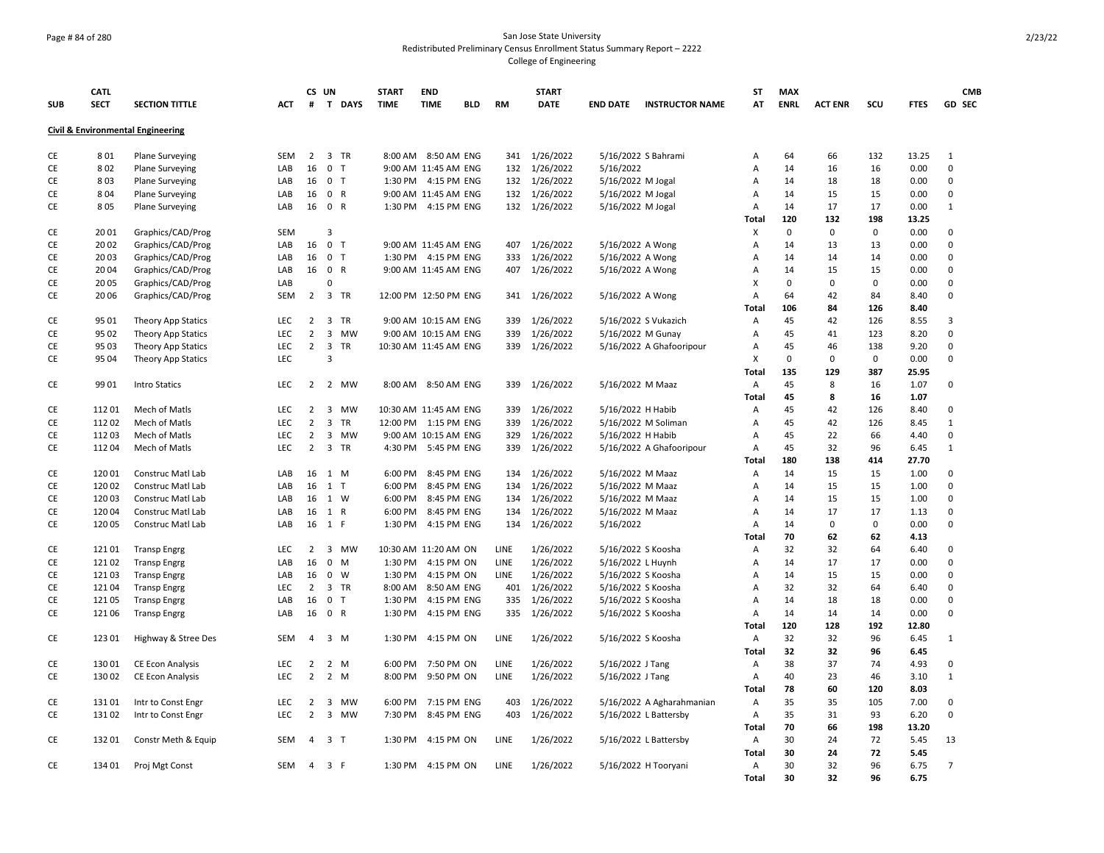## Page # 84 of 280 San Jose State University Redistributed Preliminary Census Enrollment Status Summary Report – 2222 College of Engineering

|            | <b>CATL</b> |                                   |            |                | CS UN          |                | <b>START</b>          | <b>END</b>           |            |             | <b>START</b>  |                    |                           | <b>ST</b>    | <b>MAX</b>  |                |     |             | <b>CMB</b>     |
|------------|-------------|-----------------------------------|------------|----------------|----------------|----------------|-----------------------|----------------------|------------|-------------|---------------|--------------------|---------------------------|--------------|-------------|----------------|-----|-------------|----------------|
| <b>SUB</b> | <b>SECT</b> | <b>SECTION TITTLE</b>             | ACT        | #              |                | T DAYS         | <b>TIME</b>           | <b>TIME</b>          | <b>BLD</b> | <b>RM</b>   | <b>DATE</b>   | <b>END DATE</b>    | <b>INSTRUCTOR NAME</b>    | AT           | <b>ENRL</b> | <b>ACT ENR</b> | scu | <b>FTES</b> | GD SEC         |
|            |             | Civil & Environmental Engineering |            |                |                |                |                       |                      |            |             |               |                    |                           |              |             |                |     |             |                |
| CE         | 801         | <b>Plane Surveying</b>            | <b>SEM</b> | $\overline{2}$ |                | 3 TR           |                       | 8:00 AM 8:50 AM ENG  |            | 341         | 1/26/2022     |                    | 5/16/2022 S Bahrami       | Α            | 64          | 66             | 132 | 13.25       | $\mathbf{1}$   |
| CE         | 802         | <b>Plane Surveying</b>            | LAB        | 16             | 0 <sub>T</sub> |                |                       | 9:00 AM 11:45 AM ENG |            | 132         | 1/26/2022     | 5/16/2022          |                           | Α            | 14          | 16             | 16  | 0.00        | $\mathsf 0$    |
| СE         | 803         | <b>Plane Surveying</b>            | LAB        | 16             | 0 <sub>T</sub> |                |                       | 1:30 PM 4:15 PM ENG  |            | 132         | 1/26/2022     | 5/16/2022 M Jogal  |                           | А            | 14          | 18             | 18  | 0.00        | 0              |
| CE         | 804         | <b>Plane Surveying</b>            | LAB        | 16             | 0 R            |                |                       | 9:00 AM 11:45 AM ENG |            | 132         | 1/26/2022     | 5/16/2022 M Jogal  |                           | А            | 14          | 15             | 15  | 0.00        | 0              |
| CE         | 805         | <b>Plane Surveying</b>            | LAB        | 16             | 0 R            |                |                       | 1:30 PM 4:15 PM ENG  |            |             | 132 1/26/2022 | 5/16/2022 M Jogal  |                           | Α            | 14          | 17             | 17  | 0.00        | $\mathbf{1}$   |
|            |             |                                   |            |                |                |                |                       |                      |            |             |               |                    |                           | Total        | 120         | 132            | 198 | 13.25       |                |
| CE         | 2001        | Graphics/CAD/Prog                 | <b>SEM</b> |                | 3              |                |                       |                      |            |             |               |                    |                           | X            | $\mathbf 0$ | $\mathbf 0$    | 0   | 0.00        | 0              |
| CE         | 20 02       | Graphics/CAD/Prog                 | LAB        | 16             | 0 <sub>T</sub> |                |                       | 9:00 AM 11:45 AM ENG |            | 407         | 1/26/2022     | 5/16/2022 A Wong   |                           | Α            | 14          | 13             | 13  | 0.00        | 0              |
| CE         | 2003        | Graphics/CAD/Prog                 | LAB        | 16             | 0 <sub>T</sub> |                |                       | 1:30 PM 4:15 PM ENG  |            | 333         | 1/26/2022     | 5/16/2022 A Wong   |                           | A            | 14          | 14             | 14  | 0.00        | 0              |
| СE         | 20 04       | Graphics/CAD/Prog                 | LAB        | 16             | 0 R            |                |                       | 9:00 AM 11:45 AM ENG |            | 407         | 1/26/2022     | 5/16/2022 A Wong   |                           | Α            | 14          | 15             | 15  | 0.00        | 0              |
| CE         | 20 05       | Graphics/CAD/Prog                 | LAB        |                | $\Omega$       |                |                       |                      |            |             |               |                    |                           | X            | 0           | 0              | 0   | 0.00        | $\mathbf 0$    |
| CE         | 20 06       | Graphics/CAD/Prog                 | SEM        | 2              |                | 3 TR           | 12:00 PM 12:50 PM ENG |                      |            | 341         | 1/26/2022     | 5/16/2022 A Wong   |                           | Α            | 64          | 42             | 84  | 8.40        | 0              |
|            |             |                                   |            |                |                |                |                       |                      |            |             |               |                    |                           | <b>Total</b> | 106         | 84             | 126 | 8.40        |                |
| CE         | 95 01       | <b>Theory App Statics</b>         | <b>LEC</b> | $2^{\circ}$    |                | 3 TR           |                       | 9:00 AM 10:15 AM ENG |            | 339         | 1/26/2022     |                    | 5/16/2022 S Vukazich      | Α            | 45          | 42             | 126 | 8.55        | 3              |
| CE         | 95 02       | Theory App Statics                | <b>LEC</b> | $\overline{2}$ |                | 3 MW           |                       | 9:00 AM 10:15 AM ENG |            | 339         | 1/26/2022     | 5/16/2022 M Gunay  |                           | Α            | 45          | 41             | 123 | 8.20        | 0              |
| CE         | 95 03       | <b>Theory App Statics</b>         | <b>LEC</b> | $\overline{2}$ |                | 3 TR           | 10:30 AM 11:45 AM ENG |                      |            | 339         | 1/26/2022     |                    | 5/16/2022 A Ghafooripour  | Α            | 45          | 46             | 138 | 9.20        | 0              |
| CE         | 95 04       | <b>Theory App Statics</b>         | LEC        |                | $\overline{3}$ |                |                       |                      |            |             |               |                    |                           | X            | $\mathbf 0$ | $\pmb{0}$      | 0   | 0.00        | $\mathsf 0$    |
|            |             |                                   |            |                |                |                |                       |                      |            |             |               |                    |                           | Total        | 135         | 129            | 387 | 25.95       |                |
| CE         | 99 01       | <b>Intro Statics</b>              | <b>LEC</b> | $\overline{2}$ |                | 2 MW           |                       | 8:00 AM 8:50 AM ENG  |            | 339         | 1/26/2022     | 5/16/2022 M Maaz   |                           | Α            | 45          | 8              | 16  | 1.07        | 0              |
|            |             |                                   |            |                |                |                |                       |                      |            |             |               |                    |                           | Total        | 45          | 8              | 16  | 1.07        |                |
| CE         | 11201       | Mech of Matls                     | <b>LEC</b> | $\overline{2}$ |                | 3 MW           | 10:30 AM 11:45 AM ENG |                      |            | 339         | 1/26/2022     | 5/16/2022 H Habib  |                           | Α            | 45          | 42             | 126 | 8.40        | 0              |
| CE         | 11202       | Mech of Matls                     | <b>LEC</b> | $\overline{2}$ | $\mathbf{3}$   | TR             | 12:00 PM 1:15 PM ENG  |                      |            | 339         | 1/26/2022     |                    | 5/16/2022 M Soliman       | Α            | 45          | 42             | 126 | 8.45        | $\mathbf{1}$   |
| CE         | 11203       | Mech of Matls                     | <b>LEC</b> | $\overline{2}$ |                | 3 MW           |                       | 9:00 AM 10:15 AM ENG |            | 329         | 1/26/2022     | 5/16/2022 H Habib  |                           | A            | 45          | 22             | 66  | 4.40        | 0              |
| CE         | 11204       | Mech of Matls                     | <b>LEC</b> | $\overline{2}$ |                | 3 TR           |                       | 4:30 PM 5:45 PM ENG  |            | 339         | 1/26/2022     |                    | 5/16/2022 A Ghafooripour  | Α            | 45          | 32             | 96  | 6.45        | $\mathbf{1}$   |
|            |             |                                   |            |                |                |                |                       |                      |            |             |               |                    |                           | Total        | 180         | 138            | 414 | 27.70       |                |
| CE         | 12001       | Construc Matl Lab                 | LAB        | 16             |                | 1 M            | 6:00 PM               | 8:45 PM ENG          |            | 134         | 1/26/2022     | 5/16/2022 M Maaz   |                           | Α            | 14          | 15             | 15  | 1.00        | 0              |
| CE         | 120 02      | Construc Matl Lab                 | LAB        | 16             | $1$ T          |                | 6:00 PM               | 8:45 PM ENG          |            | 134         | 1/26/2022     | 5/16/2022 M Maaz   |                           | A            | 14          | 15             | 15  | 1.00        | 0              |
| СE         | 12003       | Construc Matl Lab                 | LAB        | 16             | 1 W            |                | 6:00 PM               | 8:45 PM ENG          |            | 134         | 1/26/2022     | 5/16/2022 M Maaz   |                           | A            | 14          | 15             | 15  | 1.00        | $\mathbf 0$    |
| CE         | 12004       | Construc Matl Lab                 | LAB        | 16             | 1 R            |                | 6:00 PM               | 8:45 PM ENG          |            | 134         | 1/26/2022     | 5/16/2022 M Maaz   |                           | Α            | 14          | 17             | 17  | 1.13        | $\mathbf 0$    |
| CE         | 12005       | Construc Matl Lab                 | LAB        |                | 16 1 F         |                | 1:30 PM               | 4:15 PM ENG          |            | 134         | 1/26/2022     | 5/16/2022          |                           | A            | 14          | $\pmb{0}$      | 0   | 0.00        | 0              |
|            |             |                                   |            |                |                |                |                       |                      |            |             |               |                    |                           | Total        | 70          | 62             | 62  | 4.13        |                |
| CE         | 12101       | <b>Transp Engrg</b>               | LEC        | $\overline{2}$ |                | 3 MW           | 10:30 AM 11:20 AM ON  |                      |            | LINE        | 1/26/2022     | 5/16/2022 S Koosha |                           | Α            | 32          | 32             | 64  | 6.40        | 0              |
| CE         | 12102       | <b>Transp Engrg</b>               | LAB        | 16             |                | $0 \quad M$    | 1:30 PM               | 4:15 PM ON           |            | <b>LINE</b> | 1/26/2022     | 5/16/2022 L Huynh  |                           | Α            | 14          | 17             | 17  | 0.00        | 0              |
| CE         | 12103       | <b>Transp Engrg</b>               | LAB        | 16             |                | $0 \quad W$    | 1:30 PM               | 4:15 PM ON           |            | LINE        | 1/26/2022     | 5/16/2022 S Koosha |                           | А            | 14          | 15             | 15  | 0.00        | 0              |
| CE         | 12104       | <b>Transp Engrg</b>               | LEC        | $\overline{2}$ |                | 3 TR           | 8:00 AM               | 8:50 AM ENG          |            | 401         | 1/26/2022     | 5/16/2022 S Koosha |                           | Α            | 32          | 32             | 64  | 6.40        | 0              |
| CE         | 12105       | <b>Transp Engrg</b>               | LAB        | 16             | 0 <sub>T</sub> |                | 1:30 PM               | 4:15 PM ENG          |            | 335         | 1/26/2022     | 5/16/2022 S Koosha |                           | Α            | 14          | 18             | 18  | 0.00        | $\mathbf 0$    |
| CE         | 12106       | <b>Transp Engrg</b>               | LAB        | 16             | 0 R            |                | 1:30 PM               | 4:15 PM ENG          |            | 335         | 1/26/2022     | 5/16/2022 S Koosha |                           | Α            | 14          | 14             | 14  | 0.00        | 0              |
|            |             |                                   |            |                |                |                |                       |                      |            |             |               |                    |                           | Total        | 120         | 128            | 192 | 12.80       |                |
| CE         | 123 01      | Highway & Stree Des               | SEM        | 4              |                | $3 \, M$       | 1:30 PM               | 4:15 PM ON           |            | LINE        | 1/26/2022     | 5/16/2022 S Koosha |                           | A            | 32          | 32             | 96  | 6.45        | 1              |
|            |             |                                   |            |                |                |                |                       |                      |            |             |               |                    |                           | <b>Total</b> | 32          | 32             | 96  | 6.45        |                |
| CE         | 13001       | <b>CE Econ Analysis</b>           | <b>LEC</b> | 2              |                | $2 \mathsf{M}$ | 6:00 PM               | 7:50 PM ON           |            | LINE        | 1/26/2022     | 5/16/2022 J Tang   |                           | Α            | 38          | 37             | 74  | 4.93        | 0              |
| CE         | 13002       | <b>CE Econ Analysis</b>           | LEC        | $\overline{2}$ |                | 2 M            | 8:00 PM               | 9:50 PM ON           |            | LINE        | 1/26/2022     | 5/16/2022 J Tang   |                           | Α            | 40          | 23             | 46  | 3.10        | $\mathbf{1}$   |
|            |             |                                   |            |                |                |                |                       |                      |            |             |               |                    |                           | Total        | 78          | 60             | 120 | 8.03        |                |
| CE         | 13101       | Intr to Const Engr                | LEC        | 2              |                | 3 MW           | 6:00 PM               | 7:15 PM ENG          |            | 403         | 1/26/2022     |                    | 5/16/2022 A Agharahmanian | Α            | 35          | 35             | 105 | 7.00        | 0              |
| CE         | 13102       | Intr to Const Engr                | LEC.       | $\overline{2}$ |                | 3 MW           | 7:30 PM               | 8:45 PM ENG          |            | 403         | 1/26/2022     |                    | 5/16/2022 L Battersby     | Α            | 35          | 31             | 93  | 6.20        | 0              |
|            |             |                                   |            |                |                |                |                       |                      |            |             |               |                    |                           | Total        | 70          | 66             | 198 | 13.20       |                |
| CE         | 13201       | Constr Meth & Equip               | SEM        | 4              | 3 <sub>T</sub> |                | 1:30 PM               | 4:15 PM ON           |            | LINE        | 1/26/2022     |                    | 5/16/2022 L Battersby     | Α            | 30          | 24             | 72  | 5.45        | 13             |
|            |             |                                   |            |                |                |                |                       |                      |            |             |               |                    |                           | Total        | 30          | 24             | 72  | 5.45        |                |
| CE         | 134 01      | Proj Mgt Const                    | SEM        | 4              | 3 F            |                |                       | 1:30 PM 4:15 PM ON   |            | LINE        | 1/26/2022     |                    | 5/16/2022 H Tooryani      | Α            | 30          | 32             | 96  | 6.75        | $\overline{7}$ |
|            |             |                                   |            |                |                |                |                       |                      |            |             |               |                    |                           | Total        | 30          | 32             | 96  | 6.75        |                |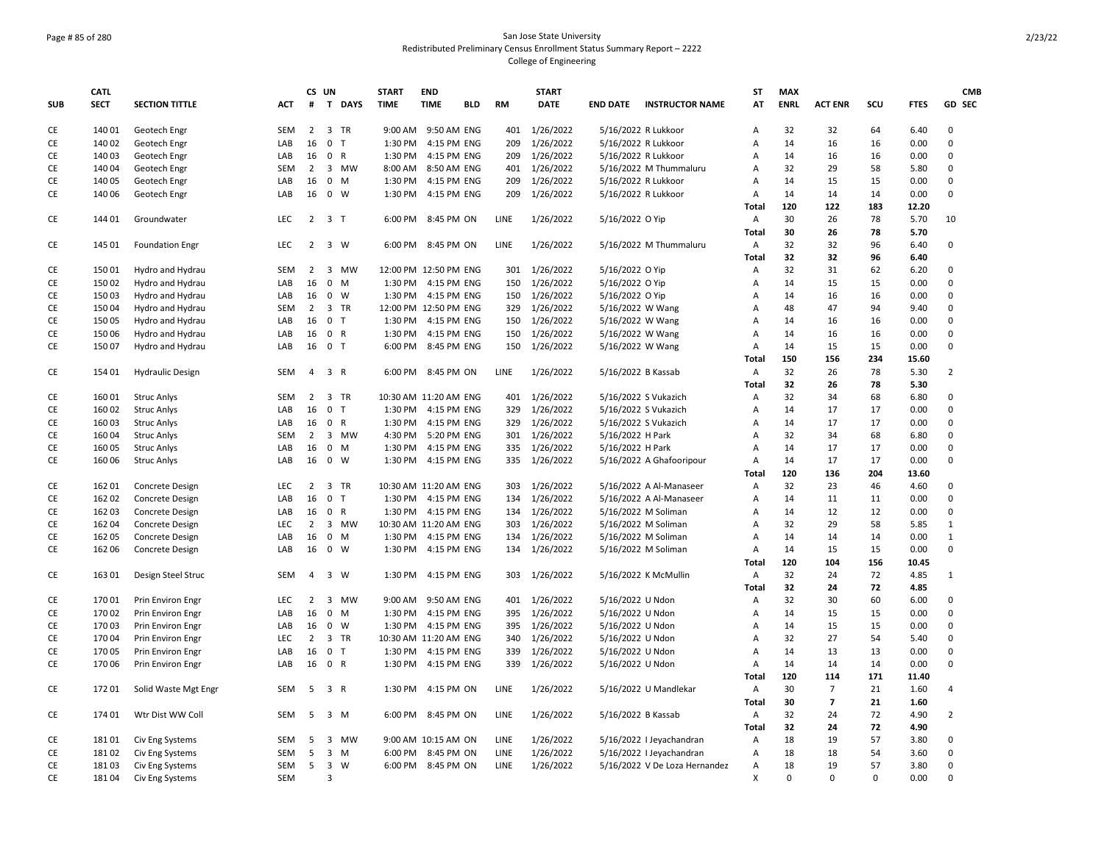## Page # 85 of 280 San Jose State University Redistributed Preliminary Census Enrollment Status Summary Report – 2222 College of Engineering

|            | <b>CATL</b> |                         |            |                      | CS UN             | <b>START</b>          | <b>END</b>          |            |             | <b>START</b>           |                     |                               | <b>ST</b>    | <b>MAX</b>  |                |          |             | <b>CMB</b>     |
|------------|-------------|-------------------------|------------|----------------------|-------------------|-----------------------|---------------------|------------|-------------|------------------------|---------------------|-------------------------------|--------------|-------------|----------------|----------|-------------|----------------|
| <b>SUB</b> | <b>SECT</b> | <b>SECTION TITTLE</b>   | ACT        | #                    | T DAYS            | <b>TIME</b>           | <b>TIME</b>         | <b>BLD</b> | <b>RM</b>   | <b>DATE</b>            | <b>END DATE</b>     | <b>INSTRUCTOR NAME</b>        | AT           | <b>ENRL</b> | <b>ACT ENR</b> | SCU      | <b>FTES</b> | GD SEC         |
| CE         | 140 01      | Geotech Engr            | <b>SEM</b> | $\overline{2}$       | 3 TR              | 9:00 AM               | 9:50 AM ENG         |            | 401         | 1/26/2022              | 5/16/2022 R Lukkoor |                               | Α            | 32          | 32             | 64       | 6.40        | 0              |
| CE         | 140 02      | Geotech Engr            | LAB        | 16                   | 0 <sub>T</sub>    | 1:30 PM               | 4:15 PM ENG         |            | 209         | 1/26/2022              | 5/16/2022 R Lukkoor |                               | A            | 14          | 16             | 16       | 0.00        | 0              |
| CE         | 140 03      | Geotech Engr            | LAB        | 16                   | 0 R               | 1:30 PM               | 4:15 PM ENG         |            | 209         | 1/26/2022              | 5/16/2022 R Lukkoor |                               | A            | 14          | 16             | 16       | 0.00        | $\mathsf 0$    |
| CE         | 14004       | Geotech Engr            | <b>SEM</b> | 2                    | 3 MW              | 8:00 AM               | 8:50 AM ENG         |            | 401         | 1/26/2022              |                     | 5/16/2022 M Thummaluru        | Α            | 32          | 29             | 58       | 5.80        | 0              |
| CE         | 140 05      | Geotech Engr            | LAB        | 16                   | $0$ M             | 1:30 PM               | 4:15 PM ENG         |            | 209         | 1/26/2022              | 5/16/2022 R Lukkoor |                               | A            | 14          | 15             | 15       | 0.00        | $\mathbf 0$    |
| CE         | 140 06      | Geotech Engr            | LAB        | 16                   | $0 \quad W$       | 1:30 PM               | 4:15 PM ENG         |            | 209         | 1/26/2022              | 5/16/2022 R Lukkoor |                               | Α            | 14          | 14             | 14       | 0.00        | $\mathbf 0$    |
|            |             |                         |            |                      |                   |                       |                     |            |             |                        |                     |                               | Total        | 120         | 122            | 183      | 12.20       |                |
| CE         | 144 01      | Groundwater             | <b>LEC</b> | $2^{\circ}$          | 3 <sub>7</sub>    | 6:00 PM               | 8:45 PM ON          |            | LINE        | 1/26/2022              | 5/16/2022 O Yip     |                               | Α            | 30          | 26             | 78       | 5.70        | 10             |
|            |             |                         |            |                      |                   |                       |                     |            |             |                        |                     |                               | <b>Total</b> | 30          | 26             | 78       | 5.70        |                |
| CE         | 145 01      | <b>Foundation Engr</b>  | LEC        | $\overline{2}$       | 3 W               |                       | 6:00 PM 8:45 PM ON  |            | LINE        | 1/26/2022              |                     | 5/16/2022 M Thummaluru        | A            | 32          | 32             | 96       | 6.40        | 0              |
|            |             |                         |            |                      |                   |                       |                     |            |             |                        |                     |                               | Total        | 32          | 32             | 96       | 6.40        |                |
| CE         | 15001       | Hydro and Hydrau        | <b>SEM</b> | $\overline{2}$       | 3 MW              | 12:00 PM 12:50 PM ENG |                     |            | 301         | 1/26/2022              | 5/16/2022 O Yip     |                               | Α            | 32          | 31             | 62       | 6.20        | 0              |
| CE         | 15002       | Hydro and Hydrau        | LAB        | 16                   | 0 M               | 1:30 PM               | 4:15 PM ENG         |            | 150         | 1/26/2022              | 5/16/2022 O Yip     |                               | A            | 14          | 15             | 15       | 0.00        | $\mathsf 0$    |
|            |             |                         |            |                      | $0 \quad W$       |                       | 4:15 PM ENG         |            |             |                        |                     |                               |              | 14          | 16             |          |             | 0              |
| CE         | 15003       | Hydro and Hydrau        | LAB        | 16<br>$\overline{2}$ | 3 TR              | 1:30 PM               |                     |            | 150         | 1/26/2022<br>1/26/2022 | 5/16/2022 O Yip     |                               | A<br>A       | 48          | 47             | 16<br>94 | 0.00        | $\mathbf 0$    |
| CE         | 15004       | Hydro and Hydrau        | <b>SEM</b> |                      |                   | 12:00 PM 12:50 PM ENG |                     |            | 329         |                        | 5/16/2022 W Wang    |                               |              |             |                |          | 9.40        | $\mathsf 0$    |
| CE         | 15005       | Hydro and Hydrau        | LAB        | 16                   | 0 <sub>T</sub>    | 1:30 PM               | 4:15 PM ENG         |            | 150         | 1/26/2022              | 5/16/2022 W Wang    |                               | Α            | 14          | 16             | 16       | 0.00        |                |
| CE         | 15006       | Hydro and Hydrau        | LAB        | 16                   | 0 R               | 1:30 PM               | 4:15 PM ENG         |            | 150         | 1/26/2022              | 5/16/2022 W Wang    |                               | Α            | 14          | 16             | 16       | 0.00        | 0              |
| CE         | 15007       | Hydro and Hydrau        | LAB        | 16                   | 0 <sub>T</sub>    | 6:00 PM               | 8:45 PM ENG         |            | 150         | 1/26/2022              | 5/16/2022 W Wang    |                               | Α            | 14          | 15             | 15       | 0.00        | $\mathbf 0$    |
|            |             |                         |            |                      |                   |                       |                     |            |             |                        |                     |                               | Total        | 150         | 156            | 234      | 15.60       |                |
| CE         | 154 01      | <b>Hydraulic Design</b> | <b>SEM</b> | 4                    | 3 R               | 6:00 PM               | 8:45 PM ON          |            | LINE        | 1/26/2022              | 5/16/2022 B Kassab  |                               | A            | 32          | 26             | 78       | 5.30        | $\overline{2}$ |
|            |             |                         |            |                      |                   |                       |                     |            |             |                        |                     |                               | <b>Total</b> | 32          | 26             | 78       | 5.30        |                |
| CE         | 16001       | <b>Struc Anlys</b>      | <b>SEM</b> | $\overline{2}$       | 3 TR              | 10:30 AM 11:20 AM ENG |                     |            | 401         | 1/26/2022              |                     | 5/16/2022 S Vukazich          | Α            | 32          | 34             | 68       | 6.80        | $\mathbf 0$    |
| CE         | 160 02      | <b>Struc Anlys</b>      | LAB        | 16                   | $\mathsf{O}$<br>T | 1:30 PM               | 4:15 PM ENG         |            | 329         | 1/26/2022              |                     | 5/16/2022 S Vukazich          | Α            | 14          | 17             | 17       | 0.00        | $\mathsf 0$    |
| CE         | 16003       | <b>Struc Anlys</b>      | LAB        | 16                   | 0 R               | 1:30 PM               | 4:15 PM ENG         |            | 329         | 1/26/2022              |                     | 5/16/2022 S Vukazich          | Α            | 14          | 17             | 17       | 0.00        | $\mathbf 0$    |
| CE         | 16004       | <b>Struc Anlys</b>      | <b>SEM</b> | $\overline{2}$       | 3 MW              | 4:30 PM               | 5:20 PM ENG         |            | 301         | 1/26/2022              | 5/16/2022 H Park    |                               | A            | 32          | 34             | 68       | 6.80        | $\mathbf 0$    |
| CE         | 160 05      | <b>Struc Anlys</b>      | LAB        | 16                   | 0 M               | 1:30 PM               | 4:15 PM ENG         |            | 335         | 1/26/2022              | 5/16/2022 H Park    |                               | A            | 14          | 17             | 17       | 0.00        | $\mathbf 0$    |
| CE         | 160 06      | <b>Struc Anlys</b>      | LAB        | 16                   | $0 \quad W$       | 1:30 PM               | 4:15 PM ENG         |            | 335         | 1/26/2022              |                     | 5/16/2022 A Ghafooripour      | A            | 14          | 17             | 17       | 0.00        | $\mathbf 0$    |
|            |             |                         |            |                      |                   |                       |                     |            |             |                        |                     |                               | Total        | 120         | 136            | 204      | 13.60       |                |
| CE         | 162 01      | Concrete Design         | LEC        | $\overline{2}$       | 3 TR              | 10:30 AM 11:20 AM ENG |                     |            | 303         | 1/26/2022              |                     | 5/16/2022 A Al-Manaseer       | Α            | 32          | 23             | 46       | 4.60        | $\mathbf 0$    |
| CE         | 162 02      | Concrete Design         | LAB        | 16                   | 0 <sub>T</sub>    | 1:30 PM               | 4:15 PM ENG         |            | 134         | 1/26/2022              |                     | 5/16/2022 A Al-Manaseer       | Α            | 14          | 11             | 11       | 0.00        | 0              |
| CE         | 162 03      | Concrete Design         | LAB        | 16                   | 0 R               | 1:30 PM               | 4:15 PM ENG         |            | 134         | 1/26/2022              |                     | 5/16/2022 M Soliman           | A            | 14          | 12             | 12       | 0.00        | 0              |
| CE         | 162 04      | <b>Concrete Design</b>  | LEC        | $\overline{2}$       | 3 MW              | 10:30 AM 11:20 AM ENG |                     |            | 303         | 1/26/2022              |                     | 5/16/2022 M Soliman           | Α            | 32          | 29             | 58       | 5.85        | $\mathbf 1$    |
| CE         | 162 05      | Concrete Design         | LAB        | 16                   | $0$ M             |                       | 1:30 PM 4:15 PM ENG |            | 134         | 1/26/2022              |                     | 5/16/2022 M Soliman           | Α            | 14          | 14             | 14       | 0.00        | $\mathbf{1}$   |
| CE         | 162 06      | Concrete Design         | LAB        | 16                   | $0 \quad W$       | 1:30 PM               | 4:15 PM ENG         |            | 134         | 1/26/2022              |                     | 5/16/2022 M Soliman           | Α            | 14          | 15             | 15       | 0.00        | 0              |
|            |             |                         |            |                      |                   |                       |                     |            |             |                        |                     |                               | Total        | 120         | 104            | 156      | 10.45       |                |
| CE         | 163 01      | Design Steel Struc      | SEM        | $\overline{4}$       | 3 W               | 1:30 PM               | 4:15 PM ENG         |            | 303         | 1/26/2022              |                     | 5/16/2022 K McMullin          | Α            | 32          | 24             | 72       | 4.85        | $\mathbf{1}$   |
|            |             |                         |            |                      |                   |                       |                     |            |             |                        |                     |                               | <b>Total</b> | 32          | 24             | 72       | 4.85        |                |
| CE         | 17001       | Prin Environ Engr       | <b>LEC</b> | 2                    | 3 MW              | 9:00 AM               | 9:50 AM ENG         |            | 401         | 1/26/2022              | 5/16/2022 U Ndon    |                               | Α            | 32          | 30             | 60       | 6.00        | 0              |
| CE         | 17002       | Prin Environ Engr       | LAB        | 16                   | 0 M               | 1:30 PM               | 4:15 PM ENG         |            | 395         | 1/26/2022              | 5/16/2022 U Ndon    |                               | A            | 14          | 15             | 15       | 0.00        | $\mathbf 0$    |
| CE         | 17003       | Prin Environ Engr       | LAB        | 16                   | 0 W               | 1:30 PM               | 4:15 PM ENG         |            | 395         | 1/26/2022              | 5/16/2022 U Ndon    |                               | Α            | 14          | 15             | 15       | 0.00        | $\mathbf 0$    |
| CE         | 17004       | Prin Environ Engr       | LEC        | $\overline{2}$       | 3 TR              | 10:30 AM 11:20 AM ENG |                     |            | 340         | 1/26/2022              | 5/16/2022 U Ndon    |                               | Α            | 32          | 27             | 54       | 5.40        | $\mathsf 0$    |
| CE         | 17005       | Prin Environ Engr       | LAB        | 16                   | 0 <sub>T</sub>    | 1:30 PM               | 4:15 PM ENG         |            | 339         | 1/26/2022              | 5/16/2022 U Ndon    |                               | A            | 14          | 13             | 13       | 0.00        | $\mathsf 0$    |
| CE         | 17006       | Prin Environ Engr       | LAB        | 16                   | 0 R               | 1:30 PM               | 4:15 PM ENG         |            | 339         | 1/26/2022              | 5/16/2022 U Ndon    |                               | Α            | 14          | 14             | 14       | 0.00        | 0              |
|            |             |                         |            |                      |                   |                       |                     |            |             |                        |                     |                               | Total        | 120         | 114            | 171      | 11.40       |                |
| CE         | 17201       | Solid Waste Mgt Engr    | SEM        | 5                    | 3 R               | 1:30 PM               | 4:15 PM ON          |            | LINE        | 1/26/2022              |                     | 5/16/2022 U Mandlekar         | Α            | 30          | $\overline{7}$ | 21       | 1.60        | 4              |
|            |             |                         |            |                      |                   |                       |                     |            |             |                        |                     |                               | <b>Total</b> | 30          | $\overline{7}$ | 21       | 1.60        |                |
| CE         | 174 01      | Wtr Dist WW Coll        | <b>SEM</b> | -5                   | 3 M               |                       | 6:00 PM 8:45 PM ON  |            | LINE        | 1/26/2022              | 5/16/2022 B Kassab  |                               | Α            | 32          | 24             | 72       | 4.90        | $\overline{2}$ |
|            |             |                         |            |                      |                   |                       |                     |            |             |                        |                     |                               | <b>Total</b> | 32          | 24             | 72       | 4.90        |                |
| СE         | 18101       | Civ Eng Systems         | <b>SEM</b> | 5                    | 3 MW              |                       | 9:00 AM 10:15 AM ON |            | LINE        | 1/26/2022              |                     | 5/16/2022   Jeyachandran      | А            | 18          | 19             | 57       | 3.80        | 0              |
| CE         | 18102       | Civ Eng Systems         | <b>SEM</b> | 5                    | $3 \, M$          | 6:00 PM               | 8:45 PM ON          |            | <b>LINE</b> | 1/26/2022              |                     | 5/16/2022   Jeyachandran      | Α            | 18          | 18             | 54       | 3.60        | 0              |
| CE         | 18103       | Civ Eng Systems         | SEM        | 5                    | 3 W               |                       | 6:00 PM 8:45 PM ON  |            | <b>LINE</b> | 1/26/2022              |                     | 5/16/2022 V De Loza Hernandez | А            | 18          | 19             | 57       | 3.80        | 0              |
| CE         | 18104       | Civ Eng Systems         | <b>SEM</b> |                      | 3                 |                       |                     |            |             |                        |                     |                               | X            | $\mathbf 0$ | $\mathbf 0$    | 0        | 0.00        | $\mathbf 0$    |
|            |             |                         |            |                      |                   |                       |                     |            |             |                        |                     |                               |              |             |                |          |             |                |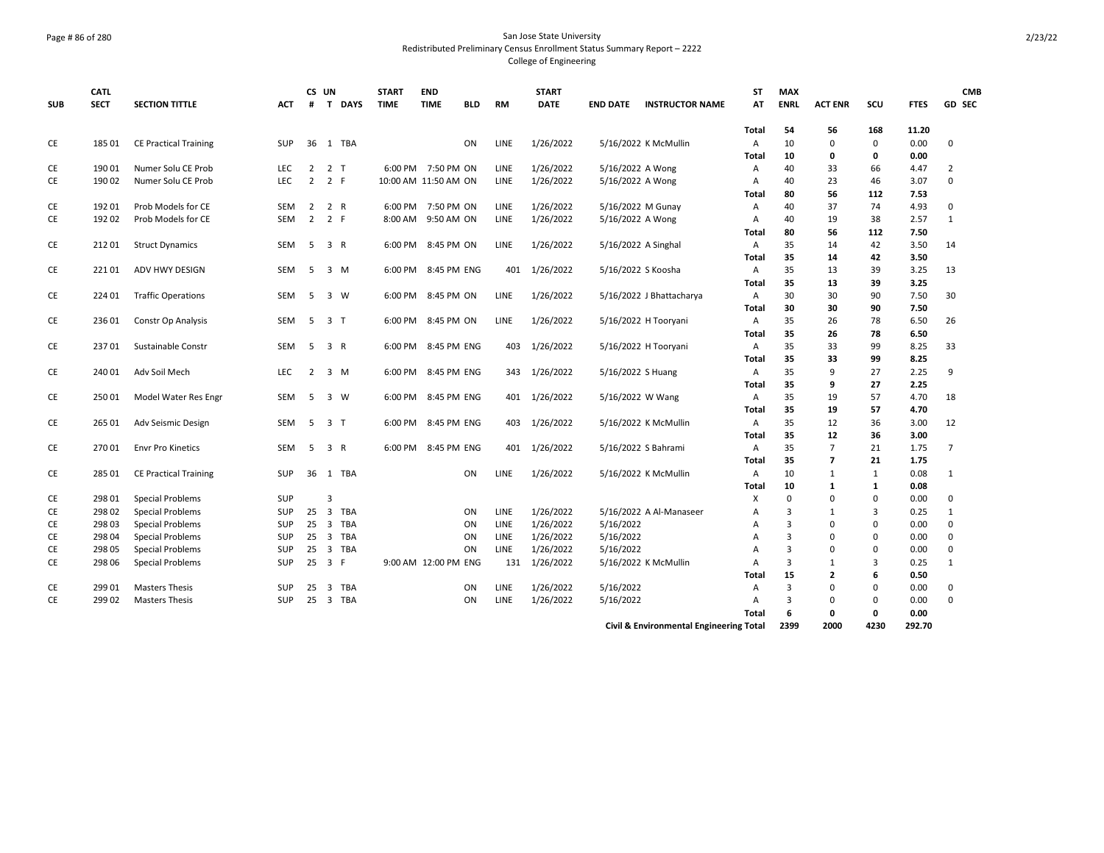## Page # 86 of 280 San Jose State University Redistributed Preliminary Census Enrollment Status Summary Report – 2222 College of Engineering

| <b>SUB</b> | <b>CATL</b><br><b>SECT</b> | <b>SECTION TITTLE</b>        | <b>ACT</b> | #              | CS UN                   | T DAYS     | <b>START</b><br><b>TIME</b> | <b>END</b><br><b>TIME</b> | <b>BLD</b> | <b>RM</b>   | <b>START</b><br><b>DATE</b> | <b>END DATE</b>   | <b>INSTRUCTOR NAME</b>                  | ST<br>AT     | <b>MAX</b><br><b>ENRL</b> | <b>ACT ENR</b> | SCU         | <b>FTES</b>  | <b>CMB</b><br>GD SEC |
|------------|----------------------------|------------------------------|------------|----------------|-------------------------|------------|-----------------------------|---------------------------|------------|-------------|-----------------------------|-------------------|-----------------------------------------|--------------|---------------------------|----------------|-------------|--------------|----------------------|
|            |                            |                              |            |                |                         |            |                             |                           |            |             |                             |                   |                                         | <b>Total</b> | 54                        | 56             | 168         | 11.20        |                      |
| CE         | 185 01                     | <b>CE Practical Training</b> | SUP        |                |                         | 36 1 TBA   |                             |                           | ON         | LINE        | 1/26/2022                   |                   | 5/16/2022 K McMullin                    | A            | 10                        | 0              | $\mathbf 0$ | 0.00         | 0                    |
|            |                            |                              |            |                |                         |            |                             |                           |            |             |                             |                   |                                         | Total        | 10                        | 0              | 0           | 0.00         |                      |
| CE         | 19001                      | Numer Solu CE Prob           | <b>LEC</b> | $\overline{2}$ | 2 <sub>T</sub>          |            |                             | 6:00 PM 7:50 PM ON        |            | LINE        | 1/26/2022                   | 5/16/2022 A Wong  |                                         | A            | 40                        | 33             | 66          | 4.47         | $\overline{2}$       |
| CE         | 190 02                     | Numer Solu CE Prob           | <b>LEC</b> | 2              | 2 F                     |            | 10:00 AM 11:50 AM ON        |                           |            | LINE        | 1/26/2022                   | 5/16/2022 A Wong  |                                         | A            | 40<br>80                  | 23<br>56       | 46<br>112   | 3.07<br>7.53 | $\mathbf 0$          |
| CE         | 19201                      | Prob Models for CE           | <b>SEM</b> | 2              |                         | 2 R        |                             | 6:00 PM 7:50 PM ON        |            | <b>LINE</b> | 1/26/2022                   | 5/16/2022 M Gunay |                                         | Total<br>A   | 40                        | 37             | 74          | 4.93         | $\mathbf 0$          |
| CE         | 192 02                     | Prob Models for CE           | <b>SEM</b> | 2              | 2 F                     |            | 8:00 AM                     | 9:50 AM ON                |            | LINE        | 1/26/2022                   | 5/16/2022 A Wong  |                                         | A            | 40                        | 19             | 38          | 2.57         | 1                    |
|            |                            |                              |            |                |                         |            |                             |                           |            |             |                             |                   |                                         | Total        | 80                        | 56             | 112         | 7.50         |                      |
| CE         | 21201                      | <b>Struct Dynamics</b>       | <b>SEM</b> | 5              |                         | 3 R        |                             | 6:00 PM 8:45 PM ON        |            | <b>LINE</b> | 1/26/2022                   |                   | 5/16/2022 A Singhal                     | A            | 35                        | 14             | 42          | 3.50         | 14                   |
|            |                            |                              |            |                |                         |            |                             |                           |            |             |                             |                   |                                         | Total        | 35                        | 14             | 42          | 3.50         |                      |
| CE         | 22101                      | ADV HWY DESIGN               | SEM        | 5              |                         | 3 M        | 6:00 PM                     | 8:45 PM ENG               |            | 401         | 1/26/2022                   |                   | 5/16/2022 S Koosha                      | Α            | 35                        | 13             | 39          | 3.25         | 13                   |
|            |                            |                              |            |                |                         |            |                             |                           |            |             |                             |                   |                                         | Total        | 35                        | 13             | 39          | 3.25         |                      |
| CE         | 224 01                     | <b>Traffic Operations</b>    | SEM        | 5              |                         | 3 W        |                             | 6:00 PM 8:45 PM ON        |            | LINE        | 1/26/2022                   |                   | 5/16/2022 J Bhattacharya                | A            | 30                        | 30             | 90          | 7.50         | 30                   |
|            |                            |                              |            |                |                         |            |                             |                           |            |             |                             |                   |                                         | Total        | 30                        | 30             | 90          | 7.50         |                      |
| CE         | 23601                      | Constr Op Analysis           | SEM        | -5             | 3 T                     |            | 6:00 PM                     | 8:45 PM ON                |            | LINE        | 1/26/2022                   |                   | 5/16/2022 H Tooryani                    | A            | 35                        | 26             | 78          | 6.50         | 26                   |
|            |                            |                              |            |                |                         |            |                             |                           |            |             |                             |                   |                                         | Total        | 35                        | 26             | 78          | 6.50         |                      |
| CE         | 23701                      | Sustainable Constr           | <b>SEM</b> | 5              |                         | 3 R        | 6:00 PM                     | 8:45 PM ENG               |            | 403         | 1/26/2022                   |                   | 5/16/2022 H Tooryani                    | A            | 35                        | 33             | 99          | 8.25         | 33                   |
|            |                            |                              |            |                |                         |            |                             |                           |            |             |                             |                   |                                         | Total        | 35                        | 33             | 99          | 8.25         |                      |
| CE         | 240 01                     | Adv Soil Mech                | LEC        | 2              |                         | 3 M        |                             | 6:00 PM 8:45 PM ENG       |            | 343         | 1/26/2022                   | 5/16/2022 S Huang |                                         | Α            | 35                        | 9              | 27          | 2.25         | 9                    |
|            |                            |                              |            |                |                         |            |                             |                           |            |             |                             |                   |                                         | Total        | 35                        | 9              | 27          | 2.25         |                      |
| CE         | 25001                      | Model Water Res Engr         | <b>SEM</b> | -5             |                         | 3 W        |                             | 6:00 PM 8:45 PM ENG       |            | 401         | 1/26/2022                   | 5/16/2022 W Wang  |                                         | Α            | 35                        | 19             | 57          | 4.70         | 18                   |
|            |                            |                              |            |                |                         |            |                             |                           |            |             |                             |                   |                                         | <b>Total</b> | 35                        | 19             | 57          | 4.70         |                      |
| CE         | 265 01                     | Adv Seismic Design           | <b>SEM</b> | 5              | 3 T                     |            | 6:00 PM                     | 8:45 PM ENG               |            | 403         | 1/26/2022                   |                   | 5/16/2022 K McMullin                    | Α            | 35                        | 12             | 36          | 3.00         | 12                   |
|            |                            |                              |            |                |                         |            |                             |                           |            |             |                             |                   |                                         | Total        | 35                        | 12             | 36          | 3.00         |                      |
| CE         | 27001                      | <b>Envr Pro Kinetics</b>     | SEM        | 5              |                         | 3 R        | 6:00 PM                     | 8:45 PM ENG               |            | 401         | 1/26/2022                   |                   | 5/16/2022 S Bahrami                     | Α            | 35                        | $\overline{7}$ | 21          | 1.75         | $\overline{7}$       |
|            |                            |                              |            |                |                         |            |                             |                           |            |             |                             |                   |                                         | <b>Total</b> | 35                        | $\overline{7}$ | 21          | 1.75         |                      |
| CE         | 285 01                     | <b>CE Practical Training</b> | SUP        |                |                         | 36 1 TBA   |                             |                           | ON         | LINE        | 1/26/2022                   |                   | 5/16/2022 K McMullin                    | Α            | 10                        | $\mathbf{1}$   | 1           | 0.08         | 1                    |
|            |                            |                              |            |                |                         |            |                             |                           |            |             |                             |                   |                                         | Total        | 10                        | 1              | 1           | 0.08         |                      |
| CE         | 298 01                     | Special Problems             | <b>SUP</b> |                | 3                       |            |                             |                           |            |             |                             |                   |                                         | X            | $\Omega$                  | 0              | $\Omega$    | 0.00         | $\mathbf 0$          |
| CE         | 298 02                     | Special Problems             | SUP        | 25             | $\overline{\mathbf{3}}$ | <b>TBA</b> |                             |                           | ON         | LINE        | 1/26/2022                   |                   | 5/16/2022 A Al-Manaseer                 | Α            | 3                         | $\mathbf{1}$   | 3           | 0.25         | $\mathbf{1}$         |
| CE         | 298 03                     | Special Problems             | <b>SUP</b> |                | $25 \quad 3$            | TBA        |                             |                           | ON         | LINE        | 1/26/2022                   | 5/16/2022         |                                         | Α            | 3                         | 0              | 0           | 0.00         | 0                    |
| CE         | 298 04                     | Special Problems             | SUP        | 25             | $\overline{\mathbf{3}}$ | <b>TBA</b> |                             |                           | ON         | LINE        | 1/26/2022                   | 5/16/2022         |                                         | A            | 3                         | $\Omega$       | 0           | 0.00         | $\mathbf 0$          |
| CE         | 298 05                     | Special Problems             | SUP        | 25             | 3                       | TBA        |                             |                           | ON         | LINE        | 1/26/2022                   | 5/16/2022         |                                         | A            | 3                         | 0              | $\Omega$    | 0.00         | 0                    |
| CE         | 298 06                     | Special Problems             | SUP        |                | 25 3 F                  |            |                             | 9:00 AM 12:00 PM ENG      |            | 131         | 1/26/2022                   |                   | 5/16/2022 K McMullin                    | Α            | 3                         | $\mathbf{1}$   | 3           | 0.25         | 1                    |
|            |                            |                              |            |                |                         |            |                             |                           |            |             |                             |                   |                                         | Total        | 15                        | 2              | 6           | 0.50         |                      |
| CE         | 299 01                     | <b>Masters Thesis</b>        | <b>SUP</b> | 25             | 3                       | TBA        |                             |                           | ON         | LINE        | 1/26/2022                   | 5/16/2022         |                                         | A            | 3                         | 0              | 0           | 0.00         | 0                    |
| CE         | 299 02                     | <b>Masters Thesis</b>        | <b>SUP</b> | 25             | $\overline{\mathbf{3}}$ | <b>TBA</b> |                             |                           | ON         | LINE        | 1/26/2022                   | 5/16/2022         |                                         | A            | 3                         | 0              | 0           | 0.00         | $\mathbf 0$          |
|            |                            |                              |            |                |                         |            |                             |                           |            |             |                             |                   |                                         | Total        | 6<br>2399                 | 0<br>2000      | 0<br>4230   | 0.00         |                      |
|            |                            |                              |            |                |                         |            |                             |                           |            |             |                             |                   | Civil & Environmental Engineering Total |              |                           |                |             | 292.70       |                      |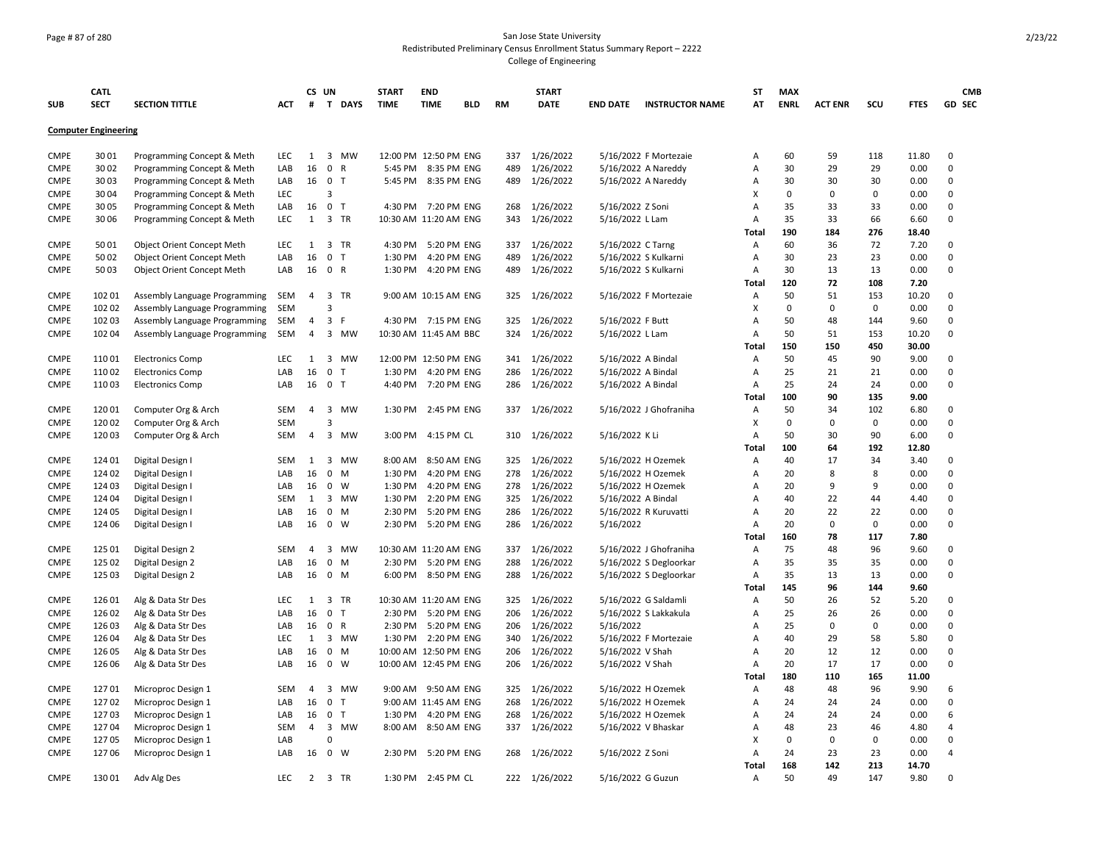## Page # 87 of 280 San Jose State University Redistributed Preliminary Census Enrollment Status Summary Report – 2222 College of Engineering

|             | <b>CATL</b>                 |                                   |            | CS UN          |                |        | <b>START</b> | <b>END</b>            |            |           | <b>START</b>  |                      |                        | <b>ST</b>      | <b>MAX</b>  |                |             |                | <b>CMB</b>     |
|-------------|-----------------------------|-----------------------------------|------------|----------------|----------------|--------|--------------|-----------------------|------------|-----------|---------------|----------------------|------------------------|----------------|-------------|----------------|-------------|----------------|----------------|
| <b>SUB</b>  | <b>SECT</b>                 | <b>SECTION TITTLE</b>             | ACT        | #              |                | T DAYS | <b>TIME</b>  | <b>TIME</b>           | <b>BLD</b> | <b>RM</b> | <b>DATE</b>   | <b>END DATE</b>      | <b>INSTRUCTOR NAME</b> | AT             | <b>ENRL</b> | <b>ACT ENR</b> | SCU         | <b>FTES</b>    | GD SEC         |
|             | <b>Computer Engineering</b> |                                   |            |                |                |        |              |                       |            |           |               |                      |                        |                |             |                |             |                |                |
| <b>CMPE</b> | 3001                        | Programming Concept & Meth        | <b>LEC</b> | 1              |                | 3 MW   |              | 12:00 PM 12:50 PM ENG |            | 337       | 1/26/2022     |                      | 5/16/2022 F Mortezaie  | Α              | 60          | 59             | 118         | 11.80          | $\mathbf 0$    |
| <b>CMPE</b> | 30 02                       | Programming Concept & Meth        | LAB        | 16             | 0 R            |        | 5:45 PM      | 8:35 PM ENG           |            | 489       | 1/26/2022     |                      | 5/16/2022 A Nareddy    | Α              | 30          | 29             | 29          | 0.00           | 0              |
| <b>CMPE</b> | 3003                        | Programming Concept & Meth        | LAB        |                | 16 0 T         |        | 5:45 PM      | 8:35 PM ENG           |            | 489       | 1/26/2022     |                      | 5/16/2022 A Nareddy    | Α              | 30          | 30             | 30          | 0.00           | 0              |
| <b>CMPE</b> | 3004                        | Programming Concept & Meth        | LEC        |                | 3              |        |              |                       |            |           |               |                      |                        | X              | $\Omega$    | 0              | 0           | 0.00           | 0              |
| <b>CMPE</b> | 30 05                       | Programming Concept & Meth        | LAB        | 16             | 0 <sub>T</sub> |        |              | 4:30 PM 7:20 PM ENG   |            | 268       | 1/26/2022     | 5/16/2022 Z Soni     |                        | Α              | 35          | 33             | 33          | 0.00           | $\Omega$       |
| CMPE        | 30 06                       | Programming Concept & Meth        | <b>LEC</b> | $\mathbf{1}$   | 3 TR           |        |              | 10:30 AM 11:20 AM ENG |            | 343       | 1/26/2022     | 5/16/2022 L Lam      |                        | A              | 35          | 33             | 66          | 6.60           | 0              |
|             |                             |                                   |            |                |                |        |              |                       |            |           |               |                      |                        | Total          | 190         | 184            | 276         | 18.40          |                |
| <b>CMPE</b> | 5001                        | Object Orient Concept Meth        | <b>LEC</b> | 1              | 3 TR           |        | 4:30 PM      | 5:20 PM ENG           |            | 337       | 1/26/2022     | 5/16/2022 C Tarng    |                        | Α              | 60          | 36             | 72          | 7.20           | 0              |
| CMPE        | 5002                        | <b>Object Orient Concept Meth</b> | LAB        | 16             | 0 <sub>T</sub> |        | 1:30 PM      | 4:20 PM ENG           |            | 489       | 1/26/2022     | 5/16/2022 S Kulkarni |                        | Α              | 30          | 23             | 23          | 0.00           | $\Omega$       |
| <b>CMPE</b> | 5003                        | <b>Object Orient Concept Meth</b> | LAB        | 16             | 0 R            |        | 1:30 PM      | 4:20 PM ENG           |            | 489       | 1/26/2022     | 5/16/2022 S Kulkarni |                        | A              | 30          | 13             | 13          | 0.00           | $\mathbf 0$    |
|             |                             |                                   |            |                |                |        |              |                       |            |           |               |                      |                        | Total          | 120         | 72             | 108         | 7.20           |                |
| <b>CMPE</b> | 102 01                      | Assembly Language Programming     | SEM        | $\overline{4}$ | 3 TR           |        |              | 9:00 AM 10:15 AM ENG  |            | 325       | 1/26/2022     |                      | 5/16/2022 F Mortezaie  | Α              | 50          | 51             | 153         | 10.20          | 0              |
| <b>CMPE</b> | 102 02                      | Assembly Language Programming     | <b>SEM</b> |                | 3              |        |              |                       |            |           |               |                      |                        | X              | 0           | 0              | $\mathbf 0$ | 0.00           | $\mathsf 0$    |
| CMPE        | 102 03                      | Assembly Language Programming     | <b>SEM</b> | 4              | 3 F            |        |              | 4:30 PM 7:15 PM ENG   |            | 325       | 1/26/2022     | 5/16/2022 F Butt     |                        | Α              | 50          | 48             | 144         | 9.60           | $\Omega$       |
|             |                             |                                   |            | 4              |                |        |              |                       |            | 324       |               |                      |                        |                | 50          |                |             |                | 0              |
| <b>CMPE</b> | 102 04                      | Assembly Language Programming     | <b>SEM</b> |                | $\overline{3}$ | MW     |              | 10:30 AM 11:45 AM BBC |            |           | 1/26/2022     | 5/16/2022 L Lam      |                        | Α              | 150         | 51<br>150      | 153<br>450  | 10.20<br>30.00 |                |
|             |                             |                                   |            |                |                | 3 MW   |              |                       |            |           |               |                      |                        | Total          | 50          | 45             | 90          |                |                |
| <b>CMPE</b> | 11001                       | <b>Electronics Comp</b>           | <b>LEC</b> | 1              |                |        |              | 12:00 PM 12:50 PM ENG |            | 341       | 1/26/2022     | 5/16/2022 A Bindal   |                        | Α              |             |                |             | 9.00           | 0              |
| CMPE        | 11002                       | <b>Electronics Comp</b>           | LAB        | 16             | 0 <sub>T</sub> |        | 1:30 PM      | 4:20 PM ENG           |            | 286       | 1/26/2022     | 5/16/2022 A Bindal   |                        | Α              | 25          | 21             | 21          | 0.00           | $\mathbf 0$    |
| <b>CMPE</b> | 11003                       | <b>Electronics Comp</b>           | LAB        | 16             | 0 <sub>T</sub> |        | 4:40 PM      | 7:20 PM ENG           |            | 286       | 1/26/2022     | 5/16/2022 A Bindal   |                        | A              | 25          | 24             | 24          | 0.00           | $\Omega$       |
|             |                             |                                   |            |                |                |        |              |                       |            |           |               |                      |                        | Total          | 100         | 90             | 135         | 9.00           |                |
| <b>CMPE</b> | 12001                       | Computer Org & Arch               | <b>SEM</b> | $\overline{4}$ | 3              | MW     | 1:30 PM      | 2:45 PM ENG           |            | 337       | 1/26/2022     |                      | 5/16/2022 J Ghofraniha | Α              | 50          | 34             | 102         | 6.80           | $\Omega$       |
| <b>CMPE</b> | 120 02                      | Computer Org & Arch               | <b>SEM</b> |                | 3              |        |              |                       |            |           |               |                      |                        | X              | 0           | 0              | $\mathbf 0$ | 0.00           | $\mathsf 0$    |
| <b>CMPE</b> | 12003                       | Computer Org & Arch               | <b>SEM</b> | 4              | 3              | MW     | 3:00 PM      | 4:15 PM CL            |            | 310       | 1/26/2022     | 5/16/2022 K Li       |                        | $\overline{A}$ | 50          | 30             | 90          | 6.00           | 0              |
|             |                             |                                   |            |                |                |        |              |                       |            |           |               |                      |                        | Total          | 100         | 64             | 192         | 12.80          |                |
| <b>CMPE</b> | 124 01                      | Digital Design I                  | <b>SEM</b> | 1              |                | 3 MW   | 8:00 AM      | 8:50 AM ENG           |            | 325       | 1/26/2022     |                      | 5/16/2022 H Ozemek     | Α              | 40          | 17             | 34          | 3.40           | 0              |
| <b>CMPE</b> | 124 02                      | Digital Design I                  | LAB        | 16             | $0 \quad M$    |        | 1:30 PM      | 4:20 PM ENG           |            | 278       | 1/26/2022     |                      | 5/16/2022 H Ozemek     | Α              | 20          | 8              | 8           | 0.00           | 0              |
| <b>CMPE</b> | 124 03                      | Digital Design I                  | LAB        | 16             | $0 \quad W$    |        | 1:30 PM      | 4:20 PM ENG           |            | 278       | 1/26/2022     |                      | 5/16/2022 H Ozemek     | Α              | 20          | 9              | 9           | 0.00           | 0              |
| CMPE        | 124 04                      | Digital Design I                  | SEM        | 1              |                | 3 MW   | 1:30 PM      | 2:20 PM ENG           |            | 325       | 1/26/2022     | 5/16/2022 A Bindal   |                        | Α              | 40          | 22             | 44          | 4.40           | 0              |
| CMPE        | 124 05                      | Digital Design I                  | LAB        | 16             | $\mathbf 0$    | M      | 2:30 PM      | 5:20 PM ENG           |            | 286       | 1/26/2022     |                      | 5/16/2022 R Kuruvatti  | Α              | 20          | 22             | 22          | 0.00           | 0              |
| <b>CMPE</b> | 124 06                      | Digital Design I                  | LAB        | 16             | $0 \quad W$    |        | 2:30 PM      | 5:20 PM ENG           |            | 286       | 1/26/2022     | 5/16/2022            |                        | $\overline{A}$ | 20          | 0              | $\mathbf 0$ | 0.00           | 0              |
|             |                             |                                   |            |                |                |        |              |                       |            |           |               |                      |                        | Total          | 160         | 78             | 117         | 7.80           |                |
| <b>CMPE</b> | 125 01                      | Digital Design 2                  | <b>SEM</b> | 4              |                | 3 MW   |              | 10:30 AM 11:20 AM ENG |            | 337       | 1/26/2022     |                      | 5/16/2022 J Ghofraniha | Α              | 75          | 48             | 96          | 9.60           | 0              |
| <b>CMPE</b> | 125 02                      | Digital Design 2                  | LAB        | 16             | $0$ M          |        | 2:30 PM      | 5:20 PM ENG           |            | 288       | 1/26/2022     |                      | 5/16/2022 S Degloorkar | Α              | 35          | 35             | 35          | 0.00           | $\Omega$       |
| <b>CMPE</b> | 125 03                      | Digital Design 2                  | LAB        | 16             | $0$ M          |        |              | 6:00 PM 8:50 PM ENG   |            | 288       | 1/26/2022     |                      | 5/16/2022 S Degloorkar | A              | 35          | 13             | 13          | 0.00           | 0              |
|             |                             |                                   |            |                |                |        |              |                       |            |           |               |                      |                        | Total          | 145         | 96             | 144         | 9.60           |                |
| <b>CMPE</b> | 126 01                      | Alg & Data Str Des                | <b>LEC</b> | $\mathbf{1}$   | 3 TR           |        |              | 10:30 AM 11:20 AM ENG |            | 325       | 1/26/2022     |                      | 5/16/2022 G Saldamli   | Α              | 50          | 26             | 52          | 5.20           | $\Omega$       |
| <b>CMPE</b> | 126 02                      | Alg & Data Str Des                | LAB        | 16             | 0 <sub>T</sub> |        | 2:30 PM      | 5:20 PM ENG           |            | 206       | 1/26/2022     |                      | 5/16/2022 S Lakkakula  | Α              | 25          | 26             | 26          | 0.00           | $\mathbf 0$    |
| <b>CMPE</b> | 126 03                      | Alg & Data Str Des                | LAB        | 16             | 0 R            |        | 2:30 PM      | 5:20 PM ENG           |            | 206       | 1/26/2022     | 5/16/2022            |                        | Α              | 25          | 0              | 0           | 0.00           | 0              |
| <b>CMPE</b> | 126 04                      | Alg & Data Str Des                | LEC        | $\mathbf{1}$   |                | 3 MW   | 1:30 PM      | 2:20 PM ENG           |            | 340       | 1/26/2022     |                      | 5/16/2022 F Mortezaie  | Α              | 40          | 29             | 58          | 5.80           | 0              |
| CMPE        | 126 05                      | Alg & Data Str Des                | LAB        | 16             | $0 \t M$       |        |              | 10:00 AM 12:50 PM ENG |            | 206       | 1/26/2022     | 5/16/2022 V Shah     |                        | Α              | 20          | 12             | 12          | 0.00           | $\Omega$       |
| <b>CMPE</b> | 126 06                      | Alg & Data Str Des                | LAB        | 16             | $0 \quad W$    |        |              | 10:00 AM 12:45 PM ENG |            | 206       | 1/26/2022     | 5/16/2022 V Shah     |                        | Α              | 20          | 17             | 17          | 0.00           | $\Omega$       |
|             |                             |                                   |            |                |                |        |              |                       |            |           |               |                      |                        | Total          | 180         | 110            | 165         | 11.00          |                |
| <b>CMPE</b> | 12701                       | Microproc Design 1                | <b>SEM</b> | 4              |                | 3 MW   | 9:00 AM      | 9:50 AM ENG           |            | 325       | 1/26/2022     |                      | 5/16/2022 H Ozemek     | Α              | 48          | 48             | 96          | 9.90           | 6              |
| <b>CMPE</b> | 12702                       | Microproc Design 1                | LAB        | 16             | 0 <sub>T</sub> |        |              | 9:00 AM 11:45 AM ENG  |            | 268       | 1/26/2022     |                      | 5/16/2022 H Ozemek     | Α              | 24          | 24             | 24          | 0.00           | 0              |
| <b>CMPE</b> | 12703                       | Microproc Design 1                | LAB        | 16             | 0 <sub>T</sub> |        | 1:30 PM      | 4:20 PM ENG           |            | 268       | 1/26/2022     |                      | 5/16/2022 H Ozemek     | $\overline{A}$ | 24          | 24             | 24          | 0.00           | 6              |
| <b>CMPE</b> | 12704                       | Microproc Design 1                | <b>SEM</b> | 4              | 3              | MW     | 8:00 AM      | 8:50 AM ENG           |            | 337       | 1/26/2022     | 5/16/2022 V Bhaskar  |                        | Α              | 48          | 23             | 46          | 4.80           | $\overline{4}$ |
| <b>CMPE</b> | 12705                       | Microproc Design 1                | LAB        |                | $\mathbf 0$    |        |              |                       |            |           |               |                      |                        | X              | 0           | 0              | $\mathbf 0$ | 0.00           | $\mathsf 0$    |
| <b>CMPE</b> | 12706                       | Microproc Design 1                | LAB        |                | 16 0 W         |        | 2:30 PM      | 5:20 PM ENG           |            | 268       | 1/26/2022     | 5/16/2022 Z Soni     |                        | $\overline{A}$ | 24          | 23             | 23          | 0.00           | $\overline{a}$ |
|             |                             |                                   |            |                |                |        |              |                       |            |           |               |                      |                        | Total          | 168         | 142            | 213         | 14.70          |                |
| <b>CMPE</b> | 13001                       | Adv Alg Des                       | <b>LEC</b> | 2              | 3 TR           |        | 1:30 PM      | 2:45 PM CL            |            |           | 222 1/26/2022 | 5/16/2022 G Guzun    |                        | Α              | 50          | 49             | 147         | 9.80           | $\Omega$       |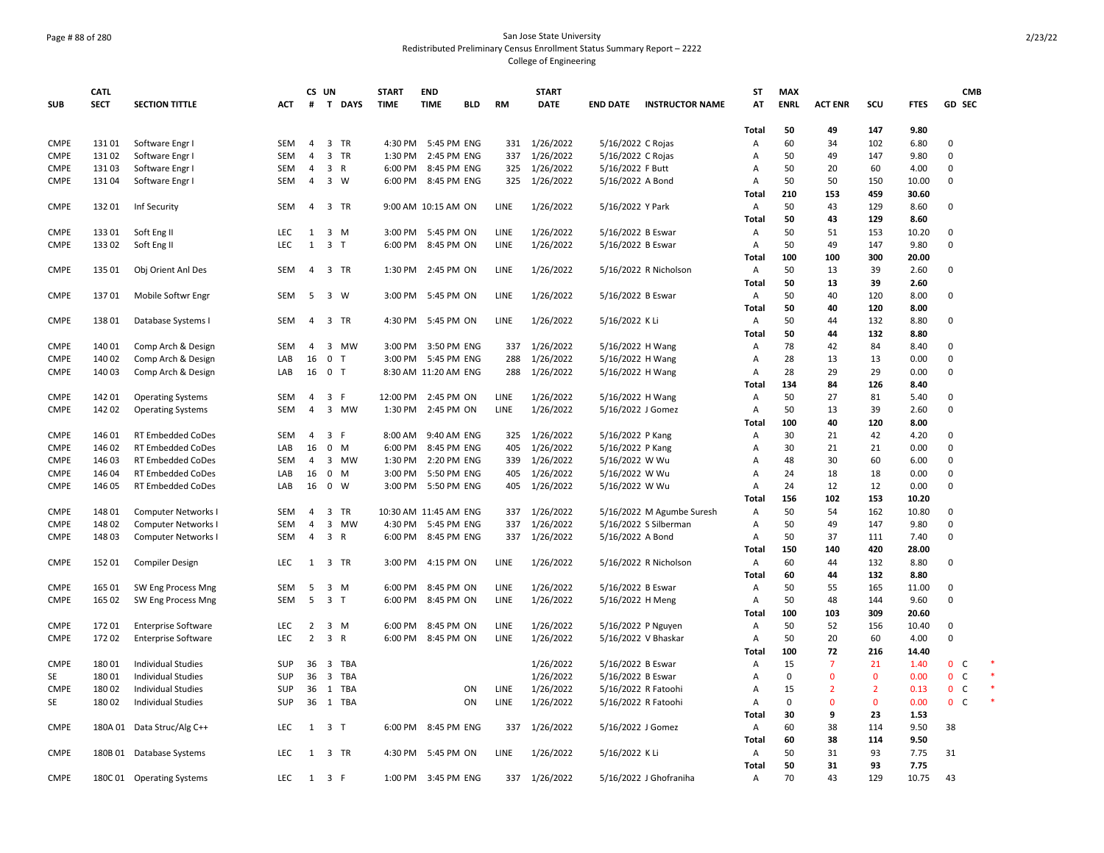## Page # 88 of 280 San Jose State University Redistributed Preliminary Census Enrollment Status Summary Report – 2222 College of Engineering

|                              | <b>CATL</b> |                            |            | CS UN          |                                | <b>START</b> | <b>END</b>            |            |             | <b>START</b>  |                     |                           | <b>ST</b>               | <b>MAX</b>  |                |                |             | <b>CMB</b>                   |  |
|------------------------------|-------------|----------------------------|------------|----------------|--------------------------------|--------------|-----------------------|------------|-------------|---------------|---------------------|---------------------------|-------------------------|-------------|----------------|----------------|-------------|------------------------------|--|
| <b>SUB</b>                   | <b>SECT</b> | <b>SECTION TITTLE</b>      | <b>ACT</b> | #              | T DAYS                         | <b>TIME</b>  | <b>TIME</b>           | <b>BLD</b> | <b>RM</b>   | <b>DATE</b>   | <b>END DATE</b>     | <b>INSTRUCTOR NAME</b>    | AT                      | <b>ENRL</b> | <b>ACT ENR</b> | SCU            | <b>FTES</b> | GD SEC                       |  |
|                              |             |                            |            |                |                                |              |                       |            |             |               |                     |                           |                         |             |                |                |             |                              |  |
|                              |             |                            |            |                |                                |              |                       |            |             |               |                     |                           | Total                   | 50          | 49             | 147            | 9.80        |                              |  |
| <b>CMPE</b>                  | 13101       | Software Engr I            | SEM        | $\overline{4}$ | 3 TR                           |              | 4:30 PM 5:45 PM ENG   |            | 331         | 1/26/2022     | 5/16/2022 C Rojas   |                           | $\overline{A}$          | 60          | 34             | 102            | 6.80        | 0                            |  |
| <b>CMPE</b>                  | 13102       | Software Engr I            | <b>SEM</b> | $\overline{4}$ | 3 TR                           | 1:30 PM      | 2:45 PM ENG           |            | 337         | 1/26/2022     | 5/16/2022 C Rojas   |                           | A                       | 50          | 49             | 147            | 9.80        | 0                            |  |
| <b>CMPE</b>                  | 13103       | Software Engr I            | SEM        | $\overline{4}$ | 3 R                            |              | 6:00 PM 8:45 PM ENG   |            | 325         | 1/26/2022     | 5/16/2022 F Butt    |                           | Α                       | 50          | 20             | 60             | 4.00        | $\Omega$                     |  |
| <b>CMPE</b>                  | 13104       | Software Engr I            | SEM        | 4              | 3 W                            |              | 6:00 PM 8:45 PM ENG   |            | 325         | 1/26/2022     | 5/16/2022 A Bond    |                           | Α                       | 50          | 50             | 150            | 10.00       | 0                            |  |
|                              |             |                            |            |                |                                |              |                       |            |             |               |                     |                           | Total                   | 210         | 153            | 459            | 30.60       |                              |  |
| <b>CMPE</b>                  | 13201       | Inf Security               | <b>SEM</b> | $\overline{4}$ | 3 TR                           |              | 9:00 AM 10:15 AM ON   |            | LINE        | 1/26/2022     | 5/16/2022 Y Park    |                           | Α                       | 50          | 43             | 129            | 8.60        | 0                            |  |
|                              |             |                            |            |                |                                |              |                       |            |             |               |                     |                           | Total                   | 50          | 43             | 129            | 8.60        |                              |  |
| $\ensuremath{\mathsf{CMPE}}$ | 13301       | Soft Eng II                | LEC        | 1              | $3 \, M$                       |              | 3:00 PM 5:45 PM ON    |            | LINE        | 1/26/2022     | 5/16/2022 B Eswar   |                           | Α                       | 50          | 51             | 153            | 10.20       | 0                            |  |
| <b>CMPE</b>                  | 13302       | Soft Eng II                | LEC        | $\mathbf{1}$   | 3 <sub>1</sub>                 |              | 6:00 PM 8:45 PM ON    |            | LINE        | 1/26/2022     | 5/16/2022 B Eswar   |                           | Α                       | 50          | 49             | 147            | 9.80        | 0                            |  |
|                              |             |                            |            |                |                                |              |                       |            |             |               |                     |                           | Total                   | 100         | 100            | 300            | 20.00       |                              |  |
| <b>CMPE</b>                  | 135 01      | Obj Orient Anl Des         | SEM        | 4              | 3 TR                           | 1:30 PM      | 2:45 PM ON            |            | LINE        | 1/26/2022     |                     | 5/16/2022 R Nicholson     | Α                       | 50          | 13             | 39             | 2.60        | 0                            |  |
|                              |             |                            |            |                |                                |              |                       |            |             |               |                     |                           | Total                   | 50          | 13             | 39             | 2.60        |                              |  |
| <b>CMPE</b>                  | 13701       | Mobile Softwr Engr         | SEM        | 5              | 3 W                            | 3:00 PM      | 5:45 PM ON            |            | LINE        | 1/26/2022     | 5/16/2022 B Eswar   |                           | Α                       | 50          | 40             | 120            | 8.00        | 0                            |  |
|                              |             |                            |            |                |                                |              |                       |            |             |               |                     |                           | Total                   | 50          | 40             | 120            | 8.00        |                              |  |
| <b>CMPE</b>                  | 13801       | Database Systems I         | SEM        | $\overline{4}$ | 3 TR                           |              | 4:30 PM 5:45 PM ON    |            | LINE        | 1/26/2022     | 5/16/2022 K Li      |                           | Α                       | 50          | 44             | 132            | 8.80        | 0                            |  |
|                              |             |                            |            |                |                                |              |                       |            |             |               |                     |                           | Total                   | 50          | 44             | 132            | 8.80        |                              |  |
| <b>CMPE</b>                  | 140 01      | Comp Arch & Design         | SEM        | 4              | 3 MW                           |              | 3:00 PM 3:50 PM ENG   |            | 337         | 1/26/2022     | 5/16/2022 H Wang    |                           | Α                       | 78          | 42             | 84             | 8.40        | 0                            |  |
| <b>CMPE</b>                  | 140 02      | Comp Arch & Design         | LAB        | 16             | $\mathbf 0$<br>$\top$          |              | 3:00 PM 5:45 PM ENG   |            | 288         | 1/26/2022     | 5/16/2022 H Wang    |                           | Α                       | 28          | 13             | 13             | 0.00        | 0                            |  |
| <b>CMPE</b>                  | 14003       | Comp Arch & Design         | LAB        | 16             | 0 <sub>T</sub>                 |              | 8:30 AM 11:20 AM ENG  |            | 288         | 1/26/2022     | 5/16/2022 H Wang    |                           | Α                       | 28          | 29             | 29             | 0.00        | 0                            |  |
|                              |             |                            |            |                |                                |              |                       |            |             |               |                     |                           | Total                   | 134         | 84             | 126            | 8.40        |                              |  |
| <b>CMPE</b>                  | 142 01      | <b>Operating Systems</b>   | <b>SEM</b> | $\overline{4}$ | 3 F                            |              | 12:00 PM 2:45 PM ON   |            | LINE        | 1/26/2022     | 5/16/2022 H Wang    |                           | Α                       | 50          | 27             | 81             | 5.40        | 0                            |  |
| <b>CMPE</b>                  | 142 02      | <b>Operating Systems</b>   | <b>SEM</b> | $\overline{4}$ | $\overline{3}$<br>MW           | 1:30 PM      | 2:45 PM ON            |            | <b>LINE</b> | 1/26/2022     | 5/16/2022 J Gomez   |                           | A                       | 50          | 13             | 39             | 2.60        | 0                            |  |
|                              |             |                            |            |                |                                |              |                       |            |             |               |                     |                           | Total                   | 100         | 40             | 120            | 8.00        |                              |  |
| <b>CMPE</b>                  | 146 01      | RT Embedded CoDes          | SEM        | 4              | 3 F                            | 8:00 AM      | 9:40 AM ENG           |            | 325         | 1/26/2022     | 5/16/2022 P Kang    |                           | $\overline{A}$          | 30          | 21             | 42             | 4.20        | 0                            |  |
| <b>CMPE</b>                  | 146 02      | RT Embedded CoDes          | LAB        | 16             | $\mathbf 0$<br>M               | 6:00 PM      | 8:45 PM ENG           |            | 405         | 1/26/2022     | 5/16/2022 P Kang    |                           | A                       | 30          | 21             | 21             | 0.00        | $\Omega$                     |  |
| <b>CMPE</b>                  | 146 03      | <b>RT Embedded CoDes</b>   | SEM        | 4              | 3 MW                           | 1:30 PM      | 2:20 PM ENG           |            | 339         | 1/26/2022     | 5/16/2022 W Wu      |                           | Α                       | 48          | 30             | 60             | 6.00        | 0                            |  |
| <b>CMPE</b>                  | 146 04      | <b>RT Embedded CoDes</b>   | LAB        | 16             | $\mathbf 0$<br>M               | 3:00 PM      | 5:50 PM ENG           |            | 405         | 1/26/2022     | 5/16/2022 W Wu      |                           | $\overline{A}$          | 24          | 18             | 18             | 0.00        | $\Omega$                     |  |
| <b>CMPE</b>                  | 146 05      | <b>RT Embedded CoDes</b>   | LAB        | 16             | $0 \quad W$                    |              | 3:00 PM 5:50 PM ENG   |            | 405         | 1/26/2022     | 5/16/2022 W Wu      |                           | Α                       | 24          | 12             | 12             | 0.00        | 0                            |  |
|                              |             |                            |            |                |                                |              |                       |            |             |               |                     |                           | Total                   | 156         | 102            | 153            | 10.20       |                              |  |
| <b>CMPE</b>                  | 148 01      | <b>Computer Networks I</b> | SEM        | $\overline{4}$ | 3 TR                           |              | 10:30 AM 11:45 AM ENG |            | 337         | 1/26/2022     |                     | 5/16/2022 M Agumbe Suresh | Α                       | 50          | 54             | 162            | 10.80       | 0                            |  |
| <b>CMPE</b>                  | 148 02      | Computer Networks          | <b>SEM</b> | 4              | 3 MW                           |              | 4:30 PM 5:45 PM ENG   |            | 337         | 1/26/2022     |                     | 5/16/2022 S Silberman     | A                       | 50          | 49             | 147            | 9.80        | 0                            |  |
| <b>CMPE</b>                  | 14803       |                            | SEM        | $\overline{4}$ | 3 R                            |              | 6:00 PM 8:45 PM ENG   |            | 337         |               | 5/16/2022 A Bond    |                           | Α                       | 50          | 37             | 111            | 7.40        | 0                            |  |
|                              |             | Computer Networks I        |            |                |                                |              |                       |            |             | 1/26/2022     |                     |                           | Total                   | 150         | 140            | 420            | 28.00       |                              |  |
| <b>CMPE</b>                  | 15201       |                            | LEC        | 1              | 3 TR                           | 3:00 PM      | 4:15 PM ON            |            | LINE        | 1/26/2022     |                     | 5/16/2022 R Nicholson     | Α                       | 60          | 44             | 132            | 8.80        | 0                            |  |
|                              |             | <b>Compiler Design</b>     |            |                |                                |              |                       |            |             |               |                     |                           | Total                   | 60          | 44             | 132            | 8.80        |                              |  |
| <b>CMPE</b>                  | 165 01      |                            | <b>SEM</b> | 5              | $3 \, M$                       | 6:00 PM      | 8:45 PM ON            |            | LINE        | 1/26/2022     | 5/16/2022 B Eswar   |                           | Α                       | 50          | 55             | 165            | 11.00       | 0                            |  |
|                              |             | SW Eng Process Mng         | <b>SEM</b> | 5              |                                |              | 8:45 PM ON            |            |             |               |                     |                           | A                       | 50          | 48             | 144            | 9.60        | 0                            |  |
| <b>CMPE</b>                  | 165 02      | SW Eng Process Mng         |            |                | 3 <sub>T</sub>                 | 6:00 PM      |                       |            | LINE        | 1/26/2022     | 5/16/2022 H Meng    |                           |                         | 100         | 103            | 309            | 20.60       |                              |  |
|                              |             |                            |            |                |                                |              |                       |            |             |               |                     |                           | Total<br>$\overline{A}$ | 50          | 52             |                |             |                              |  |
| <b>CMPE</b>                  | 17201       | <b>Enterprise Software</b> | LEC        | $\overline{2}$ | $3 \, M$                       | 6:00 PM      | 8:45 PM ON            |            | LINE        | 1/26/2022     | 5/16/2022 P Nguyen  |                           |                         |             |                | 156            | 10.40       | 0                            |  |
| <b>CMPE</b>                  | 17202       | <b>Enterprise Software</b> | <b>LEC</b> | $\overline{2}$ | 3 R                            |              | 6:00 PM 8:45 PM ON    |            | LINE        | 1/26/2022     | 5/16/2022 V Bhaskar |                           | $\mathsf{A}$            | 50          | 20<br>72       | 60             | 4.00        | $\Omega$                     |  |
|                              |             |                            |            |                |                                |              |                       |            |             |               |                     |                           | Total                   | 100         | $\overline{7}$ | 216            | 14.40       |                              |  |
| <b>CMPE</b>                  | 18001       | <b>Individual Studies</b>  | <b>SUP</b> | 36             | 3<br>TBA                       |              |                       |            |             | 1/26/2022     | 5/16/2022 B Eswar   |                           | $\overline{A}$          | 15          |                | 21             | 1.40        | $\mathbf 0$<br>C             |  |
| SE                           | 18001       | <b>Individual Studies</b>  | <b>SUP</b> | 36             | $\overline{\mathbf{3}}$<br>TBA |              |                       |            |             | 1/26/2022     | 5/16/2022 B Eswar   |                           | Α                       | 0           | $\mathbf 0$    | $\mathbf 0$    | 0.00        | $\mathbf{0}$<br>$\mathsf{C}$ |  |
| <b>CMPE</b>                  | 18002       | <b>Individual Studies</b>  | <b>SUP</b> | 36             | 1 TBA                          |              |                       | ON         | LINE        | 1/26/2022     | 5/16/2022 R Fatoohi |                           | Α                       | 15          | $\overline{2}$ | $\overline{2}$ | 0.13        | $\mathbf{0}$<br>C            |  |
| SE                           | 18002       | <b>Individual Studies</b>  | SUP        | 36             | 1 TBA                          |              |                       | ON         | LINE        | 1/26/2022     | 5/16/2022 R Fatoohi |                           | A                       | 0           | $\Omega$       | $\Omega$       | 0.00        | $\mathbf 0$<br>C             |  |
|                              |             |                            |            |                |                                |              |                       |            |             |               |                     |                           | Total                   | 30          | 9              | 23             | 1.53        |                              |  |
| <b>CMPE</b>                  |             | 180A 01 Data Struc/Alg C++ | LEC        | 1              | 3 <sub>T</sub>                 | 6:00 PM      | 8:45 PM ENG           |            | 337         | 1/26/2022     | 5/16/2022 J Gomez   |                           | Α                       | 60          | 38             | 114            | 9.50        | 38                           |  |
|                              |             |                            |            |                |                                |              |                       |            |             |               |                     |                           | Total                   | 60          | 38             | 114            | 9.50        |                              |  |
| <b>CMPE</b>                  |             | 180B 01 Database Systems   | LEC        | 1              | 3 TR                           |              | 4:30 PM 5:45 PM ON    |            | LINE        | 1/26/2022     | 5/16/2022 K Li      |                           | Α                       | 50          | 31             | 93             | 7.75        | 31                           |  |
|                              |             |                            |            |                |                                |              |                       |            |             |               |                     |                           | Total                   | 50          | 31             | 93             | 7.75        |                              |  |
| <b>CMPE</b>                  |             | 180C 01 Operating Systems  | <b>LEC</b> |                | 1 3 F                          |              | 1:00 PM 3:45 PM ENG   |            |             | 337 1/26/2022 |                     | 5/16/2022 J Ghofraniha    | A                       | 70          | 43             | 129            | 10.75       | 43                           |  |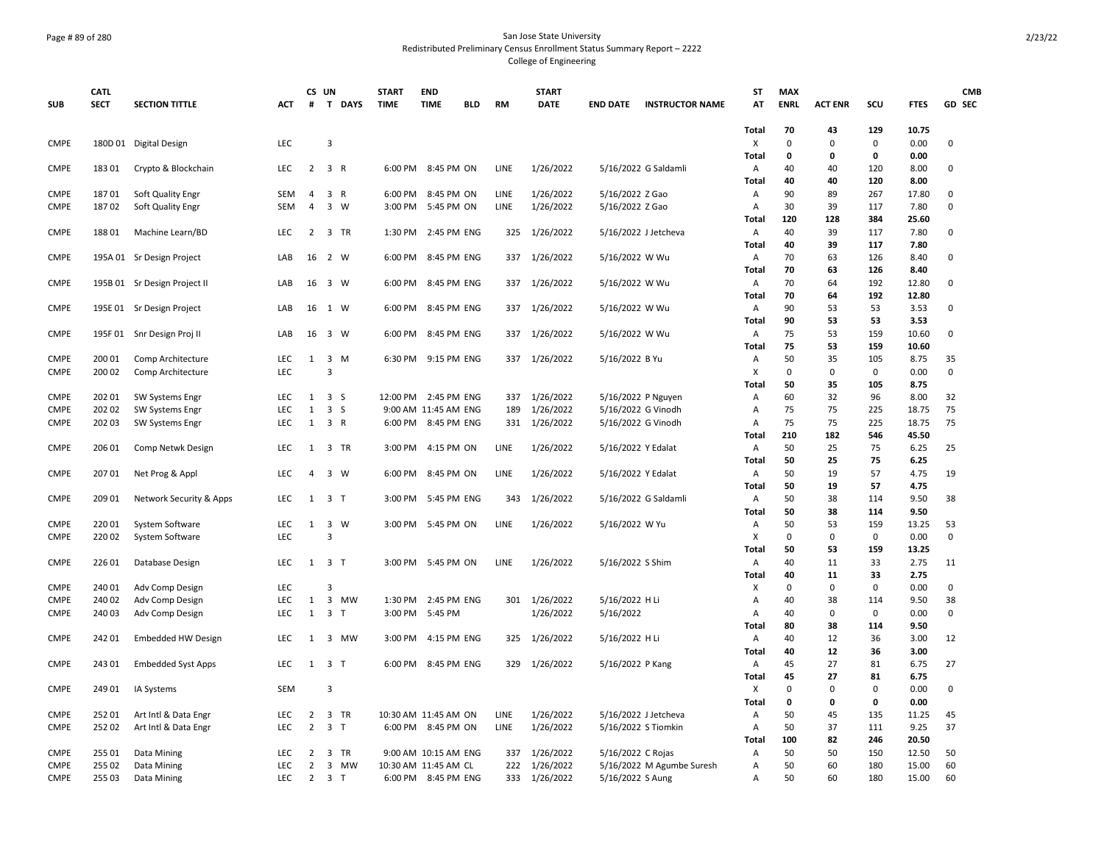## Page # 89 of 280 San Jose State University Redistributed Preliminary Census Enrollment Status Summary Report – 2222 College of Engineering

|             | <b>CATL</b> |                              |            |                | CS UN               |        | <b>START</b> | <b>END</b>           |            |             | <b>START</b>  |                    |                           | ST                | <b>MAX</b>  |                |             |              | <b>CMB</b>  |
|-------------|-------------|------------------------------|------------|----------------|---------------------|--------|--------------|----------------------|------------|-------------|---------------|--------------------|---------------------------|-------------------|-------------|----------------|-------------|--------------|-------------|
| <b>SUB</b>  | <b>SECT</b> | <b>SECTION TITTLE</b>        | ACT        | #              |                     | T DAYS | <b>TIME</b>  | <b>TIME</b>          | <b>BLD</b> | <b>RM</b>   | <b>DATE</b>   | <b>END DATE</b>    | <b>INSTRUCTOR NAME</b>    | AT                | <b>ENRL</b> | <b>ACT ENR</b> | SCU         | <b>FTES</b>  | GD SEC      |
|             |             |                              |            |                |                     |        |              |                      |            |             |               |                    |                           |                   |             |                |             |              |             |
|             |             |                              |            |                |                     |        |              |                      |            |             |               |                    |                           | Total             | 70          | 43             | 129         | 10.75        |             |
| <b>CMPE</b> |             | 180D 01 Digital Design       | LEC        |                | 3                   |        |              |                      |            |             |               |                    |                           | X                 | $\mathbf 0$ | $\mathbf 0$    | 0<br>0      | 0.00         | 0           |
| <b>CMPE</b> |             |                              | <b>LEC</b> | $2^{\circ}$    | 3 R                 |        |              | 6:00 PM 8:45 PM ON   |            | LINE        | 1/26/2022     |                    | 5/16/2022 G Saldamli      | Total             | 0<br>40     | 0<br>40        | 120         | 0.00<br>8.00 | 0           |
|             | 183 01      | Crypto & Blockchain          |            |                |                     |        |              |                      |            |             |               |                    |                           | Α                 | 40          | 40             | 120         | 8.00         |             |
| <b>CMPE</b> | 18701       | Soft Quality Engr            | <b>SEM</b> | 4              | 3 R                 |        | 6:00 PM      | 8:45 PM ON           |            | LINE        | 1/26/2022     | 5/16/2022 Z Gao    |                           | Total<br>Α        | 90          | 89             | 267         | 17.80        | 0           |
| <b>CMPE</b> | 18702       | Soft Quality Engr            | <b>SEM</b> | $\overline{a}$ | 3 W                 |        | 3:00 PM      | 5:45 PM ON           |            | <b>LINE</b> | 1/26/2022     | 5/16/2022 Z Gao    |                           | А                 | 30          | 39             | 117         | 7.80         | 0           |
|             |             |                              |            |                |                     |        |              |                      |            |             |               |                    |                           | Total             | 120         | 128            | 384         | 25.60        |             |
| CMPE        | 18801       | Machine Learn/BD             | <b>LEC</b> | 2              | 3 TR                |        | 1:30 PM      | 2:45 PM ENG          |            | 325         | 1/26/2022     |                    | 5/16/2022 J Jetcheva      | Α                 | 40          | 39             | 117         | 7.80         | 0           |
|             |             |                              |            |                |                     |        |              |                      |            |             |               |                    |                           | <b>Total</b>      | 40          | 39             | 117         | 7.80         |             |
| <b>CMPE</b> |             | 195A 01 Sr Design Project    | LAB        | 16             | 2 W                 |        | 6:00 PM      | 8:45 PM ENG          |            | 337         | 1/26/2022     | 5/16/2022 W Wu     |                           | Α                 | 70          | 63             | 126         | 8.40         | 0           |
|             |             |                              |            |                |                     |        |              |                      |            |             |               |                    |                           | <b>Total</b>      | 70          | 63             | 126         | 8.40         |             |
| <b>CMPE</b> |             | 195B 01 Sr Design Project II | LAB        |                | 16 3 W              |        | 6:00 PM      | 8:45 PM ENG          |            | 337         | 1/26/2022     | 5/16/2022 W Wu     |                           | Α                 | 70          | 64             | 192         | 12.80        | $\mathbf 0$ |
|             |             |                              |            |                |                     |        |              |                      |            |             |               |                    |                           | Total             | 70          | 64             | 192         | 12.80        |             |
| <b>CMPE</b> |             | 195E 01 Sr Design Project    | LAB        | 16             | 1 W                 |        | 6:00 PM      | 8:45 PM ENG          |            | 337         | 1/26/2022     | 5/16/2022 W Wu     |                           | Α                 | 90          | 53             | 53          | 3.53         | 0           |
|             |             |                              |            |                |                     |        |              |                      |            |             |               |                    |                           | Total             | 90          | 53             | 53          | 3.53         |             |
| <b>CMPE</b> |             | 195F 01 Snr Design Proj II   | LAB        | 16             | 3 W                 |        | 6:00 PM      | 8:45 PM ENG          |            | 337         | 1/26/2022     | 5/16/2022 W Wu     |                           | Α                 | 75          | 53             | 159         | 10.60        | $\Omega$    |
|             |             |                              |            |                |                     |        |              |                      |            |             |               |                    |                           | <b>Total</b>      | 75          | 53             | 159         | 10.60        |             |
| <b>CMPE</b> | 200 01      | Comp Architecture            | LEC        | $\mathbf{1}$   | $3 \, M$            |        | 6:30 PM      | 9:15 PM ENG          |            | 337         | 1/26/2022     | 5/16/2022 B Yu     |                           | Α                 | 50          | 35             | 105         | 8.75         | 35          |
| <b>CMPE</b> | 200 02      | Comp Architecture            | LEC        |                | $\overline{3}$      |        |              |                      |            |             |               |                    |                           | Χ                 | $\mathbf 0$ | $\mathbf 0$    | 0           | 0.00         | $\mathbf 0$ |
|             |             |                              |            |                |                     |        |              |                      |            |             |               |                    |                           | Total             | 50          | 35             | 105         | 8.75         |             |
| <b>CMPE</b> | 20201       | SW Systems Engr              | <b>LEC</b> | 1              | 3 <sub>5</sub>      |        |              | 12:00 PM 2:45 PM ENG |            | 337         | 1/26/2022     |                    | 5/16/2022 P Nguyen        | Α                 | 60          | 32             | 96          | 8.00         | 32          |
| <b>CMPE</b> | 202 02      | SW Systems Engr              | <b>LEC</b> | $\mathbf{1}$   | 3 <sub>5</sub>      |        |              | 9:00 AM 11:45 AM ENG |            | 189         | 1/26/2022     |                    | 5/16/2022 G Vinodh        | Α                 | 75          | 75             | 225         | 18.75        | 75          |
| <b>CMPE</b> | 202 03      | <b>SW Systems Engr</b>       | <b>LEC</b> | 1              | 3 R                 |        |              | 6:00 PM 8:45 PM ENG  |            | 331         | 1/26/2022     |                    | 5/16/2022 G Vinodh        | Α                 | 75          | 75             | 225         | 18.75        | 75          |
|             |             |                              |            |                |                     |        |              |                      |            |             |               |                    |                           | <b>Total</b>      | 210         | 182            | 546         | 45.50        |             |
| <b>CMPE</b> | 206 01      | Comp Netwk Design            | LEC        | $\mathbf{1}$   | 3 TR                |        | 3:00 PM      | 4:15 PM ON           |            | LINE        | 1/26/2022     | 5/16/2022 Y Edalat |                           | Α                 | 50          | 25             | 75          | 6.25         | 25          |
|             |             |                              |            |                |                     |        |              |                      |            |             |               |                    |                           | Total             | 50          | 25             | 75          | 6.25         |             |
| <b>CMPE</b> | 20701       | Net Prog & Appl              | <b>LEC</b> | 4              | 3 W                 |        | 6:00 PM      | 8:45 PM ON           |            | <b>LINE</b> | 1/26/2022     | 5/16/2022 Y Edalat |                           | Α                 | 50          | 19             | 57          | 4.75         | 19          |
| <b>CMPE</b> | 209 01      |                              | <b>LEC</b> |                | $1 \quad 3 \quad T$ |        | 3:00 PM      | 5:45 PM ENG          |            |             |               |                    |                           | Total             | 50<br>50    | 19<br>38       | 57<br>114   | 4.75<br>9.50 | 38          |
|             |             | Network Security & Apps      |            |                |                     |        |              |                      |            | 343         | 1/26/2022     |                    | 5/16/2022 G Saldamli      | Α<br><b>Total</b> | 50          | 38             | 114         | 9.50         |             |
| <b>CMPE</b> | 22001       | System Software              | LEC        | 1              | 3 W                 |        | 3:00 PM      | 5:45 PM ON           |            | LINE        | 1/26/2022     | 5/16/2022 W Yu     |                           | Α                 | 50          | 53             | 159         | 13.25        | 53          |
| <b>CMPE</b> | 22002       | System Software              | LEC.       |                | $\overline{3}$      |        |              |                      |            |             |               |                    |                           | Χ                 | $\mathbf 0$ | 0              | 0           | 0.00         | 0           |
|             |             |                              |            |                |                     |        |              |                      |            |             |               |                    |                           | Total             | 50          | 53             | 159         | 13.25        |             |
| <b>CMPE</b> | 226 01      | Database Design              | <b>LEC</b> | 1              | 3 <sub>T</sub>      |        | 3:00 PM      | 5:45 PM ON           |            | LINE        | 1/26/2022     | 5/16/2022 S Shim   |                           | Α                 | 40          | 11             | 33          | 2.75         | 11          |
|             |             |                              |            |                |                     |        |              |                      |            |             |               |                    |                           | Total             | 40          | 11             | 33          | 2.75         |             |
| <b>CMPE</b> | 240 01      | Adv Comp Design              | LEC        |                | 3                   |        |              |                      |            |             |               |                    |                           | X                 | 0           | $\mathbf 0$    | 0           | 0.00         | $\mathbf 0$ |
| <b>CMPE</b> | 240 02      | Adv Comp Design              | LEC        | 1              |                     | 3 MW   | 1:30 PM      | 2:45 PM ENG          |            |             | 301 1/26/2022 | 5/16/2022 H Li     |                           | Α                 | 40          | 38             | 114         | 9.50         | 38          |
| <b>CMPE</b> | 240 03      | Adv Comp Design              | <b>LEC</b> | 1              | 3 <sub>T</sub>      |        | 3:00 PM      | 5:45 PM              |            |             | 1/26/2022     | 5/16/2022          |                           | Α                 | 40          | $\mathbf 0$    | 0           | 0.00         | $\mathsf 0$ |
|             |             |                              |            |                |                     |        |              |                      |            |             |               |                    |                           | <b>Total</b>      | 80          | 38             | 114         | 9.50         |             |
| <b>CMPE</b> | 242 01      | <b>Embedded HW Design</b>    | LEC        | 1              |                     | 3 MW   | 3:00 PM      | 4:15 PM ENG          |            | 325         | 1/26/2022     | 5/16/2022 H Li     |                           | Α                 | 40          | 12             | 36          | 3.00         | 12          |
|             |             |                              |            |                |                     |        |              |                      |            |             |               |                    |                           | Total             | 40          | 12             | 36          | 3.00         |             |
| CMPE        | 24301       | <b>Embedded Syst Apps</b>    | <b>LEC</b> | $\mathbf{1}$   | 3 <sub>1</sub>      |        | 6:00 PM      | 8:45 PM ENG          |            | 329         | 1/26/2022     | 5/16/2022 P Kang   |                           | Α                 | 45          | 27             | 81          | 6.75         | 27          |
|             |             |                              |            |                |                     |        |              |                      |            |             |               |                    |                           | Total             | 45          | 27             | 81          | 6.75         |             |
| <b>CMPE</b> | 249 01      | IA Systems                   | <b>SEM</b> |                | $\overline{3}$      |        |              |                      |            |             |               |                    |                           | X                 | $\Omega$    | $\mathbf 0$    | $\mathbf 0$ | 0.00         | 0           |
|             |             |                              |            |                |                     |        |              |                      |            |             |               |                    |                           | <b>Total</b>      | 0           | 0              | 0           | 0.00         |             |
| <b>CMPE</b> | 25201       | Art Intl & Data Engr         | LEC        | 2              | 3 TR                |        |              | 10:30 AM 11:45 AM ON |            | LINE        | 1/26/2022     |                    | 5/16/2022 J Jetcheva      | Α                 | 50          | 45             | 135         | 11.25        | 45          |
| <b>CMPE</b> | 25202       | Art Intl & Data Engr         | <b>LEC</b> | $\overline{2}$ | $\overline{3}$      | $\top$ |              | 6:00 PM 8:45 PM ON   |            | <b>LINE</b> | 1/26/2022     |                    | 5/16/2022 S Tiomkin       | Α                 | 50          | 37             | 111         | 9.25         | 37          |
|             |             |                              |            |                |                     |        |              |                      |            |             |               |                    |                           | Total             | 100         | 82             | 246         | 20.50        |             |
| <b>CMPE</b> | 255 01      | Data Mining                  | LEC        | 2              | 3 TR                |        |              | 9:00 AM 10:15 AM ENG |            | 337         | 1/26/2022     | 5/16/2022 C Rojas  |                           | Α                 | 50          | 50             | 150         | 12.50        | 50          |
| <b>CMPE</b> | 255 02      | Data Mining                  | <b>LEC</b> | 2              |                     | 3 MW   |              | 10:30 AM 11:45 AM CL |            | 222         | 1/26/2022     |                    | 5/16/2022 M Agumbe Suresh | Α                 | 50          | 60             | 180         | 15.00        | 60          |
| <b>CMPE</b> | 255 03      | Data Mining                  | <b>LEC</b> | $\overline{2}$ | 3 <sub>7</sub>      |        |              | 6:00 PM 8:45 PM ENG  |            | 333         | 1/26/2022     | 5/16/2022 S Aung   |                           | Α                 | 50          | 60             | 180         | 15.00        | 60          |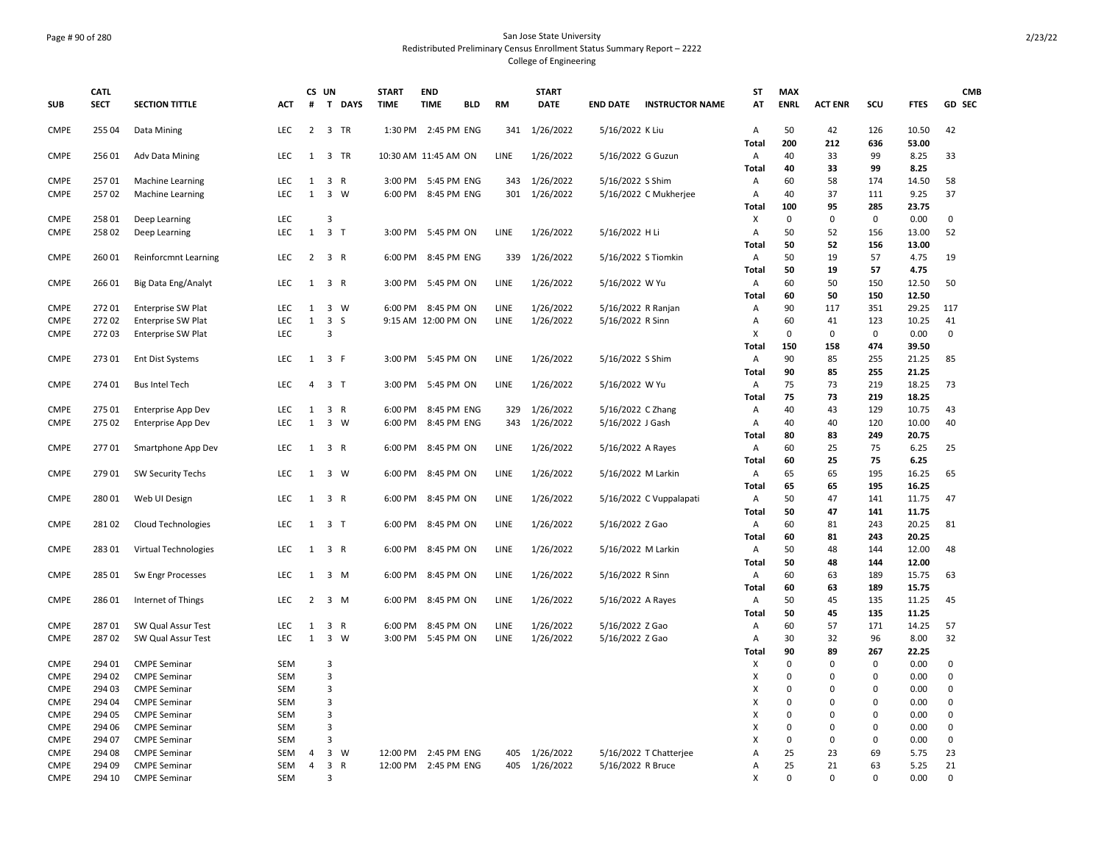## Page # 90 of 280 San Jose State University Redistributed Preliminary Census Enrollment Status Summary Report – 2222 College of Engineering

|                            | <b>CATL</b>      |                                            |                          |                   | CS UN                   | <b>START</b>       | <b>END</b>                 |            |            | <b>START</b>           |                                       |                         | <b>ST</b>  | <b>MAX</b>       |                |                  |                | <b>CMB</b>                 |
|----------------------------|------------------|--------------------------------------------|--------------------------|-------------------|-------------------------|--------------------|----------------------------|------------|------------|------------------------|---------------------------------------|-------------------------|------------|------------------|----------------|------------------|----------------|----------------------------|
| <b>SUB</b>                 | <b>SECT</b>      | <b>SECTION TITTLE</b>                      | ACT                      | #                 | T DAYS                  | <b>TIME</b>        | <b>TIME</b>                | <b>BLD</b> | <b>RM</b>  | <b>DATE</b>            | <b>END DATE</b>                       | <b>INSTRUCTOR NAME</b>  | AT         | <b>ENRL</b>      | <b>ACT ENR</b> | SCU              | <b>FTES</b>    | <b>GD SEC</b>              |
| <b>CMPE</b>                | 255 04           | Data Mining                                | LEC                      | $2^{\circ}$       | 3 TR                    |                    | 1:30 PM 2:45 PM ENG        |            | 341        | 1/26/2022              | 5/16/2022 K Liu                       |                         | Α          | 50               | 42             | 126              | 10.50          | 42                         |
|                            |                  |                                            |                          |                   |                         |                    |                            |            |            |                        |                                       |                         | Total      | 200              | 212            | 636              | 53.00          |                            |
| <b>CMPE</b>                | 25601            | <b>Adv Data Mining</b>                     | <b>LEC</b>               | $\mathbf{1}$      | 3 TR                    |                    | 10:30 AM 11:45 AM ON       |            | LINE       | 1/26/2022              | 5/16/2022 G Guzun                     |                         | Α<br>Total | 40<br>40         | 33<br>33       | 99<br>99         | 8.25<br>8.25   | 33                         |
| <b>CMPE</b>                | 25701            | Machine Learning                           | LEC                      | 1                 | 3 R                     | 3:00 PM            | 5:45 PM ENG                |            | 343        | 1/26/2022              | 5/16/2022 S Shim                      |                         | Α          | 60               | 58             | 174              | 14.50          | 58                         |
| <b>CMPE</b>                | 25702            | Machine Learning                           | <b>LEC</b>               | $\mathbf{1}$      | $3 \quad W$             | 6:00 PM            | 8:45 PM ENG                |            | 301        | 1/26/2022              |                                       | 5/16/2022 C Mukherjee   | Α          | 40               | 37             | 111              | 9.25           | 37                         |
|                            |                  |                                            |                          |                   |                         |                    |                            |            |            |                        |                                       |                         | Total      | 100              | 95             | 285              | 23.75          |                            |
| <b>CMPE</b>                | 258 01           | Deep Learning                              | LEC                      |                   | $\overline{3}$          |                    |                            |            |            |                        |                                       |                         | X          | 0                | 0              | $\pmb{0}$        | 0.00           | $\pmb{0}$                  |
| <b>CMPE</b>                | 25802            | Deep Learning                              | LEC                      | $\mathbf{1}$      | 3 <sub>T</sub>          | 3:00 PM            | 5:45 PM ON                 |            | LINE       | 1/26/2022              | 5/16/2022 H Li                        |                         | Α          | 50               | 52             | 156              | 13.00          | 52                         |
|                            |                  |                                            |                          |                   |                         |                    |                            |            |            |                        |                                       |                         | Total      | 50               | 52             | 156              | 13.00          |                            |
| <b>CMPE</b>                | 26001            | Reinforcmnt Learning                       | <b>LEC</b>               | $\overline{2}$    | 3 R                     | 6:00 PM            | 8:45 PM ENG                |            | 339        | 1/26/2022              | 5/16/2022 S Tiomkin                   |                         | Α          | 50               | 19             | 57               | 4.75           | 19                         |
|                            |                  |                                            |                          |                   |                         |                    |                            |            |            |                        |                                       |                         | Total      | 50               | 19             | 57               | 4.75           |                            |
| <b>CMPE</b>                | 26601            | Big Data Eng/Analyt                        | <b>LEC</b>               | 1                 | 3 R                     | 3:00 PM            | 5:45 PM ON                 |            | LINE       | 1/26/2022              | 5/16/2022 W Yu                        |                         | Α          | 60               | 50             | 150              | 12.50          | 50                         |
|                            |                  |                                            |                          |                   |                         |                    |                            |            |            |                        |                                       |                         | Total      | 60               | 50             | 150              | 12.50          |                            |
| CMPE                       | 27201            | <b>Enterprise SW Plat</b>                  | LEC                      | $\mathbf{1}$      | 3 W                     | 6:00 PM            | 8:45 PM ON                 |            | LINE       | 1/26/2022              | 5/16/2022 R Ranjan                    |                         | Α          | 90               | 117            | 351              | 29.25          | 117                        |
| <b>CMPE</b>                | 27202            | <b>Enterprise SW Plat</b>                  | <b>LEC</b>               | $\mathbf{1}$      | 3S                      |                    | 9:15 AM 12:00 PM ON        |            | LINE       | 1/26/2022              | 5/16/2022 R Sinn                      |                         | Α          | 60               | 41             | 123              | 10.25          | 41                         |
| <b>CMPE</b>                | 27203            | <b>Enterprise SW Plat</b>                  | <b>LEC</b>               |                   | 3                       |                    |                            |            |            |                        |                                       |                         | х          | 0                | 0              | 0                | 0.00           | 0                          |
|                            |                  |                                            |                          |                   |                         |                    |                            |            |            |                        |                                       |                         | Total      | 150              | 158            | 474              | 39.50          |                            |
| <b>CMPE</b>                | 27301            | <b>Ent Dist Systems</b>                    | <b>LEC</b>               | 1                 | 3 F                     |                    | 3:00 PM 5:45 PM ON         |            | LINE       | 1/26/2022              | 5/16/2022 S Shim                      |                         | Α          | 90               | 85             | 255              | 21.25          | 85                         |
|                            |                  |                                            |                          |                   |                         |                    |                            |            |            |                        |                                       |                         | Total      | 90               | 85             | 255              | 21.25          |                            |
| <b>CMPE</b>                | 274 01           | <b>Bus Intel Tech</b>                      | <b>LEC</b>               | 4                 | 3 <sub>7</sub>          | 3:00 PM            | 5:45 PM ON                 |            | LINE       | 1/26/2022              | 5/16/2022 W Yu                        |                         | Α          | 75               | 73             | 219              | 18.25          | 73                         |
|                            |                  |                                            |                          |                   |                         |                    |                            |            |            |                        |                                       |                         | Total      | 75               | 73             | 219              | 18.25          |                            |
| <b>CMPE</b><br><b>CMPE</b> | 275 01<br>275 02 | Enterprise App Dev                         | <b>LEC</b><br><b>LEC</b> | 1<br>$\mathbf{1}$ | 3 R<br>$3 \quad W$      | 6:00 PM<br>6:00 PM | 8:45 PM ENG<br>8:45 PM ENG |            | 329<br>343 | 1/26/2022<br>1/26/2022 | 5/16/2022 C Zhang<br>5/16/2022 J Gash |                         | Α<br>Α     | 40<br>40         | 43<br>40       | 129<br>120       | 10.75<br>10.00 | 43<br>40                   |
|                            |                  | <b>Enterprise App Dev</b>                  |                          |                   |                         |                    |                            |            |            |                        |                                       |                         | Total      | 80               | 83             | 249              | 20.75          |                            |
| <b>CMPE</b>                | 27701            | Smartphone App Dev                         | <b>LEC</b>               | 1                 | 3 R                     | 6:00 PM            | 8:45 PM ON                 |            | LINE       | 1/26/2022              | 5/16/2022 A Rayes                     |                         | Α          | 60               | 25             | 75               | 6.25           | 25                         |
|                            |                  |                                            |                          |                   |                         |                    |                            |            |            |                        |                                       |                         | Total      | 60               | 25             | 75               | 6.25           |                            |
| <b>CMPE</b>                | 279 01           | <b>SW Security Techs</b>                   | <b>LEC</b>               | 1                 | 3 W                     | 6:00 PM            | 8:45 PM ON                 |            | LINE       | 1/26/2022              | 5/16/2022 M Larkin                    |                         | Α          | 65               | 65             | 195              | 16.25          | 65                         |
|                            |                  |                                            |                          |                   |                         |                    |                            |            |            |                        |                                       |                         | Total      | 65               | 65             | 195              | 16.25          |                            |
| <b>CMPE</b>                | 28001            | Web UI Design                              | LEC                      |                   | 1 3 R                   | 6:00 PM            | 8:45 PM ON                 |            | LINE       | 1/26/2022              |                                       | 5/16/2022 C Vuppalapati | Α          | 50               | 47             | 141              | 11.75          | 47                         |
|                            |                  |                                            |                          |                   |                         |                    |                            |            |            |                        |                                       |                         | Total      | 50               | 47             | 141              | 11.75          |                            |
| <b>CMPE</b>                | 28102            | <b>Cloud Technologies</b>                  | <b>LEC</b>               | 1                 | 3 <sub>T</sub>          | 6:00 PM            | 8:45 PM ON                 |            | LINE       | 1/26/2022              | 5/16/2022 Z Gao                       |                         | Α          | 60               | 81             | 243              | 20.25          | 81                         |
|                            |                  |                                            |                          |                   |                         |                    |                            |            |            |                        |                                       |                         | Total      | 60               | 81             | 243              | 20.25          |                            |
| <b>CMPE</b>                | 28301            | Virtual Technologies                       | <b>LEC</b>               | 1                 | 3 R                     | 6:00 PM            | 8:45 PM ON                 |            | LINE       | 1/26/2022              | 5/16/2022 M Larkin                    |                         | Α          | 50               | 48             | 144              | 12.00          | 48                         |
|                            |                  |                                            |                          |                   |                         |                    |                            |            |            |                        |                                       |                         | Total      | 50               | 48             | 144              | 12.00          |                            |
| <b>CMPE</b>                | 285 01           | Sw Engr Processes                          | <b>LEC</b>               | 1                 | 3 M                     | 6:00 PM            | 8:45 PM ON                 |            | LINE       | 1/26/2022              | 5/16/2022 R Sinn                      |                         | Α          | 60               | 63             | 189              | 15.75          | 63                         |
|                            |                  |                                            |                          |                   |                         |                    |                            |            |            |                        |                                       |                         | Total      | 60               | 63             | 189              | 15.75          |                            |
| <b>CMPE</b>                | 28601            | Internet of Things                         | <b>LEC</b>               | $\overline{2}$    | 3 M                     | 6:00 PM            | 8:45 PM ON                 |            | LINE       | 1/26/2022              | 5/16/2022 A Rayes                     |                         | Α          | 50               | 45             | 135              | 11.25          | 45                         |
|                            |                  |                                            |                          |                   |                         |                    |                            |            |            |                        |                                       |                         | Total      | 50               | 45             | 135              | 11.25          |                            |
| <b>CMPE</b>                | 28701            | SW Qual Assur Test                         | <b>LEC</b>               | 1                 | 3 R                     | 6:00 PM            | 8:45 PM ON                 |            | LINE       | 1/26/2022              | 5/16/2022 Z Gao                       |                         | Α          | 60               | 57             | 171              | 14.25          | 57                         |
| <b>CMPE</b>                | 28702            | SW Qual Assur Test                         | LEC.                     | $\mathbf{1}$      | 3 W                     | 3:00 PM            | 5:45 PM ON                 |            | LINE       | 1/26/2022              | 5/16/2022 Z Gao                       |                         | Α          | 30               | 32             | 96               | 8.00           | 32                         |
|                            |                  |                                            |                          |                   |                         |                    |                            |            |            |                        |                                       |                         | Total      | 90<br>$\Omega$   | 89             | 267              | 22.25          |                            |
| <b>CMPE</b>                | 294 01           | <b>CMPE Seminar</b>                        | SEM                      |                   | 3                       |                    |                            |            |            |                        |                                       |                         | X          |                  | 0<br>$\Omega$  | $\mathbf 0$      | 0.00           | 0                          |
| CMPE                       | 294 02           | <b>CMPE Seminar</b>                        | <b>SEM</b>               |                   | $\overline{\mathbf{3}}$ |                    |                            |            |            |                        |                                       |                         | X          | 0<br>$\mathbf 0$ | $\Omega$       | $\mathbf 0$      | 0.00           | $\mathbf 0$<br>$\mathbf 0$ |
| <b>CMPE</b><br><b>CMPE</b> | 294 03<br>294 04 | <b>CMPE Seminar</b><br><b>CMPE Seminar</b> | SEM<br>SEM               |                   | 3<br>$\overline{3}$     |                    |                            |            |            |                        |                                       |                         | X<br>X     | $\Omega$         | 0              | 0<br>$\mathbf 0$ | 0.00<br>0.00   | $\pmb{0}$                  |
| <b>CMPE</b>                | 294 05           | <b>CMPE Seminar</b>                        | <b>SEM</b>               |                   | $\overline{\mathbf{3}}$ |                    |                            |            |            |                        |                                       |                         | х          | 0                | 0              | $\mathbf 0$      | 0.00           | $\pmb{0}$                  |
| <b>CMPE</b>                | 294 06           | <b>CMPE Seminar</b>                        | <b>SEM</b>               |                   | $\overline{3}$          |                    |                            |            |            |                        |                                       |                         | X          | 0                | $\Omega$       | 0                | 0.00           | 0                          |
| <b>CMPE</b>                | 294 07           | <b>CMPE Seminar</b>                        | <b>SEM</b>               |                   | $\overline{3}$          |                    |                            |            |            |                        |                                       |                         | X          | 0                | 0              | $\mathbf 0$      | 0.00           | $\pmb{0}$                  |
| <b>CMPE</b>                | 294 08           | <b>CMPE Seminar</b>                        | <b>SEM</b>               | 4                 | $\mathbf{3}$<br>W       |                    | 12:00 PM 2:45 PM ENG       |            | 405        | 1/26/2022              |                                       | 5/16/2022 T Chatterjee  | Α          | 25               | 23             | 69               | 5.75           | 23                         |
| <b>CMPE</b>                | 294 09           | <b>CMPE Seminar</b>                        | <b>SEM</b>               | $\overline{4}$    | 3 R                     |                    | 12:00 PM 2:45 PM ENG       |            |            | 405 1/26/2022          | 5/16/2022 R Bruce                     |                         | Α          | 25               | 21             | 63               | 5.25           | 21                         |
| <b>CMPE</b>                | 294 10           | <b>CMPE Seminar</b>                        | SEM                      |                   | 3                       |                    |                            |            |            |                        |                                       |                         | X          | $\Omega$         | $\Omega$       | $\Omega$         | 0.00           | $\Omega$                   |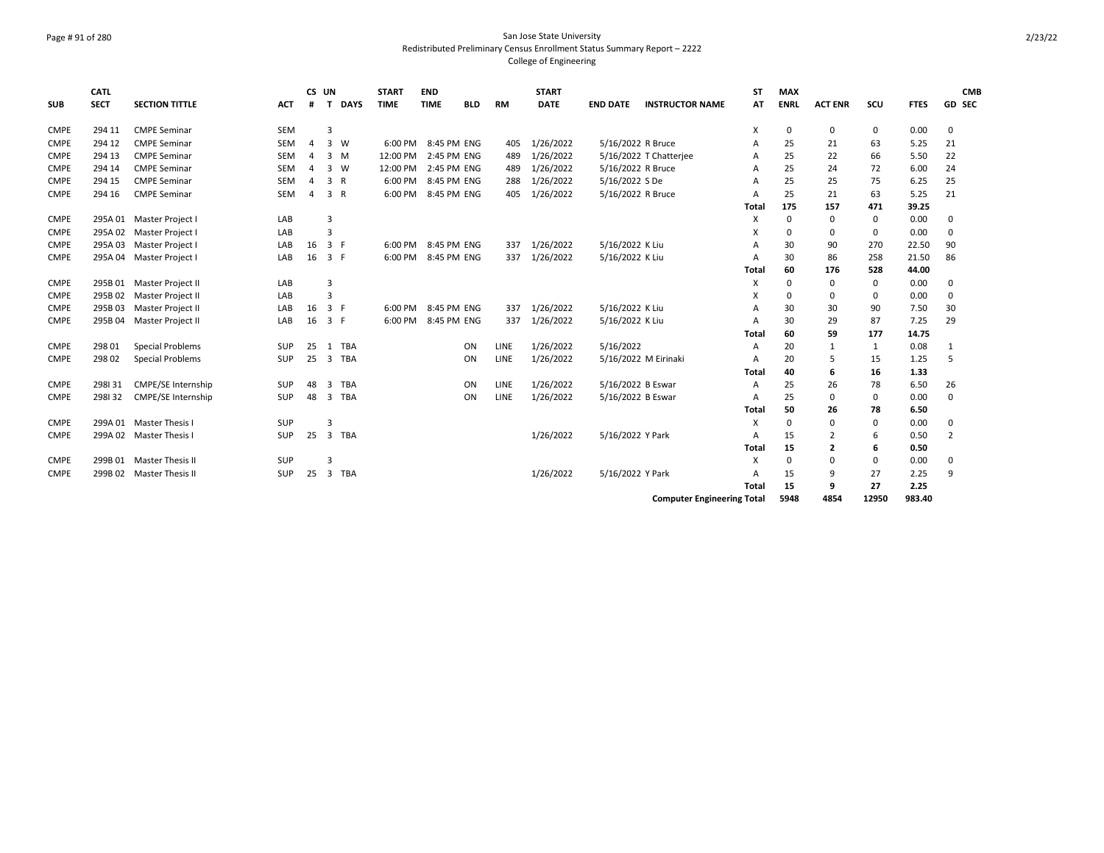## Page # 91 of 280 San Jose State University Redistributed Preliminary Census Enrollment Status Summary Report – 2222 College of Engineering

|             | CATL        |                           |            | CS UN          |                |            | <b>START</b> | <b>END</b>  |            |           | <b>START</b> |                 |                                   | <b>ST</b> | <b>MAX</b>  |                |             |             | <b>CMB</b>     |
|-------------|-------------|---------------------------|------------|----------------|----------------|------------|--------------|-------------|------------|-----------|--------------|-----------------|-----------------------------------|-----------|-------------|----------------|-------------|-------------|----------------|
| <b>SUB</b>  | <b>SECT</b> | <b>SECTION TITTLE</b>     | <b>ACT</b> | #              |                | T DAYS     | <b>TIME</b>  | <b>TIME</b> | <b>BLD</b> | <b>RM</b> | <b>DATE</b>  | <b>END DATE</b> | <b>INSTRUCTOR NAME</b>            | AT        | <b>ENRL</b> | <b>ACT ENR</b> | SCU         | <b>FTES</b> | GD SEC         |
| <b>CMPE</b> | 294 11      | <b>CMPE Seminar</b>       | <b>SEM</b> |                | $\overline{3}$ |            |              |             |            |           |              |                 |                                   | х         | 0           | 0              | 0           | 0.00        | 0              |
| <b>CMPE</b> | 294 12      | <b>CMPE Seminar</b>       | <b>SEM</b> | $\overline{a}$ | $3 \quad W$    |            | 6:00 PM      | 8:45 PM ENG |            | 405       | 1/26/2022    |                 | 5/16/2022 R Bruce                 | A         | 25          | 21             | 63          | 5.25        | 21             |
| <b>CMPE</b> | 294 13      | <b>CMPE Seminar</b>       | <b>SEM</b> | $\overline{4}$ | $3 \, M$       |            | 12:00 PM     | 2:45 PM ENG |            | 489       | 1/26/2022    |                 | 5/16/2022 T Chatterjee            | A         | 25          | 22             | 66          | 5.50        | 22             |
| <b>CMPE</b> | 294 14      | <b>CMPE Seminar</b>       | <b>SEM</b> | $\overline{4}$ | 3 W            |            | 12:00 PM     | 2:45 PM ENG |            | 489       | 1/26/2022    |                 | 5/16/2022 R Bruce                 | A         | 25          | 24             | 72          | 6.00        | 24             |
| <b>CMPE</b> | 294 15      | <b>CMPE Seminar</b>       | <b>SEM</b> | $\overline{a}$ | 3 R            |            | 6:00 PM      | 8:45 PM ENG |            | 288       | 1/26/2022    | 5/16/2022 S De  |                                   | A         | 25          | 25             | 75          | 6.25        | 25             |
| <b>CMPE</b> | 294 16      | <b>CMPE Seminar</b>       | <b>SEM</b> | 4              | 3 R            |            | 6:00 PM      | 8:45 PM ENG |            | 405       | 1/26/2022    |                 | 5/16/2022 R Bruce                 | A         | 25          | 21             | 63          | 5.25        | 21             |
|             |             |                           |            |                |                |            |              |             |            |           |              |                 |                                   | Total     | 175         | 157            | 471         | 39.25       |                |
| <b>CMPE</b> |             | 295A 01 Master Project I  | LAB        |                | 3              |            |              |             |            |           |              |                 |                                   | х         | 0           | 0              | 0           | 0.00        | 0              |
| <b>CMPE</b> |             | 295A 02 Master Project I  | LAB        |                | 3              |            |              |             |            |           |              |                 |                                   | х         | 0           | 0              | 0           | 0.00        | 0              |
| <b>CMPE</b> | 295A 03     | Master Project I          | LAB        | 16             | 3 F            |            | 6:00 PM      | 8:45 PM ENG |            | 337       | 1/26/2022    | 5/16/2022 K Liu |                                   | A         | 30          | 90             | 270         | 22.50       | 90             |
| <b>CMPE</b> |             | 295A 04 Master Project I  | LAB        | 16             | 3 F            |            | 6:00 PM      | 8:45 PM ENG |            | 337       | 1/26/2022    | 5/16/2022 K Liu |                                   | A         | 30          | 86             | 258         | 21.50       | 86             |
|             |             |                           |            |                |                |            |              |             |            |           |              |                 |                                   | Total     | 60          | 176            | 528         | 44.00       |                |
| <b>CMPE</b> |             | 295B 01 Master Project II | LAB        |                | $\overline{3}$ |            |              |             |            |           |              |                 |                                   | X         | 0           | 0              | $\mathbf 0$ | 0.00        | 0              |
| <b>CMPE</b> | 295B 02     | Master Project II         | LAB        |                | $\overline{3}$ |            |              |             |            |           |              |                 |                                   | X         | 0           | 0              | 0           | 0.00        | 0              |
| <b>CMPE</b> | 295B03      | Master Project II         | LAB        | 16             | 3 F            |            | 6:00 PM      | 8:45 PM ENG |            | 337       | 1/26/2022    | 5/16/2022 K Liu |                                   | Α         | 30          | 30             | 90          | 7.50        | 30             |
| <b>CMPE</b> | 295B 04     | Master Project II         | LAB        | 16             | 3 F            |            | 6:00 PM      | 8:45 PM ENG |            | 337       | 1/26/2022    | 5/16/2022 K Liu |                                   | A         | 30          | 29             | 87          | 7.25        | 29             |
|             |             |                           |            |                |                |            |              |             |            |           |              |                 |                                   | Total     | 60          | 59             | 177         | 14.75       |                |
| <b>CMPE</b> | 298 01      | <b>Special Problems</b>   | <b>SUP</b> | 25             | 1              | <b>TBA</b> |              |             | ON         | LINE      | 1/26/2022    | 5/16/2022       |                                   | A         | 20          | $\mathbf{1}$   | 1           | 0.08        | 1              |
| <b>CMPE</b> | 298 02      | <b>Special Problems</b>   | SUP        | 25             | $\overline{3}$ | <b>TBA</b> |              |             | ON         | LINE      | 1/26/2022    |                 | 5/16/2022 M Eirinaki              | A         | 20          | 5              | 15          | 1.25        | 5              |
|             |             |                           |            |                |                |            |              |             |            |           |              |                 |                                   | Total     | 40          | 6              | 16          | 1.33        |                |
| <b>CMPE</b> | 298131      | <b>CMPE/SE Internship</b> | <b>SUP</b> | 48             | 3              | TBA        |              |             | ON         | LINE      | 1/26/2022    |                 | 5/16/2022 B Eswar                 | A         | 25          | 26             | 78          | 6.50        | 26             |
| <b>CMPE</b> | 298132      | <b>CMPE/SE Internship</b> | <b>SUP</b> | 48             | 3              | <b>TBA</b> |              |             | ON         | LINE      | 1/26/2022    |                 | 5/16/2022 B Eswar                 | A         | 25          | 0              | $\mathbf 0$ | 0.00        | $\mathbf 0$    |
|             |             |                           |            |                |                |            |              |             |            |           |              |                 |                                   | Total     | 50          | 26             | 78          | 6.50        |                |
| <b>CMPE</b> |             | 299A 01 Master Thesis I   | <b>SUP</b> |                | 3              |            |              |             |            |           |              |                 |                                   | X         | $\Omega$    | $\Omega$       | $\mathbf 0$ | 0.00        | 0              |
| <b>CMPE</b> |             | 299A 02 Master Thesis I   | SUP        | 25             |                | 3 TBA      |              |             |            |           | 1/26/2022    |                 | 5/16/2022 Y Park                  | A         | 15          | $\overline{2}$ | 6           | 0.50        | $\overline{2}$ |
|             |             |                           |            |                |                |            |              |             |            |           |              |                 |                                   | Total     | 15          | 2              | 6           | 0.50        |                |
| <b>CMPE</b> |             | 299B 01 Master Thesis II  | <b>SUP</b> |                | 3              |            |              |             |            |           |              |                 |                                   | X         | $\Omega$    | $\Omega$       | 0           | 0.00        | 0              |
| <b>CMPE</b> |             | 299B 02 Master Thesis II  | <b>SUP</b> | 25             |                | 3 TBA      |              |             |            |           | 1/26/2022    |                 | 5/16/2022 Y Park                  | Α         | 15          | 9              | 27          | 2.25        | 9              |
|             |             |                           |            |                |                |            |              |             |            |           |              |                 |                                   | Total     | 15          | 9              | 27          | 2.25        |                |
|             |             |                           |            |                |                |            |              |             |            |           |              |                 | <b>Computer Engineering Total</b> |           | 5948        | 4854           | 12950       | 983.40      |                |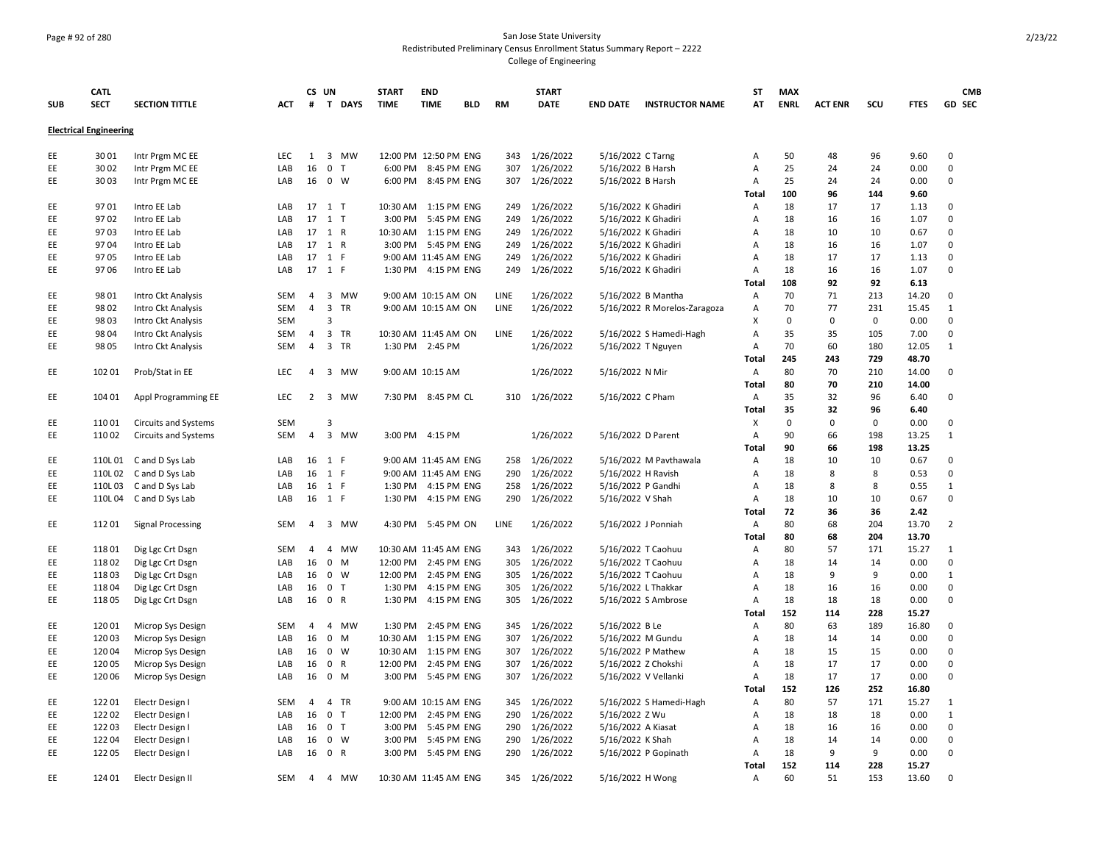## Page # 92 of 280 San Jose State University Redistributed Preliminary Census Enrollment Status Summary Report – 2222 College of Engineering

|            | <b>CATL</b>                   |                             |            | CS UN          |                |        | <b>START</b> | <b>END</b>            |            |             | <b>START</b>  |                     |                              | ST           | <b>MAX</b>  |                |             |             | <b>CMB</b>     |
|------------|-------------------------------|-----------------------------|------------|----------------|----------------|--------|--------------|-----------------------|------------|-------------|---------------|---------------------|------------------------------|--------------|-------------|----------------|-------------|-------------|----------------|
| <b>SUB</b> | <b>SECT</b>                   | <b>SECTION TITTLE</b>       | ACT        | #              |                | T DAYS | <b>TIME</b>  | <b>TIME</b>           | <b>BLD</b> | <b>RM</b>   | <b>DATE</b>   | <b>END DATE</b>     | <b>INSTRUCTOR NAME</b>       | АТ           | <b>ENRL</b> | <b>ACT ENR</b> | scu         | <b>FTES</b> | <b>GD SEC</b>  |
|            | <b>Electrical Engineering</b> |                             |            |                |                |        |              |                       |            |             |               |                     |                              |              |             |                |             |             |                |
| EE         | 3001                          | Intr Prgm MC EE             | <b>LEC</b> | 1              |                | 3 MW   |              | 12:00 PM 12:50 PM ENG |            | 343         | 1/26/2022     | 5/16/2022 C Tarng   |                              | Α            | 50          | 48             | 96          | 9.60        | 0              |
| EE         | 30 02                         | Intr Prgm MC EE             | LAB        | 16             | 0 <sub>T</sub> |        | 6:00 PM      | 8:45 PM ENG           |            | 307         | 1/26/2022     | 5/16/2022 B Harsh   |                              | A            | 25          | 24             | 24          | 0.00        | $\mathbf 0$    |
| EE         | 3003                          | Intr Prgm MC EE             | LAB        | 16             | $0 \quad W$    |        |              | 6:00 PM 8:45 PM ENG   |            | 307         | 1/26/2022     | 5/16/2022 B Harsh   |                              | Α            | 25          | 24             | 24          | 0.00        | $\mathbf 0$    |
|            |                               |                             |            |                |                |        |              |                       |            |             |               |                     |                              | Total        | 100         | 96             | 144         | 9.60        |                |
| EE         | 9701                          | Intro EE Lab                | LAB        |                | 17 1 T         |        |              | 10:30 AM  1:15 PM ENG |            | 249         | 1/26/2022     | 5/16/2022 K Ghadiri |                              | Α            | 18          | 17             | 17          | 1.13        | 0              |
| EE         | 9702                          | Intro EE Lab                | LAB        |                | 17 1 T         |        | 3:00 PM      | 5:45 PM ENG           |            | 249         | 1/26/2022     | 5/16/2022 K Ghadiri |                              | Α            | 18          | 16             | 16          | 1.07        | $\Omega$       |
| EE         | 9703                          | Intro EE Lab                | LAB        |                | 17 1 R         |        | 10:30 AM     | 1:15 PM ENG           |            | 249         | 1/26/2022     | 5/16/2022 K Ghadiri |                              | A            | 18          | 10             | 10          | 0.67        | $\Omega$       |
| EE         | 9704                          | Intro EE Lab                | LAB        |                | 17 1 R         |        | 3:00 PM      | 5:45 PM ENG           |            | 249         | 1/26/2022     | 5/16/2022 K Ghadiri |                              | Α            | 18          | 16             | 16          | 1.07        | 0              |
| EE         | 9705                          | Intro EE Lab                | LAB        |                | 17 1 F         |        |              | 9:00 AM 11:45 AM ENG  |            | 249         | 1/26/2022     | 5/16/2022 K Ghadiri |                              | A            | 18          | 17             | 17          | 1.13        | $\Omega$       |
| EE         | 9706                          | Intro EE Lab                | LAB        | 17             | 1 F            |        | 1:30 PM      | 4:15 PM ENG           |            | 249         | 1/26/2022     | 5/16/2022 K Ghadiri |                              | A            | 18          | 16             | 16          | 1.07        | $\mathbf 0$    |
|            |                               |                             |            |                |                |        |              |                       |            |             |               |                     |                              | Total        | 108         | 92             | 92          | 6.13        |                |
| EE         | 98 01                         | Intro Ckt Analysis          | <b>SEM</b> | 4              |                | 3 MW   |              | 9:00 AM 10:15 AM ON   |            | <b>LINE</b> | 1/26/2022     | 5/16/2022 B Mantha  |                              | Α            | 70          | 71             | 213         | 14.20       | 0              |
| EE         | 9802                          | Intro Ckt Analysis          | SEM        | $\overline{4}$ | 3 TR           |        |              | 9:00 AM 10:15 AM ON   |            | LINE        | 1/26/2022     |                     | 5/16/2022 R Morelos-Zaragoza | Α            | 70          | 77             | 231         | 15.45       | $\mathbf{1}$   |
| EE         | 9803                          | Intro Ckt Analysis          | <b>SEM</b> |                | $\overline{3}$ |        |              |                       |            |             |               |                     |                              | X            | 0           | $\mathbf 0$    | $\mathbf 0$ | 0.00        | 0              |
| EE         | 98 04                         | Intro Ckt Analysis          | SEM        | $\overline{4}$ | 3 TR           |        |              | 10:30 AM 11:45 AM ON  |            | LINE        | 1/26/2022     |                     | 5/16/2022 S Hamedi-Hagh      | Α            | 35          | 35             | 105         | 7.00        | 0              |
| EE         | 98 05                         | Intro Ckt Analysis          | SEM        | $\overline{4}$ | 3 TR           |        | 1:30 PM      | 2:45 PM               |            |             | 1/26/2022     | 5/16/2022 T Nguyen  |                              | Α            | 70          | 60             | 180         | 12.05       | $\mathbf{1}$   |
|            |                               |                             |            |                |                |        |              |                       |            |             |               |                     |                              | <b>Total</b> | 245         | 243            | 729         | 48.70       |                |
| EE         | 102 01                        | Prob/Stat in EE             | <b>LEC</b> | $\overline{4}$ |                | 3 MW   |              | 9:00 AM 10:15 AM      |            |             | 1/26/2022     | 5/16/2022 N Mir     |                              | Α            | 80          | 70             | 210         | 14.00       | 0              |
|            |                               |                             |            |                |                |        |              |                       |            |             |               |                     |                              | <b>Total</b> | 80          | 70             | 210         | 14.00       |                |
| EE         | 104 01                        | Appl Programming EE         | LEC        | $\overline{2}$ |                | 3 MW   |              | 7:30 PM 8:45 PM CL    |            | 310         | 1/26/2022     | 5/16/2022 C Pham    |                              | Α            | 35          | 32             | 96          | 6.40        | $\Omega$       |
|            |                               |                             |            |                |                |        |              |                       |            |             |               |                     |                              | Total        | 35          | 32             | 96          | 6.40        |                |
| EE         | 11001                         | <b>Circuits and Systems</b> | <b>SEM</b> |                | 3              |        |              |                       |            |             |               |                     |                              | X            | 0           | $\mathbf 0$    | 0           | 0.00        | 0              |
| EE         | 11002                         | <b>Circuits and Systems</b> | <b>SEM</b> | $\overline{4}$ |                | 3 MW   |              | 3:00 PM 4:15 PM       |            |             | 1/26/2022     | 5/16/2022 D Parent  |                              | Α            | 90          | 66             | 198         | 13.25       | $\mathbf{1}$   |
|            |                               |                             |            |                |                |        |              |                       |            |             |               |                     |                              | <b>Total</b> | 90          | 66             | 198         | 13.25       |                |
| EE         |                               | 110L01 C and D Sys Lab      | LAB        |                | 16 1 F         |        |              | 9:00 AM 11:45 AM ENG  |            | 258         | 1/26/2022     |                     | 5/16/2022 M Pavthawala       | Α            | 18          | 10             | 10          | 0.67        | $\mathbf 0$    |
| EE         |                               | 110L02 C and D Sys Lab      | LAB        |                | 16 1 F         |        |              | 9:00 AM 11:45 AM ENG  |            | 290         | 1/26/2022     | 5/16/2022 H Ravish  |                              | Α            | 18          | 8              | 8           | 0.53        | $\mathbf 0$    |
| EE         |                               | 110L03 C and D Sys Lab      | LAB        | 16             | 1 F            |        |              | 1:30 PM 4:15 PM ENG   |            | 258         | 1/26/2022     | 5/16/2022 P Gandhi  |                              | Α            | 18          | 8              | 8           | 0.55        | $\mathbf{1}$   |
| EE         |                               | 110L04 C and D Sys Lab      | LAB        |                | 16 1 F         |        |              | 1:30 PM 4:15 PM ENG   |            | 290         | 1/26/2022     | 5/16/2022 V Shah    |                              | Α            | 18          | 10             | 10          | 0.67        | $\mathbf 0$    |
|            |                               |                             |            |                |                |        |              |                       |            |             |               |                     |                              | Total        | 72          | 36             | 36          | 2.42        |                |
| EE         | 11201                         | <b>Signal Processing</b>    | <b>SEM</b> | $\overline{4}$ |                | 3 MW   | 4:30 PM      | 5:45 PM ON            |            | LINE        | 1/26/2022     | 5/16/2022 J Ponniah |                              | Α            | 80          | 68             | 204         | 13.70       | $\overline{2}$ |
|            |                               |                             |            |                |                |        |              |                       |            |             |               |                     |                              | Total        | 80          | 68             | 204         | 13.70       |                |
| EE         | 11801                         | Dig Lgc Crt Dsgn            | SEM        | $\overline{4}$ |                | 4 MW   |              | 10:30 AM 11:45 AM ENG |            | 343         | 1/26/2022     | 5/16/2022 T Caohuu  |                              | Α            | 80          | 57             | 171         | 15.27       | 1              |
| EE         | 11802                         | Dig Lgc Crt Dsgn            | LAB        | 16             | $0 \quad M$    |        | 12:00 PM     | 2:45 PM ENG           |            | 305         | 1/26/2022     | 5/16/2022 T Caohuu  |                              | A            | 18          | 14             | 14          | 0.00        | $\mathbf 0$    |
| EE         | 11803                         | Dig Lgc Crt Dsgn            | LAB        | 16             | $0 \quad W$    |        | 12:00 PM     | 2:45 PM ENG           |            | 305         | 1/26/2022     | 5/16/2022 T Caohuu  |                              | А            | 18          | 9              | 9           | 0.00        | $\mathbf{1}$   |
| EE         | 11804                         | Dig Lgc Crt Dsgn            | LAB        | 16             | 0 <sub>T</sub> |        | 1:30 PM      | 4:15 PM ENG           |            | 305         | 1/26/2022     | 5/16/2022 L Thakkar |                              | Α            | 18          | 16             | 16          | 0.00        | 0              |
| EE         | 11805                         | Dig Lgc Crt Dsgn            | LAB        | 16             | 0 R            |        | 1:30 PM      | 4:15 PM ENG           |            | 305         | 1/26/2022     |                     | 5/16/2022 S Ambrose          | Α            | 18          | 18             | 18          | 0.00        | $\Omega$       |
|            |                               |                             |            |                |                |        |              |                       |            |             |               |                     |                              | Total        | 152         | 114            | 228         | 15.27       |                |
| EE         | 12001                         | Microp Sys Design           | SEM        | $\overline{4}$ |                | 4 MW   | 1:30 PM      | 2:45 PM ENG           |            | 345         | 1/26/2022     | 5/16/2022 B Le      |                              | Α            | 80          | 63             | 189         | 16.80       | 0              |
| EE         | 12003                         | Microp Sys Design           | LAB        | 16             | $0 \quad M$    |        | 10:30 AM     | 1:15 PM ENG           |            | 307         | 1/26/2022     | 5/16/2022 M Gundu   |                              | Α            | 18          | 14             | 14          | 0.00        | 0              |
| EE         | 12004                         | Microp Sys Design           | LAB        | 16             | $0 \quad W$    |        | 10:30 AM     | 1:15 PM ENG           |            | 307         | 1/26/2022     |                     | 5/16/2022 P Mathew           | Α            | 18          | 15             | 15          | 0.00        | 0              |
| EE         | 12005                         | Microp Sys Design           | LAB        | 16             | 0 R            |        | 12:00 PM     | 2:45 PM ENG           |            | 307         | 1/26/2022     | 5/16/2022 Z Chokshi |                              | Α            | 18          | 17             | 17          | 0.00        | 0              |
| EE         | 120 06                        | Microp Sys Design           | LAB        | 16             | $0 \quad M$    |        | 3:00 PM      | 5:45 PM ENG           |            | 307         | 1/26/2022     |                     | 5/16/2022 V Vellanki         | Α            | 18          | 17             | 17          | 0.00        | $\mathbf 0$    |
|            |                               |                             |            |                |                |        |              |                       |            |             |               |                     |                              | Total        | 152         | 126            | 252         | 16.80       |                |
| EE         | 122 01                        | Electr Design I             | SEM        | 4              | 4 TR           |        |              | 9:00 AM 10:15 AM ENG  |            | 345         | 1/26/2022     |                     | 5/16/2022 S Hamedi-Hagh      | Α            | 80          | 57             | 171         | 15.27       | $\mathbf{1}$   |
| EE         | 12202                         | Electr Design I             | LAB        | 16             | 0 <sub>T</sub> |        | 12:00 PM     | 2:45 PM ENG           |            | 290         | 1/26/2022     | 5/16/2022 Z Wu      |                              | A            | 18          | 18             | 18          | 0.00        | $\mathbf{1}$   |
| EE         | 12203                         | Electr Design I             | LAB        | 16             | 0 <sub>T</sub> |        | 3:00 PM      | 5:45 PM ENG           |            | 290         | 1/26/2022     | 5/16/2022 A Kiasat  |                              | Α            | 18          | 16             | 16          | 0.00        | 0              |
| EE         | 12204                         | Electr Design I             | LAB        | 16             | $0 \quad W$    |        | 3:00 PM      | 5:45 PM ENG           |            | 290         | 1/26/2022     | 5/16/2022 K Shah    |                              | Α            | 18          | 14             | 14          | 0.00        | 0              |
| EE         | 12205                         | Electr Design I             | LAB        |                | 16 0 R         |        |              | 3:00 PM 5:45 PM ENG   |            | 290         | 1/26/2022     |                     | 5/16/2022 P Gopinath         | A            | 18          | 9              | 9           | 0.00        | $\Omega$       |
|            |                               |                             |            |                |                |        |              |                       |            |             |               |                     |                              | Total        | 152         | 114            | 228         | 15.27       |                |
| EE         | 124 01                        | Electr Design II            | SEM        | $\overline{4}$ |                | 4 MW   |              | 10:30 AM 11:45 AM ENG |            |             | 345 1/26/2022 | 5/16/2022 H Wong    |                              | Α            | 60          | 51             | 153         | 13.60       | 0              |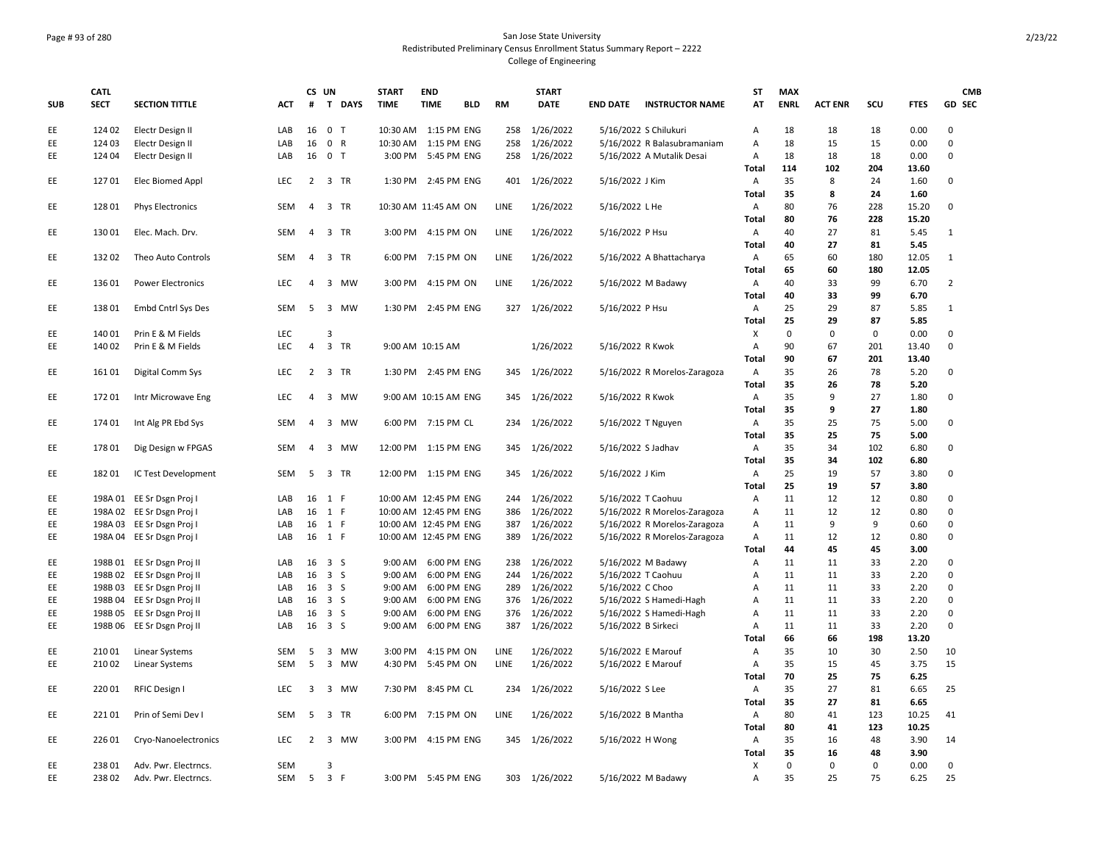## Page # 93 of 280 San Jose State University Redistributed Preliminary Census Enrollment Status Summary Report – 2222 College of Engineering

|            | <b>CATL</b> |                                                          |                  |                | CS UN                    |        | <b>START</b>          | <b>END</b>                 |            |            | <b>START</b>           |                     |                                                    | <b>ST</b>      | <b>MAX</b>  |                |             |              | <b>CMB</b>       |
|------------|-------------|----------------------------------------------------------|------------------|----------------|--------------------------|--------|-----------------------|----------------------------|------------|------------|------------------------|---------------------|----------------------------------------------------|----------------|-------------|----------------|-------------|--------------|------------------|
| <b>SUB</b> | <b>SECT</b> | <b>SECTION TITTLE</b>                                    | <b>ACT</b>       | #              |                          | T DAYS | <b>TIME</b>           | <b>TIME</b>                | <b>BLD</b> | <b>RM</b>  | <b>DATE</b>            | <b>END DATE</b>     | <b>INSTRUCTOR NAME</b>                             | AT             | <b>ENRL</b> | <b>ACT ENR</b> | SCU         | <b>FTES</b>  | GD SEC           |
| EE         | 124 02      | Electr Design II                                         | LAB              | 16             | 0 <sub>T</sub>           |        | 10:30 AM  1:15 PM ENG |                            |            | 258        | 1/26/2022              |                     | 5/16/2022 S Chilukuri                              | A              | 18          | 18             | 18          | 0.00         | 0                |
| EE         | 124 03      | Electr Design II                                         | LAB              | 16             | 0 R                      |        | 10:30 AM  1:15 PM ENG |                            |            | 258        | 1/26/2022              |                     | 5/16/2022 R Balasubramaniam                        | Α              | 18          | 15             | 15          | 0.00         | $\mathbf 0$      |
| EE         | 124 04      | Electr Design II                                         | LAB              | 16             | 0 <sub>T</sub>           |        | 3:00 PM               | 5:45 PM ENG                |            | 258        | 1/26/2022              |                     | 5/16/2022 A Mutalik Desai                          | Α              | 18          | 18             | 18          | 0.00         | $\mathbf 0$      |
|            |             |                                                          |                  |                |                          |        |                       |                            |            |            |                        |                     |                                                    | Total          | 114         | 102            | 204         | 13.60        |                  |
| EE         | 12701       | Elec Biomed Appl                                         | <b>LEC</b>       |                | 2 3 TR                   |        |                       | 1:30 PM 2:45 PM ENG        |            | 401        | 1/26/2022              | 5/16/2022 J Kim     |                                                    | A              | 35          | 8              | 24          | 1.60         | 0                |
|            |             |                                                          |                  |                |                          |        |                       |                            |            |            |                        |                     |                                                    | Total          | 35          | 8              | 24          | 1.60         |                  |
| EE         | 12801       | <b>Phys Electronics</b>                                  | <b>SEM</b>       | $\overline{4}$ | 3 TR                     |        | 10:30 AM 11:45 AM ON  |                            |            | LINE       | 1/26/2022              | 5/16/2022 L He      |                                                    | Α              | 80          | 76             | 228         | 15.20        | $\mathbf 0$      |
|            | 13001       |                                                          | <b>SEM</b>       |                |                          |        |                       |                            |            |            |                        |                     |                                                    | Total          | 80<br>40    | 76<br>27       | 228         | 15.20        |                  |
| EE         |             | Elec. Mach. Drv.                                         |                  | $\overline{4}$ | 3 TR                     |        |                       | 3:00 PM 4:15 PM ON         |            | LINE       | 1/26/2022              | 5/16/2022 P Hsu     |                                                    | A              | 40          | 27             | 81<br>81    | 5.45<br>5.45 | 1                |
|            | 13202       | Theo Auto Controls                                       | SEM              | 4              | 3 TR                     |        | 6:00 PM               | 7:15 PM ON                 |            | LINE       |                        |                     |                                                    | <b>Total</b>   | 65          | 60             | 180         | 12.05        | 1                |
| EE         |             |                                                          |                  |                |                          |        |                       |                            |            |            | 1/26/2022              |                     | 5/16/2022 A Bhattacharya                           | Α<br>Total     | 65          | 60             | 180         | 12.05        |                  |
| EE         | 136 01      | <b>Power Electronics</b>                                 | LEC              | $\overline{a}$ |                          | 3 MW   |                       | 3:00 PM 4:15 PM ON         |            | LINE       | 1/26/2022              |                     | 5/16/2022 M Badawy                                 | Α              | 40          | 33             | 99          | 6.70         | $\overline{2}$   |
|            |             |                                                          |                  |                |                          |        |                       |                            |            |            |                        |                     |                                                    | <b>Total</b>   | 40          | 33             | 99          | 6.70         |                  |
| EE         | 13801       | Embd Cntrl Sys Des                                       | <b>SEM</b>       | 5              |                          | 3 MW   |                       | 1:30 PM 2:45 PM ENG        |            | 327        | 1/26/2022              | 5/16/2022 P Hsu     |                                                    | Α              | 25          | 29             | 87          | 5.85         | 1                |
|            |             |                                                          |                  |                |                          |        |                       |                            |            |            |                        |                     |                                                    | Total          | 25          | 29             | 87          | 5.85         |                  |
| EE         | 140 01      | Prin E & M Fields                                        | LEC              |                | 3                        |        |                       |                            |            |            |                        |                     |                                                    | X              | $\mathbf 0$ | 0              | $\mathbf 0$ | 0.00         | $\mathbf 0$      |
| EE         | 140 02      | Prin E & M Fields                                        | LEC              | 4              | 3 TR                     |        |                       | 9:00 AM 10:15 AM           |            |            | 1/26/2022              | 5/16/2022 R Kwok    |                                                    | Α              | 90          | 67             | 201         | 13.40        | $\mathsf 0$      |
|            |             |                                                          |                  |                |                          |        |                       |                            |            |            |                        |                     |                                                    | Total          | 90          | 67             | 201         | 13.40        |                  |
| EE         | 16101       | Digital Comm Sys                                         | <b>LEC</b>       | 2              | 3 TR                     |        |                       | 1:30 PM 2:45 PM ENG        |            | 345        | 1/26/2022              |                     | 5/16/2022 R Morelos-Zaragoza                       | Α              | 35          | 26             | 78          | 5.20         | 0                |
|            |             |                                                          |                  |                |                          |        |                       |                            |            |            |                        |                     |                                                    | Total          | 35          | 26             | 78          | 5.20         |                  |
| EE         | 17201       | Intr Microwave Eng                                       | <b>LEC</b>       | $\overline{4}$ |                          | 3 MW   |                       | 9:00 AM 10:15 AM ENG       |            | 345        | 1/26/2022              | 5/16/2022 R Kwok    |                                                    | Α              | 35          | 9              | 27          | 1.80         | 0                |
|            |             |                                                          |                  |                |                          |        |                       |                            |            |            |                        |                     |                                                    | Total          | 35          | 9              | 27          | 1.80         |                  |
| EE         | 174 01      | Int Alg PR Ebd Sys                                       | <b>SEM</b>       | $\overline{4}$ |                          | 3 MW   |                       | 6:00 PM 7:15 PM CL         |            | 234        | 1/26/2022              |                     | 5/16/2022 T Nguyen                                 | Α              | 35          | 25             | 75          | 5.00         | $\mathbf 0$      |
|            |             |                                                          |                  |                |                          |        |                       |                            |            |            |                        |                     |                                                    | Total          | 35          | 25             | 75          | 5.00         |                  |
| EE         | 17801       | Dig Design w FPGAS                                       | SEM              | $\overline{4}$ |                          | 3 MW   | 12:00 PM              | 1:15 PM ENG                |            | 345        | 1/26/2022              | 5/16/2022 S Jadhav  |                                                    | Α              | 35          | 34             | 102         | 6.80         | 0                |
|            |             |                                                          |                  |                |                          |        |                       |                            |            |            |                        |                     |                                                    | Total          | 35          | 34             | 102         | 6.80         |                  |
| EE         | 18201       | IC Test Development                                      | SEM              | 5              | 3 TR                     |        | 12:00 PM 1:15 PM ENG  |                            |            | 345        | 1/26/2022              | 5/16/2022 J Kim     |                                                    | Α              | 25          | 19             | 57          | 3.80         | 0                |
|            |             |                                                          |                  |                |                          |        |                       |                            |            |            |                        |                     |                                                    | Total          | 25          | 19             | 57          | 3.80         |                  |
| EE         |             | 198A 01 EE Sr Dsgn Proj I                                | LAB              |                | 16 1 F                   |        | 10:00 AM 12:45 PM ENG |                            |            | 244        | 1/26/2022              |                     | 5/16/2022 T Caohuu                                 | Α              | 11          | 12             | 12          | 0.80         | 0                |
| EE         |             | 198A 02 EE Sr Dsgn Proj I                                | LAB              |                | 16 1 F                   |        | 10:00 AM 12:45 PM ENG |                            |            | 386        | 1/26/2022              |                     | 5/16/2022 R Morelos-Zaragoza                       | Α              | 11          | 12             | 12          | 0.80         | $\mathbf 0$      |
| EE         |             | 198A 03 EE Sr Dsgn Proj I                                | LAB              |                | 16 1 F                   |        | 10:00 AM 12:45 PM ENG |                            |            | 387        | 1/26/2022              |                     | 5/16/2022 R Morelos-Zaragoza                       | A              | 11          | 9              | 9           | 0.60         | $\mathbf 0$      |
| EE         |             | 198A 04 EE Sr Dsgn Proj I                                | LAB              |                | 16 1 F                   |        | 10:00 AM 12:45 PM ENG |                            |            | 389        | 1/26/2022              |                     | 5/16/2022 R Morelos-Zaragoza                       | Α              | 11          | 12             | 12          | 0.80         | $\mathbf 0$      |
|            |             |                                                          |                  |                |                          |        |                       |                            |            |            |                        |                     |                                                    | Total          | 44          | 45             | 45          | 3.00         |                  |
| EE         |             | 198B 01 EE Sr Dsgn Proj II                               | LAB              | 16             | 3 <sub>5</sub>           |        | 9:00 AM               | 6:00 PM ENG                |            | 238        | 1/26/2022              |                     | 5/16/2022 M Badawy                                 | Α              | 11          | 11             | 33          | 2.20         | 0                |
| EE<br>EE   |             | 198B 02 EE Sr Dsgn Proj II<br>198B 03 EE Sr Dsgn Proj II | LAB              | 16             | 3 <sub>5</sub><br>16 3 S |        | 9:00 AM<br>9:00 AM    | 6:00 PM ENG<br>6:00 PM ENG |            | 244        | 1/26/2022<br>1/26/2022 | 5/16/2022 C Choo    | 5/16/2022 T Caohuu                                 | Α              | 11<br>11    | 11<br>11       | 33<br>33    | 2.20<br>2.20 | 0<br>$\mathbf 0$ |
| EE         |             |                                                          | LAB<br>LAB       |                | 16 3 S                   |        | 9:00 AM               | 6:00 PM ENG                |            | 289<br>376 | 1/26/2022              |                     |                                                    | A<br>A         | 11          | 11             | 33          | 2.20         | $\mathbf 0$      |
| EE         |             | 198B 04 EE Sr Dsgn Proj II<br>198B 05 EE Sr Dsgn Proj II | LAB              | 16             | 3 <sub>5</sub>           |        | 9:00 AM               | 6:00 PM ENG                |            | 376        | 1/26/2022              |                     | 5/16/2022 S Hamedi-Hagh<br>5/16/2022 S Hamedi-Hagh | A              | 11          | 11             | 33          | 2.20         | 0                |
| EE         |             | 198B 06 EE Sr Dsgn Proj II                               | LAB              |                | 16 3 S                   |        | 9:00 AM               | 6:00 PM ENG                |            | 387        | 1/26/2022              | 5/16/2022 B Sirkeci |                                                    | Α              | 11          | 11             | 33          | 2.20         | $\mathbf 0$      |
|            |             |                                                          |                  |                |                          |        |                       |                            |            |            |                        |                     |                                                    | Total          | 66          | 66             | 198         | 13.20        |                  |
| EE         | 21001       | Linear Systems                                           | SEM              | 5              |                          | 3 MW   | 3:00 PM               | 4:15 PM ON                 |            | LINE       | 1/26/2022              |                     | 5/16/2022 E Marouf                                 | Α              | 35          | 10             | 30          | 2.50         | 10               |
| EE         | 21002       | Linear Systems                                           | <b>SEM</b>       | 5              |                          | 3 MW   | 4:30 PM               | 5:45 PM ON                 |            | LINE       | 1/26/2022              |                     | 5/16/2022 E Marouf                                 | Α              | 35          | 15             | 45          | 3.75         | 15               |
|            |             |                                                          |                  |                |                          |        |                       |                            |            |            |                        |                     |                                                    | Total          | 70          | 25             | 75          | 6.25         |                  |
| EE         | 22001       | RFIC Design I                                            | <b>LEC</b>       | $\overline{3}$ |                          | 3 MW   |                       | 7:30 PM 8:45 PM CL         |            | 234        | 1/26/2022              | 5/16/2022 S Lee     |                                                    | Α              | 35          | 27             | 81          | 6.65         | 25               |
|            |             |                                                          |                  |                |                          |        |                       |                            |            |            |                        |                     |                                                    | Total          | 35          | 27             | 81          | 6.65         |                  |
| EE         | 22101       | Prin of Semi Dev I                                       | SEM              | 5              | 3 TR                     |        |                       | 6:00 PM 7:15 PM ON         |            | LINE       | 1/26/2022              |                     | 5/16/2022 B Mantha                                 | Α              | 80          | 41             | 123         | 10.25        | 41               |
|            |             |                                                          |                  |                |                          |        |                       |                            |            |            |                        |                     |                                                    | Total          | 80          | 41             | 123         | 10.25        |                  |
| EE         | 22601       | Cryo-Nanoelectronics                                     | LEC              | 2              | 3                        | MW     | 3:00 PM               | 4:15 PM ENG                |            | 345        | 1/26/2022              | 5/16/2022 H Wong    |                                                    | A              | 35          | 16             | 48          | 3.90         | 14               |
|            |             |                                                          |                  |                |                          |        |                       |                            |            |            |                        |                     |                                                    | Total          | 35          | 16             | 48          | 3.90         |                  |
| EE         | 23801       | Adv. Pwr. Electrncs.                                     | SEM              |                | 3                        |        |                       |                            |            |            |                        |                     |                                                    | X              | $\Omega$    | 0              | 0           | 0.00         | $\mathbf 0$      |
| EE         | 23802       | Adv. Pwr. Electrncs.                                     | SEM <sub>5</sub> |                | $-3$ F                   |        |                       | 3:00 PM 5:45 PM ENG        |            | 303        | 1/26/2022              |                     | 5/16/2022 M Badawy                                 | $\overline{A}$ | 35          | 25             | 75          | 6.25         | 25               |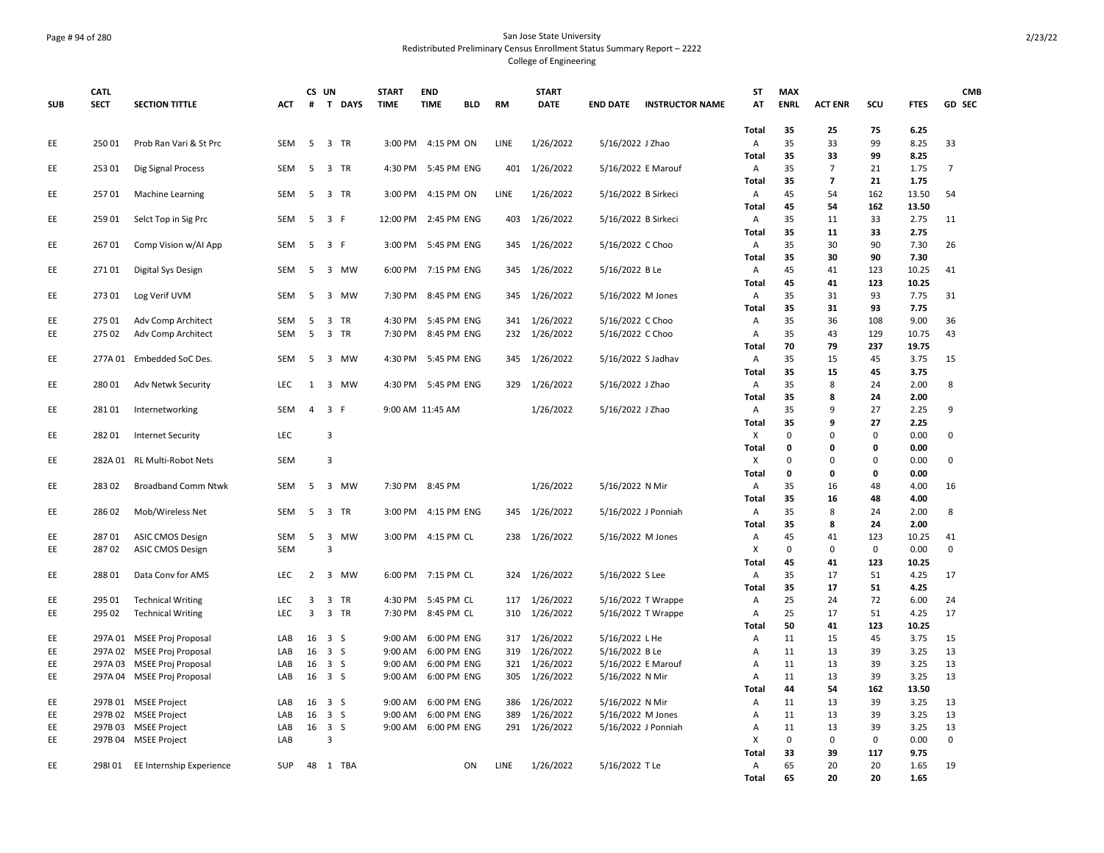## Page # 94 of 280 San Jose State University Redistributed Preliminary Census Enrollment Status Summary Report – 2222 College of Engineering

|            | <b>CATL</b>        |                                                 |            |                | CS UN                                  | <b>START</b>         | <b>END</b>                 |            |             | <b>START</b>           |                                  |                        | <b>ST</b>             | <b>MAX</b>  |                          |           |               | <b>CMB</b>     |
|------------|--------------------|-------------------------------------------------|------------|----------------|----------------------------------------|----------------------|----------------------------|------------|-------------|------------------------|----------------------------------|------------------------|-----------------------|-------------|--------------------------|-----------|---------------|----------------|
| <b>SUB</b> | <b>SECT</b>        | <b>SECTION TITTLE</b>                           | ACT        | #              | T DAYS                                 | <b>TIME</b>          | <b>TIME</b>                | <b>BLD</b> | <b>RM</b>   | <b>DATE</b>            | <b>END DATE</b>                  | <b>INSTRUCTOR NAME</b> | AT                    | <b>ENRL</b> | <b>ACT ENR</b>           | scu       | <b>FTES</b>   | GD SEC         |
| EE         | 25001              | Prob Ran Vari & St Prc                          | <b>SEM</b> | 5              | 3 TR                                   | 3:00 PM              | 4:15 PM ON                 |            | LINE        | 1/26/2022              | 5/16/2022 J Zhao                 |                        | Total<br>A            | 35<br>35    | 25<br>33                 | 75<br>99  | 6.25<br>8.25  | 33             |
|            |                    |                                                 |            |                |                                        |                      |                            |            |             |                        |                                  |                        | <b>Total</b>          | 35          | 33                       | 99        | 8.25          |                |
| EE         | 253 01             | Dig Signal Process                              | SEM        |                | 5 3 TR                                 |                      | 4:30 PM 5:45 PM ENG        |            | 401         | 1/26/2022              | 5/16/2022 E Marouf               |                        | A                     | 35          | 7                        | 21        | 1.75          | $\overline{7}$ |
|            |                    |                                                 |            |                |                                        |                      |                            |            |             |                        |                                  |                        | Total                 | 35          | $\overline{\phantom{a}}$ | 21        | 1.75          |                |
| EE         | 25701              | <b>Machine Learning</b>                         | SEM        | 5              | 3 TR                                   | 3:00 PM              | 4:15 PM ON                 |            | LINE        | 1/26/2022              | 5/16/2022 B Sirkeci              |                        | A                     | 45          | 54                       | 162       | 13.50         | 54             |
|            |                    |                                                 |            |                |                                        |                      |                            |            |             |                        |                                  |                        | Total                 | 45          | 54                       | 162       | 13.50         |                |
| EE         | 25901              | Selct Top in Sig Prc                            | SEM        | 5              | 3 F                                    | 12:00 PM             | 2:45 PM ENG                |            | 403         | 1/26/2022              | 5/16/2022 B Sirkeci              |                        | A                     | 35          | 11                       | 33        | 2.75          | 11             |
|            |                    |                                                 |            |                |                                        |                      |                            |            |             |                        |                                  |                        | Total                 | 35          | 11                       | 33        | 2.75          |                |
| EE         | 26701              | Comp Vision w/Al App                            | <b>SEM</b> |                | 5 3 F                                  |                      | 3:00 PM 5:45 PM ENG        |            | 345         | 1/26/2022              | 5/16/2022 C Choo                 |                        | Α                     | 35          | 30                       | 90        | 7.30          | 26             |
|            |                    |                                                 | <b>SEM</b> |                |                                        |                      | 7:15 PM ENG                |            |             |                        |                                  |                        | Total                 | 35<br>45    | 30<br>41                 | 90<br>123 | 7.30<br>10.25 |                |
| EE         | 27101              | Digital Sys Design                              |            | 5              | 3 MW                                   | 6:00 PM              |                            |            | 345         | 1/26/2022              | 5/16/2022 B Le                   |                        | Α<br><b>Total</b>     | 45          | 41                       | 123       | 10.25         | 41             |
| EE         | 27301              | Log Verif UVM                                   | <b>SEM</b> | 5              | $\overline{3}$<br><b>MW</b>            | 7:30 PM              | 8:45 PM ENG                |            | 345         | 1/26/2022              | 5/16/2022 M Jones                |                        | $\overline{A}$        | 35          | 31                       | 93        | 7.75          | 31             |
|            |                    |                                                 |            |                |                                        |                      |                            |            |             |                        |                                  |                        | <b>Total</b>          | 35          | 31                       | 93        | 7.75          |                |
| EE         | 275 01             | Adv Comp Architect                              | SEM        | 5              | 3 TR                                   | 4:30 PM              | 5:45 PM ENG                |            | 341         | 1/26/2022              | 5/16/2022 C Choo                 |                        | Α                     | 35          | 36                       | 108       | 9.00          | 36             |
| EE         | 275 02             | Adv Comp Architect                              | <b>SEM</b> | 5              | 3 TR                                   | 7:30 PM              | 8:45 PM ENG                |            | 232         | 1/26/2022              | 5/16/2022 C Choo                 |                        | Α                     | 35          | 43                       | 129       | 10.75         | 43             |
|            |                    |                                                 |            |                |                                        |                      |                            |            |             |                        |                                  |                        | Total                 | 70          | 79                       | 237       | 19.75         |                |
| EE         |                    | 277A 01 Embedded SoC Des.                       | SEM        | 5              | 3 MW                                   | 4:30 PM              | 5:45 PM ENG                |            | 345         | 1/26/2022              | 5/16/2022 S Jadhav               |                        | A                     | 35          | 15                       | 45        | 3.75          | 15             |
|            |                    |                                                 |            |                |                                        |                      |                            |            |             |                        |                                  |                        | <b>Total</b>          | 35          | 15                       | 45        | 3.75          |                |
| EE         | 28001              | Adv Netwk Security                              | LEC        | 1              | 3 MW                                   | 4:30 PM              | 5:45 PM ENG                |            | 329         | 1/26/2022              | 5/16/2022 J Zhao                 |                        | A                     | 35          | 8                        | 24        | 2.00          | 8              |
| EE         | 28101              |                                                 | SEM        | $\overline{4}$ | 3 F                                    |                      | 9:00 AM 11:45 AM           |            |             | 1/26/2022              | 5/16/2022 J Zhao                 |                        | Total<br>Α            | 35<br>35    | 8<br>9                   | 24<br>27  | 2.00<br>2.25  | 9              |
|            |                    | Internetworking                                 |            |                |                                        |                      |                            |            |             |                        |                                  |                        | Total                 | 35          | 9                        | 27        | 2.25          |                |
| EE         | 28201              | <b>Internet Security</b>                        | <b>LEC</b> |                | 3                                      |                      |                            |            |             |                        |                                  |                        | X                     | $\mathbf 0$ | 0                        | 0         | 0.00          | $\mathsf{O}$   |
|            |                    |                                                 |            |                |                                        |                      |                            |            |             |                        |                                  |                        | Total                 | 0           | 0                        | 0         | 0.00          |                |
| EE         |                    | 282A 01 RL Multi-Robot Nets                     | <b>SEM</b> |                | 3                                      |                      |                            |            |             |                        |                                  |                        | X                     | $\Omega$    | $\Omega$                 | 0         | 0.00          | $\mathbf 0$    |
|            |                    |                                                 |            |                |                                        |                      |                            |            |             |                        |                                  |                        | Total                 | 0           | 0                        | 0         | 0.00          |                |
| EE         | 28302              | <b>Broadband Comm Ntwk</b>                      | <b>SEM</b> | 5              | 3 MW                                   |                      | 7:30 PM 8:45 PM            |            |             | 1/26/2022              | 5/16/2022 N Mir                  |                        | Α                     | 35          | 16                       | 48        | 4.00          | 16             |
|            |                    |                                                 |            |                |                                        |                      |                            |            |             |                        |                                  |                        | <b>Total</b>          | 35          | 16                       | 48        | 4.00          |                |
| EE         | 28602              | Mob/Wireless Net                                | SEM        | -5             | 3<br>TR                                | 3:00 PM              | 4:15 PM ENG                |            | 345         | 1/26/2022              | 5/16/2022 J Ponniah              |                        | A                     | 35<br>35    | 8                        | 24        | 2.00          | 8              |
| EE         | 28701              | <b>ASIC CMOS Design</b>                         | SEM        | 5              | 3 MW                                   |                      | 3:00 PM 4:15 PM CL         |            | 238         | 1/26/2022              | 5/16/2022 M Jones                |                        | Total<br>Α            | 45          | 8<br>41                  | 24<br>123 | 2.00<br>10.25 | 41             |
| EE         | 28702              | <b>ASIC CMOS Design</b>                         | <b>SEM</b> |                | 3                                      |                      |                            |            |             |                        |                                  |                        | X                     | 0           | 0                        | 0         | 0.00          | $\mathbf 0$    |
|            |                    |                                                 |            |                |                                        |                      |                            |            |             |                        |                                  |                        | Total                 | 45          | 41                       | 123       | 10.25         |                |
| EE         | 28801              | Data Conv for AMS                               | LEC        | $\overline{2}$ | 3 MW                                   | 6:00 PM              | 7:15 PM CL                 |            | 324         | 1/26/2022              | 5/16/2022 S Lee                  |                        | A                     | 35          | 17                       | 51        | 4.25          | 17             |
|            |                    |                                                 |            |                |                                        |                      |                            |            |             |                        |                                  |                        | Total                 | 35          | 17                       | 51        | 4.25          |                |
| EE         | 295 01             | <b>Technical Writing</b>                        | LEC        | 3              | 3 TR                                   | 4:30 PM              | 5:45 PM CL                 |            | 117         | 1/26/2022              |                                  | 5/16/2022 T Wrappe     | A                     | 25          | 24                       | 72        | 6.00          | 24             |
| EE         | 295 02             | <b>Technical Writing</b>                        | <b>LEC</b> | 3              | 3 TR                                   | 7:30 PM              | 8:45 PM CL                 |            | 310         | 1/26/2022              |                                  | 5/16/2022 T Wrappe     | A                     | 25          | 17                       | 51        | 4.25          | 17             |
|            |                    |                                                 |            |                |                                        |                      |                            |            |             |                        |                                  |                        | Total                 | 50          | 41                       | 123       | 10.25         |                |
| EE<br>EE   | 297A 01<br>297A 02 | MSEE Proj Proposal<br><b>MSEE Proj Proposal</b> | LAB<br>LAB | 16             | $16 \quad 3 \quad S$<br>3 <sub>5</sub> | $9:00$ AM<br>9:00 AM | 6:00 PM ENG<br>6:00 PM ENG |            | 317<br>319  | 1/26/2022<br>1/26/2022 | 5/16/2022 L He<br>5/16/2022 B Le |                        | A                     | 11<br>11    | 15<br>13                 | 45<br>39  | 3.75<br>3.25  | 15<br>13       |
| EE         |                    | 297A 03 MSEE Proj Proposal                      | LAB        | 16             | 3 <sub>5</sub>                         | 9:00 AM              | 6:00 PM ENG                |            | 321         | 1/26/2022              | 5/16/2022 E Marouf               |                        | Α<br>Α                | 11          | 13                       | 39        | 3.25          | 13             |
| EE         |                    | 297A 04 MSEE Proj Proposal                      | LAB        |                | 16 3 S                                 | 9:00 AM              | 6:00 PM ENG                |            | 305         | 1/26/2022              | 5/16/2022 N Mir                  |                        | $\overline{A}$        | 11          | 13                       | 39        | 3.25          | 13             |
|            |                    |                                                 |            |                |                                        |                      |                            |            |             |                        |                                  |                        | Total                 | 44          | 54                       | 162       | 13.50         |                |
| EE         |                    | 297B 01 MSEE Project                            | LAB        |                | 16 3 S                                 | 9:00 AM              | 6:00 PM ENG                |            | 386         | 1/26/2022              | 5/16/2022 N Mir                  |                        | Α                     | 11          | 13                       | 39        | 3.25          | 13             |
| EE         |                    | 297B 02 MSEE Project                            | LAB        |                | 16 3 S                                 | 9:00 AM              | 6:00 PM ENG                |            | 389         | 1/26/2022              | 5/16/2022 M Jones                |                        | Α                     | 11          | 13                       | 39        | 3.25          | 13             |
| EE         | 297B 03            | <b>MSEE Project</b>                             | LAB        |                | 16 3 S                                 | 9:00 AM              | 6:00 PM ENG                |            | 291         | 1/26/2022              | 5/16/2022 J Ponniah              |                        | A                     | 11          | 13                       | 39        | 3.25          | 13             |
| EE         |                    | 297B 04 MSEE Project                            | LAB        |                | 3                                      |                      |                            |            |             |                        |                                  |                        | X                     | $\mathbf 0$ | 0                        | 0         | 0.00          | $\mathbf 0$    |
|            |                    |                                                 |            |                |                                        |                      |                            |            |             |                        |                                  |                        | Total                 | 33          | 39                       | 117       | 9.75          |                |
| EE         |                    | 298101 EE Internship Experience                 | <b>SUP</b> |                | 48 1 TBA                               |                      |                            | ON         | <b>LINE</b> | 1/26/2022              | 5/16/2022 T Le                   |                        | $\mathsf{A}$<br>Total | 65<br>65    | 20<br>20                 | 20<br>20  | 1.65<br>1.65  | 19             |
|            |                    |                                                 |            |                |                                        |                      |                            |            |             |                        |                                  |                        |                       |             |                          |           |               |                |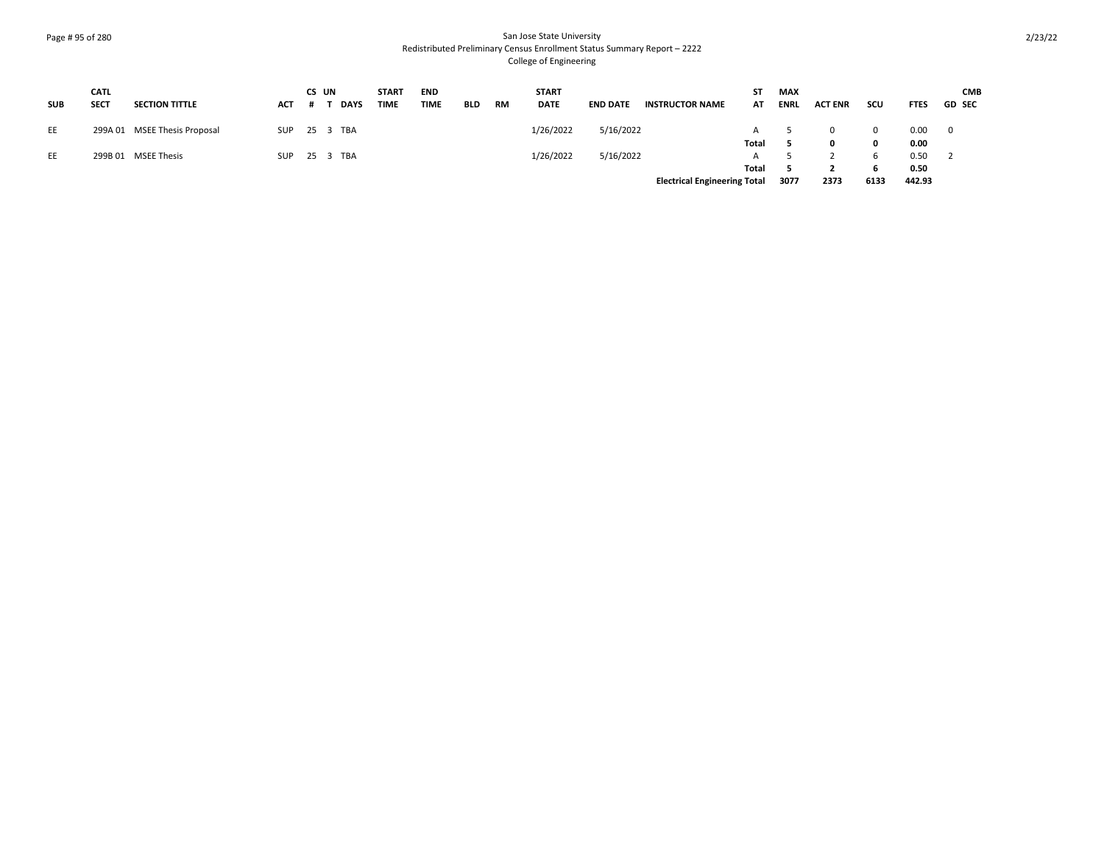# Page # 95 of 280 San Jose State University Redistributed Preliminary Census Enrollment Status Summary Report – 2222 College of Engineering

| <b>SUB</b> | <b>CATL</b><br><b>SECT</b> | <b>SECTION TITTLE</b>        | <b>ACT</b> | CS UN | <b>DAYS</b> | <b>START</b><br><b>TIME</b> | <b>END</b><br><b>TIME</b> | <b>BLD</b> | <b>RM</b> | <b>START</b><br><b>DATE</b> | <b>END DATE</b> | <b>INSTRUCTOR NAME</b>              | ST<br>AT | <b>MAX</b><br><b>ENRL</b> | <b>ACT ENR</b> | <b>SCU</b> | <b>FTES</b> | <b>CMB</b><br><b>GD SEC</b> |
|------------|----------------------------|------------------------------|------------|-------|-------------|-----------------------------|---------------------------|------------|-----------|-----------------------------|-----------------|-------------------------------------|----------|---------------------------|----------------|------------|-------------|-----------------------------|
| EE         |                            | 299A 01 MSEE Thesis Proposal | SUP        |       | 25 3 TBA    |                             |                           |            |           | 1/26/2022                   | 5/16/2022       |                                     |          |                           | $\Omega$       | 0          | 0.00        | 0                           |
|            |                            |                              |            |       |             |                             |                           |            |           |                             |                 |                                     | Total    |                           | 0              | 0          | 0.00        |                             |
| EE         |                            | 299B 01 MSEE Thesis          | SUP        |       | 25 3 TBA    |                             |                           |            |           | 1/26/2022                   | 5/16/2022       |                                     |          |                           |                |            | 0.50        |                             |
|            |                            |                              |            |       |             |                             |                           |            |           |                             |                 |                                     | Total    |                           |                | h          | 0.50        |                             |
|            |                            |                              |            |       |             |                             |                           |            |           |                             |                 | <b>Electrical Engineering Total</b> |          | 3077                      | 2373           | 6133       | 442.93      |                             |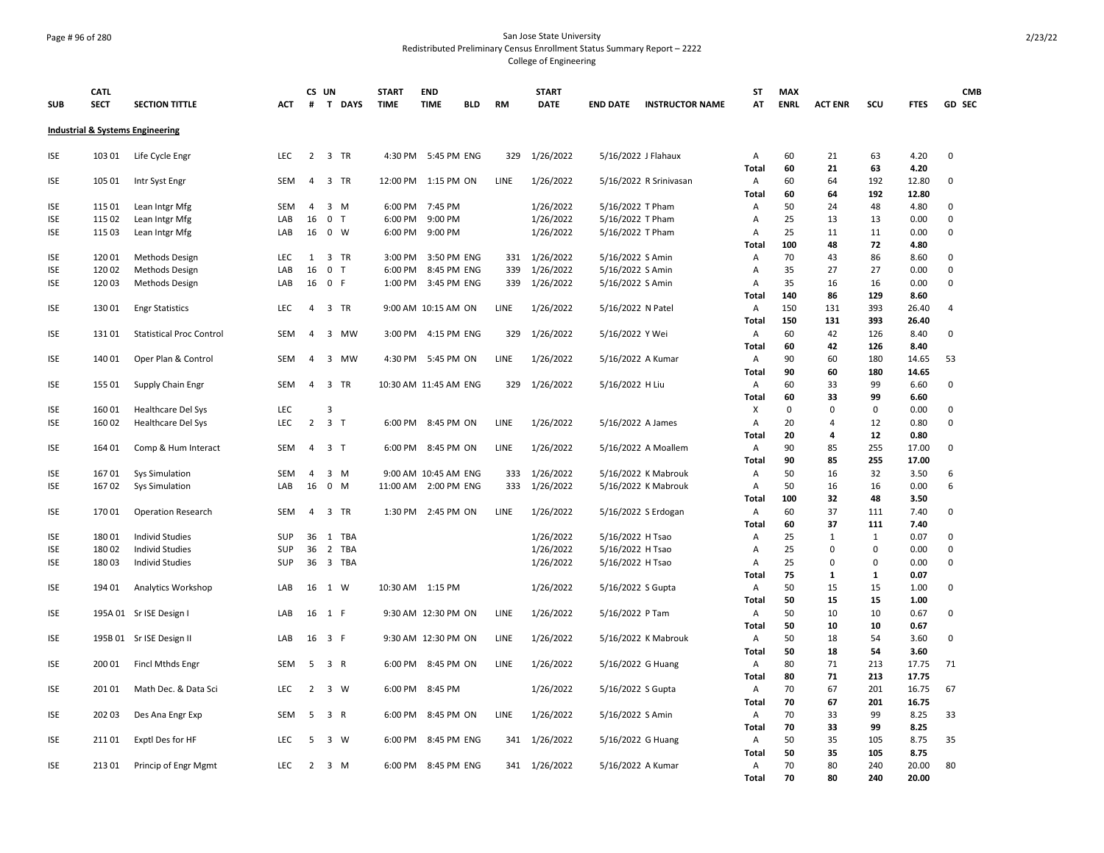## Page # 96 of 280 San Jose State University Redistributed Preliminary Census Enrollment Status Summary Report – 2222 College of Engineering

|            | <b>CATL</b> |                                             |            |                | CS UN                       | <b>START</b> | <b>END</b>            |            |           | <b>START</b>  |                                      |                        | ST                | <b>MAX</b>  |                |              |               | <b>CMB</b>       |
|------------|-------------|---------------------------------------------|------------|----------------|-----------------------------|--------------|-----------------------|------------|-----------|---------------|--------------------------------------|------------------------|-------------------|-------------|----------------|--------------|---------------|------------------|
| <b>SUB</b> | <b>SECT</b> | <b>SECTION TITTLE</b>                       | <b>ACT</b> | #              | $\mathbf{T}$<br><b>DAYS</b> | <b>TIME</b>  | <b>TIME</b>           | <b>BLD</b> | <b>RM</b> | <b>DATE</b>   | <b>END DATE</b>                      | <b>INSTRUCTOR NAME</b> | AT                | <b>ENRL</b> | <b>ACT ENR</b> | SCU          | <b>FTES</b>   | GD SEC           |
|            |             | <b>Industrial &amp; Systems Engineering</b> |            |                |                             |              |                       |            |           |               |                                      |                        |                   |             |                |              |               |                  |
| <b>ISE</b> | 103 01      | Life Cycle Engr                             | LEC        | 2              | 3 TR                        |              | 4:30 PM 5:45 PM ENG   |            | 329       | 1/26/2022     | 5/16/2022 J Flahaux                  |                        | Α                 | 60          | 21             | 63           | 4.20          | $\mathbf 0$      |
|            |             |                                             |            |                |                             |              |                       |            |           |               |                                      |                        | <b>Total</b>      | 60          | 21             | 63           | 4.20          |                  |
| <b>ISE</b> | 105 01      | Intr Syst Engr                              | SEM        | $\overline{4}$ | 3 TR                        | 12:00 PM     | 1:15 PM ON            |            | LINE      | 1/26/2022     |                                      | 5/16/2022 R Srinivasan | Α                 | 60          | 64             | 192          | 12.80         | 0                |
|            |             |                                             |            |                |                             |              |                       |            |           |               |                                      |                        | Total             | 60          | 64             | 192          | 12.80         |                  |
| ISE        | 115 01      | Lean Intgr Mfg                              | SEM        | $\overline{4}$ | $3 \, M$                    | 6:00 PM      | 7:45 PM               |            |           | 1/26/2022     | 5/16/2022 T Pham                     |                        | Α                 | 50          | 24             | 48           | 4.80          | 0                |
| <b>ISE</b> | 115 02      | Lean Intgr Mfg                              | LAB        | 16             | 0 <sub>T</sub><br>0 W       | 6:00 PM      | 9:00 PM<br>9:00 PM    |            |           | 1/26/2022     | 5/16/2022 T Pham<br>5/16/2022 T Pham |                        | Α                 | 25<br>25    | 13<br>11       | 13<br>11     | 0.00<br>0.00  | $\mathbf 0$<br>0 |
| ISE        | 115 03      | Lean Intgr Mfg                              | LAB        | 16             |                             | 6:00 PM      |                       |            |           | 1/26/2022     |                                      |                        | Α<br>Total        | 100         | 48             | 72           | 4.80          |                  |
| <b>ISE</b> | 12001       | <b>Methods Design</b>                       | LEC        | 1              | 3 TR                        | 3:00 PM      | 3:50 PM ENG           |            | 331       | 1/26/2022     | 5/16/2022 S Amin                     |                        | Α                 | 70          | 43             | 86           | 8.60          | 0                |
| <b>ISE</b> | 120 02      | Methods Design                              | LAB        | 16             | 0 <sub>T</sub>              | 6:00 PM      | 8:45 PM ENG           |            | 339       | 1/26/2022     | 5/16/2022 S Amin                     |                        | A                 | 35          | 27             | 27           | 0.00          | 0                |
| <b>ISE</b> | 12003       | Methods Design                              | LAB        |                | 16 0 F                      | 1:00 PM      | 3:45 PM ENG           |            | 339       | 1/26/2022     | 5/16/2022 S Amin                     |                        | A                 | 35          | 16             | 16           | 0.00          | $\mathbf 0$      |
|            |             |                                             |            |                |                             |              |                       |            |           |               |                                      |                        | Total             | 140         | 86             | 129          | 8.60          |                  |
| <b>ISE</b> | 13001       | <b>Engr Statistics</b>                      | LEC        | 4              | 3 TR                        |              | 9:00 AM 10:15 AM ON   |            | LINE      | 1/26/2022     | 5/16/2022 N Patel                    |                        | Α                 | 150         | 131            | 393          | 26.40         | 4                |
|            |             |                                             |            |                |                             |              |                       |            |           |               |                                      |                        | Total             | 150         | 131            | 393          | 26.40         |                  |
| <b>ISE</b> | 13101       | <b>Statistical Proc Control</b>             | <b>SEM</b> | $\overline{4}$ | 3 MW                        | 3:00 PM      | 4:15 PM ENG           |            | 329       | 1/26/2022     | 5/16/2022 Y Wei                      |                        | Α                 | 60          | 42             | 126          | 8.40          | 0                |
|            |             |                                             |            |                |                             |              |                       |            |           |               |                                      |                        | <b>Total</b>      | 60          | 42             | 126          | 8.40          |                  |
| ISE        | 14001       | Oper Plan & Control                         | <b>SEM</b> | $\overline{a}$ | 3 MW                        | 4:30 PM      | 5:45 PM ON            |            | LINE      | 1/26/2022     | 5/16/2022 A Kumar                    |                        | Α                 | 90          | 60             | 180          | 14.65         | 53               |
|            |             |                                             |            |                |                             |              |                       |            |           |               |                                      |                        | Total             | 90          | 60             | 180          | 14.65         |                  |
| ISE        | 155 01      | Supply Chain Engr                           | SEM        | $\overline{a}$ | 3 TR                        |              | 10:30 AM 11:45 AM ENG |            | 329       | 1/26/2022     | 5/16/2022 H Liu                      |                        | Α                 | 60          | 33             | 99           | 6.60          | 0                |
|            |             |                                             |            |                |                             |              |                       |            |           |               |                                      |                        | Total             | 60          | 33             | 99           | 6.60          |                  |
| ISE        | 16001       | Healthcare Del Sys                          | LEC        |                | 3                           |              |                       |            |           |               |                                      |                        | X                 | $\mathbf 0$ | $\mathbf 0$    | $\mathbf 0$  | 0.00          | 0                |
| <b>ISE</b> | 16002       | <b>Healthcare Del Sys</b>                   | LEC        | $\overline{2}$ | 3 <sub>1</sub>              |              | 6:00 PM 8:45 PM ON    |            | LINE      | 1/26/2022     | 5/16/2022 A James                    |                        | Α                 | 20          | $\overline{4}$ | 12           | 0.80          | 0                |
|            |             |                                             |            |                |                             |              |                       |            |           |               |                                      |                        | Total             | 20          | 4              | 12           | 0.80          |                  |
| <b>ISE</b> | 164 01      | Comp & Hum Interact                         | SEM        | $\overline{4}$ | 3 <sub>T</sub>              |              | 6:00 PM 8:45 PM ON    |            | LINE      | 1/26/2022     |                                      | 5/16/2022 A Moallem    | Α                 | 90          | 85             | 255          | 17.00         | 0                |
|            |             |                                             |            |                |                             |              |                       |            |           |               |                                      |                        | Total             | 90          | 85             | 255          | 17.00         |                  |
| ISE        | 16701       | <b>Sys Simulation</b>                       | <b>SEM</b> | $\overline{4}$ | $3 \, M$                    |              | 9:00 AM 10:45 AM ENG  |            | 333       | 1/26/2022     |                                      | 5/16/2022 K Mabrouk    | Α                 | 50          | 16             | 32           | 3.50          | 6                |
| <b>ISE</b> | 16702       | Sys Simulation                              | LAB        | 16             | $0$ M                       | 11:00 AM     | 2:00 PM ENG           |            | 333       | 1/26/2022     |                                      | 5/16/2022 K Mabrouk    | Α                 | 50          | 16             | 16           | 0.00          | 6                |
|            |             |                                             | <b>SEM</b> |                | 3 TR                        |              | 2:45 PM ON            |            | LINE      |               |                                      |                        | Total             | 100<br>60   | 32<br>37       | 48           | 3.50          | 0                |
| ISE        | 17001       | <b>Operation Research</b>                   |            | $\overline{4}$ |                             | 1:30 PM      |                       |            |           | 1/26/2022     | 5/16/2022 S Erdogan                  |                        | Α<br><b>Total</b> | 60          | 37             | 111<br>111   | 7.40<br>7.40  |                  |
| <b>ISE</b> | 18001       | <b>Individ Studies</b>                      | <b>SUP</b> | 36             | 1 TBA                       |              |                       |            |           | 1/26/2022     | 5/16/2022 H Tsao                     |                        | Α                 | 25          | $\mathbf{1}$   | $\mathbf{1}$ | 0.07          | 0                |
| <b>ISE</b> | 18002       | <b>Individ Studies</b>                      | SUP        | 36             | 2 TBA                       |              |                       |            |           | 1/26/2022     | 5/16/2022 H Tsao                     |                        | Α                 | 25          | $\mathbf 0$    | 0            | 0.00          | 0                |
| <b>ISE</b> | 18003       | <b>Individ Studies</b>                      | <b>SUP</b> |                | 36 3 TBA                    |              |                       |            |           | 1/26/2022     | 5/16/2022 H Tsao                     |                        | Α                 | 25          | $\mathbf 0$    | $\Omega$     | 0.00          | 0                |
|            |             |                                             |            |                |                             |              |                       |            |           |               |                                      |                        | Total             | 75          | 1              | 1            | 0.07          |                  |
| <b>ISE</b> | 194 01      | Analytics Workshop                          | LAB        | 16             | 1 W                         |              | 10:30 AM 1:15 PM      |            |           | 1/26/2022     | 5/16/2022 S Gupta                    |                        | Α                 | 50          | 15             | 15           | 1.00          | 0                |
|            |             |                                             |            |                |                             |              |                       |            |           |               |                                      |                        | <b>Total</b>      | 50          | 15             | 15           | 1.00          |                  |
| ISE        |             | 195A 01 Sr ISE Design I                     | LAB        | 16             | 1 F                         |              | 9:30 AM 12:30 PM ON   |            | LINE      | 1/26/2022     | 5/16/2022 P Tam                      |                        | Α                 | 50          | 10             | 10           | 0.67          | 0                |
|            |             |                                             |            |                |                             |              |                       |            |           |               |                                      |                        | Total             | 50          | 10             | 10           | 0.67          |                  |
| ISE        |             | 195B 01 Sr ISE Design II                    | LAB        |                | 16 3 F                      |              | 9:30 AM 12:30 PM ON   |            | LINE      | 1/26/2022     |                                      | 5/16/2022 K Mabrouk    | Α                 | 50          | 18             | 54           | 3.60          | $\mathbf 0$      |
|            |             |                                             |            |                |                             |              |                       |            |           |               |                                      |                        | Total             | 50          | 18             | 54           | 3.60          |                  |
| ISE        | 200 01      | Fincl Mthds Engr                            | <b>SEM</b> | 5              | 3 R                         | 6:00 PM      | 8:45 PM ON            |            | LINE      | 1/26/2022     | 5/16/2022 G Huang                    |                        | Α                 | 80          | 71             | 213          | 17.75         | 71               |
|            |             |                                             |            |                |                             |              |                       |            |           |               |                                      |                        | Total             | 80          | 71             | 213          | 17.75         |                  |
| ISE        | 201 01      | Math Dec. & Data Sci                        | <b>LEC</b> | $\overline{2}$ | 3 W                         |              | 6:00 PM 8:45 PM       |            |           | 1/26/2022     | 5/16/2022 S Gupta                    |                        | Α                 | 70          | 67             | 201          | 16.75         | 67               |
|            |             |                                             |            |                |                             |              |                       |            |           |               |                                      |                        | Total             | 70          | 67             | 201          | 16.75         |                  |
| ISE        | 202 03      | Des Ana Engr Exp                            | <b>SEM</b> | 5              | 3 R                         | 6:00 PM      | 8:45 PM ON            |            | LINE      | 1/26/2022     | 5/16/2022 S Amin                     |                        | Α                 | 70          | 33             | 99           | 8.25          | 33               |
|            |             |                                             |            |                |                             |              |                       |            |           |               |                                      |                        | Total             | 70          | 33             | 99           | 8.25          |                  |
| <b>ISE</b> | 21101       | Exptl Des for HF                            | <b>LEC</b> | 5              | 3 W                         | 6:00 PM      | 8:45 PM ENG           |            | 341       | 1/26/2022     | 5/16/2022 G Huang                    |                        | Α                 | 50          | 35             | 105          | 8.75          | 35               |
| <b>ISE</b> | 21301       | Princip of Engr Mgmt                        | LEC        | $\overline{2}$ | 3 M                         |              | 6:00 PM 8:45 PM ENG   |            |           | 341 1/26/2022 | 5/16/2022 A Kumar                    |                        | Total<br>Α        | 50<br>70    | 35<br>80       | 105<br>240   | 8.75<br>20.00 | 80               |
|            |             |                                             |            |                |                             |              |                       |            |           |               |                                      |                        | <b>Total</b>      | 70          | 80             | 240          | 20.00         |                  |
|            |             |                                             |            |                |                             |              |                       |            |           |               |                                      |                        |                   |             |                |              |               |                  |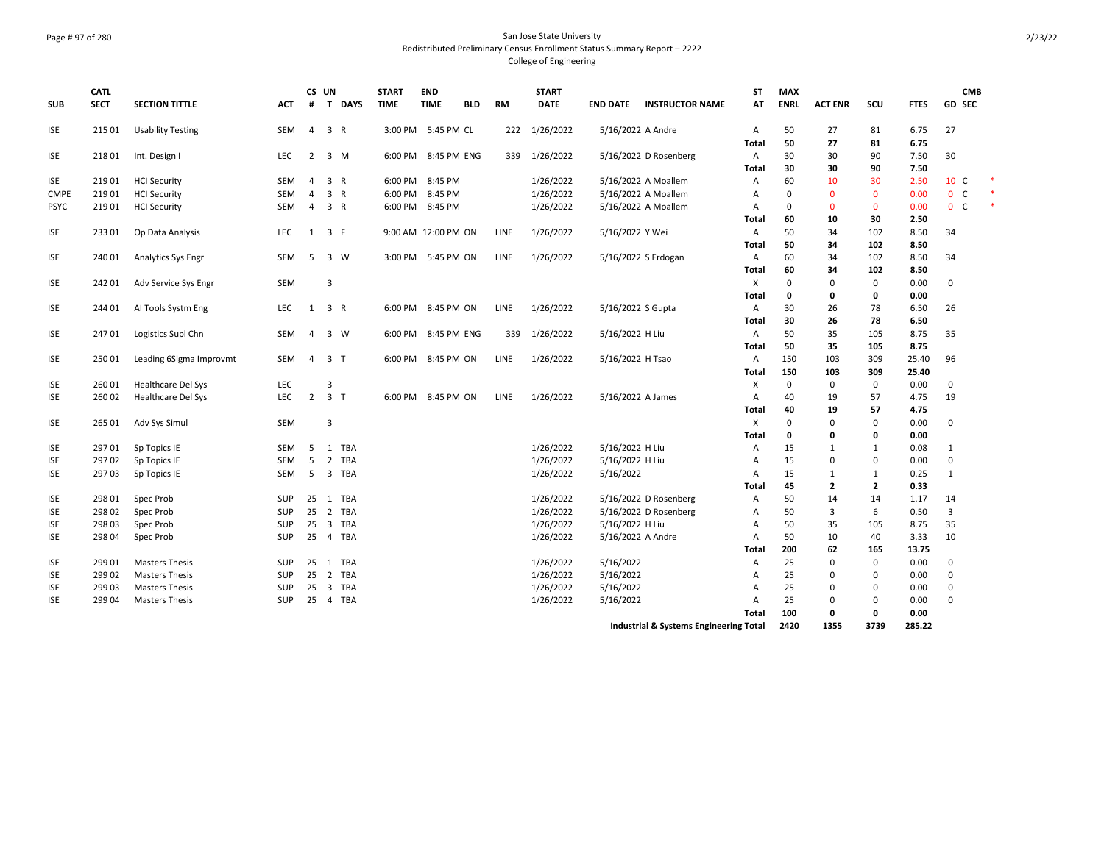## Page # 97 of 280 San Jose State University Redistributed Preliminary Census Enrollment Status Summary Report – 2222 College of Engineering

| <b>SUB</b>  | <b>CATL</b><br><b>SECT</b> | <b>SECTION TITTLE</b>     | ACT        |                | CS UN<br># T DAYS              | <b>START</b><br><b>TIME</b> | <b>END</b><br><b>TIME</b> | <b>BLD</b> | <b>RM</b>   | <b>START</b><br><b>DATE</b> | <b>END DATE</b>   | <b>INSTRUCTOR NAME</b>                 | <b>ST</b><br>AT | <b>MAX</b><br><b>ENRL</b> | <b>ACT ENR</b> | SCU            | <b>FTES</b>  | CMB<br><b>GD SEC</b> |        |
|-------------|----------------------------|---------------------------|------------|----------------|--------------------------------|-----------------------------|---------------------------|------------|-------------|-----------------------------|-------------------|----------------------------------------|-----------------|---------------------------|----------------|----------------|--------------|----------------------|--------|
| ISE         | 215 01                     | <b>Usability Testing</b>  | SEM        | 4              | 3 R                            |                             | 3:00 PM 5:45 PM CL        |            | 222         | 1/26/2022                   | 5/16/2022 A Andre |                                        | A               | 50                        | 27             | 81             | 6.75         | 27                   |        |
|             |                            |                           |            |                |                                |                             |                           |            |             |                             |                   |                                        | <b>Total</b>    | 50                        | 27             | 81             | 6.75         |                      |        |
| <b>ISE</b>  | 21801                      | Int. Design I             | <b>LEC</b> | $\overline{2}$ | 3 M                            |                             | 6:00 PM 8:45 PM ENG       |            |             | 339 1/26/2022               |                   | 5/16/2022 D Rosenberg                  | Α<br>Total      | 30<br>30                  | 30<br>30       | 90<br>90       | 7.50<br>7.50 | 30                   |        |
| <b>ISE</b>  | 21901                      | <b>HCI Security</b>       | <b>SEM</b> | $\overline{4}$ | 3 R                            |                             | 6:00 PM 8:45 PM           |            |             | 1/26/2022                   |                   | 5/16/2022 A Moallem                    | A               | 60                        | 10             | 30             | 2.50         | 10 C                 | $\ast$ |
| <b>CMPE</b> | 21901                      | <b>HCI Security</b>       | <b>SEM</b> | $\overline{4}$ | 3 R                            |                             | 6:00 PM 8:45 PM           |            |             | 1/26/2022                   |                   | 5/16/2022 A Moallem                    | $\overline{A}$  | 0                         | $\overline{0}$ | $\mathbf{0}$   | 0.00         | $0-$                 |        |
| <b>PSYC</b> | 21901                      | <b>HCI Security</b>       | <b>SEM</b> | $\overline{4}$ | 3 R                            |                             | 6:00 PM 8:45 PM           |            |             | 1/26/2022                   |                   | 5/16/2022 A Moallem                    | $\mathsf{A}$    | 0                         | $\mathbf 0$    | $\mathbf{0}$   | 0.00         | $0-$                 | $\ast$ |
|             |                            |                           |            |                |                                |                             |                           |            |             |                             |                   |                                        | <b>Total</b>    | 60                        | 10             | 30             | 2.50         |                      |        |
| <b>ISE</b>  | 23301                      | Op Data Analysis          | <b>LEC</b> | 1              | 3 F                            |                             | 9:00 AM 12:00 PM ON       |            | <b>LINE</b> | 1/26/2022                   | 5/16/2022 Y Wei   |                                        | $\overline{A}$  | 50                        | 34             | 102            | 8.50         | 34                   |        |
|             |                            |                           |            |                |                                |                             |                           |            |             |                             |                   |                                        | Total           | 50                        | 34             | 102            | 8.50         |                      |        |
| <b>ISE</b>  | 24001                      | <b>Analytics Sys Engr</b> | SEM        | -5             | 3 W                            |                             | 3:00 PM 5:45 PM ON        |            | LINE        | 1/26/2022                   |                   | 5/16/2022 S Erdogan                    | $\overline{A}$  | 60                        | 34             | 102            | 8.50         | 34                   |        |
|             |                            |                           |            |                |                                |                             |                           |            |             |                             |                   |                                        | Total           | 60                        | 34             | 102            | 8.50         |                      |        |
| <b>ISE</b>  | 24201                      | Adv Service Sys Engr      | SEM        |                | 3                              |                             |                           |            |             |                             |                   |                                        | X               | 0                         | 0              | 0              | 0.00         | 0                    |        |
|             |                            |                           |            |                |                                |                             |                           |            |             |                             |                   |                                        | Total           | 0                         | 0              | 0              | 0.00         |                      |        |
| <b>ISE</b>  | 244 01                     | AI Tools Systm Eng        | <b>LEC</b> | 1              | 3 R                            |                             | 6:00 PM 8:45 PM ON        |            | LINE        | 1/26/2022                   | 5/16/2022 S Gupta |                                        | $\overline{A}$  | 30                        | 26             | 78             | 6.50         | 26                   |        |
|             |                            |                           |            |                |                                |                             |                           |            |             |                             |                   |                                        | <b>Total</b>    | 30                        | 26             | 78             | 6.50         |                      |        |
| <b>ISE</b>  | 24701                      | Logistics Supl Chn        | SEM        | 4              | 3 W                            |                             | 6:00 PM 8:45 PM ENG       |            | 339         | 1/26/2022                   | 5/16/2022 H Liu   |                                        | A               | 50                        | 35             | 105            | 8.75         | 35                   |        |
|             |                            |                           |            |                |                                |                             |                           |            |             |                             |                   |                                        | <b>Total</b>    | 50                        | 35             | 105            | 8.75         |                      |        |
| <b>ISE</b>  | 25001                      | Leading 6Sigma Improvmt   | SEM        | $\overline{4}$ | 3 <sub>T</sub>                 |                             | 6:00 PM 8:45 PM ON        |            | LINE        | 1/26/2022                   | 5/16/2022 H Tsao  |                                        | A               | 150                       | 103            | 309            | 25.40        | 96                   |        |
|             |                            |                           |            |                |                                |                             |                           |            |             |                             |                   |                                        | Total           | 150                       | 103            | 309            | 25.40        |                      |        |
| <b>ISE</b>  | 26001                      | <b>Healthcare Del Sys</b> | LEC        |                | $\mathbf{a}$                   |                             |                           |            |             |                             |                   |                                        | X               | 0                         | $\mathbf 0$    | 0              | 0.00         | 0                    |        |
| <b>ISE</b>  | 260 02                     | <b>Healthcare Del Sys</b> | <b>LEC</b> | $\overline{2}$ | 3 <sub>T</sub>                 |                             | 6:00 PM 8:45 PM ON        |            | <b>LINE</b> | 1/26/2022                   | 5/16/2022 A James |                                        | $\overline{A}$  | 40                        | 19             | 57             | 4.75         | 19                   |        |
|             |                            |                           |            |                |                                |                             |                           |            |             |                             |                   |                                        | Total           | 40                        | 19             | 57             | 4.75         |                      |        |
| <b>ISE</b>  | 265 01                     | Adv Sys Simul             | SEM        |                | 3                              |                             |                           |            |             |                             |                   |                                        | X               | 0                         | $\mathbf 0$    | 0              | 0.00         | $\mathbf 0$          |        |
|             |                            |                           |            |                |                                |                             |                           |            |             |                             |                   |                                        | <b>Total</b>    | 0                         | 0              | $\mathbf{0}$   | 0.00         |                      |        |
| <b>ISE</b>  | 29701                      | Sp Topics IE              | <b>SEM</b> | -5             | 1<br>TBA                       |                             |                           |            |             | 1/26/2022                   | 5/16/2022 H Liu   |                                        | A               | 15                        | $\mathbf{1}$   | $\mathbf{1}$   | 0.08         | 1                    |        |
| <b>ISE</b>  | 29702                      | Sp Topics IE              | <b>SEM</b> | 5              | 2 TBA                          |                             |                           |            |             | 1/26/2022                   | 5/16/2022 H Liu   |                                        | $\overline{A}$  | 15                        | $\mathbf 0$    | $\Omega$       | 0.00         | $\mathbf 0$          |        |
| <b>ISE</b>  | 29703                      | Sp Topics IE              | SEM        | 5              | 3 TBA                          |                             |                           |            |             | 1/26/2022                   | 5/16/2022         |                                        | $\mathsf{A}$    | 15                        | $\mathbf{1}$   | $\mathbf{1}$   | 0.25         | 1                    |        |
|             |                            |                           |            |                |                                |                             |                           |            |             |                             |                   |                                        | Total           | 45                        | $\overline{2}$ | $\overline{2}$ | 0.33         |                      |        |
| <b>ISE</b>  | 298 01                     | Spec Prob                 | SUP        |                | 25 1 TBA                       |                             |                           |            |             | 1/26/2022                   |                   | 5/16/2022 D Rosenberg                  | Α               | 50                        | 14             | 14             | 1.17         | 14                   |        |
| <b>ISE</b>  | 298 02                     | Spec Prob                 | <b>SUP</b> | 25             | 2 TBA                          |                             |                           |            |             | 1/26/2022                   |                   | 5/16/2022 D Rosenberg                  | $\overline{A}$  | 50                        | $\overline{3}$ | 6              | 0.50         | 3                    |        |
| <b>ISE</b>  | 298 03                     | Spec Prob                 | SUP        | 25             | TBA<br>$\overline{\mathbf{3}}$ |                             |                           |            |             | 1/26/2022                   | 5/16/2022 H Liu   |                                        | $\overline{A}$  | 50                        | 35             | 105            | 8.75         | 35                   |        |
| <b>ISE</b>  | 298 04                     | Spec Prob                 | <b>SUP</b> | 25             | $\overline{4}$<br>TBA          |                             |                           |            |             | 1/26/2022                   | 5/16/2022 A Andre |                                        | A               | 50                        | 10             | 40             | 3.33         | 10                   |        |
|             |                            |                           |            |                |                                |                             |                           |            |             |                             |                   |                                        | Total           | 200                       | 62             | 165            | 13.75        |                      |        |
| <b>ISE</b>  | 299 01                     | <b>Masters Thesis</b>     | SUP        | 25             | 1 TBA                          |                             |                           |            |             | 1/26/2022                   | 5/16/2022         |                                        | Α               | 25                        | 0              | 0              | 0.00         | 0                    |        |
| <b>ISE</b>  | 299 02                     | <b>Masters Thesis</b>     | <b>SUP</b> | 25             | $\overline{2}$<br><b>TBA</b>   |                             |                           |            |             | 1/26/2022                   | 5/16/2022         |                                        | $\overline{A}$  | 25                        | $\mathbf 0$    | $\mathbf 0$    | 0.00         | $\mathbf 0$          |        |
| <b>ISE</b>  | 29903                      | <b>Masters Thesis</b>     | <b>SUP</b> | 25             | $\overline{\mathbf{3}}$<br>TBA |                             |                           |            |             | 1/26/2022                   | 5/16/2022         |                                        | A               | 25                        | $\mathbf 0$    | 0              | 0.00         | $\mathbf 0$          |        |
| <b>ISE</b>  | 299 04                     | <b>Masters Thesis</b>     | <b>SUP</b> | 25             | 4 TBA                          |                             |                           |            |             | 1/26/2022                   | 5/16/2022         |                                        | A               | 25                        | $\Omega$       | $\Omega$       | 0.00         | $\Omega$             |        |
|             |                            |                           |            |                |                                |                             |                           |            |             |                             |                   |                                        | Total           | 100                       | 0              | 0              | 0.00         |                      |        |
|             |                            |                           |            |                |                                |                             |                           |            |             |                             |                   | Industrial & Systems Engineering Total |                 | 2420                      | 1355           | 3739           | 285.22       |                      |        |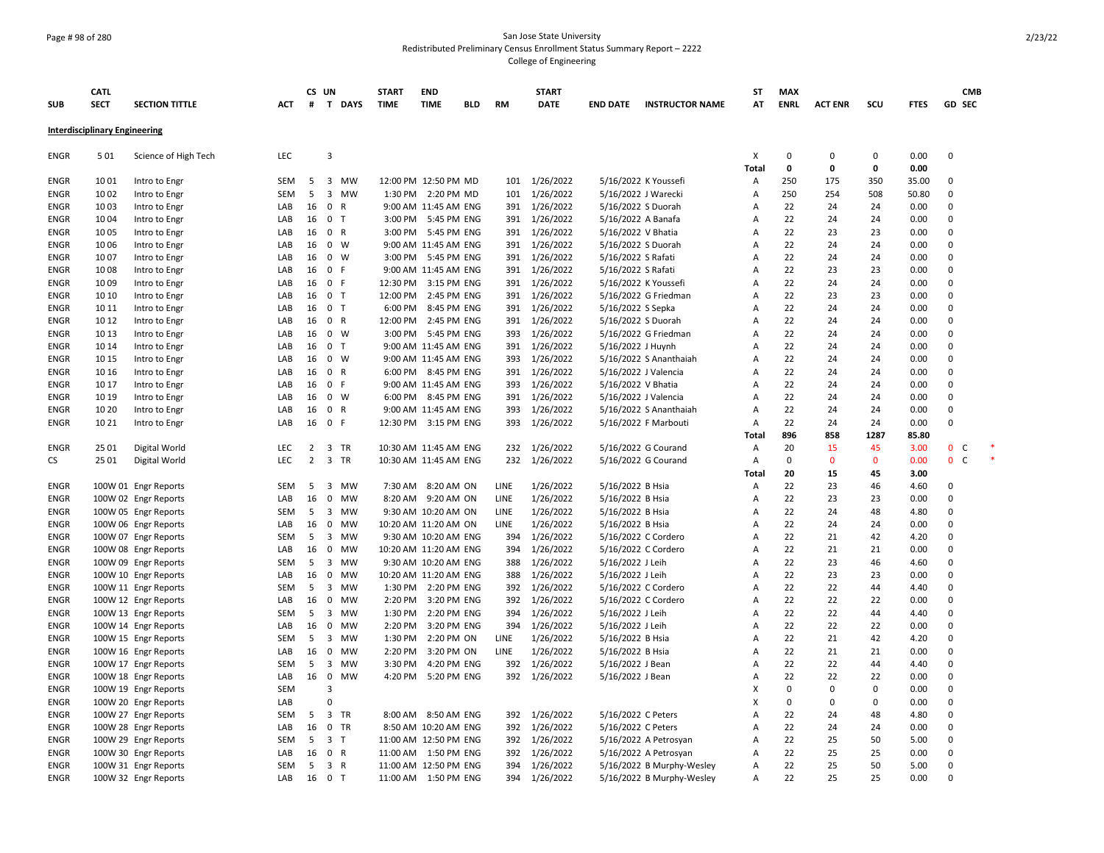## Page # 98 of 280 San Jose State University Redistributed Preliminary Census Enrollment Status Summary Report – 2222 College of Engineering

| <b>SUB</b>          | <b>CATL</b><br><b>SECT</b>           | <b>SECTION TITTLE</b>                        | <b>ACT</b> | CS UN<br>#     | T DAYS                                   | <b>START</b><br><b>TIME</b> | <b>END</b><br><b>TIME</b>                     | <b>BLD</b> | <b>RM</b>   | <b>START</b><br><b>DATE</b>    | <b>END DATE</b>                          | <b>INSTRUCTOR NAME</b>                         | ST<br>AT            | <b>MAX</b><br><b>ENRL</b> | <b>ACT ENR</b> | SCU         | <b>FTES</b>  | <b>CMB</b><br><b>GD SEC</b> |        |
|---------------------|--------------------------------------|----------------------------------------------|------------|----------------|------------------------------------------|-----------------------------|-----------------------------------------------|------------|-------------|--------------------------------|------------------------------------------|------------------------------------------------|---------------------|---------------------------|----------------|-------------|--------------|-----------------------------|--------|
|                     |                                      |                                              |            |                |                                          |                             |                                               |            |             |                                |                                          |                                                |                     |                           |                |             |              |                             |        |
|                     | <b>Interdisciplinary Engineering</b> |                                              |            |                |                                          |                             |                                               |            |             |                                |                                          |                                                |                     |                           |                |             |              |                             |        |
| ENGR                | 501                                  | Science of High Tech                         | LEC        |                | 3                                        |                             |                                               |            |             |                                |                                          |                                                | х<br>Total          | 0<br>0                    | 0<br>0         | 0<br>0      | 0.00<br>0.00 | $\pmb{0}$                   |        |
| ENGR                | 1001                                 | Intro to Engr                                | SEM        | 5              | $\overline{\mathbf{3}}$<br>MW            |                             | 12:00 PM 12:50 PM MD                          |            |             | 101 1/26/2022                  |                                          | 5/16/2022 K Youssefi                           | Α                   | 250                       | 175            | 350         | 35.00        | $\mathbf 0$                 |        |
| <b>ENGR</b>         | 1002                                 | Intro to Engr                                | SEM        | 5              | $\overline{\mathbf{3}}$<br>MW            |                             | 1:30 PM 2:20 PM MD                            |            | 101         | 1/26/2022                      | 5/16/2022 J Warecki                      |                                                | $\overline{A}$      | 250                       | 254            | 508         | 50.80        | $\mathbf 0$                 |        |
| <b>ENGR</b>         | 1003                                 | Intro to Engr                                | LAB        | 16             | $\mathbf{0}$<br>$\mathsf{R}$             |                             | 9:00 AM 11:45 AM ENG                          |            |             | 391 1/26/2022                  | 5/16/2022 S Duorah                       |                                                | A                   | 22                        | 24             | 24          | 0.00         | 0                           |        |
| ENGR                | 1004                                 | Intro to Engr                                | LAB        | 16             | 0 <sub>T</sub>                           |                             | 3:00 PM 5:45 PM ENG                           |            |             | 391 1/26/2022                  | 5/16/2022 A Banafa                       |                                                | A                   | 22                        | 24             | 24          | 0.00         | $\mathbf 0$                 |        |
| ENGR                | 1005                                 | Intro to Engr                                | LAB        | 16             | 0 R                                      |                             | 3:00 PM 5:45 PM ENG                           |            |             | 391 1/26/2022                  | 5/16/2022 V Bhatia                       |                                                | A                   | 22                        | 23             | 23          | 0.00         | $\Omega$                    |        |
| <b>ENGR</b>         | 1006                                 | Intro to Engr                                | LAB        | 16             | $0 \quad W$                              |                             | 9:00 AM 11:45 AM ENG                          |            |             | 391 1/26/2022                  | 5/16/2022 S Duorah                       |                                                | $\overline{A}$<br>A | 22<br>22                  | 24             | 24          | 0.00         | $\mathbf 0$<br>$\Omega$     |        |
| <b>ENGR</b><br>ENGR | 1007<br>1008                         | Intro to Engr                                | LAB<br>LAB | 16<br>16       | 0 W<br>$\mathbf{0}$<br>-F                |                             | 3:00 PM 5:45 PM ENG<br>9:00 AM 11:45 AM ENG   |            |             | 391 1/26/2022<br>391 1/26/2022 | 5/16/2022 S Rafati<br>5/16/2022 S Rafati |                                                | A                   | 22                        | 24<br>23       | 24<br>23    | 0.00<br>0.00 | $\Omega$                    |        |
| <b>ENGR</b>         | 1009                                 | Intro to Engr<br>Intro to Engr               | LAB        | 16             | 0 F                                      |                             | 12:30 PM 3:15 PM ENG                          |            |             | 391 1/26/2022                  |                                          | 5/16/2022 K Youssefi                           | $\overline{A}$      | 22                        | 24             | 24          | 0.00         | $\mathbf 0$                 |        |
| <b>ENGR</b>         | 10 10                                | Intro to Engr                                | LAB        | 16             | 0 <sub>T</sub>                           |                             | 12:00 PM 2:45 PM ENG                          |            |             | 391 1/26/2022                  |                                          | 5/16/2022 G Friedman                           | A                   | 22                        | 23             | 23          | 0.00         | $\mathbf 0$                 |        |
| <b>ENGR</b>         | 10 11                                | Intro to Engr                                | LAB        | 16             | 0 <sub>T</sub>                           | 6:00 PM                     | 8:45 PM ENG                                   |            |             | 391 1/26/2022                  | 5/16/2022 S Sepka                        |                                                | $\overline{A}$      | 22                        | 24             | 24          | 0.00         | $\Omega$                    |        |
| ENGR                | 10 12                                | Intro to Engr                                | LAB        | 16             | 0 R                                      | 12:00 PM                    | 2:45 PM ENG                                   |            |             | 391 1/26/2022                  | 5/16/2022 S Duorah                       |                                                | A                   | 22                        | 24             | 24          | 0.00         | $\mathbf 0$                 |        |
| ENGR                | 10 13                                | Intro to Engr                                | LAB        | 16             | $0 \quad W$                              |                             | 3:00 PM 5:45 PM ENG                           |            | 393         | 1/26/2022                      |                                          | 5/16/2022 G Friedman                           | $\overline{A}$      | 22                        | 24             | 24          | 0.00         | $\mathbf 0$                 |        |
| <b>ENGR</b>         | 10 14                                | Intro to Engr                                | LAB        | 16             | 0 <sub>T</sub>                           |                             | 9:00 AM 11:45 AM ENG                          |            |             | 391 1/26/2022                  | 5/16/2022 J Huynh                        |                                                | Α                   | 22                        | 24             | 24          | 0.00         | $\mathbf 0$                 |        |
| <b>ENGR</b>         | 10 15                                | Intro to Engr                                | LAB        | 16             | 0 W                                      |                             | 9:00 AM 11:45 AM ENG                          |            |             | 393 1/26/2022                  |                                          | 5/16/2022 S Ananthaiah                         | A                   | 22                        | 24             | 24          | 0.00         | $\mathbf 0$                 |        |
| <b>ENGR</b>         | 10 16                                | Intro to Engr                                | LAB        | 16             | 0 R                                      |                             | 6:00 PM 8:45 PM ENG                           |            |             | 391 1/26/2022                  |                                          | 5/16/2022 J Valencia                           | $\overline{A}$      | 22                        | 24             | 24          | 0.00         | $\mathbf 0$                 |        |
| <b>ENGR</b>         | 10 17                                | Intro to Engr                                | LAB        | 16             | 0 F                                      |                             | 9:00 AM 11:45 AM ENG                          |            | 393         | 1/26/2022                      | 5/16/2022 V Bhatia                       |                                                | $\overline{A}$      | 22                        | 24             | 24          | 0.00         | $\mathbf 0$                 |        |
| <b>ENGR</b>         | 10 19                                | Intro to Engr                                | LAB        | 16             | 0 W                                      |                             | 6:00 PM 8:45 PM ENG                           |            |             | 391 1/26/2022                  |                                          | 5/16/2022 J Valencia                           | $\overline{A}$      | 22                        | 24             | 24          | 0.00         | $\Omega$                    |        |
| ENGR                | 10 20                                | Intro to Engr                                | LAB        | 16             | 0 R                                      |                             | 9:00 AM 11:45 AM ENG                          |            | 393         | 1/26/2022                      |                                          | 5/16/2022 S Ananthaiah                         | A                   | 22                        | 24             | 24          | 0.00         | $\mathbf 0$                 |        |
| ENGR                | 10 21                                | Intro to Engr                                | LAB        | 16             | 0 F                                      |                             | 12:30 PM 3:15 PM ENG                          |            | 393         | 1/26/2022                      |                                          | 5/16/2022 F Marbouti                           | A                   | 22                        | 24             | 24          | 0.00         | $\mathbf 0$                 |        |
|                     |                                      |                                              |            |                |                                          |                             |                                               |            |             |                                |                                          |                                                | Total               | 896                       | 858            | 1287        | 85.80        |                             |        |
| <b>ENGR</b>         | 25 01                                | Digital World                                | <b>LEC</b> | $\overline{2}$ | 3 TR                                     |                             | 10:30 AM 11:45 AM ENG                         |            | 232         | 1/26/2022                      |                                          | 5/16/2022 G Courand                            | Α                   | 20                        | 15             | 45          | 3.00         | 0 <sup>o</sup>              | $\ast$ |
| CS                  | 25 01                                | Digital World                                | <b>LEC</b> | $\overline{2}$ | 3 TR                                     |                             | 10:30 AM 11:45 AM ENG                         |            | 232         | 1/26/2022                      |                                          | 5/16/2022 G Courand                            | Α                   | 0                         | $\Omega$       | $\mathbf 0$ | 0.00         | $\mathbf{0}$<br>C           |        |
|                     |                                      |                                              |            |                |                                          |                             |                                               |            |             |                                |                                          |                                                | Total               | 20                        | 15             | 45          | 3.00         |                             |        |
| ENGR                |                                      | 100W 01 Engr Reports                         | <b>SEM</b> | 5              | $\overline{3}$<br><b>MW</b>              |                             | 7:30 AM 8:20 AM ON                            |            | LINE        | 1/26/2022                      | 5/16/2022 B Hsia                         |                                                | A                   | 22                        | 23             | 46          | 4.60         | $\Omega$                    |        |
| <b>ENGR</b>         |                                      | 100W 02 Engr Reports                         | LAB        | 16             | $\mathbf 0$<br><b>MW</b>                 |                             | 8:20 AM 9:20 AM ON                            |            | LINE        | 1/26/2022                      | 5/16/2022 B Hsia                         |                                                | A                   | 22                        | 23             | 23          | 0.00         | $\mathbf 0$                 |        |
| ENGR                |                                      | 100W 05 Engr Reports                         | <b>SEM</b> | 5              | 3 MW                                     |                             | 9:30 AM 10:20 AM ON                           |            | <b>LINE</b> | 1/26/2022                      | 5/16/2022 B Hsia                         |                                                | A                   | 22                        | 24             | 48          | 4.80         | $\mathbf 0$                 |        |
| ENGR                |                                      | 100W 06 Engr Reports                         | LAB        | 16             | 0<br>MW                                  |                             | 10:20 AM 11:20 AM ON                          |            | LINE        | 1/26/2022                      | 5/16/2022 B Hsia                         |                                                | A                   | 22                        | 24             | 24          | 0.00         | 0                           |        |
| <b>ENGR</b>         |                                      | 100W 07 Engr Reports                         | SEM        | 5              | $\overline{\mathbf{3}}$<br>MW            |                             | 9:30 AM 10:20 AM ENG                          |            | 394         | 1/26/2022                      |                                          | 5/16/2022 C Cordero                            | $\overline{A}$      | 22                        | 21             | 42          | 4.20         | $\mathbf 0$                 |        |
| <b>ENGR</b>         |                                      | 100W 08 Engr Reports                         | LAB        | 16             | 0<br>MW                                  |                             | 10:20 AM 11:20 AM ENG                         |            | 394         | 1/26/2022                      |                                          | 5/16/2022 C Cordero                            | $\overline{A}$      | 22                        | 21             | 21          | 0.00         | $\mathbf 0$                 |        |
| ENGR                |                                      | 100W 09 Engr Reports                         | <b>SEM</b> | 5              | MW<br>$\overline{\mathbf{3}}$            |                             | 9:30 AM 10:20 AM ENG                          |            | 388         | 1/26/2022                      | 5/16/2022 J Leih                         |                                                | A                   | 22                        | 23             | 46          | 4.60         | $\Omega$                    |        |
| ENGR                |                                      | 100W 10 Engr Reports                         | LAB        | 16             | 0<br>MW                                  |                             | 10:20 AM 11:20 AM ENG                         |            | 388         | 1/26/2022                      | 5/16/2022 J Leih                         |                                                | A                   | 22                        | 23             | 23          | 0.00         | $\mathbf 0$                 |        |
| ENGR                |                                      | 100W 11 Engr Reports                         | SEM        | 5              | $\overline{3}$<br>MW                     |                             | 1:30 PM 2:20 PM ENG                           |            | 392         | 1/26/2022                      |                                          | 5/16/2022 C Cordero                            | A                   | 22                        | 22             | 44          | 4.40         | $\mathbf 0$                 |        |
| ENGR                |                                      | 100W 12 Engr Reports                         | LAB        | 16             | $\mathbf 0$<br>MW                        |                             | 2:20 PM 3:20 PM ENG                           |            | 392         | 1/26/2022                      |                                          | 5/16/2022 C Cordero                            | $\overline{A}$      | 22                        | 22             | 22          | 0.00         | $\mathbf 0$                 |        |
| ENGR                |                                      | 100W 13 Engr Reports                         | SEM        | 5              | $\overline{\mathbf{3}}$<br>MW            | 1:30 PM                     | 2:20 PM ENG                                   |            | 394         | 1/26/2022                      | 5/16/2022 J Leih                         |                                                | A                   | 22                        | 22             | 44          | 4.40         | $\mathbf 0$                 |        |
| ENGR                |                                      | 100W 14 Engr Reports                         | LAB        | 16             | $\mathbf 0$<br>MW                        | 2:20 PM                     | 3:20 PM ENG                                   |            | 394         | 1/26/2022                      | 5/16/2022 J Leih                         |                                                | A                   | 22                        | 22             | 22          | 0.00         | $\mathbf 0$                 |        |
| <b>ENGR</b>         |                                      | 100W 15 Engr Reports                         | SEM        | 5              | 3<br>MW                                  | 1:30 PM                     | 2:20 PM ON                                    |            | LINE        | 1/26/2022                      | 5/16/2022 B Hsia                         |                                                | $\overline{A}$      | 22                        | 21             | 42          | 4.20         | $\mathbf 0$                 |        |
| <b>ENGR</b>         |                                      | 100W 16 Engr Reports                         | LAB        | 16             | $\mathbf 0$<br>MW                        | 2:20 PM                     | 3:20 PM ON                                    |            | LINE        | 1/26/2022                      | 5/16/2022 B Hsia                         |                                                | $\overline{A}$      | 22                        | 21             | 21          | 0.00         | $\Omega$                    |        |
| <b>ENGR</b>         |                                      | 100W 17 Engr Reports                         | SEM        | 5              | $\overline{3}$<br>MW                     | 3:30 PM                     | 4:20 PM ENG                                   |            | 392         | 1/26/2022                      | 5/16/2022 J Bean                         |                                                | $\overline{A}$      | 22                        | 22             | 44          | 4.40         | $\mathbf 0$                 |        |
| <b>ENGR</b>         |                                      | 100W 18 Engr Reports                         | LAB        | 16             | $\mathbf 0$<br><b>MW</b><br>$\mathbf{a}$ |                             | 4:20 PM 5:20 PM ENG                           |            |             | 392 1/26/2022                  | 5/16/2022 J Bean                         |                                                | $\overline{A}$      | 22                        | 22<br>$\Omega$ | 22          | 0.00         | $\Omega$                    |        |
| ENGR                |                                      | 100W 19 Engr Reports                         | <b>SEM</b> |                | $\Omega$                                 |                             |                                               |            |             |                                |                                          |                                                | x<br>X              | $\mathbf 0$<br>0          | 0              | 0<br>0      | 0.00<br>0.00 | $\mathbf 0$<br>$\mathbf 0$  |        |
| <b>ENGR</b>         |                                      | 100W 20 Engr Reports                         | LAB        |                |                                          |                             |                                               |            |             |                                |                                          |                                                |                     |                           |                |             |              |                             |        |
| <b>ENGR</b>         |                                      | 100W 27 Engr Reports                         | SEM        | 5              | 3 TR<br>0 TR                             |                             | 8:00 AM 8:50 AM ENG                           |            |             | 392 1/26/2022                  | 5/16/2022 C Peters                       |                                                | $\overline{A}$      | 22<br>22                  | 24<br>24       | 48          | 4.80         | $\mathbf 0$<br>$\mathbf 0$  |        |
| <b>ENGR</b><br>ENGR |                                      | 100W 28 Engr Reports                         | LAB<br>SEM | 16<br>5        | 3 <sub>T</sub>                           |                             | 8:50 AM 10:20 AM ENG<br>11:00 AM 12:50 PM ENG |            | 392         | 392 1/26/2022<br>1/26/2022     | 5/16/2022 C Peters                       |                                                | $\overline{A}$<br>A | 22                        | 25             | 24<br>50    | 0.00<br>5.00 | $\mathbf 0$                 |        |
| <b>ENGR</b>         |                                      | 100W 29 Engr Reports<br>100W 30 Engr Reports | LAB        | 16             | 0 R                                      |                             | 11:00 AM  1:50 PM ENG                         |            | 392         | 1/26/2022                      |                                          | 5/16/2022 A Petrosyan<br>5/16/2022 A Petrosyan | $\overline{A}$      | 22                        | 25             | 25          | 0.00         | $\mathbf 0$                 |        |
| ENGR                |                                      | 100W 31 Engr Reports                         | <b>SEM</b> | 5              | 3 R                                      |                             | 11:00 AM 12:50 PM ENG                         |            | 394         | 1/26/2022                      |                                          | 5/16/2022 B Murphy-Wesley                      | A                   | 22                        | 25             | 50          | 5.00         | $\mathbf 0$                 |        |
| <b>ENGR</b>         |                                      | 100W 32 Engr Reports                         | LAB        | 16             | $\mathbf{0}$<br>T                        |                             | 11:00 AM  1:50 PM ENG                         |            | 394         | 1/26/2022                      |                                          | 5/16/2022 B Murphy-Wesley                      | A                   | 22                        | 25             | 25          | 0.00         | $\Omega$                    |        |
|                     |                                      |                                              |            |                |                                          |                             |                                               |            |             |                                |                                          |                                                |                     |                           |                |             |              |                             |        |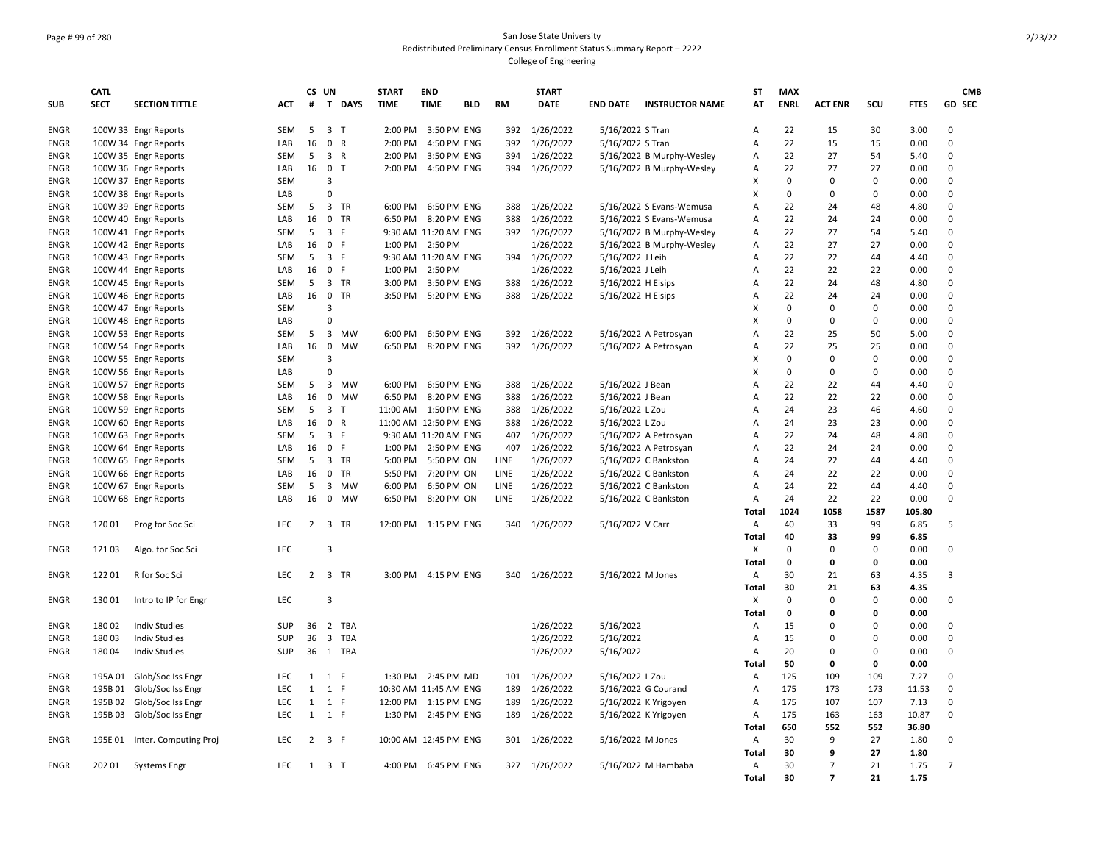## Page # 99 of 280 San Jose State University Redistributed Preliminary Census Enrollment Status Summary Report – 2222 College of Engineering

|             | CATL        |                               |            | CS UN          |                                       | <b>START</b> | <b>END</b>            |     |           | <b>START</b>  |                      |                           | ST             | <b>MAX</b>  |                |             |             | <b>CMB</b>     |
|-------------|-------------|-------------------------------|------------|----------------|---------------------------------------|--------------|-----------------------|-----|-----------|---------------|----------------------|---------------------------|----------------|-------------|----------------|-------------|-------------|----------------|
| <b>SUB</b>  | <b>SECT</b> | <b>SECTION TITTLE</b>         | ACT        | #              | T DAYS                                | <b>TIME</b>  | <b>TIME</b>           | BLD | <b>RM</b> | <b>DATE</b>   | <b>END DATE</b>      | <b>INSTRUCTOR NAME</b>    | AT             | <b>ENRL</b> | <b>ACT ENR</b> | SCU         | <b>FTES</b> | GD SEC         |
| <b>ENGR</b> |             | 100W 33 Engr Reports          | <b>SEM</b> | 5              | 3 <sub>T</sub>                        | 2:00 PM      | 3:50 PM ENG           |     | 392       | 1/26/2022     | 5/16/2022 S Tran     |                           | Α              | 22          | 15             | 30          | 3.00        | 0              |
| <b>ENGR</b> |             | 100W 34 Engr Reports          | LAB        | 16             | 0 R                                   | 2:00 PM      | 4:50 PM ENG           |     | 392       | 1/26/2022     | 5/16/2022 S Tran     |                           | Α              | 22          | 15             | 15          | 0.00        | $\mathbf 0$    |
| <b>ENGR</b> |             | 100W 35 Engr Reports          | SEM        | 5              | 3 R                                   | 2:00 PM      | 3:50 PM ENG           |     | 394       | 1/26/2022     |                      | 5/16/2022 B Murphy-Wesley | Α              | 22          | 27             | 54          | 5.40        | 0              |
| <b>ENGR</b> |             | 100W 36 Engr Reports          | LAB        | 16             | 0 <sub>T</sub>                        | 2:00 PM      | 4:50 PM ENG           |     |           | 394 1/26/2022 |                      | 5/16/2022 B Murphy-Wesley | Α              | 22          | 27             | 27          | 0.00        | $\Omega$       |
| <b>ENGR</b> |             | 100W 37 Engr Reports          | SEM        |                | 3                                     |              |                       |     |           |               |                      |                           | x              | $\mathbf 0$ | $\mathbf 0$    | $\pmb{0}$   | 0.00        | 0              |
| <b>ENGR</b> |             | 100W 38 Engr Reports          | LAB        |                | $\Omega$                              |              |                       |     |           |               |                      |                           | X              | $\mathbf 0$ | $\Omega$       | $\pmb{0}$   | 0.00        | 0              |
| <b>ENGR</b> |             | 100W 39 Engr Reports          | SEM        | 5              | 3 TR                                  |              | 6:00 PM 6:50 PM ENG   |     | 388       | 1/26/2022     |                      | 5/16/2022 S Evans-Wemusa  | А              | 22          | 24             | 48          | 4.80        | 0              |
| <b>ENGR</b> |             | 100W 40 Engr Reports          | LAB        | 16             | 0 TR                                  | 6:50 PM      | 8:20 PM ENG           |     | 388       | 1/26/2022     |                      | 5/16/2022 S Evans-Wemusa  | А              | 22          | 24             | 24          | 0.00        | 0              |
| <b>ENGR</b> |             | 100W 41 Engr Reports          | <b>SEM</b> | 5              | 3 F                                   |              | 9:30 AM 11:20 AM ENG  |     |           | 392 1/26/2022 |                      | 5/16/2022 B Murphy-Wesley | Α              | 22          | 27             | 54          | 5.40        | 0              |
| <b>ENGR</b> |             | 100W 42 Engr Reports          | LAB        | 16             | 0 F                                   |              | 1:00 PM 2:50 PM       |     |           | 1/26/2022     |                      | 5/16/2022 B Murphy-Wesley | Α              | 22          | 27             | 27          | 0.00        | 0              |
| <b>ENGR</b> |             | 100W 43 Engr Reports          | SEM        | 5              | 3 F                                   |              | 9:30 AM 11:20 AM ENG  |     |           | 394 1/26/2022 | 5/16/2022 J Leih     |                           | Α              | 22          | 22             | 44          | 4.40        | 0              |
| ENGR        |             | 100W 44 Engr Reports          | LAB        | 16             | $\mathbf 0$<br>- F                    | 1:00 PM      | 2:50 PM               |     |           | 1/26/2022     | 5/16/2022 J Leih     |                           | Α              | 22          | 22             | 22          | 0.00        | 0              |
| <b>ENGR</b> |             | 100W 45 Engr Reports          | SEM        | 5              | 3 TR                                  | 3:00 PM      | 3:50 PM ENG           |     | 388       | 1/26/2022     | 5/16/2022 H Eisips   |                           | А              | 22          | 24             | 48          | 4.80        | 0              |
| <b>ENGR</b> |             | 100W 46 Engr Reports          | LAB        | 16             | $\mathbf 0$<br><b>TR</b>              |              | 3:50 PM 5:20 PM ENG   |     | 388       | 1/26/2022     | 5/16/2022 H Eisips   |                           | Α              | 22          | 24             | 24          | 0.00        | 0              |
| <b>ENGR</b> |             | 100W 47 Engr Reports          | SEM        |                | 3                                     |              |                       |     |           |               |                      |                           | X              | $\mathbf 0$ | $\Omega$       | $\mathbf 0$ | 0.00        | 0              |
| <b>ENGR</b> |             | 100W 48 Engr Reports          | LAB        |                | $\mathbf 0$                           |              |                       |     |           |               |                      |                           | X              | $\mathbf 0$ | $\Omega$       | $\mathbf 0$ | 0.00        | 0              |
| <b>ENGR</b> |             | 100W 53 Engr Reports          | SEM        | 5              | $\overline{\mathbf{3}}$<br>MW         | 6:00 PM      | 6:50 PM ENG           |     | 392       | 1/26/2022     |                      | 5/16/2022 A Petrosyan     | Α              | 22          | 25             | 50          | 5.00        | 0              |
| <b>ENGR</b> |             | 100W 54 Engr Reports          | LAB        | 16             | $\mathbf 0$<br><b>MW</b>              | 6:50 PM      | 8:20 PM ENG           |     |           | 392 1/26/2022 |                      | 5/16/2022 A Petrosyan     | А              | 22          | 25             | 25          | 0.00        | 0              |
| <b>ENGR</b> |             | 100W 55 Engr Reports          | SEM        |                | 3                                     |              |                       |     |           |               |                      |                           | x              | $\mathbf 0$ | $\mathbf 0$    | $\mathbf 0$ | 0.00        | 0              |
| <b>ENGR</b> |             | 100W 56 Engr Reports          | LAB        |                | $\Omega$                              |              |                       |     |           |               |                      |                           | X              | $\mathbf 0$ | $\Omega$       | $\pmb{0}$   | 0.00        | 0              |
| <b>ENGR</b> |             | 100W 57 Engr Reports          | SEM        | 5              | 3 MW                                  | 6:00 PM      | 6:50 PM ENG           |     | 388       | 1/26/2022     | 5/16/2022 J Bean     |                           | А              | 22          | 22             | 44          | 4.40        | 0              |
| <b>ENGR</b> |             | 100W 58 Engr Reports          | LAB        | 16             | $\mathbf 0$<br>MW                     | 6:50 PM      | 8:20 PM ENG           |     | 388       | 1/26/2022     | 5/16/2022 J Bean     |                           | Α              | 22          | 22             | 22          | 0.00        | 0              |
| <b>ENGR</b> |             | 100W 59 Engr Reports          | <b>SEM</b> | 5              | 3 <sub>7</sub>                        |              | 11:00 AM  1:50 PM ENG |     | 388       | 1/26/2022     | 5/16/2022 L Zou      |                           | A              | 24          | 23             | 46          | 4.60        | 0              |
| <b>ENGR</b> |             | 100W 60 Engr Reports          | LAB        | 16             | 0 R                                   |              | 11:00 AM 12:50 PM ENG |     | 388       | 1/26/2022     | 5/16/2022 L Zou      |                           | А              | 24          | 23             | 23          | 0.00        | 0              |
| <b>ENGR</b> |             | 100W 63 Engr Reports          | SEM        | 5              | 3 F                                   |              | 9:30 AM 11:20 AM ENG  |     | 407       | 1/26/2022     |                      | 5/16/2022 A Petrosyan     | А              | 22          | 24             | 48          | 4.80        | 0              |
| ENGR        |             | 100W 64 Engr Reports          | LAB        | 16             | 0 F                                   |              | 1:00 PM 2:50 PM ENG   |     | 407       | 1/26/2022     |                      | 5/16/2022 A Petrosyan     | Α              | 22          | 24             | 24          | 0.00        | 0              |
| <b>ENGR</b> |             | 100W 65 Engr Reports          | SEM        | 5              | 3 TR                                  | 5:00 PM      | 5:50 PM ON            |     | LINE      | 1/26/2022     |                      | 5/16/2022 C Bankston      | А              | 24          | 22             | 44          | 4.40        | 0              |
| <b>ENGR</b> |             | 100W 66 Engr Reports          | LAB        | 16             | $\mathbf 0$<br>TR                     |              | 5:50 PM 7:20 PM ON    |     | LINE      | 1/26/2022     |                      | 5/16/2022 C Bankston      | Α              | 24          | 22             | 22          | 0.00        | 0              |
| <b>ENGR</b> |             | 100W 67 Engr Reports          | <b>SEM</b> | 5              | 3 MW                                  | 6:00 PM      | 6:50 PM ON            |     | LINE      | 1/26/2022     |                      | 5/16/2022 C Bankston      | А              | 24          | 22             | 44          | 4.40        | 0              |
| <b>ENGR</b> |             | 100W 68 Engr Reports          | LAB        | 16             | $\mathsf{O}$<br>MW                    | 6:50 PM      | 8:20 PM ON            |     | LINE      | 1/26/2022     |                      | 5/16/2022 C Bankston      | А              | 24          | 22             | 22          | 0.00        | $\Omega$       |
|             |             |                               |            |                |                                       |              |                       |     |           |               |                      |                           | <b>Total</b>   | 1024        | 1058           | 1587        | 105.80      |                |
| <b>ENGR</b> | 12001       | Prog for Soc Sci              | <b>LEC</b> | $2^{\circ}$    | 3 TR                                  |              | 12:00 PM 1:15 PM ENG  |     |           | 340 1/26/2022 | 5/16/2022 V Carr     |                           | A              | 40          | 33             | 99          | 6.85        | 5              |
|             |             |                               |            |                |                                       |              |                       |     |           |               |                      |                           | <b>Total</b>   | 40          | 33             | 99          | 6.85        |                |
| <b>ENGR</b> | 12103       | Algo. for Soc Sci             | <b>LEC</b> |                | 3                                     |              |                       |     |           |               |                      |                           | X              | $\mathbf 0$ | $\Omega$       | $\mathbf 0$ | 0.00        | 0              |
|             |             |                               |            |                |                                       |              |                       |     |           |               |                      |                           | Total          | 0           | 0              | 0           | 0.00        |                |
| <b>ENGR</b> | 12201       | R for Soc Sci                 | LEC        |                | 2 3 TR                                |              | 3:00 PM 4:15 PM ENG   |     | 340       | 1/26/2022     | 5/16/2022 M Jones    |                           | Α              | 30          | 21             | 63          | 4.35        | 3              |
|             |             |                               |            |                |                                       |              |                       |     |           |               |                      |                           | <b>Total</b>   | 30          | 21             | 63          | 4.35        |                |
| <b>ENGR</b> | 13001       | Intro to IP for Engr          | LEC        |                | 3                                     |              |                       |     |           |               |                      |                           | $\pmb{\times}$ | $\mathbf 0$ | $\mathbf 0$    | $\pmb{0}$   | 0.00        | 0              |
|             |             |                               |            |                |                                       |              |                       |     |           |               |                      |                           | Total          | 0           | 0              | 0           | 0.00        |                |
| <b>ENGR</b> | 18002       | <b>Indiv Studies</b>          | <b>SUP</b> | 36             | 2 TBA                                 |              |                       |     |           | 1/26/2022     | 5/16/2022            |                           | Α              | 15          | $\Omega$       | $\mathbf 0$ | 0.00        | 0              |
| <b>ENGR</b> | 18003       | <b>Indiv Studies</b>          | SUP        | 36             | $\overline{\mathbf{3}}$<br><b>TBA</b> |              |                       |     |           | 1/26/2022     | 5/16/2022            |                           | А              | 15          | $\mathbf 0$    | $\pmb{0}$   | 0.00        | 0              |
| <b>ENGR</b> | 18004       | <b>Indiv Studies</b>          | <b>SUP</b> | 36             | 1 TBA                                 |              |                       |     |           | 1/26/2022     | 5/16/2022            |                           | Α              | 20          | $\Omega$       | 0           | 0.00        | 0              |
|             |             |                               |            |                |                                       |              |                       |     |           |               |                      |                           | Total          | 50          | 0              | 0           | 0.00        |                |
| <b>ENGR</b> |             | 195A 01 Glob/Soc Iss Engr     | LEC        |                | $1 \quad 1 \quad F$                   |              | 1:30 PM 2:45 PM MD    |     |           | 101 1/26/2022 | 5/16/2022 L Zou      |                           | Α              | 125         | 109            | 109         | 7.27        | 0              |
| <b>ENGR</b> | 195B01      | Glob/Soc Iss Engr             | LEC        | $\mathbf{1}$   | 1 F                                   |              | 10:30 AM 11:45 AM ENG |     | 189       | 1/26/2022     |                      | 5/16/2022 G Courand       | Α              | 175         | 173            | 173         | 11.53       | 0              |
| <b>ENGR</b> | 195B 02     | Glob/Soc Iss Engr             | <b>LEC</b> | 1              | 1 F                                   |              | 12:00 PM 1:15 PM ENG  |     | 189       | 1/26/2022     | 5/16/2022 K Yrigoyen |                           | Α              | 175         | 107            | 107         | 7.13        | $\mathbf 0$    |
| <b>ENGR</b> |             | 195B 03 Glob/Soc Iss Engr     | <b>LEC</b> |                | $1 \quad 1 \quad F$                   |              | 1:30 PM 2:45 PM ENG   |     | 189       | 1/26/2022     |                      | 5/16/2022 K Yrigoyen      | А              | 175         | 163            | 163         | 10.87       | 0              |
|             |             |                               |            |                |                                       |              |                       |     |           |               |                      |                           | Total          | 650         | 552            | 552         | 36.80       |                |
| <b>ENGR</b> |             | 195E 01 Inter. Computing Proj | LEC        | $\overline{2}$ | 3 F                                   |              | 10:00 AM 12:45 PM ENG |     |           | 301 1/26/2022 | 5/16/2022 M Jones    |                           | Α              | 30          | 9              | 27          | 1.80        | 0              |
|             |             |                               |            |                |                                       |              |                       |     |           |               |                      |                           | Total          | 30          | 9              | 27          | 1.80        |                |
| <b>ENGR</b> |             | 202 01 Systems Engr           | <b>LEC</b> |                | 1 3 T                                 |              | 4:00 PM 6:45 PM ENG   |     |           | 327 1/26/2022 |                      | 5/16/2022 M Hambaba       | $\overline{A}$ | 30          | $\overline{7}$ | 21          | 1.75        | $\overline{7}$ |
|             |             |                               |            |                |                                       |              |                       |     |           |               |                      |                           | Total          | 30          | $\overline{7}$ | 21          | 1.75        |                |
|             |             |                               |            |                |                                       |              |                       |     |           |               |                      |                           |                |             |                |             |             |                |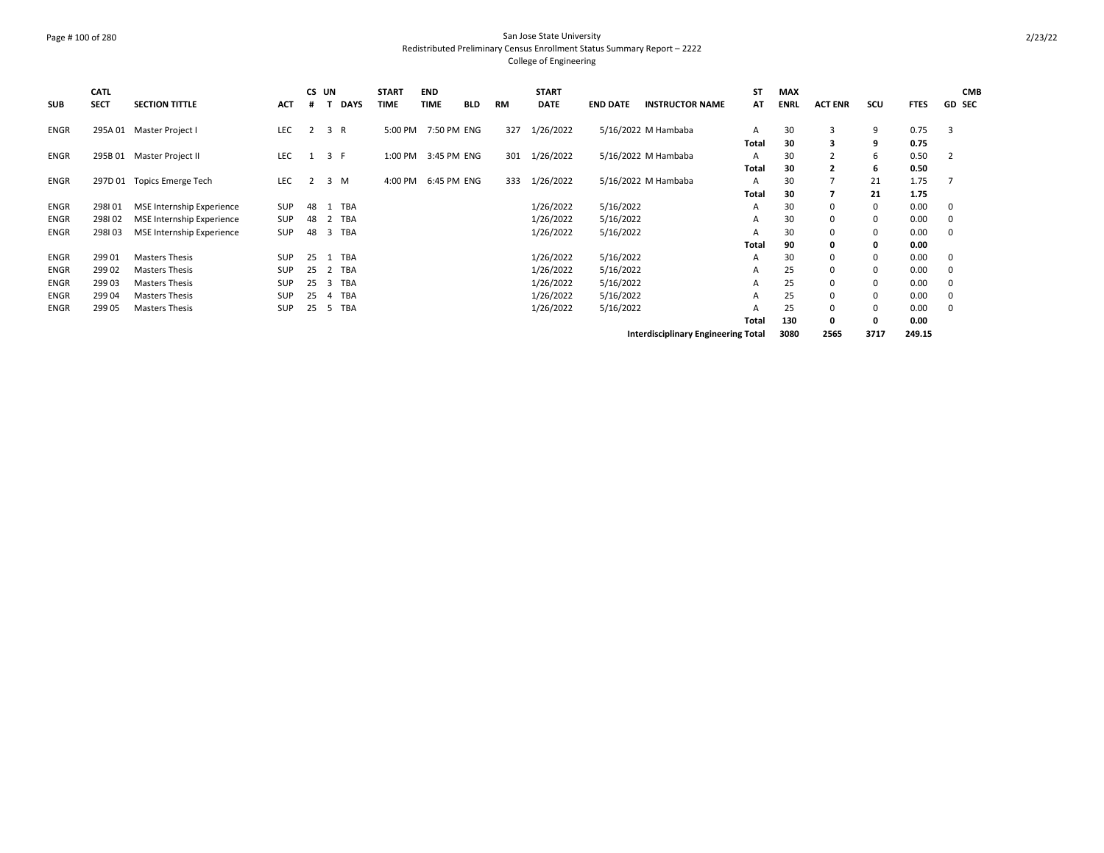## Page # 100 of 280 San Jose State University Redistributed Preliminary Census Enrollment Status Summary Report – 2222 College of Engineering

| <b>SUB</b>  | CATL<br><b>SECT</b> | <b>SECTION TITTLE</b>            | <b>ACT</b> | CS UN        |    | <b>DAYS</b> | <b>START</b><br><b>TIME</b> | <b>END</b><br><b>TIME</b> | <b>BLD</b> | <b>RM</b> | <b>START</b><br><b>DATE</b> | <b>END DATE</b> | <b>INSTRUCTOR NAME</b>                     | <b>ST</b><br>AT | <b>MAX</b><br><b>ENRL</b> | <b>ACT ENR</b> | scu  | <b>FTES</b> | <b>CMB</b><br><b>GD SEC</b> |
|-------------|---------------------|----------------------------------|------------|--------------|----|-------------|-----------------------------|---------------------------|------------|-----------|-----------------------------|-----------------|--------------------------------------------|-----------------|---------------------------|----------------|------|-------------|-----------------------------|
| ENGR        | 295A 01             | Master Project I                 | <b>LEC</b> | 2            |    | 3 R         | 5:00 PM                     | 7:50 PM ENG               |            | 327       | 1/26/2022                   |                 | 5/16/2022 M Hambaba                        | A               | 30                        | 3              | 9    | 0.75        | 3                           |
|             |                     |                                  |            |              |    |             |                             |                           |            |           |                             |                 |                                            | Total           | 30                        | 3              | 9    | 0.75        |                             |
| ENGR        | 295B 01             | Master Project II                | LEC        | 1            |    | 3 F         | 1:00 PM                     | 3:45 PM ENG               |            | 301       | 1/26/2022                   |                 | 5/16/2022 M Hambaba                        | A               | 30                        | $\overline{2}$ | 6    | 0.50        | $\overline{2}$              |
|             |                     |                                  |            |              |    |             |                             |                           |            |           |                             |                 |                                            | Total           | 30                        | $\overline{2}$ | 6    | 0.50        |                             |
| ENGR        | 297D 01             | <b>Topics Emerge Tech</b>        | <b>LEC</b> | $\mathbf{2}$ |    | 3 M         | 4:00 PM                     | 6:45 PM ENG               |            | 333       | 1/26/2022                   |                 | 5/16/2022 M Hambaba                        | A               | 30                        | 7              | 21   | 1.75        |                             |
|             |                     |                                  |            |              |    |             |                             |                           |            |           |                             |                 |                                            | <b>Total</b>    | 30                        | 7              | 21   | 1.75        |                             |
| ENGR        | 298101              | <b>MSE Internship Experience</b> | SUP        | 48           |    | TBA         |                             |                           |            |           | 1/26/2022                   | 5/16/2022       |                                            | A               | 30                        | 0              | 0    | 0.00        | 0                           |
| ENGR        | 298102              | <b>MSE Internship Experience</b> | <b>SUP</b> | 48           | 2  | TBA         |                             |                           |            |           | 1/26/2022                   | 5/16/2022       |                                            | A               | 30                        | 0              | 0    | 0.00        | 0                           |
| <b>ENGR</b> | 298103              | <b>MSE Internship Experience</b> | <b>SUP</b> | 48           | 3  | TBA         |                             |                           |            |           | 1/26/2022                   | 5/16/2022       |                                            | A               | 30                        | 0              | 0    | 0.00        | 0                           |
|             |                     |                                  |            |              |    |             |                             |                           |            |           |                             |                 |                                            | Total           | 90                        | 0              | 0    | 0.00        |                             |
| <b>ENGR</b> | 299 01              | <b>Masters Thesis</b>            | <b>SUP</b> | 25           | -1 | <b>TBA</b>  |                             |                           |            |           | 1/26/2022                   | 5/16/2022       |                                            | A               | 30                        | 0              | 0    | 0.00        | 0                           |
| <b>ENGR</b> | 299 02              | <b>Masters Thesis</b>            | <b>SUP</b> | 25           |    | TBA         |                             |                           |            |           | 1/26/2022                   | 5/16/2022       |                                            | A               | 25                        | 0              | 0    | 0.00        | 0                           |
| ENGR        | 299 03              | <b>Masters Thesis</b>            | <b>SUP</b> | 25           | 3  | TBA         |                             |                           |            |           | 1/26/2022                   | 5/16/2022       |                                            | A               | 25                        | 0              | 0    | 0.00        | 0                           |
| <b>ENGR</b> | 299 04              | <b>Masters Thesis</b>            | <b>SUP</b> | 25           | 4  | TBA         |                             |                           |            |           | 1/26/2022                   | 5/16/2022       |                                            | A               | 25                        | 0              | 0    | 0.00        | 0                           |
| <b>ENGR</b> | 299 05              | <b>Masters Thesis</b>            | <b>SUP</b> | 25           | 5  | <b>TBA</b>  |                             |                           |            |           | 1/26/2022                   | 5/16/2022       |                                            | A               | 25                        | 0              | 0    | 0.00        | 0                           |
|             |                     |                                  |            |              |    |             |                             |                           |            |           |                             |                 |                                            | Total           | 130                       | 0              | 0    | 0.00        |                             |
|             |                     |                                  |            |              |    |             |                             |                           |            |           |                             |                 | <b>Interdisciplinary Engineering Total</b> |                 | 3080                      | 2565           | 3717 | 249.15      |                             |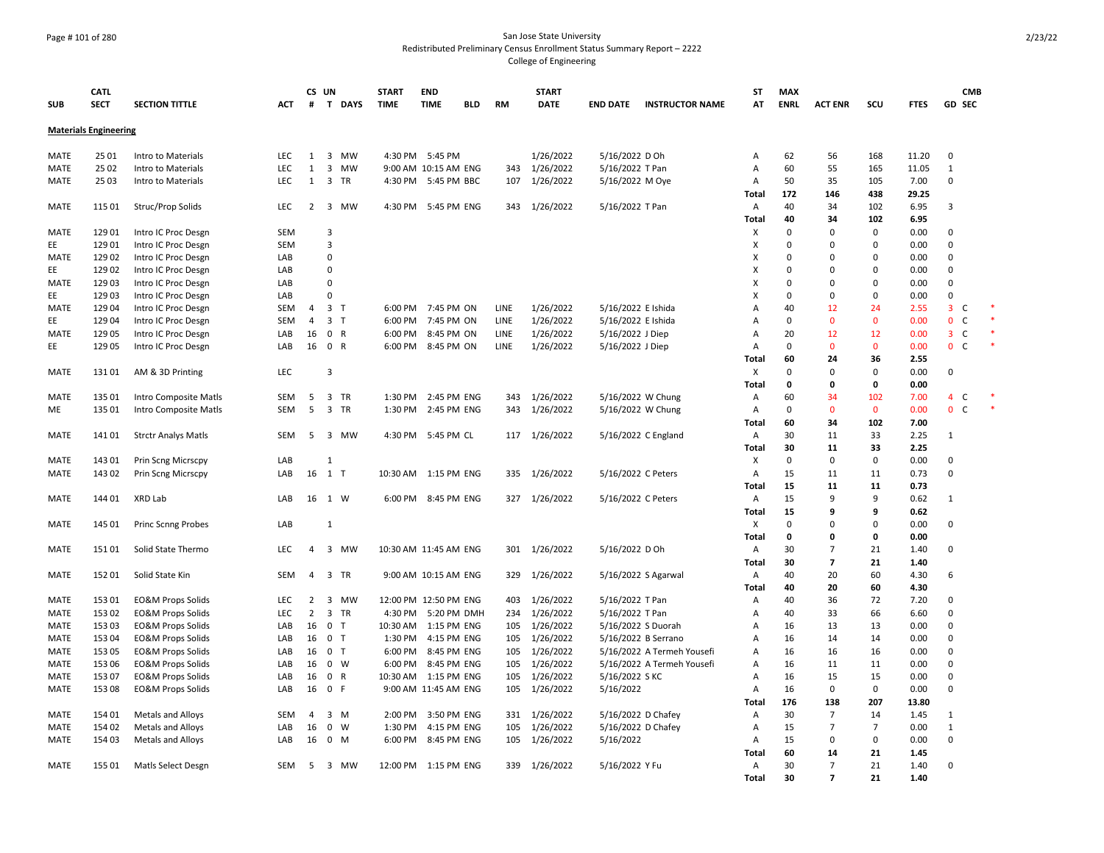## Page # 101 of 280 San Jose State University Redistributed Preliminary Census Enrollment Status Summary Report – 2222 College of Engineering

| <b>SUB</b>  | CATL<br><b>SECT</b>          | <b>SECTION TITTLE</b>        | <b>ACT</b> | CS UN<br>#     | T DAYS            | <b>START</b><br><b>TIME</b> | <b>END</b><br><b>TIME</b><br><b>BLD</b> | <b>RM</b> | <b>START</b><br><b>DATE</b> | <b>END DATE</b>    | <b>INSTRUCTOR NAME</b>     | ST<br>AT       | <b>MAX</b><br><b>ENRL</b> | <b>ACT ENR</b> | SCU         | <b>FTES</b>   | <b>CMB</b><br>GD SEC                    |  |
|-------------|------------------------------|------------------------------|------------|----------------|-------------------|-----------------------------|-----------------------------------------|-----------|-----------------------------|--------------------|----------------------------|----------------|---------------------------|----------------|-------------|---------------|-----------------------------------------|--|
|             |                              |                              |            |                |                   |                             |                                         |           |                             |                    |                            |                |                           |                |             |               |                                         |  |
|             | <b>Materials Engineering</b> |                              |            |                |                   |                             |                                         |           |                             |                    |                            |                |                           |                |             |               |                                         |  |
| MATE        | 25 01                        | Intro to Materials           | LEC        | 1              | 3<br>MW           |                             | 4:30 PM 5:45 PM                         |           | 1/26/2022                   | 5/16/2022 D Oh     |                            | Α              | 62                        | 56             | 168         | 11.20         | 0                                       |  |
| MATE        | 25 02                        | Intro to Materials           | LEC        | 1              | 3<br><b>MW</b>    |                             | 9:00 AM 10:15 AM ENG                    |           | 343 1/26/2022               | 5/16/2022 T Pan    |                            | Α              | 60                        | 55             | 165         | 11.05         | $\mathbf{1}$                            |  |
| MATE        | 2503                         | Intro to Materials           | LEC        | $\mathbf{1}$   | 3<br>TR           | 4:30 PM                     | 5:45 PM BBC                             | 107       | 1/26/2022                   | 5/16/2022 M Oye    |                            | Α              | 50                        | 35             | 105         | 7.00          | $\mathbf 0$                             |  |
| MATE        | 115 01                       | Struc/Prop Solids            | LEC        | $\overline{2}$ | 3 MW              |                             | 4:30 PM 5:45 PM ENG                     |           | 343 1/26/2022               | 5/16/2022 T Pan    |                            | Total<br>Α     | 172<br>40                 | 146<br>34      | 438<br>102  | 29.25<br>6.95 | 3                                       |  |
|             |                              |                              |            |                |                   |                             |                                         |           |                             |                    |                            | Total          | 40                        | 34             | 102         | 6.95          |                                         |  |
| MATE        | 129 01                       | Intro IC Proc Desgn          | SEM        |                | 3                 |                             |                                         |           |                             |                    |                            | х              | 0                         | $\Omega$       | 0           | 0.00          | 0                                       |  |
| EE          | 129 01                       | Intro IC Proc Desgn          | <b>SEM</b> |                | 3                 |                             |                                         |           |                             |                    |                            | X              | 0                         | $\Omega$       | 0           | 0.00          | $\mathbf 0$                             |  |
| MATE        | 129 02                       | Intro IC Proc Desgn          | LAB        |                | $\Omega$          |                             |                                         |           |                             |                    |                            | X              | $\Omega$                  | $\Omega$       | 0           | 0.00          | $\Omega$                                |  |
| EE          | 129 02                       | Intro IC Proc Desgn          | LAB        |                | $\Omega$          |                             |                                         |           |                             |                    |                            | X              | $\Omega$                  | $\Omega$       | $\Omega$    | 0.00          | $\Omega$                                |  |
| <b>MATE</b> | 129 03                       | Intro IC Proc Desgn          | LAB        |                | $\Omega$          |                             |                                         |           |                             |                    |                            | X              | 0                         | $\Omega$       | 0           | 0.00          | $\mathbf 0$                             |  |
| EE          | 12903                        | Intro IC Proc Desgn          | LAB        |                | $\Omega$          |                             |                                         |           |                             |                    |                            | X              | $\Omega$                  | $\Omega$       | $\Omega$    | 0.00          | $\Omega$                                |  |
| MATE        | 129 04                       | Intro IC Proc Desgn          | SEM        | 4              | 3<br>$\mathsf{T}$ |                             | 6:00 PM 7:45 PM ON                      | LINE      | 1/26/2022                   | 5/16/2022 E Ishida |                            | A              | 40                        | 12             | 24          | 2.55          | $\overline{\mathbf{3}}$<br>$\mathsf{C}$ |  |
| EE          | 129 04                       | Intro IC Proc Desgn          | <b>SEM</b> | $\overline{4}$ | 3 <sub>T</sub>    | 6:00 PM                     | 7:45 PM ON                              | LINE      | 1/26/2022                   | 5/16/2022 E Ishida |                            | A              | 0                         | $\mathbf 0$    | $\mathbf 0$ | 0.00          | C<br>$\mathbf 0$                        |  |
| <b>MATE</b> | 129 05                       | Intro IC Proc Desgn          | LAB        | 16             | $\mathbf 0$<br>R  | 6:00 PM                     | 8:45 PM ON                              | LINE      | 1/26/2022                   | 5/16/2022 J Diep   |                            | $\overline{A}$ | 20                        | 12             | 12          | 0.00          | $\mathsf{C}$<br>3                       |  |
| EE          | 129 05                       | Intro IC Proc Desgn          | LAB        | 16 0           | R                 | 6:00 PM                     | 8:45 PM ON                              | LINE      | 1/26/2022                   | 5/16/2022 J Diep   |                            | Α              | 0                         | $\overline{0}$ | $\mathbf 0$ | 0.00          | $\mathbf{0}$<br>$\mathsf{C}$            |  |
|             |                              |                              |            |                |                   |                             |                                         |           |                             |                    |                            | Total          | 60                        | 24             | 36          | 2.55          |                                         |  |
| <b>MATE</b> | 13101                        | AM & 3D Printing             | LEC        |                | 3                 |                             |                                         |           |                             |                    |                            | X              | 0                         | 0              | 0           | 0.00          | 0                                       |  |
|             |                              |                              |            |                |                   |                             |                                         |           |                             |                    |                            | Total          | 0                         | 0              | 0           | 0.00          |                                         |  |
| MATE        | 135 01                       | Intro Composite Matls        | SEM        | 5              | 3<br>TR           | 1:30 PM                     | 2:45 PM ENG                             | 343       | 1/26/2022                   | 5/16/2022 W Chung  |                            | Α              | 60                        | 34             | 102         | 7.00          | $\overline{4}$<br>C                     |  |
| ME          | 135 01                       | Intro Composite Matls        | SEM        | 5              | 3<br>TR           | 1:30 PM                     | 2:45 PM ENG                             | 343       | 1/26/2022                   | 5/16/2022 W Chung  |                            | Α              | 0                         | $\Omega$       | 0           | 0.00          | $\mathsf{C}$<br>$\mathbf{0}$            |  |
|             |                              |                              |            |                |                   |                             |                                         |           |                             |                    |                            | <b>Total</b>   | 60                        | 34             | 102         | 7.00          |                                         |  |
| MATE        | 14101                        | <b>Strctr Analys Matls</b>   | SEM        | 5              | 3<br>MW           | 4:30 PM                     | 5:45 PM CL                              | 117       | 1/26/2022                   |                    | 5/16/2022 C England        | Α              | 30                        | 11             | 33          | 2.25          | $\mathbf{1}$                            |  |
|             |                              |                              |            |                |                   |                             |                                         |           |                             |                    |                            | Total          | 30                        | 11             | 33          | 2.25          |                                         |  |
| MATE        | 143 01                       | Prin Scng Micrscpy           | LAB        |                | $\mathbf{1}$      |                             |                                         |           |                             |                    |                            | X              | $\mathbf 0$               | 0              | 0           | 0.00          | 0                                       |  |
| MATE        | 143 02                       | Prin Scng Micrscpy           | LAB        |                | 16 1 T            | 10:30 AM                    | 1:15 PM ENG                             | 335       | 1/26/2022                   | 5/16/2022 C Peters |                            | Α              | 15                        | 11             | 11          | 0.73          | $\mathbf 0$                             |  |
|             |                              |                              |            |                |                   |                             |                                         |           |                             |                    |                            | <b>Total</b>   | 15                        | 11             | 11          | 0.73          |                                         |  |
| MATE        | 144 01                       | XRD Lab                      | LAB        |                | 16 1 W            |                             | 6:00 PM 8:45 PM ENG                     |           | 327 1/26/2022               | 5/16/2022 C Peters |                            | Α              | 15                        | 9              | 9           | 0.62          | $\mathbf{1}$                            |  |
|             |                              |                              |            |                |                   |                             |                                         |           |                             |                    |                            | <b>Total</b>   | 15                        | q              | 9           | 0.62          |                                         |  |
| MATE        | 145 01                       | <b>Princ Scnng Probes</b>    | LAB        |                | $\mathbf{1}$      |                             |                                         |           |                             |                    |                            | X              | 0                         | $\Omega$       | 0           | 0.00          | 0                                       |  |
|             |                              |                              |            |                |                   |                             |                                         |           |                             |                    |                            | Total          | 0                         | $\mathbf 0$    | 0           | 0.00          |                                         |  |
| MATE        | 15101                        | Solid State Thermo           | <b>LEC</b> | 4              | 3<br>MW           |                             | 10:30 AM 11:45 AM ENG                   |           | 301 1/26/2022               | 5/16/2022 D Oh     |                            | Α              | 30                        | $\overline{7}$ | 21          | 1.40          | 0                                       |  |
|             |                              |                              |            |                |                   |                             |                                         |           |                             |                    |                            | <b>Total</b>   | 30                        | $\overline{7}$ | 21          | 1.40          |                                         |  |
| MATE        | 152 01                       | Solid State Kin              | SEM        | $\overline{4}$ | 3 TR              |                             | 9:00 AM 10:15 AM ENG                    | 329       | 1/26/2022                   |                    | 5/16/2022 S Agarwal        | Α              | 40                        | 20             | 60          | 4.30          | 6                                       |  |
|             |                              |                              |            |                |                   |                             |                                         |           |                             |                    |                            | Total          | 40                        | 20             | 60          | 4.30          |                                         |  |
| <b>MATE</b> | 153 01                       | <b>EO&amp;M Props Solids</b> | LEC        | $\overline{2}$ | 3<br>MW           |                             | 12:00 PM 12:50 PM ENG                   | 403       | 1/26/2022                   | 5/16/2022 T Pan    |                            | Α              | 40                        | 36             | 72          | 7.20          | $\Omega$                                |  |
| MATE        | 153 02                       | <b>EO&amp;M Props Solids</b> | LEC        | $\overline{2}$ | 3<br>TR           | 4:30 PM                     | 5:20 PM DMH                             | 234       | 1/26/2022                   | 5/16/2022 T Pan    |                            | Α              | 40                        | 33             | 66          | 6.60          | $\mathbf 0$                             |  |
| <b>MATE</b> | 153 03                       | <b>EO&amp;M Props Solids</b> | LAB        | 16             | $\mathbf 0$<br>T  | 10:30 AM                    | 1:15 PM ENG                             |           | 105 1/26/2022               | 5/16/2022 S Duorah |                            | A              | 16                        | 13             | 13          | 0.00          | $\Omega$                                |  |
| MATE        | 153 04                       | <b>EO&amp;M Props Solids</b> | LAB        |                | 16 0 T            | 1:30 PM                     | 4:15 PM ENG                             | 105       | 1/26/2022                   |                    | 5/16/2022 B Serrano        | $\overline{A}$ | 16                        | 14             | 14          | 0.00          | $\mathbf 0$                             |  |
| <b>MATE</b> | 153 05                       | <b>EO&amp;M Props Solids</b> | LAB        | 16             | $\mathbf 0$<br>T  | 6:00 PM                     | 8:45 PM ENG                             | 105       | 1/26/2022                   |                    | 5/16/2022 A Termeh Yousefi | A              | 16                        | 16             | 16          | 0.00          | 0                                       |  |
| MATE        | 153 06                       | <b>EO&amp;M Props Solids</b> | LAB        | 16             | $\mathbf 0$<br>W  | 6:00 PM                     | 8:45 PM ENG                             | 105       | 1/26/2022                   |                    | 5/16/2022 A Termeh Yousefi | A              | 16                        | 11             | 11          | 0.00          | $\mathbf 0$                             |  |
| MATE        | 153 07                       | <b>EO&amp;M Props Solids</b> | LAB        | 16             | $\mathbf 0$<br>R  | 10:30 AM                    | 1:15 PM ENG                             | 105       | 1/26/2022                   | 5/16/2022 S KC     |                            | Α              | 16                        | 15             | 15          | 0.00          | 0                                       |  |
| MATE        | 153 08                       | <b>EO&amp;M Props Solids</b> | LAB        | 16             | 0 F               |                             | 9:00 AM 11:45 AM ENG                    | 105       | 1/26/2022                   | 5/16/2022          |                            | Α              | 16                        | 0              | 0           | 0.00          | 0                                       |  |
|             |                              |                              |            |                |                   |                             |                                         |           |                             |                    |                            | <b>Total</b>   | 176                       | 138            | 207         | 13.80         |                                         |  |
| <b>MATE</b> | 154 01                       | <b>Metals and Alloys</b>     | <b>SEM</b> | 4              | 3<br>M            | $2:00$ PM                   | 3:50 PM ENG                             |           | 331 1/26/2022               | 5/16/2022 D Chafey |                            | Α              | 30                        | $\overline{7}$ | 14          | 1.45          | $\mathbf{1}$                            |  |
| MATE        | 154 02                       | <b>Metals and Alloys</b>     | LAB        | 16             | 0<br>W            | 1:30 PM                     | 4:15 PM ENG                             | 105       | 1/26/2022                   | 5/16/2022 D Chafey |                            | Α              | 15                        | $\overline{7}$ | 7           | 0.00          | $\mathbf{1}$                            |  |
| MATE        | 154 03                       | <b>Metals and Alloys</b>     | LAB        |                | 16 0 M            | 6:00 PM                     | 8:45 PM ENG                             |           | 105 1/26/2022               | 5/16/2022          |                            | Α              | 15                        | 0              | 0           | 0.00          | 0                                       |  |
|             |                              |                              |            |                |                   |                             |                                         |           |                             |                    |                            | Total          | 60                        | 14             | 21          | 1.45          |                                         |  |
| MATE        | 155 01                       | Matls Select Desgn           | SEM        | 5              | 3 MW              |                             | 12:00 PM 1:15 PM ENG                    |           | 339 1/26/2022               | 5/16/2022 Y Fu     |                            | Α              | 30                        | $\overline{7}$ | 21          | 1.40          | 0                                       |  |
|             |                              |                              |            |                |                   |                             |                                         |           |                             |                    |                            | <b>Total</b>   | 30                        |                | 21          | 1.40          |                                         |  |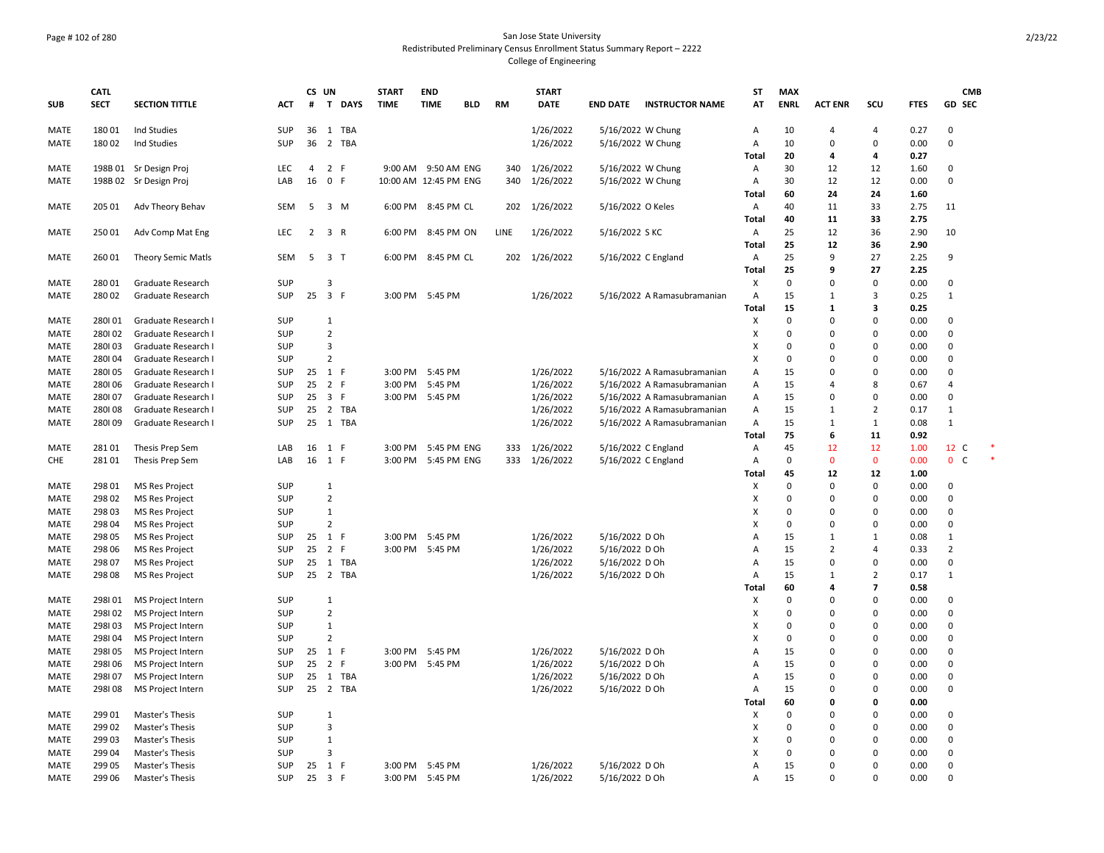## Page # 102 of 280 San Jose State University Redistributed Preliminary Census Enrollment Status Summary Report – 2222 College of Engineering

| <b>SUB</b>          | <b>CATL</b><br><b>SECT</b> | <b>SECTION TITTLE</b>                          | <b>ACT</b>               | CS UN<br>#     | T DAYS                         | <b>START</b><br><b>TIME</b> | <b>END</b><br><b>TIME</b> | <b>BLD</b> | <b>RM</b> | <b>START</b><br><b>DATE</b> | <b>END DATE</b>     | <b>INSTRUCTOR NAME</b>      | <b>ST</b><br>AT | <b>MAX</b><br><b>ENRL</b> | <b>ACT ENR</b>          | scu            | <b>FTES</b>  | <b>CMB</b><br><b>GD SEC</b> |  |
|---------------------|----------------------------|------------------------------------------------|--------------------------|----------------|--------------------------------|-----------------------------|---------------------------|------------|-----------|-----------------------------|---------------------|-----------------------------|-----------------|---------------------------|-------------------------|----------------|--------------|-----------------------------|--|
| <b>MATE</b>         | 18001                      | Ind Studies                                    | SUP                      | 36             | 1<br>TBA                       |                             |                           |            |           | 1/26/2022                   | 5/16/2022 W Chung   |                             | A               | 10                        | 4                       | 4              | 0.27         | 0                           |  |
| MATE                | 18002                      | Ind Studies                                    | <b>SUP</b>               | 36             | $\overline{2}$<br><b>TBA</b>   |                             |                           |            |           | 1/26/2022                   | 5/16/2022 W Chung   |                             | Α               | 10                        | 0                       | $\Omega$       | 0.00         | 0                           |  |
|                     |                            |                                                |                          |                |                                |                             |                           |            |           |                             |                     |                             | Total           | 20                        | 4                       | 4              | 0.27         |                             |  |
| <b>MATE</b>         |                            | 198B 01 Sr Design Proj                         | LEC                      | $\overline{4}$ | 2 F                            |                             | 9:00 AM 9:50 AM ENG       |            | 340       | 1/26/2022                   | 5/16/2022 W Chung   |                             | Α               | 30                        | 12                      | 12             | 1.60         | 0                           |  |
| MATE                |                            | 198B 02 Sr Design Proj                         | LAB                      | 16             | $\mathsf{o}$<br>F.             |                             | 10:00 AM 12:45 PM ENG     |            | 340       | 1/26/2022                   | 5/16/2022 W Chung   |                             | Α               | 30                        | 12                      | 12             | 0.00         | 0                           |  |
|                     |                            |                                                |                          |                |                                |                             |                           |            |           |                             |                     |                             | Total           | 60                        | 24                      | 24             | 1.60         |                             |  |
| MATE                | 205 01                     | Adv Theory Behav                               | <b>SEM</b>               | 5              | 3 M                            |                             | 6:00 PM 8:45 PM CL        |            | 202       | 1/26/2022                   | 5/16/2022 O Keles   |                             | A               | 40                        | 11                      | 33             | 2.75         | 11                          |  |
|                     |                            |                                                |                          |                |                                |                             |                           |            |           |                             |                     |                             | Total           | 40                        | 11                      | 33             | 2.75         |                             |  |
| MATE                | 25001                      | Adv Comp Mat Eng                               | LEC                      | $\overline{2}$ | 3 R                            | 6:00 PM                     | 8:45 PM ON                |            | LINE      | 1/26/2022                   | 5/16/2022 S KC      |                             | Α               | 25                        | 12                      | 36             | 2.90         | 10                          |  |
|                     |                            |                                                |                          |                |                                |                             |                           |            |           |                             |                     |                             | Total           | 25                        | 12                      | 36             | 2.90         |                             |  |
| MATE                | 260 01                     | <b>Theory Semic Matls</b>                      | SEM                      | 5              | 3 <sub>T</sub>                 | 6:00 PM                     | 8:45 PM CL                |            | 202       | 1/26/2022                   | 5/16/2022 C England |                             | Α               | 25                        | 9                       | 27             | 2.25         | 9                           |  |
|                     |                            |                                                |                          |                |                                |                             |                           |            |           |                             |                     |                             | Total           | 25                        | 9                       | 27             | 2.25         |                             |  |
| MATE                | 28001                      | Graduate Research                              | SUP                      |                | $\mathbf{a}$                   |                             |                           |            |           |                             |                     |                             | х               | $\mathbf 0$               | $\Omega$                | $\Omega$       | 0.00         | 0                           |  |
| MATE                | 28002                      | Graduate Research                              | <b>SUP</b>               | 25             | $\overline{\mathbf{3}}$<br>- F | 3:00 PM                     | 5:45 PM                   |            |           | 1/26/2022                   |                     | 5/16/2022 A Ramasubramanian | Α               | 15                        | $\mathbf{1}$            | 3              | 0.25         | $\,1\,$                     |  |
|                     |                            |                                                |                          |                |                                |                             |                           |            |           |                             |                     |                             | Total           | 15                        | $\mathbf{1}$            | 3              | 0.25         |                             |  |
| MATE                | 280101                     | Graduate Research I                            | <b>SUP</b>               |                | $\mathbf{1}$                   |                             |                           |            |           |                             |                     |                             | х               | $\mathbf 0$               | $\Omega$                | $\Omega$       | 0.00         | 0                           |  |
| MATE                | 280102                     | Graduate Research I                            | <b>SUP</b>               |                | $\overline{2}$                 |                             |                           |            |           |                             |                     |                             | X               | 0                         | $\Omega$                | $\Omega$       | 0.00         | 0                           |  |
| <b>MATE</b>         | 280103                     | Graduate Research I                            | <b>SUP</b>               |                | 3                              |                             |                           |            |           |                             |                     |                             | X               | 0                         | $\Omega$                | $\Omega$       | 0.00         | $\Omega$                    |  |
| MATE                | 280104                     | Graduate Research I                            | SUP                      |                | $\overline{2}$                 |                             |                           |            |           |                             |                     |                             | X               | $\mathsf 0$               | $\Omega$                | $\Omega$       | 0.00         | 0                           |  |
| MATE                | 280105                     | Graduate Research I                            | <b>SUP</b>               | $25 \quad 1$   | -F                             | 3:00 PM                     | 5:45 PM                   |            |           | 1/26/2022                   |                     | 5/16/2022 A Ramasubramanian | Α               | 15                        | $\Omega$                | $\Omega$       | 0.00         | 0                           |  |
| MATE                | 280106                     | Graduate Research I                            | <b>SUP</b>               | 25             | 2 F                            | 3:00 PM                     | 5:45 PM                   |            |           | 1/26/2022                   |                     | 5/16/2022 A Ramasubramanian | Α               | 15                        | 4                       | 8              | 0.67         | 4                           |  |
| MATE                | 280107                     | Graduate Research I                            | SUP                      | 25             | $\overline{\mathbf{3}}$<br>- F |                             | 3:00 PM 5:45 PM           |            |           | 1/26/2022                   |                     | 5/16/2022 A Ramasubramanian | Α               | 15                        | $\Omega$                | $\Omega$       | 0.00         | 0                           |  |
| MATE                | 280108                     | Graduate Research I                            | <b>SUP</b>               | 25             | 2 TBA                          |                             |                           |            |           | 1/26/2022                   |                     | 5/16/2022 A Ramasubramanian | А               | 15                        | $\mathbf{1}$            | $\overline{2}$ | 0.17         | $\mathbf{1}$                |  |
| MATE                | 280109                     | Graduate Research I                            | <b>SUP</b>               | 25             | 1<br>TBA                       |                             |                           |            |           | 1/26/2022                   |                     | 5/16/2022 A Ramasubramanian | Α               | 15                        | $\mathbf{1}$            | $\mathbf{1}$   | 0.08         | $\mathbf{1}$                |  |
|                     |                            |                                                |                          |                |                                |                             |                           |            |           |                             |                     |                             | Total           | 75                        | 6                       | 11             | 0.92         |                             |  |
| MATE                | 28101                      | Thesis Prep Sem                                | LAB                      | 16             | -F<br>1                        | 3:00 PM                     | 5:45 PM ENG               |            | 333       | 1/26/2022                   | 5/16/2022 C England |                             | Α               | 45                        | 12                      | 12             | 1.00         | 12 C                        |  |
| <b>CHE</b>          | 28101                      | Thesis Prep Sem                                | LAB                      | 16             | -F<br>1                        |                             | 3:00 PM 5:45 PM ENG       |            |           | 333 1/26/2022               | 5/16/2022 C England |                             | Α               | 0                         | $\mathbf 0$             | $\mathbf 0$    | 0.00         | $\overline{0}$<br>C         |  |
|                     |                            |                                                |                          |                |                                |                             |                           |            |           |                             |                     |                             | Total           | 45                        | 12                      | 12             | 1.00         |                             |  |
| MATE                | 298 01                     | <b>MS Res Project</b>                          | <b>SUP</b>               |                | 1                              |                             |                           |            |           |                             |                     |                             | х               | 0<br>$\mathbf 0$          | $\mathbf 0$<br>$\Omega$ | 0<br>$\Omega$  | 0.00         | 0<br>0                      |  |
| MATE                | 298 02                     | <b>MS Res Project</b>                          | <b>SUP</b>               |                | $\overline{2}$<br>$\mathbf{1}$ |                             |                           |            |           |                             |                     |                             | X               | 0                         | $\Omega$                | $\Omega$       | 0.00         | 0                           |  |
| MATE                | 298 03<br>298 04           | MS Res Project                                 | <b>SUP</b><br><b>SUP</b> |                | $\overline{2}$                 |                             |                           |            |           |                             |                     |                             | X<br>X          | 0                         | $\Omega$                | $\Omega$       | 0.00<br>0.00 | 0                           |  |
| <b>MATE</b><br>MATE | 298 05                     | <b>MS Res Project</b><br><b>MS Res Project</b> | <b>SUP</b>               | $25 \quad 1$   | -F                             |                             | 3:00 PM 5:45 PM           |            |           | 1/26/2022                   | 5/16/2022 D Oh      |                             | A               | 15                        | $\mathbf{1}$            | 1              | 0.08         | 1                           |  |
| MATE                | 298 06                     | <b>MS Res Project</b>                          | <b>SUP</b>               | 25             | 2<br>-F                        | 3:00 PM                     | 5:45 PM                   |            |           | 1/26/2022                   | 5/16/2022 D Oh      |                             | $\overline{A}$  | 15                        | $\overline{2}$          | 4              | 0.33         | $\overline{2}$              |  |
| MATE                | 298 07                     | <b>MS Res Project</b>                          | <b>SUP</b>               | 25             | <b>TBA</b><br>1                |                             |                           |            |           | 1/26/2022                   | 5/16/2022 D Oh      |                             | Α               | 15                        | $\Omega$                | $\Omega$       | 0.00         | 0                           |  |
| MATE                | 298 08                     | <b>MS Res Project</b>                          | SUP                      |                | 25 2 TBA                       |                             |                           |            |           | 1/26/2022                   | 5/16/2022 D Oh      |                             | Α               | 15                        | $\mathbf{1}$            | $\overline{2}$ | 0.17         | $1\,$                       |  |
|                     |                            |                                                |                          |                |                                |                             |                           |            |           |                             |                     |                             | Total           | 60                        | 4                       | $\overline{ }$ | 0.58         |                             |  |
| <b>MATE</b>         | 298101                     | MS Project Intern                              | SUP                      |                | $\mathbf{1}$                   |                             |                           |            |           |                             |                     |                             | X               | 0                         | 0                       | $\Omega$       | 0.00         | 0                           |  |
| MATE                | 298102                     | MS Project Intern                              | <b>SUP</b>               |                | $\overline{2}$                 |                             |                           |            |           |                             |                     |                             | х               | $\mathbf 0$               | $\Omega$                | $\Omega$       | 0.00         | 0                           |  |
| MATE                | 298103                     | MS Project Intern                              | SUP                      |                | 1                              |                             |                           |            |           |                             |                     |                             | X               | 0                         | $\Omega$                | $\Omega$       | 0.00         | $\Omega$                    |  |
| MATE                | 298104                     | MS Project Intern                              | SUP                      |                | $\overline{2}$                 |                             |                           |            |           |                             |                     |                             | X               | $\mathsf 0$               | 0                       | 0              | 0.00         | 0                           |  |
| MATE                | 298105                     | MS Project Intern                              | <b>SUP</b>               | 25             | 1 F                            | 3:00 PM                     | 5:45 PM                   |            |           | 1/26/2022                   | 5/16/2022 D Oh      |                             | $\overline{A}$  | 15                        | $\Omega$                | $\Omega$       | 0.00         | 0                           |  |
| MATE                | 298106                     | MS Project Intern                              | <b>SUP</b>               | 25             | 2<br>-F                        |                             | 3:00 PM 5:45 PM           |            |           | 1/26/2022                   | 5/16/2022 D Oh      |                             | $\overline{A}$  | 15                        | $\Omega$                | $\Omega$       | 0.00         | $\Omega$                    |  |
| MATE                | 298107                     | MS Project Intern                              | SUP                      | 25             | $\mathbf{1}$<br>TBA            |                             |                           |            |           | 1/26/2022                   | 5/16/2022 D Oh      |                             | $\overline{A}$  | 15                        | $\Omega$                | $\Omega$       | 0.00         | 0                           |  |
| MATE                | 298108                     | MS Project Intern                              | SUP                      | 25             | 2 TBA                          |                             |                           |            |           | 1/26/2022                   | 5/16/2022 D Oh      |                             | Α               | 15                        | $\Omega$                | $\Omega$       | 0.00         | 0                           |  |
|                     |                            |                                                |                          |                |                                |                             |                           |            |           |                             |                     |                             | Total           | 60                        | $\Omega$                | O              | 0.00         |                             |  |
| <b>MATE</b>         | 29901                      | Master's Thesis                                | <b>SUP</b>               |                | $\mathbf{1}$                   |                             |                           |            |           |                             |                     |                             | X               | 0                         | $\Omega$                | $\Omega$       | 0.00         | 0                           |  |
| MATE                | 299 02                     | Master's Thesis                                | <b>SUP</b>               |                | 3                              |                             |                           |            |           |                             |                     |                             | X               | 0                         | $\Omega$                | 0              | 0.00         | 0                           |  |
| MATE                | 299 03                     | Master's Thesis                                | <b>SUP</b>               |                | 1                              |                             |                           |            |           |                             |                     |                             | X               | 0                         | $\Omega$                | $\Omega$       | 0.00         | 0                           |  |
| <b>MATE</b>         | 299 04                     | Master's Thesis                                | <b>SUP</b>               |                | $\overline{\mathbf{a}}$        |                             |                           |            |           |                             |                     |                             | x               | $\Omega$                  | $\Omega$                | $\Omega$       | 0.00         | $\Omega$                    |  |
| MATE                | 299 05                     | Master's Thesis                                | SUP                      | 25             | 1<br>- F                       | 3:00 PM                     | 5:45 PM                   |            |           | 1/26/2022                   | 5/16/2022 D Oh      |                             | $\overline{A}$  | 15                        | $\Omega$                | $\Omega$       | 0.00         | 0                           |  |
| MATE                | 299 06                     | Master's Thesis                                | SUP                      |                | 25 3 F                         |                             | 3:00 PM 5:45 PM           |            |           | 1/26/2022                   | 5/16/2022 D Oh      |                             | A               | 15                        | $\Omega$                | $\Omega$       | 0.00         | $\Omega$                    |  |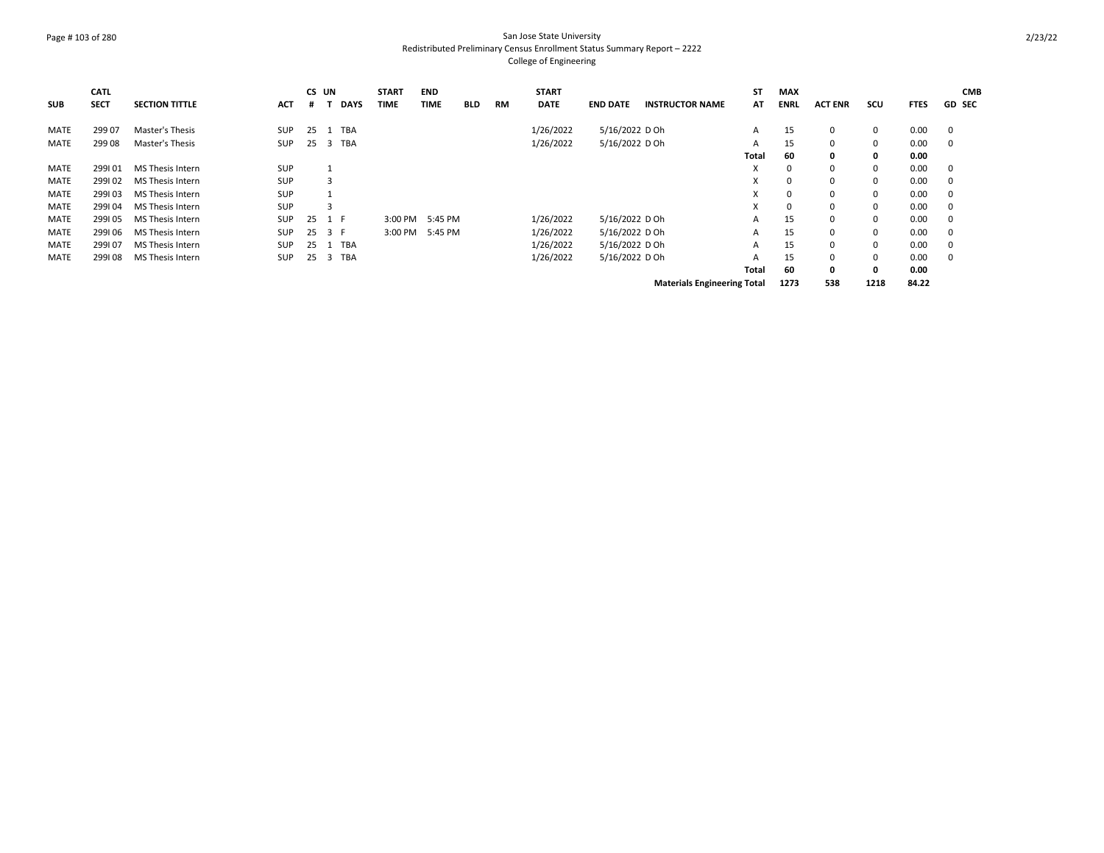## Page # 103 of 280 San Jose State University Redistributed Preliminary Census Enrollment Status Summary Report – 2222 College of Engineering

| <b>SUB</b>  | <b>CATL</b><br><b>SECT</b> | <b>SECTION TITTLE</b> | <b>ACT</b> | CS UN<br># |     | <b>DAYS</b> | <b>START</b><br><b>TIME</b> | <b>END</b><br><b>TIME</b> | <b>BLD</b> | RM | <b>START</b><br><b>DATE</b> | <b>END DATE</b> | <b>INSTRUCTOR NAME</b>             | <b>ST</b><br>AT | <b>MAX</b><br><b>ENRL</b> | <b>ACT ENR</b> | SCU          | <b>FTES</b> | <b>CMB</b><br><b>GD SEC</b> |
|-------------|----------------------------|-----------------------|------------|------------|-----|-------------|-----------------------------|---------------------------|------------|----|-----------------------------|-----------------|------------------------------------|-----------------|---------------------------|----------------|--------------|-------------|-----------------------------|
| MATE        | 299 07                     | Master's Thesis       | SUP        | 25         |     | <b>TBA</b>  |                             |                           |            |    | 1/26/2022                   | 5/16/2022 D Oh  |                                    | Α               | 15                        | 0              | 0            | 0.00        | 0                           |
| <b>MATE</b> | 29908                      | Master's Thesis       | <b>SUP</b> | 25         | 3   | <b>TBA</b>  |                             |                           |            |    | 1/26/2022                   | 5/16/2022 D Oh  |                                    | A               | 15                        | $^{\circ}$     | 0            | 0.00        | 0                           |
|             |                            |                       |            |            |     |             |                             |                           |            |    |                             |                 |                                    | <b>Total</b>    | 60                        | 0              | 0            | 0.00        |                             |
| MATE        | 299101                     | MS Thesis Intern      | SUP        |            |     |             |                             |                           |            |    |                             |                 |                                    | v               | $\Omega$                  | $\Omega$       | 0            | 0.00        | 0                           |
| <b>MATE</b> | 299102                     | MS Thesis Intern      | <b>SUP</b> |            | 3   |             |                             |                           |            |    |                             |                 |                                    | v               | 0                         | 0              | $\mathbf 0$  | 0.00        | 0                           |
| <b>MATE</b> | 299103                     | MS Thesis Intern      | SUP        |            |     |             |                             |                           |            |    |                             |                 |                                    | x               | 0                         | $\Omega$       | $\mathbf 0$  | 0.00        | 0                           |
| <b>MATE</b> | 299104                     | MS Thesis Intern      | <b>SUP</b> |            | 3   |             |                             |                           |            |    |                             |                 |                                    | x               | 0                         | $\Omega$       | $\mathbf 0$  | 0.00        | 0                           |
| <b>MATE</b> | 299105                     | MS Thesis Intern      | <b>SUP</b> | 25         | 1 F |             | 3:00 PM                     | 5:45 PM                   |            |    | 1/26/2022                   | 5/16/2022 D Oh  |                                    | A               | 15                        | 0              | $\mathbf 0$  | 0.00        | 0                           |
| <b>MATE</b> | 299106                     | MS Thesis Intern      | <b>SUP</b> | 25         | 3 F |             | 3:00 PM                     | 5:45 PM                   |            |    | 1/26/2022                   | 5/16/2022 D Oh  |                                    | A               | 15                        | 0              | $\mathbf 0$  | 0.00        | 0                           |
| <b>MATE</b> | 299107                     | MS Thesis Intern      | <b>SUP</b> | 25         |     | <b>TBA</b>  |                             |                           |            |    | 1/26/2022                   | 5/16/2022 D Oh  |                                    | A               | 15                        | 0              | $\mathbf 0$  | 0.00        | 0                           |
| MATE        | 299108                     | MS Thesis Intern      | <b>SUP</b> | 25         | 3   | <b>TBA</b>  |                             |                           |            |    | 1/26/2022                   | 5/16/2022 D Oh  |                                    | A               | 15                        | 0              | 0            | 0.00        | 0                           |
|             |                            |                       |            |            |     |             |                             |                           |            |    |                             |                 |                                    | Total           | 60                        | 0              | $\mathbf{0}$ | 0.00        |                             |
|             |                            |                       |            |            |     |             |                             |                           |            |    |                             |                 | <b>Materials Engineering Total</b> |                 | 1273                      | 538            | 1218         | 84.22       |                             |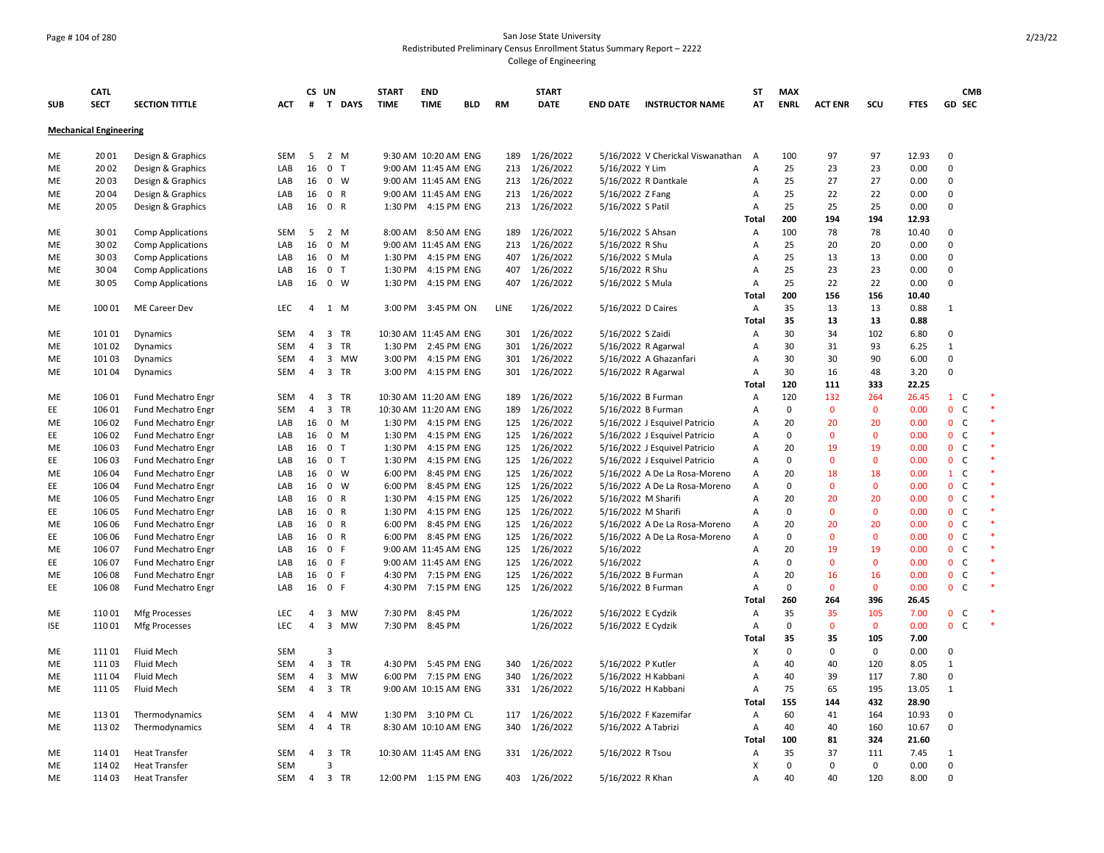## Page # 104 of 280 San Jose State University Redistributed Preliminary Census Enrollment Status Summary Report – 2222 College of Engineering

|            | <b>CATL</b>                   |                           |            | CS UN          |                              | <b>START</b> | <b>END</b>            |            |           | <b>START</b>  |                     |                                   | <b>ST</b>      | <b>MAX</b>  |                |              |             | <b>CMB</b>                   |        |
|------------|-------------------------------|---------------------------|------------|----------------|------------------------------|--------------|-----------------------|------------|-----------|---------------|---------------------|-----------------------------------|----------------|-------------|----------------|--------------|-------------|------------------------------|--------|
| <b>SUB</b> | <b>SECT</b>                   | <b>SECTION TITTLE</b>     | ACT        | #              | T DAYS                       | <b>TIME</b>  | <b>TIME</b>           | <b>BLD</b> | <b>RM</b> | <b>DATE</b>   | <b>END DATE</b>     | <b>INSTRUCTOR NAME</b>            | AT             | <b>ENRL</b> | <b>ACT ENR</b> | scu          | <b>FTES</b> | GD SEC                       |        |
|            | <b>Mechanical Engineering</b> |                           |            |                |                              |              |                       |            |           |               |                     |                                   |                |             |                |              |             |                              |        |
| ME         | 2001                          | Design & Graphics         | <b>SEM</b> | 5              | 2 M                          |              | 9:30 AM 10:20 AM ENG  |            | 189       | 1/26/2022     |                     | 5/16/2022 V Cherickal Viswanathan | $\overline{A}$ | 100         | 97             | 97           | 12.93       | $\mathbf 0$                  |        |
| ME         | 20 02                         | Design & Graphics         | LAB        | 16             | 0 <sub>T</sub>               |              | 9:00 AM 11:45 AM ENG  |            |           | 213 1/26/2022 | 5/16/2022 Y Lim     |                                   | Α              | 25          | 23             | 23           | 0.00        | $\mathbf 0$                  |        |
| ME         | 2003                          | Design & Graphics         | LAB        | 16             | $0 \quad W$                  |              | 9:00 AM 11:45 AM ENG  |            |           | 213 1/26/2022 |                     | 5/16/2022 R Dantkale              | A              | 25          | 27             | 27           | 0.00        | $\mathbf 0$                  |        |
| ME         | 2004                          | Design & Graphics         | LAB        | 16             | $\mathbf{0}$<br>R            |              | 9:00 AM 11:45 AM ENG  |            |           | 213 1/26/2022 | 5/16/2022 Z Fang    |                                   | A              | 25          | 22             | 22           | 0.00        | 0                            |        |
| ME         | 2005                          | Design & Graphics         | LAB        | 16             | 0 R                          |              | 1:30 PM 4:15 PM ENG   |            |           | 213 1/26/2022 | 5/16/2022 S Patil   |                                   | A              | 25          | 25             | 25           | 0.00        | $\Omega$                     |        |
|            |                               |                           |            |                |                              |              |                       |            |           |               |                     |                                   | Total          | 200         | 194            | 194          | 12.93       |                              |        |
| ME         | 3001                          | <b>Comp Applications</b>  | SEM        | 5              | $2^{\circ}$<br>M             |              | 8:00 AM 8:50 AM ENG   |            |           | 189 1/26/2022 | 5/16/2022 S Ahsan   |                                   | Α              | 100         | 78             | 78           | 10.40       | $\Omega$                     |        |
| ME         | 30 02                         | <b>Comp Applications</b>  | LAB        | 16             | $0$ M                        |              | 9:00 AM 11:45 AM ENG  |            |           | 213 1/26/2022 | 5/16/2022 R Shu     |                                   | A              | 25          | 20             | 20           | 0.00        | $\Omega$                     |        |
| ME         | 3003                          | <b>Comp Applications</b>  | LAB        | 16             | $0 \mathsf{M}$               |              | 1:30 PM 4:15 PM ENG   |            |           | 407 1/26/2022 | 5/16/2022 S Mula    |                                   | $\overline{A}$ | 25          | 13             | 13           | 0.00        | $\Omega$                     |        |
| ME         | 3004                          | <b>Comp Applications</b>  | LAB        | 16             | 0 <sub>T</sub>               | 1:30 PM      | 4:15 PM ENG           |            |           | 407 1/26/2022 | 5/16/2022 R Shu     |                                   | A              | 25          | 23             | 23           | 0.00        | $\mathbf 0$                  |        |
| ME         | 3005                          | <b>Comp Applications</b>  | LAB        | 16             | $0 \quad W$                  |              | 1:30 PM 4:15 PM ENG   |            | 407       | 1/26/2022     | 5/16/2022 S Mula    |                                   | $\overline{A}$ | 25          | 22             | 22           | 0.00        | $\mathbf 0$                  |        |
|            |                               |                           |            |                |                              |              |                       |            |           |               |                     |                                   | Total          | 200         | 156            | 156          | 10.40       |                              |        |
| ME         | 100 01                        | ME Career Dev             | LEC        | 4              | 1 M                          |              | 3:00 PM 3:45 PM ON    |            | LINE      | 1/26/2022     | 5/16/2022 D Caires  |                                   | A              | 35          | 13             | 13           | 0.88        | 1                            |        |
|            |                               |                           |            |                |                              |              |                       |            |           |               |                     |                                   | Total          | 35          | 13             | 13           | 0.88        |                              |        |
| ME         | 101 01                        | Dynamics                  | SEM        | 4              | 3 TR                         |              | 10:30 AM 11:45 AM ENG |            | 301       | 1/26/2022     | 5/16/2022 S Zaidi   |                                   | A              | 30          | 34             | 102          | 6.80        | 0                            |        |
| ME         | 101 02                        | Dynamics                  | <b>SEM</b> | $\overline{4}$ | 3 TR                         | 1:30 PM      | 2:45 PM ENG           |            | 301       | 1/26/2022     | 5/16/2022 R Agarwal |                                   | $\overline{A}$ | 30          | 31             | 93           | 6.25        | 1                            |        |
| ME         | 101 03                        | Dynamics                  | SEM        | $\overline{4}$ | 3 MW                         |              | 3:00 PM 4:15 PM ENG   |            |           | 301 1/26/2022 |                     | 5/16/2022 A Ghazanfari            | A              | 30          | 30             | 90           | 6.00        | 0                            |        |
| ME         | 101 04                        | Dynamics                  | SEM        | 4              | 3 TR                         |              | 3:00 PM 4:15 PM ENG   |            |           | 301 1/26/2022 | 5/16/2022 R Agarwal |                                   | A              | 30          | 16             | 48           | 3.20        | $\Omega$                     |        |
|            |                               |                           |            |                |                              |              |                       |            |           |               |                     |                                   | Total          | 120         | 111            | 333          | 22.25       |                              |        |
| ME         | 106 01                        | Fund Mechatro Engr        | SEM        | $\overline{4}$ | 3 TR                         |              | 10:30 AM 11:20 AM ENG |            |           | 189 1/26/2022 | 5/16/2022 B Furman  |                                   | A              | 120         | 132            | 264          | 26.45       | $1\quad C$                   |        |
| EE         | 106 01                        | Fund Mechatro Engr        | SEM        | $\overline{4}$ | 3 TR                         |              | 10:30 AM 11:20 AM ENG |            |           | 189 1/26/2022 | 5/16/2022 B Furman  |                                   | A              | $\mathbf 0$ | $\mathbf 0$    | 0            | 0.00        | $\mathbf 0$<br>$\mathsf{C}$  | $\ast$ |
| ME         | 106 02                        | <b>Fund Mechatro Engr</b> | LAB        | 16             | $0$ M                        |              | 1:30 PM 4:15 PM ENG   |            |           | 125 1/26/2022 |                     | 5/16/2022 J Esquivel Patricio     | A              | 20          | 20             | 20           | 0.00        | $\mathbf{0}$<br>$\mathsf{C}$ | $\ast$ |
| EE         | 106 02                        | Fund Mechatro Engr        | LAB        | 16             | $0$ M                        |              | 1:30 PM 4:15 PM ENG   |            | 125       | 1/26/2022     |                     | 5/16/2022 J Esquivel Patricio     | A              | 0           | $\Omega$       | $\mathbf 0$  | 0.00        | $\mathsf{C}$<br>$\mathbf 0$  |        |
| ME         | 106 03                        | Fund Mechatro Engr        | LAB        | 16             | 0 <sub>T</sub>               | 1:30 PM      | 4:15 PM ENG           |            |           | 125 1/26/2022 |                     | 5/16/2022 J Esquivel Patricio     | A              | 20          | 19             | 19           | 0.00        | $\mathbf{0}$<br>C            |        |
| EE         | 106 03                        | <b>Fund Mechatro Engr</b> | LAB        | 16             | 0 <sub>T</sub>               | 1:30 PM      | 4:15 PM ENG           |            |           | 125 1/26/2022 |                     | 5/16/2022 J Esquivel Patricio     | Α              | $\mathbf 0$ | $\Omega$       | $\mathbf 0$  | 0.00        | $\mathsf{C}$<br>$\mathbf{0}$ |        |
| ME         | 106 04                        | Fund Mechatro Engr        | LAB        | 16             | $0 \quad W$                  | 6:00 PM      | 8:45 PM ENG           |            |           | 125 1/26/2022 |                     | 5/16/2022 A De La Rosa-Moreno     | Α              | 20          | 18             | 18           | 0.00        | $\mathsf{C}$<br>$\mathbf{1}$ |        |
| EE         | 106 04                        | <b>Fund Mechatro Engr</b> | LAB        | 16             | $0 \quad W$                  | 6:00 PM      | 8:45 PM ENG           |            |           | 125 1/26/2022 |                     | 5/16/2022 A De La Rosa-Moreno     | Α              | 0           | $\mathbf{0}$   | $\mathbf{0}$ | 0.00        | $\mathsf{C}$<br>$\mathbf{0}$ |        |
| ME         | 106 05                        | Fund Mechatro Engr        | LAB        | 16             | $\mathbf{0}$<br>$\mathsf{R}$ |              | 1:30 PM 4:15 PM ENG   |            |           | 125 1/26/2022 | 5/16/2022 M Sharifi |                                   | A              | 20          | 20             | 20           | 0.00        | $\mathsf{C}$<br>$\mathbf{0}$ |        |
| EE         | 106 05                        | Fund Mechatro Engr        | LAB        | 16             | 0 R                          | 1:30 PM      | 4:15 PM ENG           |            |           | 125 1/26/2022 | 5/16/2022 M Sharifi |                                   | A              | $\mathbf 0$ | $\Omega$       | $\mathbf{0}$ | 0.00        | C<br>$\mathbf{0}$            | $\ast$ |
| <b>ME</b>  | 106 06                        | Fund Mechatro Engr        | LAB        | 16             | 0 R                          | 6:00 PM      | 8:45 PM ENG           |            |           | 125 1/26/2022 |                     | 5/16/2022 A De La Rosa-Moreno     | A              | 20          | 20             | 20           | 0.00        | $\mathbf{0}$<br>C            |        |
| EE         | 106 06                        | Fund Mechatro Engr        | LAB        | 16             | 0 R                          |              | 6:00 PM 8:45 PM ENG   |            |           | 125 1/26/2022 |                     | 5/16/2022 A De La Rosa-Moreno     | A              | $\Omega$    | $\Omega$       | $\mathbf 0$  | 0.00        | $\mathbf{0}$<br>$\mathsf{C}$ |        |
| ME         | 106 07                        | <b>Fund Mechatro Engr</b> | LAB        | 16             | $\mathbf{0}$<br>-F           |              | 9:00 AM 11:45 AM ENG  |            | 125       | 1/26/2022     | 5/16/2022           |                                   | A              | 20          | 19             | 19           | 0.00        | $\mathsf{C}$<br>$\mathbf{0}$ |        |
| EE         | 106 07                        | Fund Mechatro Engr        | LAB        | 16             | 0 F                          |              | 9:00 AM 11:45 AM ENG  |            |           | 125 1/26/2022 | 5/16/2022           |                                   | A              | $\mathbf 0$ | $\mathbf 0$    | $\mathbf 0$  | 0.00        | $\mathbf{0}$<br>$\mathsf{C}$ |        |
| ME         | 106 08                        | <b>Fund Mechatro Engr</b> | LAB        | 16             | F<br>$\mathbf{0}$            |              | 4:30 PM 7:15 PM ENG   |            | 125       | 1/26/2022     | 5/16/2022 B Furman  |                                   | $\overline{A}$ | 20          | 16             | 16           | 0.00        | $\mathsf{C}$<br>$\mathbf{0}$ |        |
| EE         | 106 08                        | <b>Fund Mechatro Engr</b> | LAB        | 16             | $\mathbf{0}$<br>-F           | 4:30 PM      | 7:15 PM ENG           |            |           | 125 1/26/2022 | 5/16/2022 B Furman  |                                   | A              | $\mathbf 0$ | $\mathbf{0}$   | $\mathbf{0}$ | 0.00        | $\mathbf{0}$<br>C            |        |
|            |                               |                           |            |                |                              |              |                       |            |           |               |                     |                                   | Total          | 260         | 264            | 396          | 26.45       |                              |        |
| ME         | 11001                         | Mfg Processes             | <b>LEC</b> | $\overline{4}$ | 3 MW                         | 7:30 PM      | 8:45 PM               |            |           | 1/26/2022     | 5/16/2022 E Cydzik  |                                   | $\overline{A}$ | 35          | 35             | 105          | 7.00        | $\mathbf{0}$<br>C            |        |
| <b>ISE</b> | 11001                         | <b>Mfg Processes</b>      | LEC        | $\overline{4}$ | 3 MW                         | 7:30 PM      | 8:45 PM               |            |           | 1/26/2022     | 5/16/2022 E Cydzik  |                                   | A              | $\mathbf 0$ | $\mathbf 0$    | $\mathbf 0$  | 0.00        | $0-$                         | $\ast$ |
|            |                               |                           |            |                |                              |              |                       |            |           |               |                     |                                   | Total          | 35          | 35             | 105          | 7.00        |                              |        |
| ME         | 11101                         | <b>Fluid Mech</b>         | SEM        |                | 3                            |              |                       |            |           |               |                     |                                   | X              | 0           | 0              | 0            | 0.00        | 0                            |        |
| ME         | 11103                         | Fluid Mech                | SEM        | $\overline{4}$ | 3 TR                         | 4:30 PM      | 5:45 PM ENG           |            | 340       | 1/26/2022     | 5/16/2022 P Kutler  |                                   | A              | 40          | 40             | 120          | 8.05        | 1                            |        |
| ME         | 11104                         | Fluid Mech                | <b>SEM</b> | $\overline{4}$ | 3 MW                         |              | 6:00 PM 7:15 PM ENG   |            |           | 340 1/26/2022 | 5/16/2022 H Kabbani |                                   | A              | 40          | 39             | 117          | 7.80        | $\Omega$                     |        |
| ME         | 11105                         | Fluid Mech                | SEM        | $\overline{4}$ | 3 TR                         |              | 9:00 AM 10:15 AM ENG  |            |           | 331 1/26/2022 | 5/16/2022 H Kabbani |                                   | A              | 75          | 65             | 195          | 13.05       | 1                            |        |
|            |                               |                           |            |                |                              |              |                       |            |           |               |                     |                                   | Total          | 155         | 144            | 432          | 28.90       |                              |        |
| ME         | 11301                         | Thermodynamics            | SEM        | 4              | 4 MW                         |              | 1:30 PM 3:10 PM CL    |            |           | 117 1/26/2022 |                     | 5/16/2022 F Kazemifar             | Α              | 60          | 41             | 164          | 10.93       | 0                            |        |
| ME         | 113 02                        | Thermodynamics            | SEM        | $\overline{4}$ | 4 TR                         |              | 8:30 AM 10:10 AM ENG  |            | 340       | 1/26/2022     | 5/16/2022 A Tabrizi |                                   | Α              | 40          | 40             | 160          | 10.67       | $\mathbf 0$                  |        |
|            |                               |                           |            |                |                              |              |                       |            |           |               |                     |                                   | Total          | 100         | 81             | 324          | 21.60       |                              |        |
| ME         | 114 01                        | <b>Heat Transfer</b>      | SEM        | 4              | 3 TR                         |              | 10:30 AM 11:45 AM ENG |            |           | 331 1/26/2022 | 5/16/2022 R Tsou    |                                   | Α              | 35          | 37             | 111          | 7.45        | -1                           |        |
| ME         | 114 02                        | <b>Heat Transfer</b>      | SEM        |                | 3                            |              |                       |            |           |               |                     |                                   | Χ              | $\Omega$    | $\Omega$       | $\Omega$     | 0.00        | $\Omega$                     |        |
| ME         | 11403                         | <b>Heat Transfer</b>      | SEM        | $\overline{4}$ | 3 TR                         |              | 12:00 PM 1:15 PM ENG  |            |           | 403 1/26/2022 | 5/16/2022 R Khan    |                                   | $\overline{A}$ | 40          | 40             | 120          | 8.00        | $\Omega$                     |        |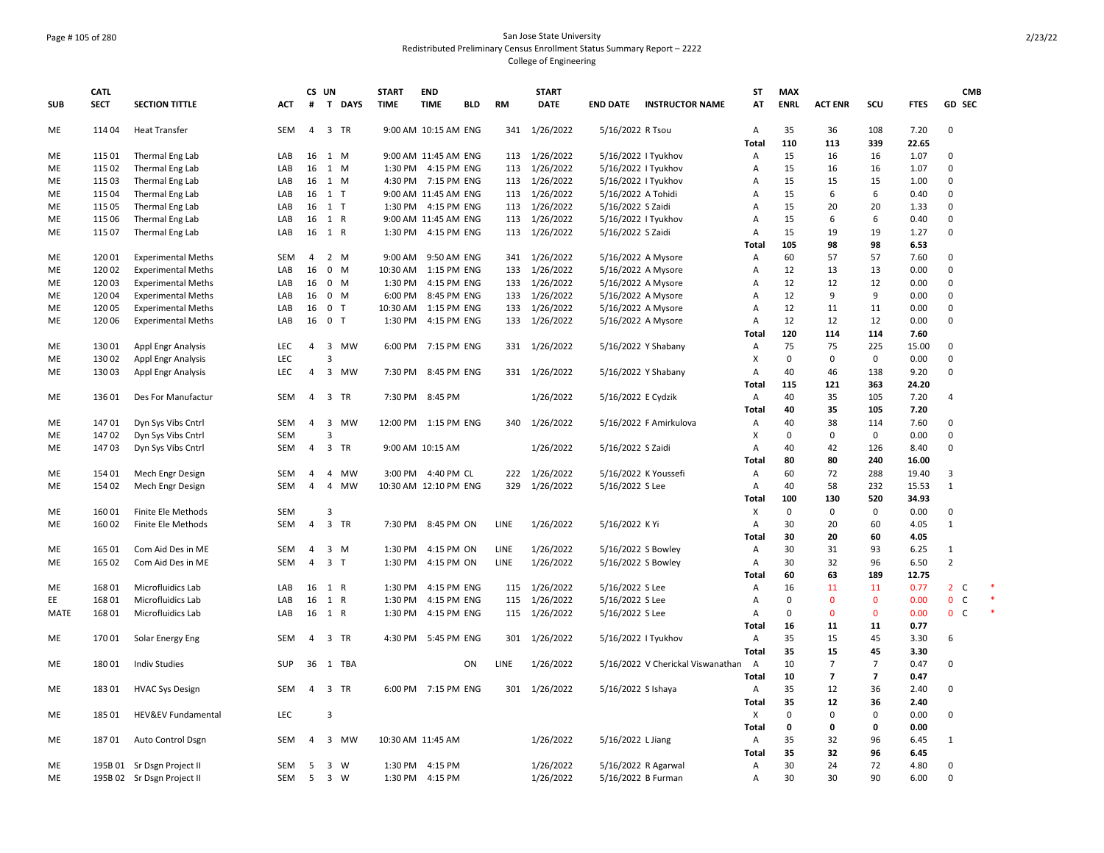## Page # 105 of 280 San Jose State University Redistributed Preliminary Census Enrollment Status Summary Report – 2222 College of Engineering

| <b>SUB</b> | <b>CATL</b><br><b>SECT</b> | <b>SECTION TITTLE</b>         | ACT        | CS UN<br>#     | T DAYS                              | <b>START</b><br><b>TIME</b> | <b>END</b><br><b>TIME</b>                    | <b>BLD</b> | <b>RM</b>   | <b>START</b><br><b>DATE</b>    | <b>END DATE</b>     | <b>INSTRUCTOR NAME</b>              | <b>ST</b><br>AT           | <b>MAX</b><br><b>ENRL</b> | <b>ACT ENR</b> | scu            | <b>FTES</b>  | <b>CMB</b><br><b>GD SEC</b> |  |
|------------|----------------------------|-------------------------------|------------|----------------|-------------------------------------|-----------------------------|----------------------------------------------|------------|-------------|--------------------------------|---------------------|-------------------------------------|---------------------------|---------------------------|----------------|----------------|--------------|-----------------------------|--|
| ME         | 114 04                     | <b>Heat Transfer</b>          | SEM        | $\overline{4}$ | 3 TR                                |                             | 9:00 AM 10:15 AM ENG                         |            |             | 341 1/26/2022                  | 5/16/2022 R Tsou    |                                     | A                         | 35                        | 36             | 108            | 7.20         | 0                           |  |
|            |                            |                               |            |                |                                     |                             |                                              |            |             |                                |                     |                                     | Total                     | 110                       | 113            | 339            | 22.65        |                             |  |
| ME         | 115 01                     | Thermal Eng Lab               | LAB        | 16             | 1 M                                 |                             | 9:00 AM 11:45 AM ENG                         |            |             | 113 1/26/2022                  | 5/16/2022   Tyukhov |                                     | $\mathsf{A}$              | 15                        | 16             | 16             | 1.07         | 0                           |  |
| ME         | 115 02                     | Thermal Eng Lab               | LAB        | 16             | 1<br>M                              |                             | 1:30 PM 4:15 PM ENG                          |            |             | 113 1/26/2022                  | 5/16/2022   Tyukhov |                                     | Α                         | 15                        | 16             | 16             | 1.07         | 0                           |  |
| ME         | 115 03                     | Thermal Eng Lab               | LAB        | 16             | 1 M                                 |                             | 4:30 PM 7:15 PM ENG                          |            |             | 113 1/26/2022                  | 5/16/2022   Tyukhov |                                     | Α                         | 15                        | 15             | 15             | 1.00         | 0                           |  |
| ME         | 115 04                     | Thermal Eng Lab               | LAB        | 16             | 1 T                                 |                             | 9:00 AM 11:45 AM ENG                         |            |             | 113 1/26/2022                  | 5/16/2022 A Tohidi  |                                     | Α                         | 15                        | 6              | 6              | 0.40         | 0                           |  |
| ME         | 115 05                     | Thermal Eng Lab               | LAB        | 16             | 1 T                                 |                             | 1:30 PM 4:15 PM ENG                          |            |             | 113 1/26/2022                  | 5/16/2022 S Zaidi   |                                     | Α                         | 15                        | 20             | 20             | 1.33         | 0                           |  |
| ME         | 115 06                     | Thermal Eng Lab               | LAB        | 16             | 1 R                                 |                             | 9:00 AM 11:45 AM ENG                         |            |             | 113 1/26/2022                  | 5/16/2022   Tyukhov |                                     | Α                         | 15                        | 6              | 6              | 0.40         | 0                           |  |
| ME         | 115 07                     | Thermal Eng Lab               | LAB        | 16             | 1 R                                 |                             | 1:30 PM 4:15 PM ENG                          |            |             | 113 1/26/2022                  | 5/16/2022 S Zaidi   |                                     | Α                         | 15                        | 19             | 19             | 1.27         | 0                           |  |
|            |                            |                               |            |                |                                     |                             |                                              |            |             |                                |                     |                                     | Total                     | 105                       | 98             | 98             | 6.53         |                             |  |
| ME         | 120 01                     | <b>Experimental Meths</b>     | SEM        | $\overline{4}$ | 2 M                                 | 9:00 AM                     | 9:50 AM ENG                                  |            |             | 341 1/26/2022                  | 5/16/2022 A Mysore  |                                     | Α                         | 60                        | 57             | 57             | 7.60         | 0                           |  |
| ME         | 120 02                     | <b>Experimental Meths</b>     | LAB        | 16             | $0$ M                               |                             | 10:30 AM  1:15 PM ENG                        |            |             | 133 1/26/2022                  | 5/16/2022 A Mysore  |                                     | Α                         | 12                        | 13             | 13             | 0.00         | 0                           |  |
| ME         | 12003                      | <b>Experimental Meths</b>     | LAB        | 16             | $0 \t M$                            |                             | 1:30 PM 4:15 PM ENG                          |            |             | 133 1/26/2022                  | 5/16/2022 A Mysore  |                                     | Α                         | 12                        | 12             | 12             | 0.00         | 0<br>$\mathbf 0$            |  |
| ME         | 12004                      | <b>Experimental Meths</b>     | LAB        | 16             | $0 \mathsf{M}$<br>$\mathbf{0}$<br>T | 6:00 PM                     | 8:45 PM ENG                                  |            |             | 133 1/26/2022                  | 5/16/2022 A Mysore  |                                     | $\mathsf{A}$              | 12<br>12                  | 9<br>11        | 9<br>11        | 0.00         | 0                           |  |
| ME<br>ME   | 120 05<br>120 06           | <b>Experimental Meths</b>     | LAB<br>LAB | 16<br>16       | 0 <sub>T</sub>                      |                             | 10:30 AM  1:15 PM ENG<br>1:30 PM 4:15 PM ENG |            |             | 133 1/26/2022<br>133 1/26/2022 | 5/16/2022 A Mysore  |                                     | A<br>Α                    | 12                        | 12             | 12             | 0.00<br>0.00 | 0                           |  |
|            |                            | <b>Experimental Meths</b>     |            |                |                                     |                             |                                              |            |             |                                | 5/16/2022 A Mysore  |                                     | Total                     | 120                       | 114            | 114            | 7.60         |                             |  |
| ME         | 13001                      | Appl Engr Analysis            | LEC        | 4              | 3 MW                                |                             | 6:00 PM 7:15 PM ENG                          |            |             | 331 1/26/2022                  |                     | 5/16/2022 Y Shabany                 | Α                         | 75                        | 75             | 225            | 15.00        | 0                           |  |
| ME         | 130 02                     | <b>Appl Engr Analysis</b>     | LEC        |                | 3                                   |                             |                                              |            |             |                                |                     |                                     | X                         | $\mathbf 0$               | 0              | $\mathsf 0$    | 0.00         | 0                           |  |
| ME         | 13003                      | Appl Engr Analysis            | LEC        | 4              | 3 MW                                |                             | 7:30 PM 8:45 PM ENG                          |            |             | 331 1/26/2022                  | 5/16/2022 Y Shabany |                                     | Α                         | 40                        | 46             | 138            | 9.20         | 0                           |  |
|            |                            |                               |            |                |                                     |                             |                                              |            |             |                                |                     |                                     | Total                     | 115                       | 121            | 363            | 24.20        |                             |  |
| ME         | 13601                      | Des For Manufactur            | <b>SEM</b> | 4              | 3 TR                                |                             | 7:30 PM 8:45 PM                              |            |             | 1/26/2022                      | 5/16/2022 E Cydzik  |                                     | A                         | 40                        | 35             | 105            | 7.20         | 4                           |  |
|            |                            |                               |            |                |                                     |                             |                                              |            |             |                                |                     |                                     | Total                     | 40                        | 35             | 105            | 7.20         |                             |  |
| ME         | 14701                      | Dyn Sys Vibs Cntrl            | SEM        | $\overline{4}$ | $\overline{\mathbf{3}}$<br>MW       |                             | 12:00 PM 1:15 PM ENG                         |            |             | 340 1/26/2022                  |                     | 5/16/2022 F Amirkulova              | Α                         | 40                        | 38             | 114            | 7.60         | 0                           |  |
| ME         | 14702                      | Dyn Sys Vibs Cntrl            | <b>SEM</b> |                | 3                                   |                             |                                              |            |             |                                |                     |                                     | X                         | 0                         | $\Omega$       | 0              | 0.00         | 0                           |  |
| ME         | 14703                      | Dyn Sys Vibs Cntrl            | SEM        | $\overline{4}$ | 3 TR                                |                             | 9:00 AM 10:15 AM                             |            |             | 1/26/2022                      | 5/16/2022 S Zaidi   |                                     | Α                         | 40                        | 42             | 126            | 8.40         | $\mathbf 0$                 |  |
|            |                            |                               |            |                |                                     |                             |                                              |            |             |                                |                     |                                     | Total                     | 80                        | 80             | 240            | 16.00        |                             |  |
| ME         | 154 01                     | Mech Engr Design              | <b>SEM</b> | $\overline{4}$ | 4 MW                                |                             | 3:00 PM 4:40 PM CL                           |            |             | 222 1/26/2022                  |                     | 5/16/2022 K Youssefi                | Α                         | 60                        | 72             | 288            | 19.40        | 3                           |  |
| ME         | 154 02                     | Mech Engr Design              | <b>SEM</b> | $\overline{4}$ | $\overline{4}$<br>MW                |                             | 10:30 AM 12:10 PM ENG                        |            | 329         | 1/26/2022                      | 5/16/2022 S Lee     |                                     | A                         | 40                        | 58             | 232            | 15.53        | $\mathbf{1}$                |  |
|            |                            |                               |            |                |                                     |                             |                                              |            |             |                                |                     |                                     | Total                     | 100                       | 130            | 520            | 34.93        |                             |  |
| ME         | 16001                      | Finite Ele Methods            | <b>SEM</b> |                | $\mathbf{a}$                        |                             |                                              |            |             |                                |                     |                                     | $\boldsymbol{\mathsf{X}}$ | 0                         | 0              | $\mathbf 0$    | 0.00         | 0                           |  |
| ME         | 16002                      | Finite Ele Methods            | <b>SEM</b> | 4              | 3 TR                                |                             | 7:30 PM 8:45 PM ON                           |            | <b>LINE</b> | 1/26/2022                      | 5/16/2022 KYi       |                                     | $\overline{A}$            | 30                        | 20             | 60             | 4.05         | $\mathbf{1}$                |  |
|            |                            |                               |            |                |                                     |                             |                                              |            |             |                                |                     |                                     | Total                     | 30                        | 20             | 60             | 4.05         |                             |  |
| ME         | 165 01                     | Com Aid Des in ME             | SEM        | 4              | $3 \, M$                            | 1:30 PM                     | 4:15 PM ON                                   |            | LINE        | 1/26/2022                      | 5/16/2022 S Bowley  |                                     | Α                         | 30                        | 31             | 93             | 6.25         | $\mathbf{1}$                |  |
| ME         | 165 02                     | Com Aid Des in ME             | SEM        | $\overline{4}$ | 3 <sub>1</sub>                      |                             | 1:30 PM 4:15 PM ON                           |            | LINE        | 1/26/2022                      | 5/16/2022 S Bowley  |                                     | Α                         | 30                        | 32             | 96             | 6.50         | $\overline{2}$              |  |
|            |                            |                               |            |                |                                     |                             |                                              |            |             |                                |                     |                                     | Total                     | 60                        | 63             | 189            | 12.75        |                             |  |
| ME         | 168 01                     | Microfluidics Lab             | LAB        | 16             | 1<br>$\mathsf{R}$                   | 1:30 PM                     | 4:15 PM ENG                                  |            | 115         | 1/26/2022                      | 5/16/2022 S Lee     |                                     | Α                         | 16                        | 11             | 11             | 0.77         | $2^{\circ}$<br>C            |  |
| EE         | 168 01                     | Microfluidics Lab             | LAB        | 16             | 1 R                                 | 1:30 PM                     | 4:15 PM ENG                                  |            | 115         | 1/26/2022                      | 5/16/2022 S Lee     |                                     | Α                         | $\mathbf 0$               | $\mathbf 0$    | $\mathbf 0$    | 0.00         | $\mathbf{0}$<br>C           |  |
| MATE       | 168 01                     | Microfluidics Lab             | LAB        | 16             | 1 R                                 | 1:30 PM                     | 4:15 PM ENG                                  |            |             | 115 1/26/2022                  | 5/16/2022 S Lee     |                                     | $\mathsf{A}$              | $\Omega$                  | $\mathbf{0}$   | $\mathbf{0}$   | 0.00         | $\mathbf{0}$<br>C           |  |
|            |                            |                               |            |                |                                     |                             |                                              |            |             |                                |                     |                                     | Total                     | 16                        | 11             | 11             | 0.77         |                             |  |
| ME         | 17001                      | Solar Energy Eng              | SEM        | $\overline{4}$ | 3 TR                                |                             | 4:30 PM 5:45 PM ENG                          |            |             | 301 1/26/2022                  | 5/16/2022   Tyukhov |                                     | Α                         | 35                        | 15             | 45             | 3.30         | 6                           |  |
|            |                            |                               |            |                |                                     |                             |                                              |            |             |                                |                     |                                     | Total                     | 35                        | 15             | 45             | 3.30         |                             |  |
| ME         | 18001                      | <b>Indiv Studies</b>          | <b>SUP</b> | 36             | TBA<br>1                            |                             |                                              | ON         | LINE        | 1/26/2022                      |                     | 5/16/2022 V Cherickal Viswanathan A |                           | 10                        | $\overline{7}$ | $\overline{7}$ | 0.47         | 0                           |  |
|            |                            |                               |            |                |                                     |                             |                                              |            |             |                                |                     |                                     | Total                     | 10                        | $\overline{7}$ | $\overline{7}$ | 0.47         |                             |  |
| ME         | 18301                      | <b>HVAC Sys Design</b>        | SEM        | $\overline{4}$ | 3 TR                                |                             | 6:00 PM 7:15 PM ENG                          |            |             | 301 1/26/2022                  | 5/16/2022 S Ishaya  |                                     | Α                         | 35                        | 12             | 36             | 2.40         | 0                           |  |
|            |                            |                               |            |                |                                     |                             |                                              |            |             |                                |                     |                                     | Total                     | 35                        | 12             | 36             | 2.40         |                             |  |
| ME         | 185 01                     | <b>HEV&amp;EV Fundamental</b> | <b>LEC</b> |                | 3                                   |                             |                                              |            |             |                                |                     |                                     | $\boldsymbol{\mathsf{x}}$ | 0                         | $\Omega$       | $\mathbf 0$    | 0.00         | 0                           |  |
|            |                            |                               |            |                |                                     |                             |                                              |            |             |                                |                     |                                     | Total                     | 0                         | $\mathbf 0$    | $\mathbf 0$    | 0.00         |                             |  |
| ME         | 18701                      | Auto Control Dsgn             | SEM        | 4              | $\overline{3}$<br>MW                | 10:30 AM 11:45 AM           |                                              |            |             | 1/26/2022                      | 5/16/2022 L Jiang   |                                     | Α                         | 35                        | 32             | 96             | 6.45         | 1                           |  |
|            |                            |                               |            |                |                                     |                             |                                              |            |             |                                |                     |                                     | Total                     | 35                        | 32             | 96             | 6.45         |                             |  |
| ME         |                            | 195B 01 Sr Dsgn Project II    | SEM        | 5              | 3 W                                 |                             | 1:30 PM 4:15 PM                              |            |             | 1/26/2022                      | 5/16/2022 R Agarwal |                                     | Α                         | 30                        | 24             | 72             | 4.80         | 0                           |  |
| ME         |                            | 195B 02 Sr Dsgn Project II    | SEM        | 5              | 3 W                                 |                             | 1:30 PM 4:15 PM                              |            |             | 1/26/2022                      | 5/16/2022 B Furman  |                                     | Α                         | 30                        | 30             | 90             | 6.00         | 0                           |  |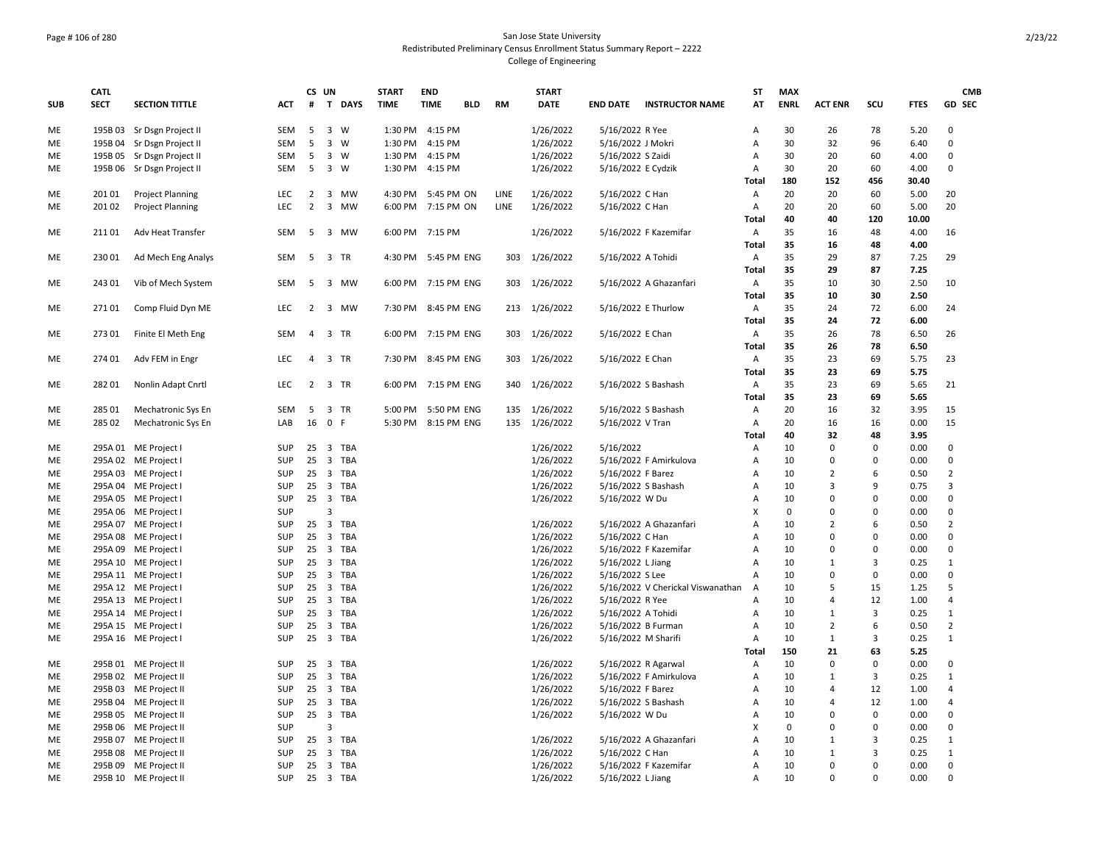## Page # 106 of 280 San Jose State University Redistributed Preliminary Census Enrollment Status Summary Report – 2222 College of Engineering

| <b>ENRL</b><br>GD SEC<br><b>SUB</b><br><b>SECT</b><br><b>SECTION TITTLE</b><br>#<br>T DAYS<br><b>TIME</b><br><b>TIME</b><br><b>BLD</b><br>RM<br><b>DATE</b><br><b>END DATE INSTRUCTOR NAME</b><br>AT<br><b>ACT ENR</b><br>SCU<br><b>FTES</b><br>ACT<br>5<br>3 W<br>1:30 PM 4:15 PM<br>78<br>5.20<br>ME<br>195B 03 Sr Dsgn Project II<br>SEM<br>1/26/2022<br>5/16/2022 R Yee<br>Α<br>30<br>26<br>$\Omega$<br><b>SEM</b><br>5<br>3 W<br>1:30 PM 4:15 PM<br>1/26/2022<br>5/16/2022 J Mokri<br>30<br>32<br>96<br>$\mathbf 0$<br>ME<br>195B 04 Sr Dsgn Project II<br>Α<br>6.40<br>195B 05 Sr Dsgn Project II<br>SEM<br>5<br>3 W<br>1:30 PM<br>4:15 PM<br>1/26/2022<br>5/16/2022 S Zaidi<br>A<br>30<br>20<br>60<br>$\mathbf 0$<br>МE<br>4.00<br>5<br>3 W<br>30<br>20<br>60<br>$\Omega$<br>ME<br>195B 06 Sr Dsgn Project II<br>SEM<br>1:30 PM 4:15 PM<br>1/26/2022<br>5/16/2022 E Cydzik<br>Α<br>4.00<br>180<br>152<br>456<br>30.40<br>Total<br><b>Project Planning</b><br>4:30 PM 5:45 PM ON<br><b>LINE</b><br>1/26/2022<br>5/16/2022 C Han<br>А<br>20<br>20<br>60<br>5.00<br>20<br>ME<br>201 01<br><b>LEC</b><br>2<br>3 MW<br>LEC<br>$\overline{2}$<br>3 MW<br>6:00 PM 7:15 PM ON<br>LINE<br>1/26/2022<br>5/16/2022 C Han<br>Α<br>20<br>20<br>60<br>5.00<br>20<br>ME<br>201 02<br><b>Project Planning</b><br>120<br>Total<br>40<br>40<br>10.00<br>Adv Heat Transfer<br><b>SEM</b><br>5<br>3 MW<br>6:00 PM 7:15 PM<br>1/26/2022<br>5/16/2022 F Kazemifar<br>Α<br>35<br>16<br>48<br>4.00<br>ME<br>21101<br>16<br>35<br>48<br>4.00<br><b>Total</b><br>16<br>35<br>29<br>87<br>ME<br>23001<br>Ad Mech Eng Analys<br><b>SEM</b><br>- 5<br>3 TR<br>4:30 PM 5:45 PM ENG<br>303<br>1/26/2022<br>5/16/2022 A Tohidi<br>Α<br>7.25<br>29<br>35<br>29<br>87<br>7.25<br>Total<br>1/26/2022<br>35<br>30<br>ME<br>24301<br>Vib of Mech System<br>SEM<br>5<br>3 MW<br>6:00 PM 7:15 PM ENG<br>303<br>5/16/2022 A Ghazanfari<br>Α<br>10<br>2.50<br>10<br>35<br>30<br>2.50<br>10<br>Total<br>72<br>7:30 PM 8:45 PM ENG<br>5/16/2022 E Thurlow<br>35<br>24<br>МE<br>27101<br>Comp Fluid Dyn ME<br><b>LEC</b><br>2<br>3 MW<br>213<br>1/26/2022<br>Α<br>6.00<br>24<br>35<br>24<br>72<br><b>Total</b><br>6.00<br>35<br>78<br>27301<br>Finite El Meth Eng<br>SEM<br>3 TR<br>7:15 PM ENG<br>303<br>1/26/2022<br>5/16/2022 E Chan<br>Α<br>26<br>6.50<br>26<br>ME<br>4<br>6:00 PM<br>35<br>Total<br>26<br>78<br>6.50<br>Adv FEM in Engr<br>3 TR<br>7:30 PM 8:45 PM ENG<br>1/26/2022<br>35<br>23<br>69<br>5.75<br>23<br>ME<br>274 01<br>LEC<br>$\overline{4}$<br>303<br>5/16/2022 E Chan<br>Α<br>35<br>23<br>69<br><b>Total</b><br>5.75<br>35<br>28201<br>Nonlin Adapt Cnrtl<br>LEC<br>2<br>3 TR<br>6:00 PM 7:15 PM ENG<br>340<br>1/26/2022<br>5/16/2022 S Bashash<br>Α<br>23<br>69<br>5.65<br>21<br>ME<br>35<br>69<br>23<br>5.65<br><b>Total</b><br>5:00 PM 5:50 PM ENG<br>1/26/2022<br>20<br>32<br>3.95<br>ME<br>285 01<br>Mechatronic Sys En<br><b>SEM</b><br>-5<br>3 TR<br>135<br>5/16/2022 S Bashash<br>A<br>16<br>15<br>16 0 F<br>20<br>0.00<br>15<br>285 02<br>Mechatronic Sys En<br>5:30 PM 8:15 PM ENG<br>135<br>1/26/2022<br>5/16/2022 V Tran<br>Α<br>16<br>16<br>ME<br>LAB<br>40<br>32<br>48<br>Total<br>3.95<br>25<br>3 TBA<br>1/26/2022<br>10<br>$\mathbf 0$<br>$\mathbf 0$<br>0.00<br>$\mathbf 0$<br>ME<br>295A 01 ME Project I<br><b>SUP</b><br>5/16/2022<br>Α<br>3 TBA<br>295A 02 ME Project<br><b>SUP</b><br>25<br>1/26/2022<br>5/16/2022 F Amirkulova<br>A<br>10<br>0<br>0<br>0.00<br>0<br>ME<br>295A 03 ME Project I<br>25 3 TBA<br>1/26/2022<br>10<br>$\overline{2}$<br>6<br>0.50<br>$\overline{2}$<br>ME<br><b>SUP</b><br>5/16/2022 F Barez<br>Α<br>10<br>3<br>9<br>3<br>ME<br>295A 04 ME Project<br><b>SUP</b><br>25 3 TBA<br>1/26/2022<br>5/16/2022 S Bashash<br>Α<br>0.75<br>295A 05 ME Project<br><b>SUP</b><br>25 3 TBA<br>1/26/2022<br>5/16/2022 W Du<br>10<br>0<br>$\Omega$<br>0.00<br>0<br>ME<br>A<br>SUP<br>3<br>Χ<br>0<br>0<br>$\mathbf 0$<br>0.00<br>$\mathbf 0$<br>ME<br>295A 06 ME Project I<br>$\overline{2}$<br>25 3 TBA<br>$\overline{2}$<br>6<br>ME<br>295A 07 ME Project I<br><b>SUP</b><br>1/26/2022<br>5/16/2022 A Ghazanfari<br>$\overline{A}$<br>10<br>0.50<br>295A 08 ME Project<br><b>SUP</b><br>25 3 TBA<br>1/26/2022<br>5/16/2022 C Han<br>A<br>10<br>0<br>$\Omega$<br>0.00<br>0<br>ME<br>1/26/2022<br>5/16/2022 F Kazemifar<br>A<br>10<br>0<br>$\mathbf 0$<br>0.00<br>$\mathbf 0$<br>ME<br>295A 09 ME Project I<br><b>SUP</b><br>25<br>3 TBA<br>25 3 TBA<br>1/26/2022<br>10<br>$\overline{3}$<br>$\mathbf{1}$<br>ME<br>295A 10 ME Project I<br><b>SUP</b><br>5/16/2022 L Jiang<br>Α<br>$\mathbf{1}$<br>0.25<br>3 TBA<br>1/26/2022<br>10<br>$\mathbf 0$<br>$\mathbf 0$<br>$\mathbf 0$<br>ME<br>295A 11 ME Project<br><b>SUP</b><br>25<br>5/16/2022 S Lee<br>A<br>0.00<br>5<br>1/26/2022<br>10<br>5<br>15<br>1.25<br>ME<br>295A 12 ME Project I<br><b>SUP</b><br>25<br>3 TBA<br>5/16/2022 V Cherickal Viswanathan<br>A<br>SUP<br>25 3 TBA<br>1/26/2022<br>5/16/2022 R Yee<br>10<br>12<br>1.00<br>$\overline{4}$<br>295A 13 ME Project I<br>Α<br>$\overline{4}$<br>ME<br>3<br>$\mathbf{1}$<br>25<br>3 TBA<br>1/26/2022<br>5/16/2022 A Tohidi<br>A<br>10<br>$\mathbf{1}$<br>0.25<br>ME<br>295A 14 ME Project<br><b>SUP</b><br>SUP<br>25<br>3 TBA<br>1/26/2022<br>5/16/2022 B Furman<br>A<br>10<br>$\overline{2}$<br>6<br>0.50<br>$\overline{2}$<br>ME<br>295A 15 ME Project I<br>25 3 TBA<br>1/26/2022<br>5/16/2022 M Sharifi<br>A<br>10<br>$\mathbf{1}$<br>3<br>0.25<br>$\mathbf{1}$<br>ME<br>295A 16 ME Project I<br><b>SUP</b><br>63<br>Total<br>150<br>21<br>5.25<br>295B 01 ME Project II<br>25<br>1/26/2022<br>5/16/2022 R Agarwal<br>Α<br>10<br>$\mathbf 0$<br>$\mathbf 0$<br>0.00<br>$\mathbf 0$<br>ME<br><b>SUP</b><br>3 TBA<br>3<br>3 TBA<br>1/26/2022<br>5/16/2022 F Amirkulova<br>10<br>$\mathbf{1}$<br>ME<br>295B 02 ME Project II<br><b>SUP</b><br>25<br>A<br>$\mathbf{1}$<br>0.25<br>12<br>295B 03 ME Project II<br><b>SUP</b><br>25<br>3 TBA<br>1/26/2022<br>5/16/2022 F Barez<br>Α<br>10<br>$\overline{4}$<br>1.00<br>4<br>ME<br>12<br>SUP<br>25 3 TBA<br>1/26/2022<br>A<br>10<br>$\overline{4}$<br>1.00<br>$\overline{4}$<br>ME<br>295B 04 ME Project II<br>5/16/2022 S Bashash<br>25 3 TBA<br>1/26/2022<br>10<br>0<br>$\mathbf 0$<br>0.00<br>$\mathbf 0$<br>ME<br>295B 05 ME Project II<br><b>SUP</b><br>5/16/2022 W Du<br>Α<br>SUP<br>X<br>$\mathbf 0$<br>$\mathbf 0$<br>295B 06 ME Project II<br>3<br>0<br>0<br>0.00<br>ME<br>25 3 TBA<br>5/16/2022 A Ghazanfari<br>$\mathbf{1}$<br>3<br>$\mathbf{1}$<br>ME<br>295B 07 ME Project II<br><b>SUP</b><br>1/26/2022<br>A<br>10<br>0.25<br><b>SUP</b><br>25<br>3 TBA<br>1/26/2022<br>5/16/2022 C Han<br>10<br>$\mathbf{1}$<br>3<br>0.25<br>$\mathbf{1}$<br>ME<br>295B 08 ME Project II<br>A<br>$\Omega$<br>$\mathbf 0$<br>295B 09 ME Project II<br><b>SUP</b><br>25<br>3 TBA<br>1/26/2022<br>5/16/2022 F Kazemifar<br>A<br>10<br>0<br>0.00<br>ME<br>$\Omega$<br><b>ME</b><br><b>SUP</b><br>25 3 TBA<br>1/26/2022<br>5/16/2022 L Jiang<br>$\overline{A}$<br>10<br>$\Omega$<br>$\Omega$<br>0.00<br>295B 10 ME Project II | <b>CATL</b> |  | CS UN | <b>START</b> | <b>END</b> |  | <b>START</b> |  | <b>ST</b> | <b>MAX</b> |  | <b>CMB</b> |
|---------------------------------------------------------------------------------------------------------------------------------------------------------------------------------------------------------------------------------------------------------------------------------------------------------------------------------------------------------------------------------------------------------------------------------------------------------------------------------------------------------------------------------------------------------------------------------------------------------------------------------------------------------------------------------------------------------------------------------------------------------------------------------------------------------------------------------------------------------------------------------------------------------------------------------------------------------------------------------------------------------------------------------------------------------------------------------------------------------------------------------------------------------------------------------------------------------------------------------------------------------------------------------------------------------------------------------------------------------------------------------------------------------------------------------------------------------------------------------------------------------------------------------------------------------------------------------------------------------------------------------------------------------------------------------------------------------------------------------------------------------------------------------------------------------------------------------------------------------------------------------------------------------------------------------------------------------------------------------------------------------------------------------------------------------------------------------------------------------------------------------------------------------------------------------------------------------------------------------------------------------------------------------------------------------------------------------------------------------------------------------------------------------------------------------------------------------------------------------------------------------------------------------------------------------------------------------------------------------------------------------------------------------------------------------------------------------------------------------------------------------------------------------------------------------------------------------------------------------------------------------------------------------------------------------------------------------------------------------------------------------------------------------------------------------------------------------------------------------------------------------------------------------------------------------------------------------------------------------------------------------------------------------------------------------------------------------------------------------------------------------------------------------------------------------------------------------------------------------------------------------------------------------------------------------------------------------------------------------------------------------------------------------------------------------------------------------------------------------------------------------------------------------------------------------------------------------------------------------------------------------------------------------------------------------------------------------------------------------------------------------------------------------------------------------------------------------------------------------------------------------------------------------------------------------------------------------------------------------------------------------------------------------------------------------------------------------------------------------------------------------------------------------------------------------------------------------------------------------------------------------------------------------------------------------------------------------------------------------------------------------------------------------------------------------------------------------------------------------------------------------------------------------------------------------------------------------------------------------------------------------------------------------------------------------------------------------------------------------------------------------------------------------------------------------------------------------------------------------------------------------------------------------------------------------------------------------------------------------------------------------------------------------------------------------------------------------------------------------------------------------------------------------------------------------------------------------------------------------------------------------------------------------------------------------------------------------------------------------------------------------------------------------------------------------------------------------------------------------------------------------------------------------------------------------------------------------------------------------------------------------------------------------------------------------------------------------------------------------------------------------------------------------------------------------------------------------------------------------------------------------------------------------------------------------------------------------------------------------------------------------------------------------------------------------------------------------------------------------------------------------------------------------------------------------------------------------------------------------------------------------------------------------------------------------------------------------------------------------------------------------------------------------------------------------------------------------------------------------------------------------------------------------------------------------------------------------------------------------------------------------------------------------------------------------------------------------------------------------------------------------------------------------------------------------------------------------------------------|-------------|--|-------|--------------|------------|--|--------------|--|-----------|------------|--|------------|
|                                                                                                                                                                                                                                                                                                                                                                                                                                                                                                                                                                                                                                                                                                                                                                                                                                                                                                                                                                                                                                                                                                                                                                                                                                                                                                                                                                                                                                                                                                                                                                                                                                                                                                                                                                                                                                                                                                                                                                                                                                                                                                                                                                                                                                                                                                                                                                                                                                                                                                                                                                                                                                                                                                                                                                                                                                                                                                                                                                                                                                                                                                                                                                                                                                                                                                                                                                                                                                                                                                                                                                                                                                                                                                                                                                                                                                                                                                                                                                                                                                                                                                                                                                                                                                                                                                                                                                                                                                                                                                                                                                                                                                                                                                                                                                                                                                                                                                                                                                                                                                                                                                                                                                                                                                                                                                                                                                                                                                                                                                                                                                                                                                                                                                                                                                                                                                                                                                                                                                                                                                                                                                                                                                                                                                                                                                                                                                                                                                                                                                                                                                                                                                                                                                                                                                                                                                                                                                                                                                                                                                                                                                   |             |  |       |              |            |  |              |  |           |            |  |            |
|                                                                                                                                                                                                                                                                                                                                                                                                                                                                                                                                                                                                                                                                                                                                                                                                                                                                                                                                                                                                                                                                                                                                                                                                                                                                                                                                                                                                                                                                                                                                                                                                                                                                                                                                                                                                                                                                                                                                                                                                                                                                                                                                                                                                                                                                                                                                                                                                                                                                                                                                                                                                                                                                                                                                                                                                                                                                                                                                                                                                                                                                                                                                                                                                                                                                                                                                                                                                                                                                                                                                                                                                                                                                                                                                                                                                                                                                                                                                                                                                                                                                                                                                                                                                                                                                                                                                                                                                                                                                                                                                                                                                                                                                                                                                                                                                                                                                                                                                                                                                                                                                                                                                                                                                                                                                                                                                                                                                                                                                                                                                                                                                                                                                                                                                                                                                                                                                                                                                                                                                                                                                                                                                                                                                                                                                                                                                                                                                                                                                                                                                                                                                                                                                                                                                                                                                                                                                                                                                                                                                                                                                                                   |             |  |       |              |            |  |              |  |           |            |  |            |
|                                                                                                                                                                                                                                                                                                                                                                                                                                                                                                                                                                                                                                                                                                                                                                                                                                                                                                                                                                                                                                                                                                                                                                                                                                                                                                                                                                                                                                                                                                                                                                                                                                                                                                                                                                                                                                                                                                                                                                                                                                                                                                                                                                                                                                                                                                                                                                                                                                                                                                                                                                                                                                                                                                                                                                                                                                                                                                                                                                                                                                                                                                                                                                                                                                                                                                                                                                                                                                                                                                                                                                                                                                                                                                                                                                                                                                                                                                                                                                                                                                                                                                                                                                                                                                                                                                                                                                                                                                                                                                                                                                                                                                                                                                                                                                                                                                                                                                                                                                                                                                                                                                                                                                                                                                                                                                                                                                                                                                                                                                                                                                                                                                                                                                                                                                                                                                                                                                                                                                                                                                                                                                                                                                                                                                                                                                                                                                                                                                                                                                                                                                                                                                                                                                                                                                                                                                                                                                                                                                                                                                                                                                   |             |  |       |              |            |  |              |  |           |            |  |            |
|                                                                                                                                                                                                                                                                                                                                                                                                                                                                                                                                                                                                                                                                                                                                                                                                                                                                                                                                                                                                                                                                                                                                                                                                                                                                                                                                                                                                                                                                                                                                                                                                                                                                                                                                                                                                                                                                                                                                                                                                                                                                                                                                                                                                                                                                                                                                                                                                                                                                                                                                                                                                                                                                                                                                                                                                                                                                                                                                                                                                                                                                                                                                                                                                                                                                                                                                                                                                                                                                                                                                                                                                                                                                                                                                                                                                                                                                                                                                                                                                                                                                                                                                                                                                                                                                                                                                                                                                                                                                                                                                                                                                                                                                                                                                                                                                                                                                                                                                                                                                                                                                                                                                                                                                                                                                                                                                                                                                                                                                                                                                                                                                                                                                                                                                                                                                                                                                                                                                                                                                                                                                                                                                                                                                                                                                                                                                                                                                                                                                                                                                                                                                                                                                                                                                                                                                                                                                                                                                                                                                                                                                                                   |             |  |       |              |            |  |              |  |           |            |  |            |
|                                                                                                                                                                                                                                                                                                                                                                                                                                                                                                                                                                                                                                                                                                                                                                                                                                                                                                                                                                                                                                                                                                                                                                                                                                                                                                                                                                                                                                                                                                                                                                                                                                                                                                                                                                                                                                                                                                                                                                                                                                                                                                                                                                                                                                                                                                                                                                                                                                                                                                                                                                                                                                                                                                                                                                                                                                                                                                                                                                                                                                                                                                                                                                                                                                                                                                                                                                                                                                                                                                                                                                                                                                                                                                                                                                                                                                                                                                                                                                                                                                                                                                                                                                                                                                                                                                                                                                                                                                                                                                                                                                                                                                                                                                                                                                                                                                                                                                                                                                                                                                                                                                                                                                                                                                                                                                                                                                                                                                                                                                                                                                                                                                                                                                                                                                                                                                                                                                                                                                                                                                                                                                                                                                                                                                                                                                                                                                                                                                                                                                                                                                                                                                                                                                                                                                                                                                                                                                                                                                                                                                                                                                   |             |  |       |              |            |  |              |  |           |            |  |            |
|                                                                                                                                                                                                                                                                                                                                                                                                                                                                                                                                                                                                                                                                                                                                                                                                                                                                                                                                                                                                                                                                                                                                                                                                                                                                                                                                                                                                                                                                                                                                                                                                                                                                                                                                                                                                                                                                                                                                                                                                                                                                                                                                                                                                                                                                                                                                                                                                                                                                                                                                                                                                                                                                                                                                                                                                                                                                                                                                                                                                                                                                                                                                                                                                                                                                                                                                                                                                                                                                                                                                                                                                                                                                                                                                                                                                                                                                                                                                                                                                                                                                                                                                                                                                                                                                                                                                                                                                                                                                                                                                                                                                                                                                                                                                                                                                                                                                                                                                                                                                                                                                                                                                                                                                                                                                                                                                                                                                                                                                                                                                                                                                                                                                                                                                                                                                                                                                                                                                                                                                                                                                                                                                                                                                                                                                                                                                                                                                                                                                                                                                                                                                                                                                                                                                                                                                                                                                                                                                                                                                                                                                                                   |             |  |       |              |            |  |              |  |           |            |  |            |
|                                                                                                                                                                                                                                                                                                                                                                                                                                                                                                                                                                                                                                                                                                                                                                                                                                                                                                                                                                                                                                                                                                                                                                                                                                                                                                                                                                                                                                                                                                                                                                                                                                                                                                                                                                                                                                                                                                                                                                                                                                                                                                                                                                                                                                                                                                                                                                                                                                                                                                                                                                                                                                                                                                                                                                                                                                                                                                                                                                                                                                                                                                                                                                                                                                                                                                                                                                                                                                                                                                                                                                                                                                                                                                                                                                                                                                                                                                                                                                                                                                                                                                                                                                                                                                                                                                                                                                                                                                                                                                                                                                                                                                                                                                                                                                                                                                                                                                                                                                                                                                                                                                                                                                                                                                                                                                                                                                                                                                                                                                                                                                                                                                                                                                                                                                                                                                                                                                                                                                                                                                                                                                                                                                                                                                                                                                                                                                                                                                                                                                                                                                                                                                                                                                                                                                                                                                                                                                                                                                                                                                                                                                   |             |  |       |              |            |  |              |  |           |            |  |            |
|                                                                                                                                                                                                                                                                                                                                                                                                                                                                                                                                                                                                                                                                                                                                                                                                                                                                                                                                                                                                                                                                                                                                                                                                                                                                                                                                                                                                                                                                                                                                                                                                                                                                                                                                                                                                                                                                                                                                                                                                                                                                                                                                                                                                                                                                                                                                                                                                                                                                                                                                                                                                                                                                                                                                                                                                                                                                                                                                                                                                                                                                                                                                                                                                                                                                                                                                                                                                                                                                                                                                                                                                                                                                                                                                                                                                                                                                                                                                                                                                                                                                                                                                                                                                                                                                                                                                                                                                                                                                                                                                                                                                                                                                                                                                                                                                                                                                                                                                                                                                                                                                                                                                                                                                                                                                                                                                                                                                                                                                                                                                                                                                                                                                                                                                                                                                                                                                                                                                                                                                                                                                                                                                                                                                                                                                                                                                                                                                                                                                                                                                                                                                                                                                                                                                                                                                                                                                                                                                                                                                                                                                                                   |             |  |       |              |            |  |              |  |           |            |  |            |
|                                                                                                                                                                                                                                                                                                                                                                                                                                                                                                                                                                                                                                                                                                                                                                                                                                                                                                                                                                                                                                                                                                                                                                                                                                                                                                                                                                                                                                                                                                                                                                                                                                                                                                                                                                                                                                                                                                                                                                                                                                                                                                                                                                                                                                                                                                                                                                                                                                                                                                                                                                                                                                                                                                                                                                                                                                                                                                                                                                                                                                                                                                                                                                                                                                                                                                                                                                                                                                                                                                                                                                                                                                                                                                                                                                                                                                                                                                                                                                                                                                                                                                                                                                                                                                                                                                                                                                                                                                                                                                                                                                                                                                                                                                                                                                                                                                                                                                                                                                                                                                                                                                                                                                                                                                                                                                                                                                                                                                                                                                                                                                                                                                                                                                                                                                                                                                                                                                                                                                                                                                                                                                                                                                                                                                                                                                                                                                                                                                                                                                                                                                                                                                                                                                                                                                                                                                                                                                                                                                                                                                                                                                   |             |  |       |              |            |  |              |  |           |            |  |            |
|                                                                                                                                                                                                                                                                                                                                                                                                                                                                                                                                                                                                                                                                                                                                                                                                                                                                                                                                                                                                                                                                                                                                                                                                                                                                                                                                                                                                                                                                                                                                                                                                                                                                                                                                                                                                                                                                                                                                                                                                                                                                                                                                                                                                                                                                                                                                                                                                                                                                                                                                                                                                                                                                                                                                                                                                                                                                                                                                                                                                                                                                                                                                                                                                                                                                                                                                                                                                                                                                                                                                                                                                                                                                                                                                                                                                                                                                                                                                                                                                                                                                                                                                                                                                                                                                                                                                                                                                                                                                                                                                                                                                                                                                                                                                                                                                                                                                                                                                                                                                                                                                                                                                                                                                                                                                                                                                                                                                                                                                                                                                                                                                                                                                                                                                                                                                                                                                                                                                                                                                                                                                                                                                                                                                                                                                                                                                                                                                                                                                                                                                                                                                                                                                                                                                                                                                                                                                                                                                                                                                                                                                                                   |             |  |       |              |            |  |              |  |           |            |  |            |
|                                                                                                                                                                                                                                                                                                                                                                                                                                                                                                                                                                                                                                                                                                                                                                                                                                                                                                                                                                                                                                                                                                                                                                                                                                                                                                                                                                                                                                                                                                                                                                                                                                                                                                                                                                                                                                                                                                                                                                                                                                                                                                                                                                                                                                                                                                                                                                                                                                                                                                                                                                                                                                                                                                                                                                                                                                                                                                                                                                                                                                                                                                                                                                                                                                                                                                                                                                                                                                                                                                                                                                                                                                                                                                                                                                                                                                                                                                                                                                                                                                                                                                                                                                                                                                                                                                                                                                                                                                                                                                                                                                                                                                                                                                                                                                                                                                                                                                                                                                                                                                                                                                                                                                                                                                                                                                                                                                                                                                                                                                                                                                                                                                                                                                                                                                                                                                                                                                                                                                                                                                                                                                                                                                                                                                                                                                                                                                                                                                                                                                                                                                                                                                                                                                                                                                                                                                                                                                                                                                                                                                                                                                   |             |  |       |              |            |  |              |  |           |            |  |            |
|                                                                                                                                                                                                                                                                                                                                                                                                                                                                                                                                                                                                                                                                                                                                                                                                                                                                                                                                                                                                                                                                                                                                                                                                                                                                                                                                                                                                                                                                                                                                                                                                                                                                                                                                                                                                                                                                                                                                                                                                                                                                                                                                                                                                                                                                                                                                                                                                                                                                                                                                                                                                                                                                                                                                                                                                                                                                                                                                                                                                                                                                                                                                                                                                                                                                                                                                                                                                                                                                                                                                                                                                                                                                                                                                                                                                                                                                                                                                                                                                                                                                                                                                                                                                                                                                                                                                                                                                                                                                                                                                                                                                                                                                                                                                                                                                                                                                                                                                                                                                                                                                                                                                                                                                                                                                                                                                                                                                                                                                                                                                                                                                                                                                                                                                                                                                                                                                                                                                                                                                                                                                                                                                                                                                                                                                                                                                                                                                                                                                                                                                                                                                                                                                                                                                                                                                                                                                                                                                                                                                                                                                                                   |             |  |       |              |            |  |              |  |           |            |  |            |
|                                                                                                                                                                                                                                                                                                                                                                                                                                                                                                                                                                                                                                                                                                                                                                                                                                                                                                                                                                                                                                                                                                                                                                                                                                                                                                                                                                                                                                                                                                                                                                                                                                                                                                                                                                                                                                                                                                                                                                                                                                                                                                                                                                                                                                                                                                                                                                                                                                                                                                                                                                                                                                                                                                                                                                                                                                                                                                                                                                                                                                                                                                                                                                                                                                                                                                                                                                                                                                                                                                                                                                                                                                                                                                                                                                                                                                                                                                                                                                                                                                                                                                                                                                                                                                                                                                                                                                                                                                                                                                                                                                                                                                                                                                                                                                                                                                                                                                                                                                                                                                                                                                                                                                                                                                                                                                                                                                                                                                                                                                                                                                                                                                                                                                                                                                                                                                                                                                                                                                                                                                                                                                                                                                                                                                                                                                                                                                                                                                                                                                                                                                                                                                                                                                                                                                                                                                                                                                                                                                                                                                                                                                   |             |  |       |              |            |  |              |  |           |            |  |            |
|                                                                                                                                                                                                                                                                                                                                                                                                                                                                                                                                                                                                                                                                                                                                                                                                                                                                                                                                                                                                                                                                                                                                                                                                                                                                                                                                                                                                                                                                                                                                                                                                                                                                                                                                                                                                                                                                                                                                                                                                                                                                                                                                                                                                                                                                                                                                                                                                                                                                                                                                                                                                                                                                                                                                                                                                                                                                                                                                                                                                                                                                                                                                                                                                                                                                                                                                                                                                                                                                                                                                                                                                                                                                                                                                                                                                                                                                                                                                                                                                                                                                                                                                                                                                                                                                                                                                                                                                                                                                                                                                                                                                                                                                                                                                                                                                                                                                                                                                                                                                                                                                                                                                                                                                                                                                                                                                                                                                                                                                                                                                                                                                                                                                                                                                                                                                                                                                                                                                                                                                                                                                                                                                                                                                                                                                                                                                                                                                                                                                                                                                                                                                                                                                                                                                                                                                                                                                                                                                                                                                                                                                                                   |             |  |       |              |            |  |              |  |           |            |  |            |
|                                                                                                                                                                                                                                                                                                                                                                                                                                                                                                                                                                                                                                                                                                                                                                                                                                                                                                                                                                                                                                                                                                                                                                                                                                                                                                                                                                                                                                                                                                                                                                                                                                                                                                                                                                                                                                                                                                                                                                                                                                                                                                                                                                                                                                                                                                                                                                                                                                                                                                                                                                                                                                                                                                                                                                                                                                                                                                                                                                                                                                                                                                                                                                                                                                                                                                                                                                                                                                                                                                                                                                                                                                                                                                                                                                                                                                                                                                                                                                                                                                                                                                                                                                                                                                                                                                                                                                                                                                                                                                                                                                                                                                                                                                                                                                                                                                                                                                                                                                                                                                                                                                                                                                                                                                                                                                                                                                                                                                                                                                                                                                                                                                                                                                                                                                                                                                                                                                                                                                                                                                                                                                                                                                                                                                                                                                                                                                                                                                                                                                                                                                                                                                                                                                                                                                                                                                                                                                                                                                                                                                                                                                   |             |  |       |              |            |  |              |  |           |            |  |            |
|                                                                                                                                                                                                                                                                                                                                                                                                                                                                                                                                                                                                                                                                                                                                                                                                                                                                                                                                                                                                                                                                                                                                                                                                                                                                                                                                                                                                                                                                                                                                                                                                                                                                                                                                                                                                                                                                                                                                                                                                                                                                                                                                                                                                                                                                                                                                                                                                                                                                                                                                                                                                                                                                                                                                                                                                                                                                                                                                                                                                                                                                                                                                                                                                                                                                                                                                                                                                                                                                                                                                                                                                                                                                                                                                                                                                                                                                                                                                                                                                                                                                                                                                                                                                                                                                                                                                                                                                                                                                                                                                                                                                                                                                                                                                                                                                                                                                                                                                                                                                                                                                                                                                                                                                                                                                                                                                                                                                                                                                                                                                                                                                                                                                                                                                                                                                                                                                                                                                                                                                                                                                                                                                                                                                                                                                                                                                                                                                                                                                                                                                                                                                                                                                                                                                                                                                                                                                                                                                                                                                                                                                                                   |             |  |       |              |            |  |              |  |           |            |  |            |
|                                                                                                                                                                                                                                                                                                                                                                                                                                                                                                                                                                                                                                                                                                                                                                                                                                                                                                                                                                                                                                                                                                                                                                                                                                                                                                                                                                                                                                                                                                                                                                                                                                                                                                                                                                                                                                                                                                                                                                                                                                                                                                                                                                                                                                                                                                                                                                                                                                                                                                                                                                                                                                                                                                                                                                                                                                                                                                                                                                                                                                                                                                                                                                                                                                                                                                                                                                                                                                                                                                                                                                                                                                                                                                                                                                                                                                                                                                                                                                                                                                                                                                                                                                                                                                                                                                                                                                                                                                                                                                                                                                                                                                                                                                                                                                                                                                                                                                                                                                                                                                                                                                                                                                                                                                                                                                                                                                                                                                                                                                                                                                                                                                                                                                                                                                                                                                                                                                                                                                                                                                                                                                                                                                                                                                                                                                                                                                                                                                                                                                                                                                                                                                                                                                                                                                                                                                                                                                                                                                                                                                                                                                   |             |  |       |              |            |  |              |  |           |            |  |            |
|                                                                                                                                                                                                                                                                                                                                                                                                                                                                                                                                                                                                                                                                                                                                                                                                                                                                                                                                                                                                                                                                                                                                                                                                                                                                                                                                                                                                                                                                                                                                                                                                                                                                                                                                                                                                                                                                                                                                                                                                                                                                                                                                                                                                                                                                                                                                                                                                                                                                                                                                                                                                                                                                                                                                                                                                                                                                                                                                                                                                                                                                                                                                                                                                                                                                                                                                                                                                                                                                                                                                                                                                                                                                                                                                                                                                                                                                                                                                                                                                                                                                                                                                                                                                                                                                                                                                                                                                                                                                                                                                                                                                                                                                                                                                                                                                                                                                                                                                                                                                                                                                                                                                                                                                                                                                                                                                                                                                                                                                                                                                                                                                                                                                                                                                                                                                                                                                                                                                                                                                                                                                                                                                                                                                                                                                                                                                                                                                                                                                                                                                                                                                                                                                                                                                                                                                                                                                                                                                                                                                                                                                                                   |             |  |       |              |            |  |              |  |           |            |  |            |
|                                                                                                                                                                                                                                                                                                                                                                                                                                                                                                                                                                                                                                                                                                                                                                                                                                                                                                                                                                                                                                                                                                                                                                                                                                                                                                                                                                                                                                                                                                                                                                                                                                                                                                                                                                                                                                                                                                                                                                                                                                                                                                                                                                                                                                                                                                                                                                                                                                                                                                                                                                                                                                                                                                                                                                                                                                                                                                                                                                                                                                                                                                                                                                                                                                                                                                                                                                                                                                                                                                                                                                                                                                                                                                                                                                                                                                                                                                                                                                                                                                                                                                                                                                                                                                                                                                                                                                                                                                                                                                                                                                                                                                                                                                                                                                                                                                                                                                                                                                                                                                                                                                                                                                                                                                                                                                                                                                                                                                                                                                                                                                                                                                                                                                                                                                                                                                                                                                                                                                                                                                                                                                                                                                                                                                                                                                                                                                                                                                                                                                                                                                                                                                                                                                                                                                                                                                                                                                                                                                                                                                                                                                   |             |  |       |              |            |  |              |  |           |            |  |            |
|                                                                                                                                                                                                                                                                                                                                                                                                                                                                                                                                                                                                                                                                                                                                                                                                                                                                                                                                                                                                                                                                                                                                                                                                                                                                                                                                                                                                                                                                                                                                                                                                                                                                                                                                                                                                                                                                                                                                                                                                                                                                                                                                                                                                                                                                                                                                                                                                                                                                                                                                                                                                                                                                                                                                                                                                                                                                                                                                                                                                                                                                                                                                                                                                                                                                                                                                                                                                                                                                                                                                                                                                                                                                                                                                                                                                                                                                                                                                                                                                                                                                                                                                                                                                                                                                                                                                                                                                                                                                                                                                                                                                                                                                                                                                                                                                                                                                                                                                                                                                                                                                                                                                                                                                                                                                                                                                                                                                                                                                                                                                                                                                                                                                                                                                                                                                                                                                                                                                                                                                                                                                                                                                                                                                                                                                                                                                                                                                                                                                                                                                                                                                                                                                                                                                                                                                                                                                                                                                                                                                                                                                                                   |             |  |       |              |            |  |              |  |           |            |  |            |
|                                                                                                                                                                                                                                                                                                                                                                                                                                                                                                                                                                                                                                                                                                                                                                                                                                                                                                                                                                                                                                                                                                                                                                                                                                                                                                                                                                                                                                                                                                                                                                                                                                                                                                                                                                                                                                                                                                                                                                                                                                                                                                                                                                                                                                                                                                                                                                                                                                                                                                                                                                                                                                                                                                                                                                                                                                                                                                                                                                                                                                                                                                                                                                                                                                                                                                                                                                                                                                                                                                                                                                                                                                                                                                                                                                                                                                                                                                                                                                                                                                                                                                                                                                                                                                                                                                                                                                                                                                                                                                                                                                                                                                                                                                                                                                                                                                                                                                                                                                                                                                                                                                                                                                                                                                                                                                                                                                                                                                                                                                                                                                                                                                                                                                                                                                                                                                                                                                                                                                                                                                                                                                                                                                                                                                                                                                                                                                                                                                                                                                                                                                                                                                                                                                                                                                                                                                                                                                                                                                                                                                                                                                   |             |  |       |              |            |  |              |  |           |            |  |            |
|                                                                                                                                                                                                                                                                                                                                                                                                                                                                                                                                                                                                                                                                                                                                                                                                                                                                                                                                                                                                                                                                                                                                                                                                                                                                                                                                                                                                                                                                                                                                                                                                                                                                                                                                                                                                                                                                                                                                                                                                                                                                                                                                                                                                                                                                                                                                                                                                                                                                                                                                                                                                                                                                                                                                                                                                                                                                                                                                                                                                                                                                                                                                                                                                                                                                                                                                                                                                                                                                                                                                                                                                                                                                                                                                                                                                                                                                                                                                                                                                                                                                                                                                                                                                                                                                                                                                                                                                                                                                                                                                                                                                                                                                                                                                                                                                                                                                                                                                                                                                                                                                                                                                                                                                                                                                                                                                                                                                                                                                                                                                                                                                                                                                                                                                                                                                                                                                                                                                                                                                                                                                                                                                                                                                                                                                                                                                                                                                                                                                                                                                                                                                                                                                                                                                                                                                                                                                                                                                                                                                                                                                                                   |             |  |       |              |            |  |              |  |           |            |  |            |
|                                                                                                                                                                                                                                                                                                                                                                                                                                                                                                                                                                                                                                                                                                                                                                                                                                                                                                                                                                                                                                                                                                                                                                                                                                                                                                                                                                                                                                                                                                                                                                                                                                                                                                                                                                                                                                                                                                                                                                                                                                                                                                                                                                                                                                                                                                                                                                                                                                                                                                                                                                                                                                                                                                                                                                                                                                                                                                                                                                                                                                                                                                                                                                                                                                                                                                                                                                                                                                                                                                                                                                                                                                                                                                                                                                                                                                                                                                                                                                                                                                                                                                                                                                                                                                                                                                                                                                                                                                                                                                                                                                                                                                                                                                                                                                                                                                                                                                                                                                                                                                                                                                                                                                                                                                                                                                                                                                                                                                                                                                                                                                                                                                                                                                                                                                                                                                                                                                                                                                                                                                                                                                                                                                                                                                                                                                                                                                                                                                                                                                                                                                                                                                                                                                                                                                                                                                                                                                                                                                                                                                                                                                   |             |  |       |              |            |  |              |  |           |            |  |            |
|                                                                                                                                                                                                                                                                                                                                                                                                                                                                                                                                                                                                                                                                                                                                                                                                                                                                                                                                                                                                                                                                                                                                                                                                                                                                                                                                                                                                                                                                                                                                                                                                                                                                                                                                                                                                                                                                                                                                                                                                                                                                                                                                                                                                                                                                                                                                                                                                                                                                                                                                                                                                                                                                                                                                                                                                                                                                                                                                                                                                                                                                                                                                                                                                                                                                                                                                                                                                                                                                                                                                                                                                                                                                                                                                                                                                                                                                                                                                                                                                                                                                                                                                                                                                                                                                                                                                                                                                                                                                                                                                                                                                                                                                                                                                                                                                                                                                                                                                                                                                                                                                                                                                                                                                                                                                                                                                                                                                                                                                                                                                                                                                                                                                                                                                                                                                                                                                                                                                                                                                                                                                                                                                                                                                                                                                                                                                                                                                                                                                                                                                                                                                                                                                                                                                                                                                                                                                                                                                                                                                                                                                                                   |             |  |       |              |            |  |              |  |           |            |  |            |
|                                                                                                                                                                                                                                                                                                                                                                                                                                                                                                                                                                                                                                                                                                                                                                                                                                                                                                                                                                                                                                                                                                                                                                                                                                                                                                                                                                                                                                                                                                                                                                                                                                                                                                                                                                                                                                                                                                                                                                                                                                                                                                                                                                                                                                                                                                                                                                                                                                                                                                                                                                                                                                                                                                                                                                                                                                                                                                                                                                                                                                                                                                                                                                                                                                                                                                                                                                                                                                                                                                                                                                                                                                                                                                                                                                                                                                                                                                                                                                                                                                                                                                                                                                                                                                                                                                                                                                                                                                                                                                                                                                                                                                                                                                                                                                                                                                                                                                                                                                                                                                                                                                                                                                                                                                                                                                                                                                                                                                                                                                                                                                                                                                                                                                                                                                                                                                                                                                                                                                                                                                                                                                                                                                                                                                                                                                                                                                                                                                                                                                                                                                                                                                                                                                                                                                                                                                                                                                                                                                                                                                                                                                   |             |  |       |              |            |  |              |  |           |            |  |            |
|                                                                                                                                                                                                                                                                                                                                                                                                                                                                                                                                                                                                                                                                                                                                                                                                                                                                                                                                                                                                                                                                                                                                                                                                                                                                                                                                                                                                                                                                                                                                                                                                                                                                                                                                                                                                                                                                                                                                                                                                                                                                                                                                                                                                                                                                                                                                                                                                                                                                                                                                                                                                                                                                                                                                                                                                                                                                                                                                                                                                                                                                                                                                                                                                                                                                                                                                                                                                                                                                                                                                                                                                                                                                                                                                                                                                                                                                                                                                                                                                                                                                                                                                                                                                                                                                                                                                                                                                                                                                                                                                                                                                                                                                                                                                                                                                                                                                                                                                                                                                                                                                                                                                                                                                                                                                                                                                                                                                                                                                                                                                                                                                                                                                                                                                                                                                                                                                                                                                                                                                                                                                                                                                                                                                                                                                                                                                                                                                                                                                                                                                                                                                                                                                                                                                                                                                                                                                                                                                                                                                                                                                                                   |             |  |       |              |            |  |              |  |           |            |  |            |
|                                                                                                                                                                                                                                                                                                                                                                                                                                                                                                                                                                                                                                                                                                                                                                                                                                                                                                                                                                                                                                                                                                                                                                                                                                                                                                                                                                                                                                                                                                                                                                                                                                                                                                                                                                                                                                                                                                                                                                                                                                                                                                                                                                                                                                                                                                                                                                                                                                                                                                                                                                                                                                                                                                                                                                                                                                                                                                                                                                                                                                                                                                                                                                                                                                                                                                                                                                                                                                                                                                                                                                                                                                                                                                                                                                                                                                                                                                                                                                                                                                                                                                                                                                                                                                                                                                                                                                                                                                                                                                                                                                                                                                                                                                                                                                                                                                                                                                                                                                                                                                                                                                                                                                                                                                                                                                                                                                                                                                                                                                                                                                                                                                                                                                                                                                                                                                                                                                                                                                                                                                                                                                                                                                                                                                                                                                                                                                                                                                                                                                                                                                                                                                                                                                                                                                                                                                                                                                                                                                                                                                                                                                   |             |  |       |              |            |  |              |  |           |            |  |            |
|                                                                                                                                                                                                                                                                                                                                                                                                                                                                                                                                                                                                                                                                                                                                                                                                                                                                                                                                                                                                                                                                                                                                                                                                                                                                                                                                                                                                                                                                                                                                                                                                                                                                                                                                                                                                                                                                                                                                                                                                                                                                                                                                                                                                                                                                                                                                                                                                                                                                                                                                                                                                                                                                                                                                                                                                                                                                                                                                                                                                                                                                                                                                                                                                                                                                                                                                                                                                                                                                                                                                                                                                                                                                                                                                                                                                                                                                                                                                                                                                                                                                                                                                                                                                                                                                                                                                                                                                                                                                                                                                                                                                                                                                                                                                                                                                                                                                                                                                                                                                                                                                                                                                                                                                                                                                                                                                                                                                                                                                                                                                                                                                                                                                                                                                                                                                                                                                                                                                                                                                                                                                                                                                                                                                                                                                                                                                                                                                                                                                                                                                                                                                                                                                                                                                                                                                                                                                                                                                                                                                                                                                                                   |             |  |       |              |            |  |              |  |           |            |  |            |
|                                                                                                                                                                                                                                                                                                                                                                                                                                                                                                                                                                                                                                                                                                                                                                                                                                                                                                                                                                                                                                                                                                                                                                                                                                                                                                                                                                                                                                                                                                                                                                                                                                                                                                                                                                                                                                                                                                                                                                                                                                                                                                                                                                                                                                                                                                                                                                                                                                                                                                                                                                                                                                                                                                                                                                                                                                                                                                                                                                                                                                                                                                                                                                                                                                                                                                                                                                                                                                                                                                                                                                                                                                                                                                                                                                                                                                                                                                                                                                                                                                                                                                                                                                                                                                                                                                                                                                                                                                                                                                                                                                                                                                                                                                                                                                                                                                                                                                                                                                                                                                                                                                                                                                                                                                                                                                                                                                                                                                                                                                                                                                                                                                                                                                                                                                                                                                                                                                                                                                                                                                                                                                                                                                                                                                                                                                                                                                                                                                                                                                                                                                                                                                                                                                                                                                                                                                                                                                                                                                                                                                                                                                   |             |  |       |              |            |  |              |  |           |            |  |            |
|                                                                                                                                                                                                                                                                                                                                                                                                                                                                                                                                                                                                                                                                                                                                                                                                                                                                                                                                                                                                                                                                                                                                                                                                                                                                                                                                                                                                                                                                                                                                                                                                                                                                                                                                                                                                                                                                                                                                                                                                                                                                                                                                                                                                                                                                                                                                                                                                                                                                                                                                                                                                                                                                                                                                                                                                                                                                                                                                                                                                                                                                                                                                                                                                                                                                                                                                                                                                                                                                                                                                                                                                                                                                                                                                                                                                                                                                                                                                                                                                                                                                                                                                                                                                                                                                                                                                                                                                                                                                                                                                                                                                                                                                                                                                                                                                                                                                                                                                                                                                                                                                                                                                                                                                                                                                                                                                                                                                                                                                                                                                                                                                                                                                                                                                                                                                                                                                                                                                                                                                                                                                                                                                                                                                                                                                                                                                                                                                                                                                                                                                                                                                                                                                                                                                                                                                                                                                                                                                                                                                                                                                                                   |             |  |       |              |            |  |              |  |           |            |  |            |
|                                                                                                                                                                                                                                                                                                                                                                                                                                                                                                                                                                                                                                                                                                                                                                                                                                                                                                                                                                                                                                                                                                                                                                                                                                                                                                                                                                                                                                                                                                                                                                                                                                                                                                                                                                                                                                                                                                                                                                                                                                                                                                                                                                                                                                                                                                                                                                                                                                                                                                                                                                                                                                                                                                                                                                                                                                                                                                                                                                                                                                                                                                                                                                                                                                                                                                                                                                                                                                                                                                                                                                                                                                                                                                                                                                                                                                                                                                                                                                                                                                                                                                                                                                                                                                                                                                                                                                                                                                                                                                                                                                                                                                                                                                                                                                                                                                                                                                                                                                                                                                                                                                                                                                                                                                                                                                                                                                                                                                                                                                                                                                                                                                                                                                                                                                                                                                                                                                                                                                                                                                                                                                                                                                                                                                                                                                                                                                                                                                                                                                                                                                                                                                                                                                                                                                                                                                                                                                                                                                                                                                                                                                   |             |  |       |              |            |  |              |  |           |            |  |            |
|                                                                                                                                                                                                                                                                                                                                                                                                                                                                                                                                                                                                                                                                                                                                                                                                                                                                                                                                                                                                                                                                                                                                                                                                                                                                                                                                                                                                                                                                                                                                                                                                                                                                                                                                                                                                                                                                                                                                                                                                                                                                                                                                                                                                                                                                                                                                                                                                                                                                                                                                                                                                                                                                                                                                                                                                                                                                                                                                                                                                                                                                                                                                                                                                                                                                                                                                                                                                                                                                                                                                                                                                                                                                                                                                                                                                                                                                                                                                                                                                                                                                                                                                                                                                                                                                                                                                                                                                                                                                                                                                                                                                                                                                                                                                                                                                                                                                                                                                                                                                                                                                                                                                                                                                                                                                                                                                                                                                                                                                                                                                                                                                                                                                                                                                                                                                                                                                                                                                                                                                                                                                                                                                                                                                                                                                                                                                                                                                                                                                                                                                                                                                                                                                                                                                                                                                                                                                                                                                                                                                                                                                                                   |             |  |       |              |            |  |              |  |           |            |  |            |
|                                                                                                                                                                                                                                                                                                                                                                                                                                                                                                                                                                                                                                                                                                                                                                                                                                                                                                                                                                                                                                                                                                                                                                                                                                                                                                                                                                                                                                                                                                                                                                                                                                                                                                                                                                                                                                                                                                                                                                                                                                                                                                                                                                                                                                                                                                                                                                                                                                                                                                                                                                                                                                                                                                                                                                                                                                                                                                                                                                                                                                                                                                                                                                                                                                                                                                                                                                                                                                                                                                                                                                                                                                                                                                                                                                                                                                                                                                                                                                                                                                                                                                                                                                                                                                                                                                                                                                                                                                                                                                                                                                                                                                                                                                                                                                                                                                                                                                                                                                                                                                                                                                                                                                                                                                                                                                                                                                                                                                                                                                                                                                                                                                                                                                                                                                                                                                                                                                                                                                                                                                                                                                                                                                                                                                                                                                                                                                                                                                                                                                                                                                                                                                                                                                                                                                                                                                                                                                                                                                                                                                                                                                   |             |  |       |              |            |  |              |  |           |            |  |            |
|                                                                                                                                                                                                                                                                                                                                                                                                                                                                                                                                                                                                                                                                                                                                                                                                                                                                                                                                                                                                                                                                                                                                                                                                                                                                                                                                                                                                                                                                                                                                                                                                                                                                                                                                                                                                                                                                                                                                                                                                                                                                                                                                                                                                                                                                                                                                                                                                                                                                                                                                                                                                                                                                                                                                                                                                                                                                                                                                                                                                                                                                                                                                                                                                                                                                                                                                                                                                                                                                                                                                                                                                                                                                                                                                                                                                                                                                                                                                                                                                                                                                                                                                                                                                                                                                                                                                                                                                                                                                                                                                                                                                                                                                                                                                                                                                                                                                                                                                                                                                                                                                                                                                                                                                                                                                                                                                                                                                                                                                                                                                                                                                                                                                                                                                                                                                                                                                                                                                                                                                                                                                                                                                                                                                                                                                                                                                                                                                                                                                                                                                                                                                                                                                                                                                                                                                                                                                                                                                                                                                                                                                                                   |             |  |       |              |            |  |              |  |           |            |  |            |
|                                                                                                                                                                                                                                                                                                                                                                                                                                                                                                                                                                                                                                                                                                                                                                                                                                                                                                                                                                                                                                                                                                                                                                                                                                                                                                                                                                                                                                                                                                                                                                                                                                                                                                                                                                                                                                                                                                                                                                                                                                                                                                                                                                                                                                                                                                                                                                                                                                                                                                                                                                                                                                                                                                                                                                                                                                                                                                                                                                                                                                                                                                                                                                                                                                                                                                                                                                                                                                                                                                                                                                                                                                                                                                                                                                                                                                                                                                                                                                                                                                                                                                                                                                                                                                                                                                                                                                                                                                                                                                                                                                                                                                                                                                                                                                                                                                                                                                                                                                                                                                                                                                                                                                                                                                                                                                                                                                                                                                                                                                                                                                                                                                                                                                                                                                                                                                                                                                                                                                                                                                                                                                                                                                                                                                                                                                                                                                                                                                                                                                                                                                                                                                                                                                                                                                                                                                                                                                                                                                                                                                                                                                   |             |  |       |              |            |  |              |  |           |            |  |            |
|                                                                                                                                                                                                                                                                                                                                                                                                                                                                                                                                                                                                                                                                                                                                                                                                                                                                                                                                                                                                                                                                                                                                                                                                                                                                                                                                                                                                                                                                                                                                                                                                                                                                                                                                                                                                                                                                                                                                                                                                                                                                                                                                                                                                                                                                                                                                                                                                                                                                                                                                                                                                                                                                                                                                                                                                                                                                                                                                                                                                                                                                                                                                                                                                                                                                                                                                                                                                                                                                                                                                                                                                                                                                                                                                                                                                                                                                                                                                                                                                                                                                                                                                                                                                                                                                                                                                                                                                                                                                                                                                                                                                                                                                                                                                                                                                                                                                                                                                                                                                                                                                                                                                                                                                                                                                                                                                                                                                                                                                                                                                                                                                                                                                                                                                                                                                                                                                                                                                                                                                                                                                                                                                                                                                                                                                                                                                                                                                                                                                                                                                                                                                                                                                                                                                                                                                                                                                                                                                                                                                                                                                                                   |             |  |       |              |            |  |              |  |           |            |  |            |
|                                                                                                                                                                                                                                                                                                                                                                                                                                                                                                                                                                                                                                                                                                                                                                                                                                                                                                                                                                                                                                                                                                                                                                                                                                                                                                                                                                                                                                                                                                                                                                                                                                                                                                                                                                                                                                                                                                                                                                                                                                                                                                                                                                                                                                                                                                                                                                                                                                                                                                                                                                                                                                                                                                                                                                                                                                                                                                                                                                                                                                                                                                                                                                                                                                                                                                                                                                                                                                                                                                                                                                                                                                                                                                                                                                                                                                                                                                                                                                                                                                                                                                                                                                                                                                                                                                                                                                                                                                                                                                                                                                                                                                                                                                                                                                                                                                                                                                                                                                                                                                                                                                                                                                                                                                                                                                                                                                                                                                                                                                                                                                                                                                                                                                                                                                                                                                                                                                                                                                                                                                                                                                                                                                                                                                                                                                                                                                                                                                                                                                                                                                                                                                                                                                                                                                                                                                                                                                                                                                                                                                                                                                   |             |  |       |              |            |  |              |  |           |            |  |            |
|                                                                                                                                                                                                                                                                                                                                                                                                                                                                                                                                                                                                                                                                                                                                                                                                                                                                                                                                                                                                                                                                                                                                                                                                                                                                                                                                                                                                                                                                                                                                                                                                                                                                                                                                                                                                                                                                                                                                                                                                                                                                                                                                                                                                                                                                                                                                                                                                                                                                                                                                                                                                                                                                                                                                                                                                                                                                                                                                                                                                                                                                                                                                                                                                                                                                                                                                                                                                                                                                                                                                                                                                                                                                                                                                                                                                                                                                                                                                                                                                                                                                                                                                                                                                                                                                                                                                                                                                                                                                                                                                                                                                                                                                                                                                                                                                                                                                                                                                                                                                                                                                                                                                                                                                                                                                                                                                                                                                                                                                                                                                                                                                                                                                                                                                                                                                                                                                                                                                                                                                                                                                                                                                                                                                                                                                                                                                                                                                                                                                                                                                                                                                                                                                                                                                                                                                                                                                                                                                                                                                                                                                                                   |             |  |       |              |            |  |              |  |           |            |  |            |
|                                                                                                                                                                                                                                                                                                                                                                                                                                                                                                                                                                                                                                                                                                                                                                                                                                                                                                                                                                                                                                                                                                                                                                                                                                                                                                                                                                                                                                                                                                                                                                                                                                                                                                                                                                                                                                                                                                                                                                                                                                                                                                                                                                                                                                                                                                                                                                                                                                                                                                                                                                                                                                                                                                                                                                                                                                                                                                                                                                                                                                                                                                                                                                                                                                                                                                                                                                                                                                                                                                                                                                                                                                                                                                                                                                                                                                                                                                                                                                                                                                                                                                                                                                                                                                                                                                                                                                                                                                                                                                                                                                                                                                                                                                                                                                                                                                                                                                                                                                                                                                                                                                                                                                                                                                                                                                                                                                                                                                                                                                                                                                                                                                                                                                                                                                                                                                                                                                                                                                                                                                                                                                                                                                                                                                                                                                                                                                                                                                                                                                                                                                                                                                                                                                                                                                                                                                                                                                                                                                                                                                                                                                   |             |  |       |              |            |  |              |  |           |            |  |            |
|                                                                                                                                                                                                                                                                                                                                                                                                                                                                                                                                                                                                                                                                                                                                                                                                                                                                                                                                                                                                                                                                                                                                                                                                                                                                                                                                                                                                                                                                                                                                                                                                                                                                                                                                                                                                                                                                                                                                                                                                                                                                                                                                                                                                                                                                                                                                                                                                                                                                                                                                                                                                                                                                                                                                                                                                                                                                                                                                                                                                                                                                                                                                                                                                                                                                                                                                                                                                                                                                                                                                                                                                                                                                                                                                                                                                                                                                                                                                                                                                                                                                                                                                                                                                                                                                                                                                                                                                                                                                                                                                                                                                                                                                                                                                                                                                                                                                                                                                                                                                                                                                                                                                                                                                                                                                                                                                                                                                                                                                                                                                                                                                                                                                                                                                                                                                                                                                                                                                                                                                                                                                                                                                                                                                                                                                                                                                                                                                                                                                                                                                                                                                                                                                                                                                                                                                                                                                                                                                                                                                                                                                                                   |             |  |       |              |            |  |              |  |           |            |  |            |
|                                                                                                                                                                                                                                                                                                                                                                                                                                                                                                                                                                                                                                                                                                                                                                                                                                                                                                                                                                                                                                                                                                                                                                                                                                                                                                                                                                                                                                                                                                                                                                                                                                                                                                                                                                                                                                                                                                                                                                                                                                                                                                                                                                                                                                                                                                                                                                                                                                                                                                                                                                                                                                                                                                                                                                                                                                                                                                                                                                                                                                                                                                                                                                                                                                                                                                                                                                                                                                                                                                                                                                                                                                                                                                                                                                                                                                                                                                                                                                                                                                                                                                                                                                                                                                                                                                                                                                                                                                                                                                                                                                                                                                                                                                                                                                                                                                                                                                                                                                                                                                                                                                                                                                                                                                                                                                                                                                                                                                                                                                                                                                                                                                                                                                                                                                                                                                                                                                                                                                                                                                                                                                                                                                                                                                                                                                                                                                                                                                                                                                                                                                                                                                                                                                                                                                                                                                                                                                                                                                                                                                                                                                   |             |  |       |              |            |  |              |  |           |            |  |            |
|                                                                                                                                                                                                                                                                                                                                                                                                                                                                                                                                                                                                                                                                                                                                                                                                                                                                                                                                                                                                                                                                                                                                                                                                                                                                                                                                                                                                                                                                                                                                                                                                                                                                                                                                                                                                                                                                                                                                                                                                                                                                                                                                                                                                                                                                                                                                                                                                                                                                                                                                                                                                                                                                                                                                                                                                                                                                                                                                                                                                                                                                                                                                                                                                                                                                                                                                                                                                                                                                                                                                                                                                                                                                                                                                                                                                                                                                                                                                                                                                                                                                                                                                                                                                                                                                                                                                                                                                                                                                                                                                                                                                                                                                                                                                                                                                                                                                                                                                                                                                                                                                                                                                                                                                                                                                                                                                                                                                                                                                                                                                                                                                                                                                                                                                                                                                                                                                                                                                                                                                                                                                                                                                                                                                                                                                                                                                                                                                                                                                                                                                                                                                                                                                                                                                                                                                                                                                                                                                                                                                                                                                                                   |             |  |       |              |            |  |              |  |           |            |  |            |
|                                                                                                                                                                                                                                                                                                                                                                                                                                                                                                                                                                                                                                                                                                                                                                                                                                                                                                                                                                                                                                                                                                                                                                                                                                                                                                                                                                                                                                                                                                                                                                                                                                                                                                                                                                                                                                                                                                                                                                                                                                                                                                                                                                                                                                                                                                                                                                                                                                                                                                                                                                                                                                                                                                                                                                                                                                                                                                                                                                                                                                                                                                                                                                                                                                                                                                                                                                                                                                                                                                                                                                                                                                                                                                                                                                                                                                                                                                                                                                                                                                                                                                                                                                                                                                                                                                                                                                                                                                                                                                                                                                                                                                                                                                                                                                                                                                                                                                                                                                                                                                                                                                                                                                                                                                                                                                                                                                                                                                                                                                                                                                                                                                                                                                                                                                                                                                                                                                                                                                                                                                                                                                                                                                                                                                                                                                                                                                                                                                                                                                                                                                                                                                                                                                                                                                                                                                                                                                                                                                                                                                                                                                   |             |  |       |              |            |  |              |  |           |            |  |            |
|                                                                                                                                                                                                                                                                                                                                                                                                                                                                                                                                                                                                                                                                                                                                                                                                                                                                                                                                                                                                                                                                                                                                                                                                                                                                                                                                                                                                                                                                                                                                                                                                                                                                                                                                                                                                                                                                                                                                                                                                                                                                                                                                                                                                                                                                                                                                                                                                                                                                                                                                                                                                                                                                                                                                                                                                                                                                                                                                                                                                                                                                                                                                                                                                                                                                                                                                                                                                                                                                                                                                                                                                                                                                                                                                                                                                                                                                                                                                                                                                                                                                                                                                                                                                                                                                                                                                                                                                                                                                                                                                                                                                                                                                                                                                                                                                                                                                                                                                                                                                                                                                                                                                                                                                                                                                                                                                                                                                                                                                                                                                                                                                                                                                                                                                                                                                                                                                                                                                                                                                                                                                                                                                                                                                                                                                                                                                                                                                                                                                                                                                                                                                                                                                                                                                                                                                                                                                                                                                                                                                                                                                                                   |             |  |       |              |            |  |              |  |           |            |  |            |
|                                                                                                                                                                                                                                                                                                                                                                                                                                                                                                                                                                                                                                                                                                                                                                                                                                                                                                                                                                                                                                                                                                                                                                                                                                                                                                                                                                                                                                                                                                                                                                                                                                                                                                                                                                                                                                                                                                                                                                                                                                                                                                                                                                                                                                                                                                                                                                                                                                                                                                                                                                                                                                                                                                                                                                                                                                                                                                                                                                                                                                                                                                                                                                                                                                                                                                                                                                                                                                                                                                                                                                                                                                                                                                                                                                                                                                                                                                                                                                                                                                                                                                                                                                                                                                                                                                                                                                                                                                                                                                                                                                                                                                                                                                                                                                                                                                                                                                                                                                                                                                                                                                                                                                                                                                                                                                                                                                                                                                                                                                                                                                                                                                                                                                                                                                                                                                                                                                                                                                                                                                                                                                                                                                                                                                                                                                                                                                                                                                                                                                                                                                                                                                                                                                                                                                                                                                                                                                                                                                                                                                                                                                   |             |  |       |              |            |  |              |  |           |            |  |            |
|                                                                                                                                                                                                                                                                                                                                                                                                                                                                                                                                                                                                                                                                                                                                                                                                                                                                                                                                                                                                                                                                                                                                                                                                                                                                                                                                                                                                                                                                                                                                                                                                                                                                                                                                                                                                                                                                                                                                                                                                                                                                                                                                                                                                                                                                                                                                                                                                                                                                                                                                                                                                                                                                                                                                                                                                                                                                                                                                                                                                                                                                                                                                                                                                                                                                                                                                                                                                                                                                                                                                                                                                                                                                                                                                                                                                                                                                                                                                                                                                                                                                                                                                                                                                                                                                                                                                                                                                                                                                                                                                                                                                                                                                                                                                                                                                                                                                                                                                                                                                                                                                                                                                                                                                                                                                                                                                                                                                                                                                                                                                                                                                                                                                                                                                                                                                                                                                                                                                                                                                                                                                                                                                                                                                                                                                                                                                                                                                                                                                                                                                                                                                                                                                                                                                                                                                                                                                                                                                                                                                                                                                                                   |             |  |       |              |            |  |              |  |           |            |  |            |
|                                                                                                                                                                                                                                                                                                                                                                                                                                                                                                                                                                                                                                                                                                                                                                                                                                                                                                                                                                                                                                                                                                                                                                                                                                                                                                                                                                                                                                                                                                                                                                                                                                                                                                                                                                                                                                                                                                                                                                                                                                                                                                                                                                                                                                                                                                                                                                                                                                                                                                                                                                                                                                                                                                                                                                                                                                                                                                                                                                                                                                                                                                                                                                                                                                                                                                                                                                                                                                                                                                                                                                                                                                                                                                                                                                                                                                                                                                                                                                                                                                                                                                                                                                                                                                                                                                                                                                                                                                                                                                                                                                                                                                                                                                                                                                                                                                                                                                                                                                                                                                                                                                                                                                                                                                                                                                                                                                                                                                                                                                                                                                                                                                                                                                                                                                                                                                                                                                                                                                                                                                                                                                                                                                                                                                                                                                                                                                                                                                                                                                                                                                                                                                                                                                                                                                                                                                                                                                                                                                                                                                                                                                   |             |  |       |              |            |  |              |  |           |            |  |            |
|                                                                                                                                                                                                                                                                                                                                                                                                                                                                                                                                                                                                                                                                                                                                                                                                                                                                                                                                                                                                                                                                                                                                                                                                                                                                                                                                                                                                                                                                                                                                                                                                                                                                                                                                                                                                                                                                                                                                                                                                                                                                                                                                                                                                                                                                                                                                                                                                                                                                                                                                                                                                                                                                                                                                                                                                                                                                                                                                                                                                                                                                                                                                                                                                                                                                                                                                                                                                                                                                                                                                                                                                                                                                                                                                                                                                                                                                                                                                                                                                                                                                                                                                                                                                                                                                                                                                                                                                                                                                                                                                                                                                                                                                                                                                                                                                                                                                                                                                                                                                                                                                                                                                                                                                                                                                                                                                                                                                                                                                                                                                                                                                                                                                                                                                                                                                                                                                                                                                                                                                                                                                                                                                                                                                                                                                                                                                                                                                                                                                                                                                                                                                                                                                                                                                                                                                                                                                                                                                                                                                                                                                                                   |             |  |       |              |            |  |              |  |           |            |  |            |
|                                                                                                                                                                                                                                                                                                                                                                                                                                                                                                                                                                                                                                                                                                                                                                                                                                                                                                                                                                                                                                                                                                                                                                                                                                                                                                                                                                                                                                                                                                                                                                                                                                                                                                                                                                                                                                                                                                                                                                                                                                                                                                                                                                                                                                                                                                                                                                                                                                                                                                                                                                                                                                                                                                                                                                                                                                                                                                                                                                                                                                                                                                                                                                                                                                                                                                                                                                                                                                                                                                                                                                                                                                                                                                                                                                                                                                                                                                                                                                                                                                                                                                                                                                                                                                                                                                                                                                                                                                                                                                                                                                                                                                                                                                                                                                                                                                                                                                                                                                                                                                                                                                                                                                                                                                                                                                                                                                                                                                                                                                                                                                                                                                                                                                                                                                                                                                                                                                                                                                                                                                                                                                                                                                                                                                                                                                                                                                                                                                                                                                                                                                                                                                                                                                                                                                                                                                                                                                                                                                                                                                                                                                   |             |  |       |              |            |  |              |  |           |            |  |            |
|                                                                                                                                                                                                                                                                                                                                                                                                                                                                                                                                                                                                                                                                                                                                                                                                                                                                                                                                                                                                                                                                                                                                                                                                                                                                                                                                                                                                                                                                                                                                                                                                                                                                                                                                                                                                                                                                                                                                                                                                                                                                                                                                                                                                                                                                                                                                                                                                                                                                                                                                                                                                                                                                                                                                                                                                                                                                                                                                                                                                                                                                                                                                                                                                                                                                                                                                                                                                                                                                                                                                                                                                                                                                                                                                                                                                                                                                                                                                                                                                                                                                                                                                                                                                                                                                                                                                                                                                                                                                                                                                                                                                                                                                                                                                                                                                                                                                                                                                                                                                                                                                                                                                                                                                                                                                                                                                                                                                                                                                                                                                                                                                                                                                                                                                                                                                                                                                                                                                                                                                                                                                                                                                                                                                                                                                                                                                                                                                                                                                                                                                                                                                                                                                                                                                                                                                                                                                                                                                                                                                                                                                                                   |             |  |       |              |            |  |              |  |           |            |  |            |
|                                                                                                                                                                                                                                                                                                                                                                                                                                                                                                                                                                                                                                                                                                                                                                                                                                                                                                                                                                                                                                                                                                                                                                                                                                                                                                                                                                                                                                                                                                                                                                                                                                                                                                                                                                                                                                                                                                                                                                                                                                                                                                                                                                                                                                                                                                                                                                                                                                                                                                                                                                                                                                                                                                                                                                                                                                                                                                                                                                                                                                                                                                                                                                                                                                                                                                                                                                                                                                                                                                                                                                                                                                                                                                                                                                                                                                                                                                                                                                                                                                                                                                                                                                                                                                                                                                                                                                                                                                                                                                                                                                                                                                                                                                                                                                                                                                                                                                                                                                                                                                                                                                                                                                                                                                                                                                                                                                                                                                                                                                                                                                                                                                                                                                                                                                                                                                                                                                                                                                                                                                                                                                                                                                                                                                                                                                                                                                                                                                                                                                                                                                                                                                                                                                                                                                                                                                                                                                                                                                                                                                                                                                   |             |  |       |              |            |  |              |  |           |            |  |            |
|                                                                                                                                                                                                                                                                                                                                                                                                                                                                                                                                                                                                                                                                                                                                                                                                                                                                                                                                                                                                                                                                                                                                                                                                                                                                                                                                                                                                                                                                                                                                                                                                                                                                                                                                                                                                                                                                                                                                                                                                                                                                                                                                                                                                                                                                                                                                                                                                                                                                                                                                                                                                                                                                                                                                                                                                                                                                                                                                                                                                                                                                                                                                                                                                                                                                                                                                                                                                                                                                                                                                                                                                                                                                                                                                                                                                                                                                                                                                                                                                                                                                                                                                                                                                                                                                                                                                                                                                                                                                                                                                                                                                                                                                                                                                                                                                                                                                                                                                                                                                                                                                                                                                                                                                                                                                                                                                                                                                                                                                                                                                                                                                                                                                                                                                                                                                                                                                                                                                                                                                                                                                                                                                                                                                                                                                                                                                                                                                                                                                                                                                                                                                                                                                                                                                                                                                                                                                                                                                                                                                                                                                                                   |             |  |       |              |            |  |              |  |           |            |  |            |
|                                                                                                                                                                                                                                                                                                                                                                                                                                                                                                                                                                                                                                                                                                                                                                                                                                                                                                                                                                                                                                                                                                                                                                                                                                                                                                                                                                                                                                                                                                                                                                                                                                                                                                                                                                                                                                                                                                                                                                                                                                                                                                                                                                                                                                                                                                                                                                                                                                                                                                                                                                                                                                                                                                                                                                                                                                                                                                                                                                                                                                                                                                                                                                                                                                                                                                                                                                                                                                                                                                                                                                                                                                                                                                                                                                                                                                                                                                                                                                                                                                                                                                                                                                                                                                                                                                                                                                                                                                                                                                                                                                                                                                                                                                                                                                                                                                                                                                                                                                                                                                                                                                                                                                                                                                                                                                                                                                                                                                                                                                                                                                                                                                                                                                                                                                                                                                                                                                                                                                                                                                                                                                                                                                                                                                                                                                                                                                                                                                                                                                                                                                                                                                                                                                                                                                                                                                                                                                                                                                                                                                                                                                   |             |  |       |              |            |  |              |  |           |            |  |            |
|                                                                                                                                                                                                                                                                                                                                                                                                                                                                                                                                                                                                                                                                                                                                                                                                                                                                                                                                                                                                                                                                                                                                                                                                                                                                                                                                                                                                                                                                                                                                                                                                                                                                                                                                                                                                                                                                                                                                                                                                                                                                                                                                                                                                                                                                                                                                                                                                                                                                                                                                                                                                                                                                                                                                                                                                                                                                                                                                                                                                                                                                                                                                                                                                                                                                                                                                                                                                                                                                                                                                                                                                                                                                                                                                                                                                                                                                                                                                                                                                                                                                                                                                                                                                                                                                                                                                                                                                                                                                                                                                                                                                                                                                                                                                                                                                                                                                                                                                                                                                                                                                                                                                                                                                                                                                                                                                                                                                                                                                                                                                                                                                                                                                                                                                                                                                                                                                                                                                                                                                                                                                                                                                                                                                                                                                                                                                                                                                                                                                                                                                                                                                                                                                                                                                                                                                                                                                                                                                                                                                                                                                                                   |             |  |       |              |            |  |              |  |           |            |  |            |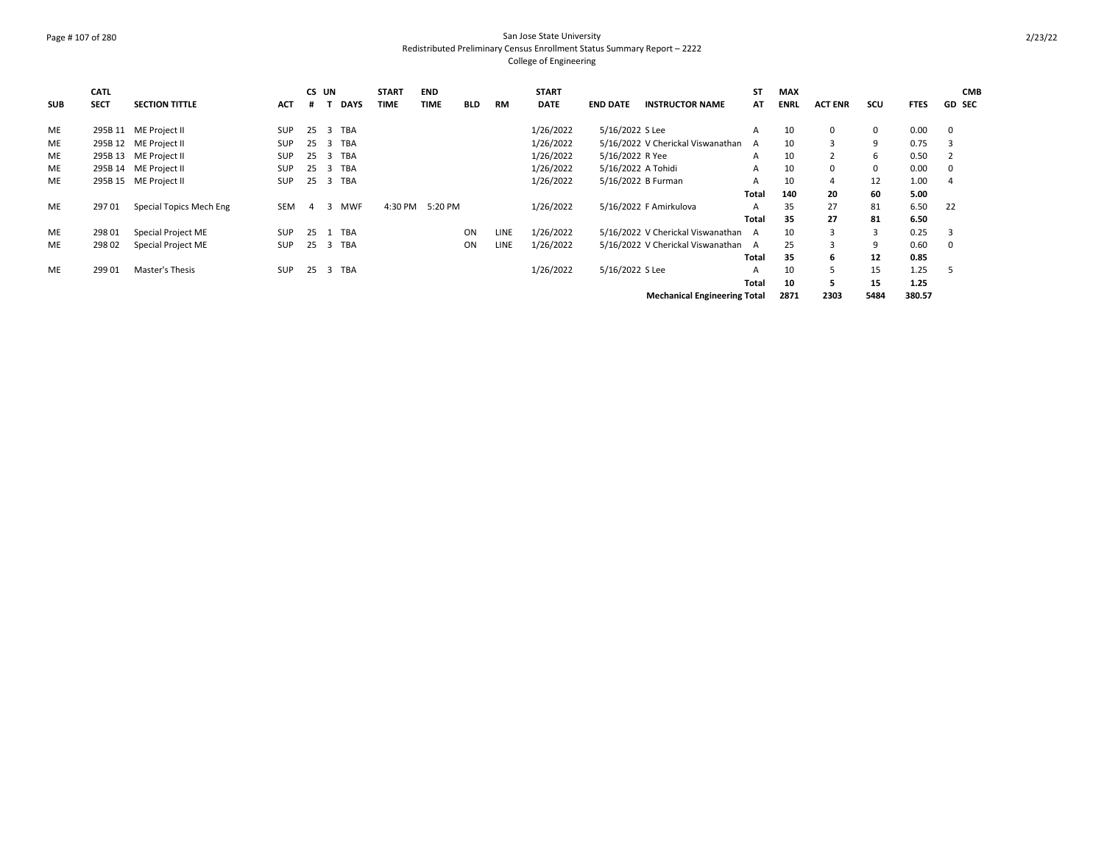## Page # 107 of 280 San Jose State University Redistributed Preliminary Census Enrollment Status Summary Report – 2222 College of Engineering

| <b>SUB</b> | <b>CATL</b><br><b>SECT</b> | <b>SECTION TITTLE</b>   | <b>ACT</b> | CS UN          |    | <b>DAYS</b> | <b>START</b><br><b>TIME</b> | <b>END</b><br><b>TIME</b> | <b>BLD</b> | <b>RM</b>   | <b>START</b><br><b>DATE</b> | <b>END DATE</b>    | <b>INSTRUCTOR NAME</b>              | <b>ST</b><br>AT | <b>MAX</b><br><b>ENRL</b> | <b>ACT ENR</b> | scu         | <b>FTES</b> | <b>CMB</b><br><b>GD SEC</b> |
|------------|----------------------------|-------------------------|------------|----------------|----|-------------|-----------------------------|---------------------------|------------|-------------|-----------------------------|--------------------|-------------------------------------|-----------------|---------------------------|----------------|-------------|-------------|-----------------------------|
| ME         |                            | 295B 11 ME Project II   | <b>SUP</b> | 25             | 3  | <b>TBA</b>  |                             |                           |            |             | 1/26/2022                   | 5/16/2022 S Lee    |                                     | A               | 10                        | 0              | 0           | 0.00        | 0                           |
| <b>ME</b>  |                            | 295B 12 ME Project II   | <b>SUP</b> | 25             | 3  | TBA         |                             |                           |            |             | 1/26/2022                   |                    | 5/16/2022 V Cherickal Viswanathan   | A               | 10                        | 3              | 9           | 0.75        | 3                           |
| <b>ME</b>  |                            | 295B 13 ME Project II   | <b>SUP</b> | 25             | -3 | <b>TBA</b>  |                             |                           |            |             | 1/26/2022                   | 5/16/2022 R Yee    |                                     | A               | 10                        | $\overline{2}$ | 6           | 0.50        |                             |
| ME         |                            | 295B 14 ME Project II   | <b>SUP</b> | 25             | 3  | TBA         |                             |                           |            |             | 1/26/2022                   | 5/16/2022 A Tohidi |                                     | Α               | 10                        | 0              | $\mathbf 0$ | 0.00        | 0                           |
| <b>ME</b>  |                            | 295B 15 ME Project II   | <b>SUP</b> | 25             |    | 3 TBA       |                             |                           |            |             | 1/26/2022                   | 5/16/2022 B Furman |                                     | A               | 10                        | 4              | 12          | 1.00        | 4                           |
|            |                            |                         |            |                |    |             |                             |                           |            |             |                             |                    |                                     | Total           | 140                       | 20             | 60          | 5.00        |                             |
| ME         | 29701                      | Special Topics Mech Eng | SEM        | $\overline{4}$ | 3  | <b>MWF</b>  | 4:30 PM                     | 5:20 PM                   |            |             | 1/26/2022                   |                    | 5/16/2022 F Amirkulova              | A               | 35                        | 27             | 81          | 6.50        | 22                          |
|            |                            |                         |            |                |    |             |                             |                           |            |             |                             |                    |                                     | <b>Total</b>    | 35                        | 27             | 81          | 6.50        |                             |
| ME         | 298 01                     | Special Project ME      | <b>SUP</b> | 25             | 1  | <b>TBA</b>  |                             |                           | ON         | <b>LINE</b> | 1/26/2022                   |                    | 5/16/2022 V Cherickal Viswanathan A |                 | 10                        | 3              | 3           | 0.25        | 3                           |
| <b>ME</b>  | 298 02                     | Special Project ME      | <b>SUP</b> | 25             | 3  | TBA         |                             |                           | ON         | <b>LINE</b> | 1/26/2022                   |                    | 5/16/2022 V Cherickal Viswanathan A |                 | 25                        | $\mathbf{3}$   | 9           | 0.60        | $\Omega$                    |
|            |                            |                         |            |                |    |             |                             |                           |            |             |                             |                    |                                     | Total           | 35                        | 6              | 12          | 0.85        |                             |
| ME         | 299 01                     | Master's Thesis         | <b>SUP</b> | 25             |    | 3 TBA       |                             |                           |            |             | 1/26/2022                   | 5/16/2022 S Lee    |                                     | A               | 10                        | 5              | 15          | 1.25        |                             |
|            |                            |                         |            |                |    |             |                             |                           |            |             |                             |                    |                                     | <b>Total</b>    | 10                        | 5              | 15          | 1.25        |                             |
|            |                            |                         |            |                |    |             |                             |                           |            |             |                             |                    | <b>Mechanical Engineering Total</b> |                 | 2871                      | 2303           | 5484        | 380.57      |                             |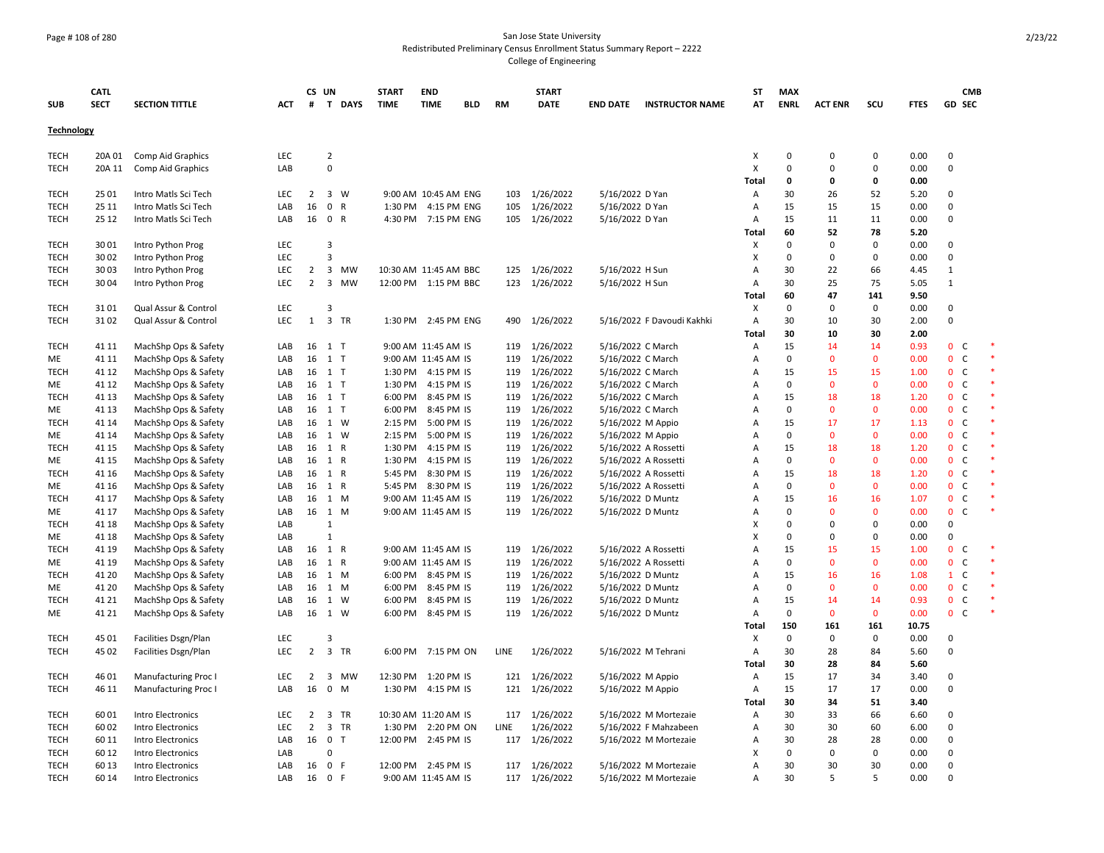# Page # 108 of 280 San Jose State University Redistributed Preliminary Census Enrollment Status Summary Report – 2222

College of Engineering

|                            | CATL           |                                              |            | CS UN                |                                        | <b>START</b> | <b>END</b>                                |            |           | <b>START</b>                   |                                        |                            | ST                  | <b>MAX</b>        |                    |                    |              | <b>CMB</b>                                     |  |
|----------------------------|----------------|----------------------------------------------|------------|----------------------|----------------------------------------|--------------|-------------------------------------------|------------|-----------|--------------------------------|----------------------------------------|----------------------------|---------------------|-------------------|--------------------|--------------------|--------------|------------------------------------------------|--|
| <b>SUB</b>                 | <b>SECT</b>    | <b>SECTION TITTLE</b>                        | ACT        | #                    | T DAYS                                 | <b>TIME</b>  | <b>TIME</b>                               | <b>BLD</b> | <b>RM</b> | <b>DATE</b>                    | <b>END DATE</b>                        | <b>INSTRUCTOR NAME</b>     | AT                  | <b>ENRL</b>       | <b>ACT ENR</b>     | SCU                | <b>FTES</b>  | <b>GD SEC</b>                                  |  |
| <b>Technology</b>          |                |                                              |            |                      |                                        |              |                                           |            |           |                                |                                        |                            |                     |                   |                    |                    |              |                                                |  |
| <b>TECH</b>                | 20A 01         | Comp Aid Graphics                            | LEC        |                      | $\overline{2}$                         |              |                                           |            |           |                                |                                        |                            | X                   | 0                 | $\mathbf 0$        | 0                  | 0.00         | 0                                              |  |
| <b>TECH</b>                | 20A 11         | Comp Aid Graphics                            | LAB        |                      | 0                                      |              |                                           |            |           |                                |                                        |                            | X                   | $\mathbf 0$       | $\Omega$           | 0                  | 0.00         | 0                                              |  |
|                            |                |                                              |            |                      |                                        |              |                                           |            |           |                                |                                        |                            | Total               | 0                 | 0                  | 0                  | 0.00         |                                                |  |
| <b>TECH</b>                | 25 01          | Intro Matls Sci Tech                         | LEC        | $\overline{2}$       | $\overline{3}$<br>- W                  |              | 9:00 AM 10:45 AM ENG                      |            |           | 103 1/26/2022                  | 5/16/2022 D Yan                        |                            | Α                   | 30                | 26                 | 52                 | 5.20         | $\mathbf 0$                                    |  |
| <b>TECH</b>                | 25 11          | Intro Matls Sci Tech                         | LAB        | 16                   | $\mathsf{O}$<br>$\mathsf{R}$           |              | 1:30 PM 4:15 PM ENG                       |            | 105       | 1/26/2022                      | 5/16/2022 D Yan                        |                            | Α                   | 15                | 15                 | 15                 | 0.00         | 0                                              |  |
| <b>TECH</b>                | 25 12          | Intro Matls Sci Tech                         | LAB        | 16                   | 0 R                                    |              | 4:30 PM 7:15 PM ENG                       |            |           | 105 1/26/2022                  | 5/16/2022 D Yan                        |                            | Α                   | 15                | 11                 | 11                 | 0.00         | $\Omega$                                       |  |
|                            |                |                                              |            |                      |                                        |              |                                           |            |           |                                |                                        |                            | Total               | 60                | 52                 | 78                 | 5.20         |                                                |  |
| <b>TECH</b>                | 3001           | Intro Python Prog                            | LEC        |                      | 3                                      |              |                                           |            |           |                                |                                        |                            | х                   | $\mathbf 0$       | $\Omega$           | $\Omega$           | 0.00         | $\Omega$                                       |  |
| <b>TECH</b>                | 30 02          | Intro Python Prog                            | LEC        |                      | 3                                      |              |                                           |            |           |                                |                                        |                            | X                   | $\mathbf 0$       | $\Omega$           | $\mathbf 0$        | 0.00         | $\mathbf 0$                                    |  |
| <b>TECH</b>                | 30 03          | Intro Python Prog                            | LEC        | $\overline{2}$       | $\overline{\mathbf{3}}$<br>MW          |              | 10:30 AM 11:45 AM BBC                     |            |           | 125 1/26/2022                  | 5/16/2022 H Sun                        |                            | A                   | 30                | 22                 | 66                 | 4.45         | $\mathbf{1}$                                   |  |
| <b>TECH</b>                | 3004           | Intro Python Prog                            | <b>LEC</b> | 2                    | $\overline{\mathbf{3}}$<br>MW          |              | 12:00 PM 1:15 PM BBC                      |            |           | 123 1/26/2022                  | 5/16/2022 H Sun                        |                            | A                   | 30                | 25                 | 75                 | 5.05         | $\mathbf{1}$                                   |  |
|                            |                |                                              |            |                      |                                        |              |                                           |            |           |                                |                                        |                            | Total               | 60                | 47                 | 141                | 9.50         |                                                |  |
| <b>TECH</b>                | 3101           | Qual Assur & Control                         | <b>LEC</b> |                      | 3                                      |              |                                           |            |           |                                |                                        |                            | X                   | 0                 | $\Omega$           | 0                  | 0.00         | $\Omega$                                       |  |
| <b>TECH</b>                | 3102           | Qual Assur & Control                         | LEC        | 1                    | 3 TR                                   |              | 1:30 PM 2:45 PM ENG                       |            |           | 490 1/26/2022                  |                                        | 5/16/2022 F Davoudi Kakhki | Α                   | 30                | 10                 | 30                 | 2.00         | 0                                              |  |
|                            |                |                                              |            |                      |                                        |              |                                           |            |           |                                |                                        |                            | Total               | 30                | 10                 | 30                 | 2.00         |                                                |  |
| <b>TECH</b>                | 41 11          | MachShp Ops & Safety                         | LAB        | 16                   | $1$ T                                  |              | 9:00 AM 11:45 AM IS                       |            |           | 119 1/26/2022                  | 5/16/2022 C March                      |                            | Α                   | 15<br>$\mathbf 0$ | 14<br>$\mathbf{0}$ | 14<br>$\mathbf{0}$ | 0.93         | 0 <sup>o</sup><br>$\mathsf{C}$<br>$\mathbf{0}$ |  |
| ME                         | 41 11          | MachShp Ops & Safety                         | LAB        | 16                   | $1$ T<br>1 T                           |              | 9:00 AM 11:45 AM IS                       |            | 119       | 1/26/2022                      | 5/16/2022 C March                      |                            | A<br>$\overline{A}$ |                   |                    | 15                 | 0.00         |                                                |  |
| <b>TECH</b><br>ME          | 41 12<br>41 12 | MachShp Ops & Safety                         | LAB<br>LAB | 16<br>16             | 1 T                                    |              | 1:30 PM 4:15 PM IS<br>1:30 PM 4:15 PM IS  |            |           | 119 1/26/2022<br>119 1/26/2022 | 5/16/2022 C March<br>5/16/2022 C March |                            | $\overline{A}$      | 15<br>0           | 15<br>$\mathbf 0$  | $\mathbf 0$        | 1.00<br>0.00 | $\mathbf 0$<br>C<br>0 <sup>o</sup>             |  |
| <b>TECH</b>                | 41 13          | MachShp Ops & Safety<br>MachShp Ops & Safety | LAB        | 16                   | 1 T                                    |              | 6:00 PM 8:45 PM IS                        |            | 119       | 1/26/2022                      | 5/16/2022 C March                      |                            | $\overline{A}$      | 15                | 18                 | 18                 | 1.20         | C<br>$\mathbf 0$                               |  |
| ME                         | 41 13          | MachShp Ops & Safety                         | LAB        | 16                   | 1 T                                    |              | 6:00 PM 8:45 PM IS                        |            |           | 119 1/26/2022                  | 5/16/2022 C March                      |                            | A                   | $\Omega$          | $\Omega$           | $\mathbf 0$        | 0.00         | $\mathbf{0}$<br>C.                             |  |
| <b>TECH</b>                | 41 14          | MachShp Ops & Safety                         | LAB        | 16                   | 1 W                                    | 2:15 PM      | 5:00 PM IS                                |            | 119       | 1/26/2022                      | 5/16/2022 M Appio                      |                            | A                   | 15                | 17                 | 17                 | 1.13         | 0 <sup>o</sup>                                 |  |
| ME                         | 41 14          | MachShp Ops & Safety                         | LAB        | 16                   | 1 W                                    |              | 2:15 PM 5:00 PM IS                        |            | 119       | 1/26/2022                      | 5/16/2022 M Appio                      |                            | $\overline{A}$      | 0                 | $\Omega$           | $\mathbf{0}$       | 0.00         | $\mathbf{0}$<br>C                              |  |
| <b>TECH</b>                | 41 15          | MachShp Ops & Safety                         | LAB        | 16                   | 1 R                                    | 1:30 PM      | 4:15 PM IS                                |            | 119       | 1/26/2022                      |                                        | 5/16/2022 A Rossetti       | A                   | 15                | 18                 | 18                 | 1.20         | $\mathbf{0}$<br>C                              |  |
| ME                         | 41 15          | MachShp Ops & Safety                         | LAB        | 16                   | 1 R                                    |              | 1:30 PM 4:15 PM IS                        |            |           | 119 1/26/2022                  |                                        | 5/16/2022 A Rossetti       | A                   | 0                 | $\Omega$           | $\mathbf{0}$       | 0.00         | 0 <sup>o</sup>                                 |  |
| <b>TECH</b>                | 41 16          | MachShp Ops & Safety                         | LAB        | 16                   | 1 R                                    | 5:45 PM      | 8:30 PM IS                                |            | 119       | 1/26/2022                      |                                        | 5/16/2022 A Rossetti       | A                   | 15                | 18                 | 18                 | 1.20         | $\mathbf 0$<br>$\mathsf{C}$                    |  |
| ME                         | 41 16          | MachShp Ops & Safety                         | LAB        | 16                   | 1 R                                    |              | 5:45 PM 8:30 PM IS                        |            | 119       | 1/26/2022                      |                                        | 5/16/2022 A Rossetti       | A                   | 0                 | $\Omega$           | $\mathbf{0}$       | 0.00         | $\mathbf{0}$<br><sub>c</sub>                   |  |
| <b>TECH</b>                | 41 17          | MachShp Ops & Safety                         | LAB        | 16                   | 1 M                                    |              | 9:00 AM 11:45 AM IS                       |            |           | 119 1/26/2022                  | 5/16/2022 D Muntz                      |                            | $\overline{A}$      | 15                | 16                 | 16                 | 1.07         | $\mathbf{0}$<br>C                              |  |
| ME                         | 41 17          | MachShp Ops & Safety                         | LAB        | 16                   | 1 M                                    |              | 9:00 AM 11:45 AM IS                       |            | 119       | 1/26/2022                      | 5/16/2022 D Muntz                      |                            | Α                   | $\mathbf 0$       | $\mathbf{0}$       | $\mathbf 0$        | 0.00         | $\mathbf 0$<br>C                               |  |
| <b>TECH</b>                | 41 18          | MachShp Ops & Safety                         | LAB        |                      | $\mathbf{1}$                           |              |                                           |            |           |                                |                                        |                            | X                   | $\mathbf 0$       | $\Omega$           | 0                  | 0.00         | 0                                              |  |
| ME                         | 41 18          | MachShp Ops & Safety                         | LAB        |                      | $\mathbf{1}$                           |              |                                           |            |           |                                |                                        |                            | X                   | $\mathbf 0$       | $\Omega$           | 0                  | 0.00         | 0                                              |  |
| <b>TECH</b>                | 41 19          | MachShp Ops & Safety                         | LAB        | 16                   | 1 R                                    |              | 9:00 AM 11:45 AM IS                       |            | 119       | 1/26/2022                      |                                        | 5/16/2022 A Rossetti       | $\overline{A}$      | 15                | 15                 | 15                 | 1.00         | $\mathbf 0$<br>$\epsilon$                      |  |
| ME                         | 41 19          | MachShp Ops & Safety                         | LAB        | 16                   | 1 R                                    |              | 9:00 AM 11:45 AM IS                       |            | 119       | 1/26/2022                      |                                        | 5/16/2022 A Rossetti       | $\overline{A}$      | $\mathbf 0$       | $\Omega$           | $\mathbf 0$        | 0.00         | $\mathbf{0}$<br>C                              |  |
| <b>TECH</b>                | 41 20          | MachShp Ops & Safety                         | LAB        | 16                   | 1 M                                    |              | 6:00 PM 8:45 PM IS                        |            | 119       | 1/26/2022                      | 5/16/2022 D Muntz                      |                            | $\overline{A}$      | 15                | 16                 | 16                 | 1.08         | $\mathsf{C}$<br>$\mathbf{1}$                   |  |
| ME                         | 41 20          | MachShp Ops & Safety                         | LAB        | 16                   | 1 M                                    |              | 6:00 PM 8:45 PM IS                        |            |           | 119 1/26/2022                  | 5/16/2022 D Muntz                      |                            | $\overline{A}$      | 0                 | $\Omega$           | $\mathbf{0}$       | 0.00         | $\mathbf{0}$<br>C                              |  |
| <b>TECH</b>                | 41 21          | MachShp Ops & Safety                         | LAB        | 16                   | 1 W                                    | 6:00 PM      | 8:45 PM IS                                |            | 119       | 1/26/2022                      | 5/16/2022 D Muntz                      |                            | A                   | 15                | 14                 | 14                 | 0.93         | C<br>$\mathbf{0}$                              |  |
| ME                         | 41 21          | MachShp Ops & Safety                         | LAB        | 16                   | 1 W                                    |              | 6:00 PM 8:45 PM IS                        |            |           | 119 1/26/2022                  | 5/16/2022 D Muntz                      |                            | Α                   | $\mathbf 0$       | $\mathbf{0}$       | $\mathbf{0}$       | 0.00         | $\mathbf{0}$<br>C                              |  |
|                            |                |                                              |            |                      |                                        |              |                                           |            |           |                                |                                        |                            | Total               | 150               | 161                | 161                | 10.75        |                                                |  |
| <b>TECH</b>                | 45 01          | Facilities Dsgn/Plan                         | LEC        |                      | 3                                      |              |                                           |            |           |                                |                                        |                            | Х                   | $\mathbf 0$       | $\Omega$           | 0                  | 0.00         | $\Omega$                                       |  |
| <b>TECH</b>                | 45 02          | Facilities Dsgn/Plan                         | LEC        | $\overline{2}$       | $\overline{\mathbf{3}}$<br>TR          |              | 6:00 PM 7:15 PM ON                        |            | LINE      | 1/26/2022                      |                                        | 5/16/2022 M Tehrani        | Α                   | 30                | 28                 | 84                 | 5.60         | 0                                              |  |
|                            |                |                                              |            |                      |                                        |              |                                           |            |           |                                |                                        |                            | Total               | 30                | 28                 | 84                 | 5.60         |                                                |  |
| <b>TECH</b>                | 46 01          | <b>Manufacturing Proc I</b>                  | LEC        | $\overline{2}$       | $\overline{\mathbf{3}}$<br>MW          |              | 12:30 PM 1:20 PM IS                       |            |           | 121 1/26/2022                  | 5/16/2022 M Appio                      |                            | Α                   | 15                | 17                 | 34                 | 3.40         | $\Omega$                                       |  |
| <b>TECH</b>                | 46 11          | Manufacturing Proc I                         | LAB        | 16                   | $\mathbf 0$<br>M                       | 1:30 PM      | 4:15 PM IS                                |            | 121       | 1/26/2022                      | 5/16/2022 M Appio                      |                            | Α                   | 15                | 17                 | 17                 | 0.00         | 0                                              |  |
|                            |                |                                              |            |                      |                                        |              |                                           |            |           |                                |                                        |                            | Total               | 30                | 34                 | 51                 | 3.40         |                                                |  |
| <b>TECH</b>                | 6001           | Intro Electronics                            | LEC        | $\overline{2}$       | 3 TR                                   |              | 10:30 AM 11:20 AM IS                      |            |           | 117 1/26/2022                  |                                        | 5/16/2022 M Mortezaie      | Α                   | 30                | 33                 | 66                 | 6.60         | 0                                              |  |
| <b>TECH</b><br><b>TECH</b> | 60 02          | Intro Electronics                            | LEC        | $\overline{2}$<br>16 | $\overline{3}$<br>TR<br>0 <sub>T</sub> |              | 1:30 PM 2:20 PM ON<br>12:00 PM 2:45 PM IS |            | LINE      | 1/26/2022                      |                                        | 5/16/2022 F Mahzabeen      | Α<br>A              | 30                | 30                 | 60<br>28           | 6.00         | $\Omega$<br>$\Omega$                           |  |
| <b>TECH</b>                | 60 11<br>60 12 | Intro Electronics<br>Intro Electronics       | LAB<br>LAB |                      | 0                                      |              |                                           |            |           | 117 1/26/2022                  |                                        | 5/16/2022 M Mortezaie      | X                   | 30<br>0           | 28<br>$\Omega$     | 0                  | 0.00<br>0.00 | $\Omega$                                       |  |
| <b>TECH</b>                | 60 13          | Intro Electronics                            | LAB        | 16                   | 0 F                                    |              | 12:00 PM 2:45 PM IS                       |            |           | 117 1/26/2022                  |                                        | 5/16/2022 M Mortezaie      | A                   | 30                | 30                 | 30                 | 0.00         | $\Omega$                                       |  |
| <b>TECH</b>                | 60 14          | Intro Electronics                            | LAB        | 16                   | 0 F                                    |              | 9:00 AM 11:45 AM IS                       |            |           | 117 1/26/2022                  |                                        | 5/16/2022 M Mortezaie      | A                   | 30                | 5                  | 5                  | 0.00         | $\Omega$                                       |  |
|                            |                |                                              |            |                      |                                        |              |                                           |            |           |                                |                                        |                            |                     |                   |                    |                    |              |                                                |  |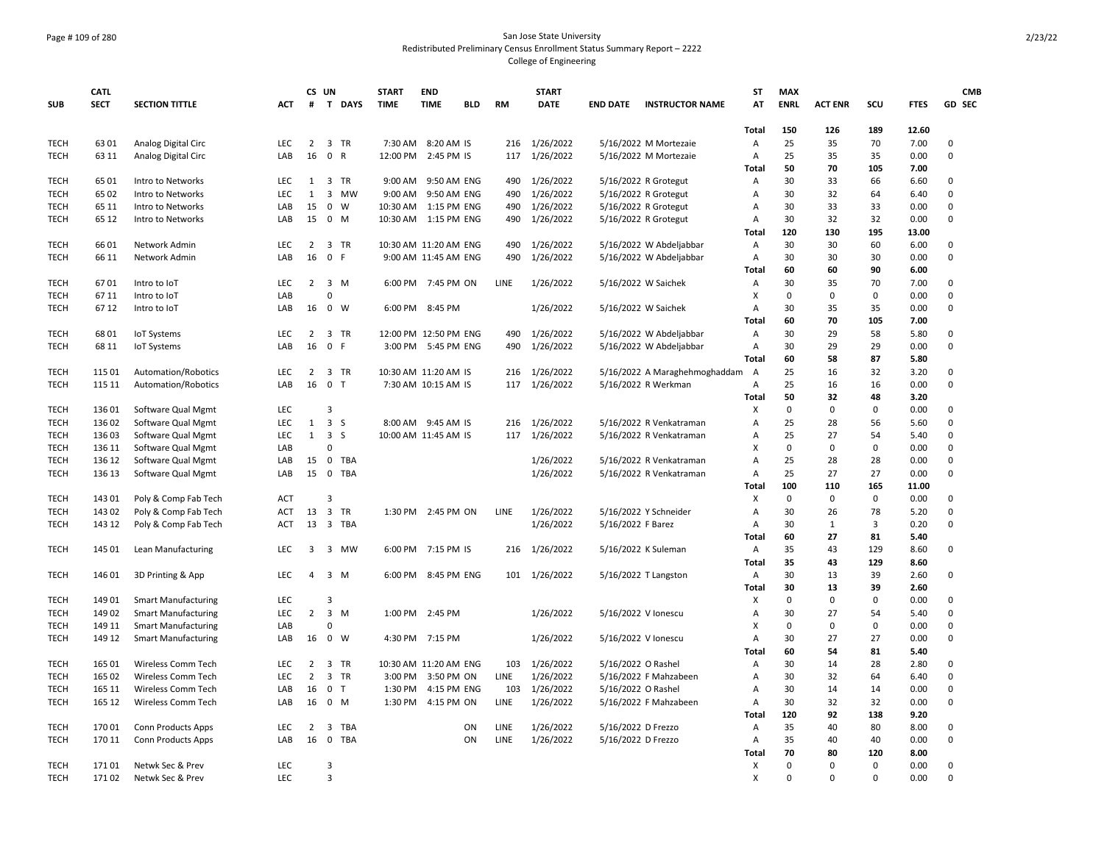## Page # 109 of 280 San Jose State University Redistributed Preliminary Census Enrollment Status Summary Report – 2222 College of Engineering

|             | <b>CATL</b> |                            |            |                | CS UN                          | <b>START</b> |           | <b>END</b>            |            |           | <b>START</b>  |                    |                               | <b>ST</b>      | <b>MAX</b>  |                |             |              | <b>CMB</b>  |
|-------------|-------------|----------------------------|------------|----------------|--------------------------------|--------------|-----------|-----------------------|------------|-----------|---------------|--------------------|-------------------------------|----------------|-------------|----------------|-------------|--------------|-------------|
| <b>SUB</b>  | <b>SECT</b> | <b>SECTION TITTLE</b>      | ACT        | #              | T DAYS                         | <b>TIME</b>  |           | <b>TIME</b>           | <b>BLD</b> | <b>RM</b> | <b>DATE</b>   | <b>END DATE</b>    | <b>INSTRUCTOR NAME</b>        | AT             | <b>ENRL</b> | <b>ACT ENR</b> | SCU         | <b>FTES</b>  | GD SEC      |
|             |             |                            |            |                |                                |              |           |                       |            |           |               |                    |                               | Total          | 150         | 126            | 189         | 12.60        |             |
| <b>TECH</b> | 6301        | Analog Digital Circ        | LEC        | $\overline{2}$ | 3 TR                           |              | 7:30 AM   | 8:20 AM IS            |            | 216       | 1/26/2022     |                    | 5/16/2022 M Mortezaie         | A              | 25          | 35             | 70          | 7.00         | 0           |
| <b>TECH</b> | 63 11       | Analog Digital Circ        | LAB        | 16             | 0 R                            |              | 12:00 PM  | 2:45 PM IS            |            | 117       | 1/26/2022     |                    | 5/16/2022 M Mortezaie         | A              | 25          | 35             | 35          | 0.00         | $\Omega$    |
|             |             |                            |            |                |                                |              |           |                       |            |           |               |                    |                               | Total          | 50          | 70             | 105         | 7.00         |             |
| <b>TECH</b> | 6501        | Intro to Networks          | <b>LEC</b> | 1              | 3 TR                           |              | $9:00$ AM | 9:50 AM ENG           |            | 490       | 1/26/2022     |                    | 5/16/2022 R Grotegut          | Α              | 30          | 33             | 66          | 6.60         | $\Omega$    |
| <b>TECH</b> | 65 02       | Intro to Networks          | LEC        | 1              | 3 MW                           |              | 9:00 AM   | 9:50 AM ENG           |            | 490       | 1/26/2022     |                    | 5/16/2022 R Grotegut          | A              | 30          | 32             | 64          | 6.40         | $\mathbf 0$ |
| <b>TECH</b> | 65 11       | Intro to Networks          | LAB        | 15             | $\mathbf 0$<br>W               |              | 10:30 AM  | 1:15 PM ENG           |            | 490       | 1/26/2022     |                    | 5/16/2022 R Grotegut          | A              | 30          | 33             | 33          | 0.00         | $\mathbf 0$ |
| <b>TECH</b> | 65 12       | Intro to Networks          | LAB        | 15             | $\overline{\mathbf{0}}$<br>M   |              |           | 10:30 AM  1:15 PM ENG |            | 490       | 1/26/2022     |                    | 5/16/2022 R Grotegut          | $\overline{A}$ | 30          | 32             | 32          | 0.00         | $\mathbf 0$ |
|             |             |                            |            |                |                                |              |           |                       |            |           |               |                    |                               | Total          | 120         | 130            | 195         | 13.00        |             |
| <b>TECH</b> | 6601        | Network Admin              | LEC        | 2              | 3 TR                           |              |           | 10:30 AM 11:20 AM ENG |            | 490       | 1/26/2022     |                    | 5/16/2022 W Abdeljabbar       | A              | 30          | 30             | 60          | 6.00         | 0           |
| <b>TECH</b> | 66 11       | Network Admin              | LAB        | 16             | $\mathbf 0$<br>-F              |              |           | 9:00 AM 11:45 AM ENG  |            | 490       | 1/26/2022     |                    | 5/16/2022 W Abdeljabbar       | Α              | 30          | 30             | 30          | 0.00         | $\mathsf 0$ |
|             |             |                            |            |                |                                |              |           |                       |            |           |               |                    |                               | Total          | 60          | 60             | 90          | 6.00         |             |
| <b>TECH</b> | 6701        | Intro to IoT               | LEC        | $\overline{2}$ | 3 M                            |              |           | 6:00 PM 7:45 PM ON    |            | LINE      | 1/26/2022     |                    | 5/16/2022 W Saichek           | A              | 30          | 35             | 70          | 7.00         | $\mathbf 0$ |
| <b>TECH</b> | 67 11       | Intro to IoT               | LAB        |                | 0                              |              |           |                       |            |           |               |                    |                               | X              | 0           | 0              | $\mathbf 0$ | 0.00         | $\mathbf 0$ |
| <b>TECH</b> | 6712        | Intro to IoT               | LAB        | 16             | $\overline{0}$<br>W            |              | 6:00 PM   | 8:45 PM               |            |           | 1/26/2022     |                    | 5/16/2022 W Saichek           | A              | 30          | 35             | 35          | 0.00         | $\mathbf 0$ |
|             |             |                            |            |                |                                |              |           |                       |            |           |               |                    |                               | Total          | 60          | 70             | 105         | 7.00         |             |
| <b>TECH</b> | 6801        | <b>IoT Systems</b>         | LEC        | 2              | 3 TR                           |              |           | 12:00 PM 12:50 PM ENG |            | 490       | 1/26/2022     |                    | 5/16/2022 W Abdeljabbar       | Α              | 30          | 29             | 58          | 5.80         | 0           |
| <b>TECH</b> | 68 11       | <b>IoT Systems</b>         | LAB        | 16             | 0 F                            |              |           | 3:00 PM 5:45 PM ENG   |            | 490       | 1/26/2022     |                    | 5/16/2022 W Abdeljabbar       | Α              | 30          | 29             | 29          | 0.00         | $\mathbf 0$ |
|             |             |                            |            |                |                                |              |           |                       |            |           |               |                    |                               | Total          | 60          | 58             | 87          | 5.80         |             |
| <b>TECH</b> | 115 01      | Automation/Robotics        | <b>LEC</b> | $\overline{2}$ | 3 TR                           |              |           | 10:30 AM 11:20 AM IS  |            | 216       | 1/26/2022     |                    | 5/16/2022 A Maraghehmoghaddam | A              | 25          | 16             | 32          | 3.20         | $\Omega$    |
| <b>TECH</b> | 115 11      | Automation/Robotics        | LAB        | 16             | 0 <sub>T</sub>                 |              |           | 7:30 AM 10:15 AM IS   |            | 117       | 1/26/2022     |                    | 5/16/2022 R Werkman           | A              | 25          | 16             | 16          | 0.00         | $\mathbf 0$ |
|             |             |                            |            |                |                                |              |           |                       |            |           |               |                    |                               | Total          | 50          | 32             | 48          | 3.20         |             |
| <b>TECH</b> | 136 01      | Software Qual Mgmt         | <b>LEC</b> |                | 3                              |              |           |                       |            |           |               |                    |                               | X              | 0           | 0              | $\mathbf 0$ | 0.00         | 0           |
| TECH        | 136 02      | Software Qual Mgmt         | LEC        | 1              | 3 <sub>5</sub>                 |              |           | 8:00 AM 9:45 AM IS    |            | 216       | 1/26/2022     |                    | 5/16/2022 R Venkatraman       | A              | 25          | 28             | 56          | 5.60         | $\mathbf 0$ |
| <b>TECH</b> | 13603       | Software Qual Mgmt         | LEC        | $\mathbf{1}$   | 3 <sub>5</sub>                 |              |           | 10:00 AM 11:45 AM IS  |            | 117       | 1/26/2022     |                    | 5/16/2022 R Venkatraman       | A              | 25          | 27             | 54          | 5.40         | $\mathbf 0$ |
| <b>TECH</b> | 136 11      | Software Qual Mgmt         | LAB        |                | $\Omega$                       |              |           |                       |            |           |               |                    |                               | X              | $\Omega$    | 0              | $\mathbf 0$ | 0.00         | $\mathbf 0$ |
| TECH        | 136 12      | Software Qual Mgmt         | LAB        | 15             | $\mathbf 0$<br>TBA             |              |           |                       |            |           | 1/26/2022     |                    | 5/16/2022 R Venkatraman       | A              | 25          | 28             | 28          | 0.00         | 0           |
| <b>TECH</b> | 136 13      | Software Qual Mgmt         | LAB        | 15             | $\overline{0}$<br><b>TBA</b>   |              |           |                       |            |           | 1/26/2022     |                    | 5/16/2022 R Venkatraman       | A              | 25          | 27             | 27          | 0.00         | $\mathbf 0$ |
|             |             |                            |            |                |                                |              |           |                       |            |           |               |                    |                               | Total          | 100         | 110            | 165         | 11.00        |             |
| <b>TECH</b> | 14301       | Poly & Comp Fab Tech       | <b>ACT</b> |                | 3                              |              |           |                       |            |           |               |                    |                               | X              | $\mathbf 0$ | $\mathbf 0$    | $\mathbf 0$ | 0.00         | $\mathbf 0$ |
| <b>TECH</b> | 14302       | Poly & Comp Fab Tech       | ACT        | 13             | $\overline{\mathbf{3}}$<br>TR  |              |           | 1:30 PM 2:45 PM ON    |            | LINE      | 1/26/2022     |                    | 5/16/2022 Y Schneider         | A              | 30          | 26             | 78          | 5.20         | 0           |
| TECH        | 143 12      | Poly & Comp Fab Tech       | ACT        | 13             | 3 TBA                          |              |           |                       |            |           | 1/26/2022     | 5/16/2022 F Barez  |                               | Α              | 30          | $\mathbf{1}$   | 3           | 0.20         | $\mathbf 0$ |
|             |             |                            |            |                |                                |              |           |                       |            |           |               |                    |                               | Total          | 60<br>35    | 27<br>43       | 81<br>129   | 5.40         | 0           |
| <b>TECH</b> | 145 01      | Lean Manufacturing         | LEC        | 3              | 3 MW                           |              | 6:00 PM   | 7:15 PM IS            |            | 216       | 1/26/2022     |                    | 5/16/2022 K Suleman           | Α<br>Total     | 35          | 43             | 129         | 8.60<br>8.60 |             |
| <b>TECH</b> | 146 01      | 3D Printing & App          | LEC        | $\overline{4}$ | $3 \, M$                       |              |           | 6:00 PM 8:45 PM ENG   |            |           | 101 1/26/2022 |                    | 5/16/2022 T Langston          | Α              | 30          | 13             | 39          | 2.60         | 0           |
|             |             |                            |            |                |                                |              |           |                       |            |           |               |                    |                               | Total          | 30          | 13             | 39          | 2.60         |             |
| <b>TECH</b> | 149 01      | <b>Smart Manufacturing</b> | <b>LEC</b> |                | 3                              |              |           |                       |            |           |               |                    |                               | X              | 0           | 0              | $\mathbf 0$ | 0.00         | 0           |
| TECH        | 149 02      | <b>Smart Manufacturing</b> | LEC        | $\overline{2}$ | $\overline{\mathbf{3}}$<br>M   |              |           | 1:00 PM 2:45 PM       |            |           | 1/26/2022     |                    | 5/16/2022 V Ionescu           | Α              | 30          | 27             | 54          | 5.40         | $\mathbf 0$ |
| <b>TECH</b> | 149 11      | <b>Smart Manufacturing</b> | LAB        |                | 0                              |              |           |                       |            |           |               |                    |                               | X              | $\Omega$    | 0              | $\mathbf 0$ | 0.00         | 0           |
| <b>TECH</b> | 149 12      | <b>Smart Manufacturing</b> | LAB        | 16             | 0 W                            |              |           | 4:30 PM 7:15 PM       |            |           | 1/26/2022     |                    | 5/16/2022 V Ionescu           | A              | 30          | 27             | 27          | 0.00         | $\mathbf 0$ |
|             |             |                            |            |                |                                |              |           |                       |            |           |               |                    |                               | Total          | 60          | 54             | 81          | 5.40         |             |
| TECH        | 165 01      | Wireless Comm Tech         | <b>LEC</b> | $\overline{2}$ | $\overline{\mathbf{3}}$<br>TR  |              |           | 10:30 AM 11:20 AM ENG |            | 103       | 1/26/2022     | 5/16/2022 O Rashel |                               | Α              | 30          | 14             | 28          | 2.80         | $\mathbf 0$ |
| <b>TECH</b> | 165 02      | Wireless Comm Tech         | LEC        | $\overline{2}$ | 3 TR                           |              | 3:00 PM   | 3:50 PM ON            |            | LINE      | 1/26/2022     |                    | 5/16/2022 F Mahzabeen         | A              | 30          | 32             | 64          | 6.40         | 0           |
| <b>TECH</b> | 165 11      | Wireless Comm Tech         | LAB        | 16             | $\mathbf 0$<br>$\mathsf{T}$    |              | 1:30 PM   | 4:15 PM ENG           |            | 103       | 1/26/2022     | 5/16/2022 O Rashel |                               | A              | 30          | 14             | 14          | 0.00         | $\mathbf 0$ |
| <b>TECH</b> | 165 12      | Wireless Comm Tech         | LAB        | 16             | $\mathbf 0$<br>M               |              | 1:30 PM   | 4:15 PM ON            |            | LINE      | 1/26/2022     |                    | 5/16/2022 F Mahzabeen         | A              | 30          | 32             | 32          | 0.00         | $\mathbf 0$ |
|             |             |                            |            |                |                                |              |           |                       |            |           |               |                    |                               | Total          | 120         | 92             | 138         | 9.20         |             |
| <b>TECH</b> | 17001       | <b>Conn Products Apps</b>  | LEC        | $\overline{2}$ | $\overline{\mathbf{3}}$<br>TBA |              |           |                       | ON         | LINE      | 1/26/2022     | 5/16/2022 D Frezzo |                               | A              | 35          | 40             | 80          | 8.00         | 0           |
| <b>TECH</b> | 170 11      | <b>Conn Products Apps</b>  | LAB        | 16             | $\mathbf 0$<br>TBA             |              |           |                       | ON         | LINE      | 1/26/2022     | 5/16/2022 D Frezzo |                               | A              | 35          | 40             | 40          | 0.00         | $\mathbf 0$ |
|             |             |                            |            |                |                                |              |           |                       |            |           |               |                    |                               | Total          | 70          | 80             | 120         | 8.00         |             |
| <b>TECH</b> | 17101       | Netwk Sec & Prev           | LEC        |                | 3                              |              |           |                       |            |           |               |                    |                               | X              | $\Omega$    | $\mathbf 0$    | $\mathbf 0$ | 0.00         | $\mathbf 0$ |
| <b>TECH</b> | 17102       | Netwk Sec & Prev           | LEC        |                | 3                              |              |           |                       |            |           |               |                    |                               | X              | $\Omega$    | $\Omega$       | $\Omega$    | 0.00         | $\Omega$    |
|             |             |                            |            |                |                                |              |           |                       |            |           |               |                    |                               |                |             |                |             |              |             |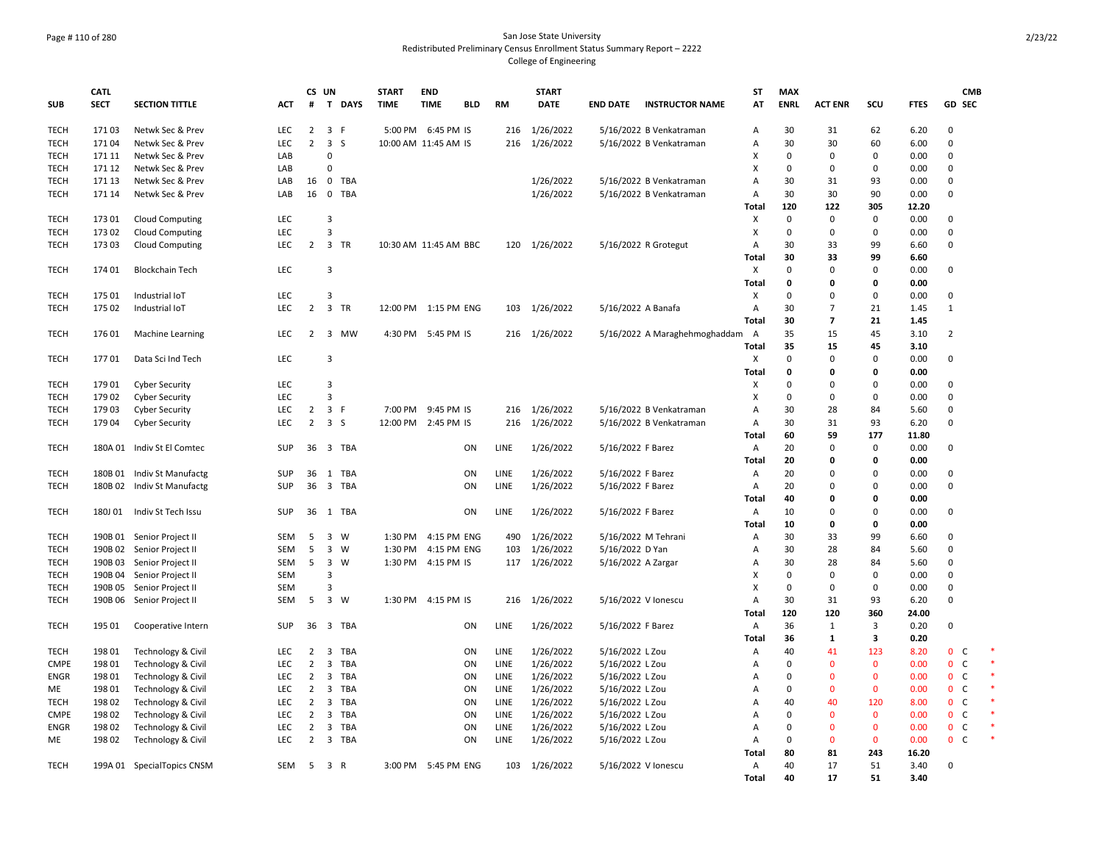## Page # 110 of 280 San Jose State University Redistributed Preliminary Census Enrollment Status Summary Report – 2222 College of Engineering

|                     | <b>CATL</b> |                            |            | CS UN                            |                                              | <b>START</b> | <b>END</b>            |            |             | <b>START</b>  |                     |                                 | ST                        | <b>MAX</b>        |                |                   |              | <b>CMB</b>                   |        |
|---------------------|-------------|----------------------------|------------|----------------------------------|----------------------------------------------|--------------|-----------------------|------------|-------------|---------------|---------------------|---------------------------------|---------------------------|-------------------|----------------|-------------------|--------------|------------------------------|--------|
| <b>SUB</b>          | <b>SECT</b> | <b>SECTION TITTLE</b>      | ACT        | #                                | T DAYS                                       | <b>TIME</b>  | <b>TIME</b>           | <b>BLD</b> | <b>RM</b>   | <b>DATE</b>   | <b>END DATE</b>     | <b>INSTRUCTOR NAME</b>          | AT                        | <b>ENRL</b>       | <b>ACT ENR</b> | SCU               | <b>FTES</b>  | <b>GD SEC</b>                |        |
| <b>TECH</b>         | 17103       | Netwk Sec & Prev           | <b>LEC</b> | $\overline{2}$                   | 3 F                                          |              | 5:00 PM 6:45 PM IS    |            | 216         | 1/26/2022     |                     | 5/16/2022 B Venkatraman         | А                         | 30                | 31             | 62                | 6.20         | $\Omega$                     |        |
| <b>TECH</b>         | 17104       | Netwk Sec & Prev           | <b>LEC</b> | $\overline{2}$                   | 3S                                           |              | 10:00 AM 11:45 AM IS  |            | 216         | 1/26/2022     |                     | 5/16/2022 B Venkatraman         | А                         | 30                | 30             | 60                | 6.00         | $\Omega$                     |        |
| <b>TECH</b>         | 171 11      | Netwk Sec & Prev           | LAB        |                                  | $\Omega$                                     |              |                       |            |             |               |                     |                                 | X                         | $\mathbf 0$       | 0              | 0                 | 0.00         | $\mathbf 0$                  |        |
| <b>TECH</b>         | 171 12      | Netwk Sec & Prev           | LAB        |                                  | $\Omega$                                     |              |                       |            |             |               |                     |                                 | x                         | $\mathbf 0$       | $\Omega$       | $\Omega$          | 0.00         | $\Omega$                     |        |
| <b>TECH</b>         | 171 13      | Netwk Sec & Prev           | LAB        | 16                               | $\mathbf 0$<br>TBA                           |              |                       |            |             | 1/26/2022     |                     | 5/16/2022 B Venkatraman         | A                         | 30                | 31             | 93                | 0.00         | $\mathbf 0$                  |        |
| <b>TECH</b>         | 171 14      | Netwk Sec & Prev           | LAB        | 16                               | $\mathbf 0$<br><b>TBA</b>                    |              |                       |            |             | 1/26/2022     |                     | 5/16/2022 B Venkatraman         | Α                         | 30                | 30             | 90                | 0.00         | $\mathbf 0$                  |        |
|                     |             |                            |            |                                  |                                              |              |                       |            |             |               |                     |                                 | Total                     | 120               | 122            | 305               | 12.20        |                              |        |
| <b>TECH</b>         | 17301       | <b>Cloud Computing</b>     | <b>LEC</b> |                                  | 3                                            |              |                       |            |             |               |                     |                                 | X                         | $\mathbf 0$       | $\mathbf 0$    | $\mathbf 0$       | 0.00         | $\mathbf 0$                  |        |
| TECH                | 17302       | <b>Cloud Computing</b>     | LEC        |                                  | $\overline{3}$                               |              |                       |            |             |               |                     |                                 | X                         | $\mathbf 0$       | 0              | 0                 | 0.00         | $\mathbf 0$                  |        |
| <b>TECH</b>         | 17303       | <b>Cloud Computing</b>     | <b>LEC</b> | $\overline{2}$                   | 3 TR                                         |              | 10:30 AM 11:45 AM BBC |            |             | 120 1/26/2022 |                     | 5/16/2022 R Grotegut            | $\overline{A}$            | 30                | 33             | 99                | 6.60         | $\mathbf 0$                  |        |
|                     |             |                            |            |                                  |                                              |              |                       |            |             |               |                     |                                 | Total                     | 30                | 33             | 99                | 6.60         |                              |        |
| <b>TECH</b>         | 174 01      | <b>Blockchain Tech</b>     | <b>LEC</b> |                                  | 3                                            |              |                       |            |             |               |                     |                                 | $\boldsymbol{\mathsf{X}}$ | 0                 | $\Omega$       | 0                 | 0.00         | $\mathbf 0$                  |        |
|                     |             |                            |            |                                  |                                              |              |                       |            |             |               |                     |                                 | Total                     | 0                 | $\Omega$       | $\mathbf 0$       | 0.00         |                              |        |
| <b>TECH</b>         | 175 01      | Industrial IoT             | LEC        |                                  | $\overline{3}$                               |              |                       |            |             |               |                     |                                 | X                         | 0                 | $\Omega$       | 0                 | 0.00         | $\overline{0}$               |        |
| <b>TECH</b>         | 175 02      | Industrial IoT             | LEC        | $\overline{2}$                   | $\overline{\mathbf{3}}$<br>TR                |              | 12:00 PM 1:15 PM ENG  |            | 103         | 1/26/2022     | 5/16/2022 A Banafa  |                                 | Α                         | 30                | $\overline{7}$ | 21                | 1.45         | $\mathbf{1}$                 |        |
|                     |             |                            |            |                                  |                                              |              |                       |            |             |               |                     |                                 | Total                     | 30                | $\overline{7}$ | 21                | 1.45         |                              |        |
| <b>TECH</b>         | 176 01      | <b>Machine Learning</b>    | LEC        | $\overline{2}$                   | $\overline{3}$<br><b>MW</b>                  |              | 4:30 PM 5:45 PM IS    |            |             | 216 1/26/2022 |                     | 5/16/2022 A Maraghehmoghaddam A |                           | 35                | 15             | 45                | 3.10         | $\overline{2}$               |        |
|                     |             |                            |            |                                  |                                              |              |                       |            |             |               |                     |                                 | Total                     | 35                | 15             | 45                | 3.10         |                              |        |
| <b>TECH</b>         | 17701       | Data Sci Ind Tech          | <b>LEC</b> |                                  | 3                                            |              |                       |            |             |               |                     |                                 | X                         | $\mathbf 0$       | $\Omega$       | $\mathbf 0$       | 0.00         | $\mathbf 0$                  |        |
|                     |             |                            |            |                                  |                                              |              |                       |            |             |               |                     |                                 | Total                     | 0                 | $\Omega$       | 0                 | 0.00         |                              |        |
| <b>TECH</b>         | 17901       | <b>Cyber Security</b>      | LEC        |                                  | $\overline{3}$                               |              |                       |            |             |               |                     |                                 | X                         | 0                 | $\Omega$       | $\Omega$          | 0.00         | $\mathbf 0$                  |        |
| <b>TECH</b>         | 179 02      |                            | LEC        |                                  | 3                                            |              |                       |            |             |               |                     |                                 | X                         | $\mathbf 0$       | $\Omega$       | 0                 | 0.00         | $\mathsf 0$                  |        |
|                     | 17903       | <b>Cyber Security</b>      | <b>LEC</b> |                                  | $\overline{\mathbf{3}}$<br>$\mathsf{F}$      |              | 7:00 PM 9:45 PM IS    |            |             | 1/26/2022     |                     | 5/16/2022 B Venkatraman         | $\overline{A}$            | 30                | 28             | 84                |              | $\mathbf 0$                  |        |
| <b>TECH</b><br>TECH | 179 04      | <b>Cyber Security</b>      | <b>LEC</b> | $\overline{2}$<br>$\overline{2}$ | 3 <sub>5</sub>                               |              | 12:00 PM 2:45 PM IS   |            | 216<br>216  | 1/26/2022     |                     | 5/16/2022 B Venkatraman         | Α                         | 30                | 31             | 93                | 5.60<br>6.20 | $\mathbf 0$                  |        |
|                     |             | <b>Cyber Security</b>      |            |                                  |                                              |              |                       |            |             |               |                     |                                 | Total                     | 60                | 59             | 177               | 11.80        |                              |        |
| <b>TECH</b>         |             | 180A 01 Indiv St El Comtec | <b>SUP</b> | 36                               | 3 TBA                                        |              |                       | ON         | LINE        | 1/26/2022     | 5/16/2022 F Barez   |                                 | Α                         | 20                | $\Omega$       | 0                 | 0.00         | $\mathbf 0$                  |        |
|                     |             |                            |            |                                  |                                              |              |                       |            |             |               |                     |                                 | Total                     | 20                | 0              | 0                 | 0.00         |                              |        |
| <b>TECH</b>         |             | 180B 01 Indiv St Manufactg | SUP        | 36                               | <b>TBA</b><br>1                              |              |                       | ON         | LINE        | 1/26/2022     | 5/16/2022 F Barez   |                                 | Α                         | 20                | $\Omega$       | $\Omega$          | 0.00         | $\mathbf 0$                  |        |
| <b>TECH</b>         |             |                            | SUP        | 36                               | 3 TBA                                        |              |                       | ON         | LINE        | 1/26/2022     |                     |                                 | Α                         | 20                | $\Omega$       | $\Omega$          | 0.00         | $\mathsf 0$                  |        |
|                     |             | 180B 02 Indiv St Manufactg |            |                                  |                                              |              |                       |            |             |               | 5/16/2022 F Barez   |                                 | Total                     | 40                | $\Omega$       | $\Omega$          | 0.00         |                              |        |
| <b>TECH</b>         | 180J01      | Indiv St Tech Issu         | <b>SUP</b> | 36                               | TBA<br>1                                     |              |                       | ON         | LINE        | 1/26/2022     | 5/16/2022 F Barez   |                                 | Α                         | 10                | $\Omega$       | $\Omega$          | 0.00         | $\mathbf 0$                  |        |
|                     |             |                            |            |                                  |                                              |              |                       |            |             |               |                     |                                 | Total                     | 10                | 0              | $\mathbf 0$       | 0.00         |                              |        |
| <b>TECH</b>         |             |                            | SEM        | 5                                | 3 W                                          | 1:30 PM      | 4:15 PM ENG           |            | 490         | 1/26/2022     |                     | 5/16/2022 M Tehrani             |                           | 30                | 33             | 99                |              | $\mathbf 0$                  |        |
|                     |             | 190B 01 Senior Project II  | <b>SEM</b> |                                  | <b>W</b>                                     | 1:30 PM      |                       |            |             |               |                     |                                 | Α<br>A                    | 30                |                | 84                | 6.60         | $\mathbf 0$                  |        |
| <b>TECH</b>         | 190B 02     | Senior Project II          |            | 5                                | $\overline{\mathbf{3}}$                      |              | 4:15 PM ENG           |            | 103         | 1/26/2022     | 5/16/2022 D Yan     |                                 |                           |                   | 28             |                   | 5.60         |                              |        |
| <b>TECH</b>         | 190B 03     | Senior Project II          | <b>SEM</b> | 5                                | $\overline{3}$<br><b>W</b><br>$\overline{3}$ |              | 1:30 PM 4:15 PM IS    |            |             | 117 1/26/2022 | 5/16/2022 A Zargar  |                                 | A                         | 30<br>$\mathbf 0$ | 28<br>$\Omega$ | 84<br>$\mathbf 0$ | 5.60         | $\mathbf 0$<br>$\mathbf 0$   |        |
| TECH                | 190B 04     | Senior Project II          | <b>SEM</b> |                                  | з                                            |              |                       |            |             |               |                     |                                 | X<br>X                    |                   | $\Omega$       |                   | 0.00         | $\mathsf 0$                  |        |
| <b>TECH</b>         | 190B 05     | Senior Project II          | SEM        |                                  |                                              |              |                       |            |             |               |                     |                                 |                           | 0                 |                | 0                 | 0.00         |                              |        |
| <b>TECH</b>         |             | 190B 06 Senior Project II  | <b>SEM</b> | 5                                | 3 W                                          |              | 1:30 PM 4:15 PM IS    |            | 216         | 1/26/2022     | 5/16/2022 V Ionescu |                                 | Α                         | 30                | 31             | 93                | 6.20         | $\mathbf 0$                  |        |
|                     | 195 01      |                            |            |                                  | $\overline{3}$                               |              |                       |            |             |               |                     |                                 | Total                     | 120               | 120            | 360<br>3          | 24.00        | $\mathbf 0$                  |        |
| <b>TECH</b>         |             | Cooperative Intern         | <b>SUP</b> | 36                               | TBA                                          |              |                       | ON         | LINE        | 1/26/2022     | 5/16/2022 F Barez   |                                 | A                         | 36                | $\mathbf{1}$   |                   | 0.20         |                              |        |
|                     |             |                            |            |                                  |                                              |              |                       |            |             |               |                     |                                 | Total                     | 36                | 1              | 3                 | 0.20         |                              |        |
| <b>TECH</b>         | 198 01      | Technology & Civil         | <b>LEC</b> | $\overline{2}$                   | 3<br>TBA                                     |              |                       | ON         | <b>LINE</b> | 1/26/2022     | 5/16/2022 L Zou     |                                 | Α                         | 40                | 41             | 123               | 8.20         | $\mathbf{0}$<br>C            | $\ast$ |
| <b>CMPE</b>         | 198 01      | Technology & Civil         | <b>LEC</b> | $\overline{2}$                   | 3<br>TBA                                     |              |                       | ON         | LINE        | 1/26/2022     | 5/16/2022 L Zou     |                                 | A                         | $\Omega$          | $\Omega$       | $\mathbf{0}$      | 0.00         | $\mathbf{0}$<br>C            |        |
| <b>ENGR</b>         | 198 01      | Technology & Civil         | <b>LEC</b> | $\overline{2}$                   | 3<br>TBA                                     |              |                       | ON         | LINE        | 1/26/2022     | 5/16/2022 L Zou     |                                 | A                         | 0                 | $\Omega$       | $\mathbf 0$       | 0.00         | $\mathbf{0}$<br>$\mathsf{C}$ |        |
| ME                  | 198 01      | Technology & Civil         | LEC        | $\overline{2}$                   | $\overline{3}$<br>TBA                        |              |                       | ON         | LINE        | 1/26/2022     | 5/16/2022 L Zou     |                                 | Α                         | $\Omega$          | $\Omega$       | $\Omega$          | 0.00         | $\mathbf{0}$<br>$\mathsf{C}$ |        |
| <b>TECH</b>         | 198 02      | Technology & Civil         | <b>LEC</b> | $\overline{2}$                   | 3<br>TBA                                     |              |                       | ON         | LINE        | 1/26/2022     | 5/16/2022 L Zou     |                                 | A                         | 40                | 40             | 120               | 8.00         | 0 <sub>c</sub>               |        |
| <b>CMPE</b>         | 198 02      | Technology & Civil         | <b>LEC</b> | $\overline{2}$                   | 3<br>TBA                                     |              |                       | ON         | LINE        | 1/26/2022     | 5/16/2022 L Zou     |                                 | A                         | $\mathbf 0$       | $\Omega$       | $\mathbf{0}$      | 0.00         | $0\quad C$                   |        |
| <b>ENGR</b>         | 198 02      | Technology & Civil         | LEC        | $\overline{2}$                   | 3<br>TBA                                     |              |                       | ON         | LINE        | 1/26/2022     | 5/16/2022 L Zou     |                                 | A                         | $\mathbf 0$       | $\Omega$       | $\mathbf{0}$      | 0.00         | $\mathbf{0}$<br>$\mathsf{C}$ |        |
| ME                  | 198 02      | Technology & Civil         | LEC        | $\overline{2}$                   | 3<br>TBA                                     |              |                       | ON         | LINE        | 1/26/2022     | 5/16/2022 L Zou     |                                 | А                         | 0                 | 0              | $\mathbf 0$       | 0.00         | $\mathbf{0}$<br>$\mathsf{C}$ |        |
|                     |             |                            |            |                                  |                                              |              |                       |            |             |               |                     |                                 | Total                     | 80                | 81             | 243               | 16.20        |                              |        |
| <b>TECH</b>         |             | 199A 01 SpecialTopics CNSM | SEM        | 5                                | 3 R                                          |              | 3:00 PM 5:45 PM ENG   |            |             | 103 1/26/2022 | 5/16/2022 V Ionescu |                                 | Α                         | 40                | 17             | 51                | 3.40         | $\mathbf 0$                  |        |
|                     |             |                            |            |                                  |                                              |              |                       |            |             |               |                     |                                 | Total                     | 40                | 17             | 51                | 3.40         |                              |        |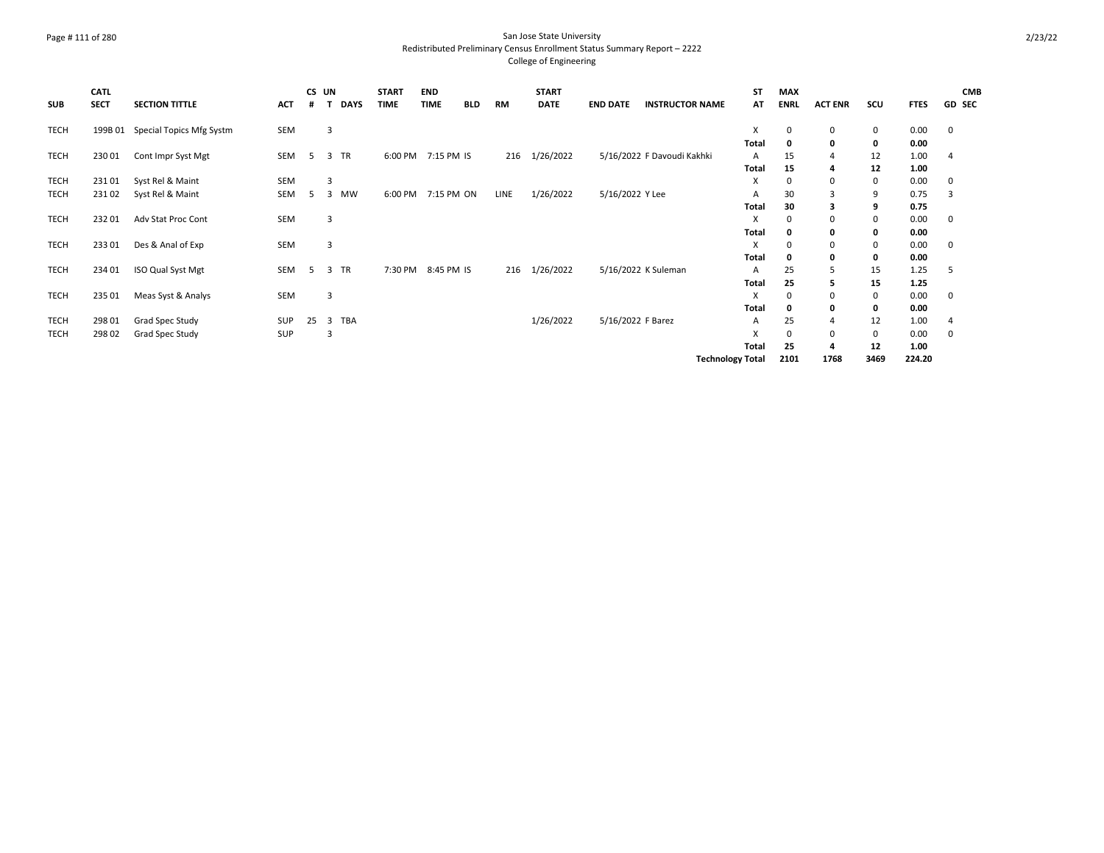## Page # 111 of 280 San Jose State University Redistributed Preliminary Census Enrollment Status Summary Report – 2222 College of Engineering

| <b>SUB</b>  | CATL<br><b>SECT</b> | <b>SECTION TITTLE</b>            | <b>ACT</b> | #  | CS UN<br><b>DAYS</b><br>т | <b>START</b><br><b>TIME</b> | <b>END</b><br><b>TIME</b> | <b>BLD</b> | RM   | <b>START</b><br><b>DATE</b> | <b>END DATE</b>   | <b>INSTRUCTOR NAME</b>     | <b>ST</b><br>AT         | <b>MAX</b><br><b>ENRL</b> | <b>ACT ENR</b> | scu  | <b>FTES</b> | <b>CMB</b><br><b>GD SEC</b> |
|-------------|---------------------|----------------------------------|------------|----|---------------------------|-----------------------------|---------------------------|------------|------|-----------------------------|-------------------|----------------------------|-------------------------|---------------------------|----------------|------|-------------|-----------------------------|
| TECH        |                     | 199B 01 Special Topics Mfg Systm | SEM        |    | 3                         |                             |                           |            |      |                             |                   |                            | X                       | 0                         | 0              | 0    | 0.00        | 0                           |
|             |                     |                                  |            |    |                           |                             |                           |            |      |                             |                   |                            | Total                   |                           | 0              | 0    | 0.00        |                             |
| TECH        | 23001               | Cont Impr Syst Mgt               | SEM        | 5  | 3 TR                      |                             | 6:00 PM 7:15 PM IS        |            | 216  | 1/26/2022                   |                   | 5/16/2022 F Davoudi Kakhki | $\mathsf{A}$            | 15                        | 4              | 12   | 1.00        | 4                           |
|             |                     |                                  |            |    |                           |                             |                           |            |      |                             |                   |                            | Total                   | 15                        | 4              | 12   | 1.00        |                             |
| <b>TECH</b> | 23101               | Syst Rel & Maint                 | <b>SEM</b> |    | 3                         |                             |                           |            |      |                             |                   |                            | X                       | 0                         | 0              | 0    | 0.00        | 0                           |
| TECH        | 23102               | Syst Rel & Maint                 | SEM        | -5 | 3<br><b>MW</b>            | 6:00 PM                     | 7:15 PM ON                |            | LINE | 1/26/2022                   | 5/16/2022 Y Lee   |                            | A                       | 30                        | 3              | 9    | 0.75        | 3                           |
|             |                     |                                  |            |    |                           |                             |                           |            |      |                             |                   |                            | Total                   | 30                        | 3              | 9    | 0.75        |                             |
| TECH        | 23201               | Adv Stat Proc Cont               | <b>SEM</b> |    | 3                         |                             |                           |            |      |                             |                   |                            | X                       | 0                         | 0              | 0    | 0.00        | 0                           |
|             |                     |                                  |            |    |                           |                             |                           |            |      |                             |                   |                            | Total                   |                           | 0              | 0    | 0.00        |                             |
| TECH        | 23301               | Des & Anal of Exp                | SEM        |    | 3                         |                             |                           |            |      |                             |                   |                            | X                       |                           | 0              | 0    | 0.00        | 0                           |
|             |                     |                                  |            |    |                           |                             |                           |            |      |                             |                   |                            | Total                   | O                         | 0              | 0    | 0.00        |                             |
| TECH        | 234 01              | ISO Qual Syst Mgt                | SEM        | 5  | 3 TR                      | 7:30 PM                     | 8:45 PM IS                |            | 216  | 1/26/2022                   |                   | 5/16/2022 K Suleman        | $\mathsf{A}$            | 25                        | 5              | 15   | 1.25        | -5                          |
|             |                     |                                  |            |    |                           |                             |                           |            |      |                             |                   |                            | Total                   | 25                        | 5              | 15   | 1.25        |                             |
| TECH        | 235 01              | Meas Syst & Analys               | SEM        |    | 3                         |                             |                           |            |      |                             |                   |                            | $\mathsf{x}$            | 0                         | 0              | 0    | 0.00        | 0                           |
|             |                     |                                  |            |    |                           |                             |                           |            |      |                             |                   |                            | Total                   | 0                         | 0              | 0    | 0.00        |                             |
| TECH        | 298 01              | Grad Spec Study                  | <b>SUP</b> | 25 | 3 TBA                     |                             |                           |            |      | 1/26/2022                   | 5/16/2022 F Barez |                            | A                       | 25                        | 4              | 12   | 1.00        | 4                           |
| TECH        | 298 02              | Grad Spec Study                  | SUP        |    | 3                         |                             |                           |            |      |                             |                   |                            | X                       | $\Omega$                  | 0              | 0    | 0.00        | 0                           |
|             |                     |                                  |            |    |                           |                             |                           |            |      |                             |                   |                            | Total                   | 25                        | 4              | 12   | 1.00        |                             |
|             |                     |                                  |            |    |                           |                             |                           |            |      |                             |                   |                            | <b>Technology Total</b> | 2101                      | 1768           | 3469 | 224.20      |                             |